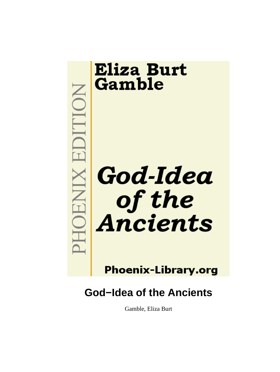

# **Phoenix-Library.org**

# **God−Idea of the Ancients**

Gamble, Eliza Burt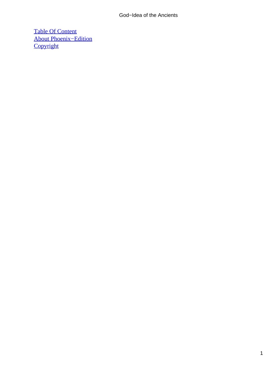## God−Idea of the Ancients

[Table Of Content](#page-197-0) [About Phoenix−Edition](#page-198-0) **[Copyright](#page-201-0)**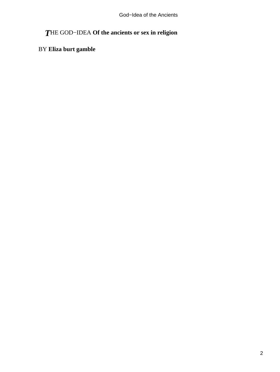# *T*HE GOD−IDEA **Of the ancients or sex in religion**

# BY **Eliza burt gamble**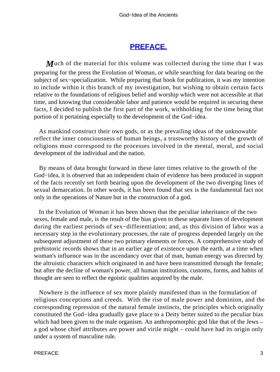## **[PREFACE.](#page-197-0)**

*M*uch of the material for this volume was collected during the time that I was preparing for the press the Evolution of Woman, or while searching for data bearing on the subject of sex−specialization. While preparing that book for publication, it was my intention to include within it this branch of my investigation, but wishing to obtain certain facts relative to the foundations of religious belief and worship which were not accessible at that time, and knowing that considerable labor and patience would be required in securing these facts, I decided to publish the first part of the work, withholding for the time being that portion of it pertaining especially to the development of the God−idea.

 As mankind construct their own gods, or as the prevailing ideas of the unknowable reflect the inner consciousness of human beings, a trustworthy history of the growth of religions must correspond to the processes involved in the mental, moral, and social development of the individual and the nation.

 By means of data brought forward in these later times relative to the growth of the God−idea, it is observed that an independent chain of evidence has been produced in support of the facts recently set forth bearing upon the development of the two diverging lines of sexual demarcation. In other words, it has been found that sex is the fundamental fact not only in the operations of Nature but in the construction of a god.

 In the Evolution of Woman it has been shown that the peculiar inheritance of the two sexes, female and male, is the result of the bias given to these separate lines of development during the earliest periods of sex−differentiation; and, as this division of labor was a necessary step in the evolutionary processes, the rate of progress depended largely on the subsequent adjustment of these two primary elements or forces. A comprehensive study of prehistoric records shows that in an earlier age of existence upon the earth, at a time when woman's influence was in the ascendancy over that of man, human energy was directed by the altruistic characters which originated in and have been transmitted through the female; but after the decline of woman's power, all human institutions, customs, forms, and habits of thought are seen to reflect the egoistic qualities acquired by the male.

 Nowhere is the influence of sex more plainly manifested than in the formulation of religious conceptions and creeds. With the rise of male power and dominion, and the corresponding repression of the natural female instincts, the principles which originally constituted the God−idea gradually gave place to a Deity better suited to the peculiar bias which had been given to the male organism. An anthropomorphic god like that of the Jews – a god whose chief attributes are power and virile might – could have had its origin only under a system of masculine rule.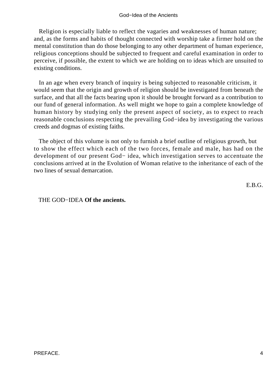Religion is especially liable to reflect the vagaries and weaknesses of human nature; and, as the forms and habits of thought connected with worship take a firmer hold on the mental constitution than do those belonging to any other department of human experience, religious conceptions should be subjected to frequent and careful examination in order to perceive, if possible, the extent to which we are holding on to ideas which are unsuited to existing conditions.

 In an age when every branch of inquiry is being subjected to reasonable criticism, it would seem that the origin and growth of religion should be investigated from beneath the surface, and that all the facts bearing upon it should be brought forward as a contribution to our fund of general information. As well might we hope to gain a complete knowledge of human history by studying only the present aspect of society, as to expect to reach reasonable conclusions respecting the prevailing God−idea by investigating the various creeds and dogmas of existing faiths.

 The object of this volume is not only to furnish a brief outline of religious growth, but to show the effect which each of the two forces, female and male, has had on the development of our present God− idea, which investigation serves to accentuate the conclusions arrived at in the Evolution of Woman relative to the inheritance of each of the two lines of sexual demarcation.

E.B.G.

THE GOD−IDEA **Of the ancients.**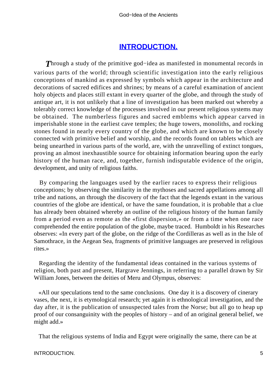## **[INTRODUCTION.](#page-197-0)**

*T*hrough a study of the primitive god−idea as manifested in monumental records in various parts of the world; through scientific investigation into the early religious conceptions of mankind as expressed by symbols which appear in the architecture and decorations of sacred edifices and shrines; by means of a careful examination of ancient holy objects and places still extant in every quarter of the globe, and through the study of antique art, it is not unlikely that a line of investigation has been marked out whereby a tolerably correct knowledge of the processes involved in our present religious systems may be obtained. The numberless figures and sacred emblems which appear carved in imperishable stone in the earliest cave temples; the huge towers, monoliths, and rocking stones found in nearly every country of the globe, and which are known to be closely connected with primitive belief and worship, and the records found on tablets which are being unearthed in various parts of the world, are, with the unravelling of extinct tongues, proving an almost inexhaustible source for obtaining information bearing upon the early history of the human race, and, together, furnish indisputable evidence of the origin, development, and unity of religious faiths.

 By comparing the languages used by the earlier races to express their religious conceptions; by observing the similarity in the mythoses and sacred appellations among all tribe and nations, an through the discovery of the fact that the legends extant in the various countries of the globe are identical, or have the same foundation, it is probable that a clue has already been obtained whereby an outline of the religious history of the human family from a period even as remote as the «first dispersion,» or from a time when one race comprehended the entire population of the globe, maybe traced. Humboldt in his Researches observes: «In every part of the globe, on the ridge of the Cordilleras as well as in the Isle of Samothrace, in the Aegean Sea, fragments of primitive languages are preserved in religious rites.»

 Regarding the identity of the fundamental ideas contained in the various systems of religion, both past and present, Hargrave Jennings, in referring to a parallel drawn by Sir William Jones, between the deities of Meru and Olympus, observes:

 «All our speculations tend to the same conclusions. One day it is a discovery of cinerary vases, the next, it is etymological research; yet again it is ethnological investigation, and the day after, it is the publication of unsuspected tales from the Norse; but all go to heap up proof of our consanguinity with the peoples of history – and of an original general belief, we might add.»

That the religious systems of India and Egypt were originally the same, there can be at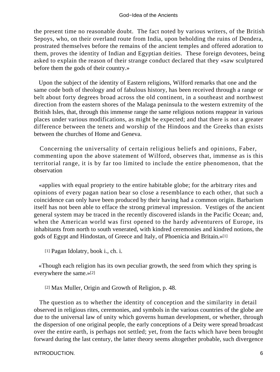the present time no reasonable doubt. The fact noted by various writers, of the British Sepoys, who, on their overland route from India, upon beholding the ruins of Dendera, prostrated themselves before the remains of the ancient temples and offered adoration to them, proves the identity of Indian and Egyptian deities. These foreign devotees, being asked to explain the reason of their strange conduct declared that they «saw sculptured before them the gods of their country.»

 Upon the subject of the identity of Eastern religions, Wilford remarks that one and the same code both of theology and of fabulous history, has been received through a range or belt about forty degrees broad across the old continent, in a southeast and northwest direction from the eastern shores of the Malaga peninsula to the western extremity of the British Isles, that, through this immense range the same religious notions reappear in various places under various modifications, as might be expected; and that there is not a greater difference between the tenets and worship of the Hindoos and the Greeks than exists between the churches of Home and Geneva.

 Concerning the universality of certain religious beliefs and opinions, Faber, commenting upon the above statement of Wilford, observes that, immense as is this territorial range, it is by far too limited to include the entire phenomenon, that the observation

 «applies with equal propriety to the entire habitable globe; for the arbitrary rites and opinions of every pagan nation bear so close a resemblance to each other, that such a coincidence can only have been produced by their having had a common origin. Barbarism itself has not been able to efface the strong primeval impression. Vestiges of the ancient general system may be traced in the recently discovered islands in the Pacific Ocean; and, when the American world was first opened to the hardy adventurers of Europe, its inhabitants from north to south venerated, with kindred ceremonies and kindred notions, the gods of Egypt and Hindostan, of Greece and Italy, of Phoenicia and Britain.»[1]

[1] Pagan Idolatry, book i., ch. i.

 «Though each religion has its own peculiar growth, the seed from which they spring is everywhere the same.»[2]

[2] Max Muller, Origin and Growth of Religion, p. 48.

 The question as to whether the identity of conception and the similarity in detail observed in religious rites, ceremonies, and symbols in the various countries of the globe are due to the universal law of unity which governs human development, or whether, through the dispersion of one original people, the early conceptions of a Deity were spread broadcast over the entire earth, is perhaps not settled; yet, from the facts which have been brought forward during the last century, the latter theory seems altogether probable, such divergence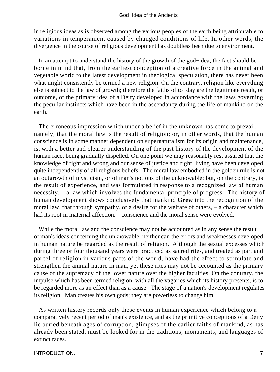in religious ideas as is observed among the various peoples of the earth being attributable to variations in temperament caused by changed conditions of life. In other words, the divergence in the course of religious development has doubtless been due to environment.

 In an attempt to understand the history of the growth of the god−idea, the fact should be borne in mind that, from the earliest conception of a creative force in the animal and vegetable world to the latest development in theological speculation, there has never been what might consistently be termed a new religion. On the contrary, religion like everything else is subject to the law of growth; therefore the faiths of to−day are the legitimate result, or outcome, of the primary idea of a Deity developed in accordance with the laws governing the peculiar instincts which have been in the ascendancy during the life of mankind on the earth.

 The erroneous impression which under a belief in the unknown has come to prevail, namely, that the moral law is the result of religion; or, in other words, that the human conscience is in some manner dependent on supernaturalism for its origin and maintenance, is, with a better and clearer understanding of the past history of the development of the human race, being gradually dispelled. On one point we may reasonably rest assured that the knowledge of right and wrong and our sense of justice and right−living have been developed quite independently of all religious beliefs. The moral law embodied in the golden rule is not an outgrowth of mysticism, or of man's notions of the unknowable; but, on the contrary, is the result of experience, and was formulated in response to a recognized law of human necessity, – a law which involves the fundamental principle of progress. The history of human development shows conclusively that mankind **Grew** into the recognition of the moral law, that through sympathy, or a desire for the welfare of others, – a character which had its root in maternal affection, – conscience and the moral sense were evolved.

 While the moral law and the conscience may not be accounted as in any sense the result of man's ideas concerning the unknowable, neither can the errors and weaknesses developed in human nature be regarded as the result of religion. Although the sexual excesses which during three or four thousand years were practiced as sacred rites, and treated as part and parcel of religion in various parts of the world, have had the effect to stimulate and strengthen the animal nature in man, yet these rites may not be accounted as the primary cause of the supremacy of the lower nature over the higher faculties. On the contrary, the impulse which has been termed religion, with all the vagaries which its history presents, is to be regarded more as an effect than as a cause. The stage of a nation's development regulates its religion. Man creates his own gods; they are powerless to change him.

 As written history records only those events in human experience which belong to a comparatively recent period of man's existence, and as the primitive conceptions of a Deity lie buried beneath ages of corruption, glimpses of the earlier faiths of mankind, as has already been stated, must be looked for in the traditions, monuments, and languages of extinct races.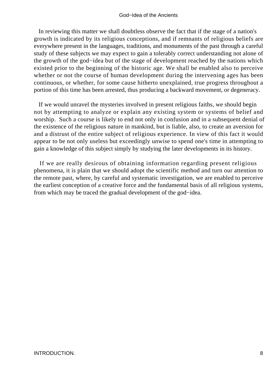#### God−Idea of the Ancients

 In reviewing this matter we shall doubtless observe the fact that if the stage of a nation's growth is indicated by its religious conceptions, and if remnants of religious beliefs are everywhere present in the languages, traditions, and monuments of the past through a careful study of these subjects we may expect to gain a tolerably correct understanding not alone of the growth of the god−idea but of the stage of development reached by the nations which existed prior to the beginning of the historic age. We shall be enabled also to perceive whether or not the course of human development during the intervening ages has been continuous, or whether, for some cause hitherto unexplained, true progress throughout a portion of this time has been arrested, thus producing a backward movement, or degeneracy.

 If we would unravel the mysteries involved in present religious faiths, we should begin not by attempting to analyze or explain any existing system or systems of belief and worship. Such a course is likely to end not only in confusion and in a subsequent denial of the existence of the religious nature in mankind, but is liable, also, to create an aversion for and a distrust of the entire subject of religious experience. In view of this fact it would appear to be not only useless but exceedingly unwise to spend one's time in attempting to gain a knowledge of this subject simply by studying the later developments in its history.

 If we are really desirous of obtaining information regarding present religious phenomena, it is plain that we should adopt the scientific method and turn our attention to the remote past, where, by careful and systematic investigation, we are enabled to perceive the earliest conception of a creative force and the fundamental basis of all religious systems, from which may be traced the gradual development of the god−idea.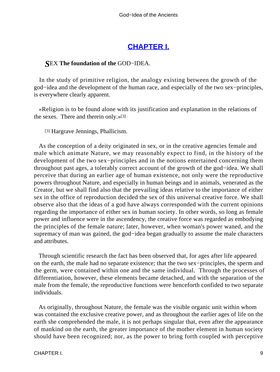# **[CHAPTER I.](#page-197-0)**

## *S*EX **The foundation of the** GOD−IDEA.

 In the study of primitive religion, the analogy existing between the growth of the god−idea and the development of the human race, and especially of the two sex−principles, is everywhere clearly apparent.

 «Religion is to be found alone with its justification and explanation in the relations of the sexes. There and therein only.»[3]

[3] Hargrave Jennings, Phallicism.

 As the conception of a deity originated in sex, or in the creative agencies female and male which animate Nature, we may reasonably expect to find, in the history of the development of the two sex−principles and in the notions entertained concerning them throughout past ages, a tolerably correct account of the growth of the god−idea. We shall perceive that during an earlier age of human existence, not only were the reproductive powers throughout Nature, and especially in human beings and in animals, venerated as the Creator, but we shall find also that the prevailing ideas relative to the importance of either sex in the office of reproduction decided the sex of this universal creative force. We shall observe also that the ideas of a god have always corresponded with the current opinions regarding the importance of either sex in human society. In other words, so long as female power and influence were in the ascendency, the creative force was regarded as embodying the principles of the female nature; later, however, when woman's power waned, and the supremacy of man was gained, the god−idea began gradually to assume the male characters and attributes.

 Through scientific research the fact has been observed that, for ages after life appeared on the earth, the male had no separate existence; that the two sex−principles, the sperm and the germ, were contained within one and the same individual. Through the processes of differentiation, however, these elements became detached, and with the separation of the male from the female, the reproductive functions were henceforth confided to two separate individuals.

 As originally, throughout Nature, the female was the visible organic unit within whom was contained the exclusive creative power, and as throughout the earlier ages of life on the earth she comprehended the male, it is not perhaps singular that, even after the appearance of mankind on the earth, the greater importance of the mother element in human society should have been recognized; nor, as the power to bring forth coupled with perceptive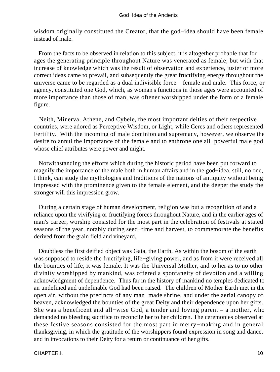wisdom originally constituted the Creator, that the god−idea should have been female instead of male.

 From the facts to be observed in relation to this subject, it is altogether probable that for ages the generating principle throughout Nature was venerated as female; but with that increase of knowledge which was the result of observation and experience, juster or more correct ideas came to prevail, and subsequently the great fructifying energy throughout the universe came to be regarded as a dual indivisible force – female and male. This force, or agency, constituted one God, which, as woman's functions in those ages were accounted of more importance than those of man, was oftener worshipped under the form of a female figure.

 Neith, Minerva, Athene, and Cybele, the most important deities of their respective countries, were adored as Perceptive Wisdom, or Light, while Ceres and others represented Fertility. With the incoming of male dominion and supremacy, however, we observe the desire to annul the importance of the female and to enthrone one all−powerful male god whose chief attributes were power and might.

 Notwithstanding the efforts which during the historic period have been put forward to magnify the importance of the male both in human affairs and in the god−idea, still, no one, I think, can study the mythologies and traditions of the nations of antiquity without being impressed with the prominence given to the female element, and the deeper the study the stronger will this impression grow.

 During a certain stage of human development, religion was but a recognition of and a reliance upon the vivifying or fructifying forces throughout Nature, and in the earlier ages of man's career, worship consisted for the most part in the celebration of festivals at stated seasons of the year, notably during seed−time and harvest, to commemorate the benefits derived from the grain field and vineyard.

 Doubtless the first deified object was Gaia, the Earth. As within the bosom of the earth was supposed to reside the fructifying, life−giving power, and as from it were received all the bounties of life, it was female. It was the Universal Mother, and to her as to no other divinity worshipped by mankind, was offered a spontaneity of devotion and a willing acknowledgment of dependence. Thus far in the history of mankind no temples dedicated to an undefined and undefinable God had been raised. The children of Mother Earth met in the open air, without the precincts of any man−made shrine, and under the aerial canopy of heaven, acknowledged the bounties of the great Deity and their dependence upon her gifts. She was a beneficent and all−wise God, a tender and loving parent – a mother, who demanded no bleeding sacrifice to reconcile her to her children. The ceremonies observed at these festive seasons consisted for the most part in merry−making and in general thanksgiving, in which the gratitude of the worshippers found expression in song and dance, and in invocations to their Deity for a return or continuance of her gifts.

CHAPTER I. 10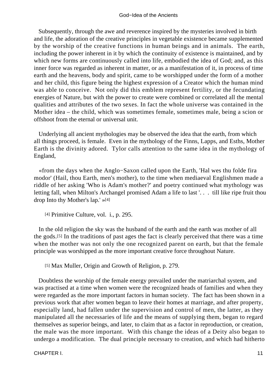Subsequently, through the awe and reverence inspired by the mysteries involved in birth and life, the adoration of the creative principles in vegetable existence became supplemented by the worship of the creative functions in human beings and in animals. The earth, including the power inherent in it by which the continuity of existence is maintained, and by which new forms are continuously called into life, embodied the idea of God; and, as this inner force was regarded as inherent in matter, or as a manifestation of it, in process of time earth and the heavens, body and spirit, came to be worshipped under the form of a mother and her child, this figure being the highest expression of a Creator which the human mind was able to conceive. Not only did this emblem represent fertility, or the fecundating energies of Nature, but with the power to create were combined or correlated all the mental qualities and attributes of the two sexes. In fact the whole universe was contained in the Mother idea – the child, which was sometimes female, sometimes male, being a scion or offshoot from the eternal or universal unit.

 Underlying all ancient mythologies may be observed the idea that the earth, from which all things proceed, is female. Even in the mythology of the Finns, Lapps, and Esths, Mother Earth is the divinity adored. Tylor calls attention to the same idea in the mythology of England,

 «from the days when the Anglo−Saxon called upon the Earth, 'Hal wes thu folde fira modor' (Hail, thou Earth, men's mother), to the time when mediaeval Englishmen made a riddle of her asking 'Who is Adam's mother?' and poetry continued what mythology was letting fall, when Milton's Archangel promised Adam a life to last '. . . till like ripe fruit thou drop Into thy Mother's lap.' »[4]

[4] Primitive Culture, vol. i., p. 295.

 In the old religion the sky was the husband of the earth and the earth was mother of all the gods.[5] In the traditions of past ages the fact is clearly perceived that there was a time when the mother was not only the one recognized parent on earth, but that the female principle was worshipped as the more important creative force throughout Nature.

[5] Max Muller, Origin and Growth of Religion, p. 279.

 Doubtless the worship of the female energy prevailed under the matriarchal system, and was practised at a time when women were the recognized heads of families and when they were regarded as the more important factors in human society. The fact has been shown in a previous work that after women began to leave their homes at marriage, and after property, especially land, had fallen under the supervision and control of men, the latter, as they manipulated all the necessaries of life and the means of supplying them, began to regard themselves as superior beings, and later, to claim that as a factor in reproduction, or creation, the male was the more important. With this change the ideas of a Deity also began to undergo a modification. The dual principle necessary to creation, and which had hitherto

CHAPTER I. 11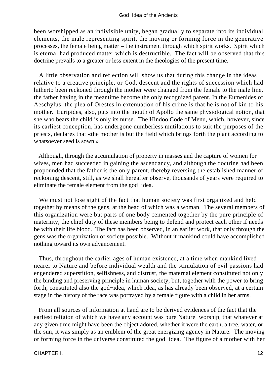been worshipped as an indivisible unity, began gradually to separate into its individual elements, the male representing spirit, the moving or forming force in the generative processes, the female being matter – the instrument through which spirit works. Spirit which is eternal had produced matter which is destructible. The fact will be observed that this doctrine prevails to a greater or less extent in the theologies of the present time.

 A little observation and reflection will show us that during this change in the ideas relative to a creative principle, or God, descent and the rights of succession which had hitherto been reckoned through the mother were changed from the female to the male line, the father having in the meantime become the only recognized parent. In the Eumenides of Aeschylus, the plea of Orestes in extenuation of his crime is that he is not of kin to his mother. Euripides, also, puts into the mouth of Apollo the same physiological notion, that she who bears the child is only its nurse. The Hindoo Code of Menu, which, however, since its earliest conception, has undergone numberless mutilations to suit the purposes of the priests, declares that «the mother is but the field which brings forth the plant according to whatsoever seed is sown.»

 Although, through the accumulation of property in masses and the capture of women for wives, men had succeeded in gaining the ascendancy, and although the doctrine had been propounded that the father is the only parent, thereby reversing the established manner of reckoning descent, still, as we shall hereafter observe, thousands of years were required to eliminate the female element from the god−idea.

 We must not lose sight of the fact that human society was first organized and held together by means of the gens, at the head of which was a woman. The several members of this organization were but parts of one body cemented together by the pure principle of maternity, the chief duty of these members being to defend and protect each other if needs be with their life blood. The fact has been observed, in an earlier work, that only through the gens was the organization of society possible. Without it mankind could have accomplished nothing toward its own advancement.

 Thus, throughout the earlier ages of human existence, at a time when mankind lived nearer to Nature and before individual wealth and the stimulation of evil passions had engendered superstition, selfishness, and distrust, the maternal element constituted not only the binding and preserving principle in human society, but, together with the power to bring forth, constituted also the god−idea, which idea, as has already been observed, at a certain stage in the history of the race was portrayed by a female figure with a child in her arms.

 From all sources of information at hand are to be derived evidences of the fact that the earliest religion of which we have any account was pure Nature−worship, that whatever at any given time might have been the object adored, whether it were the earth, a tree, water, or the sun, it was simply as an emblem of the great energizing agency in Nature. The moving or forming force in the universe constituted the god−idea. The figure of a mother with her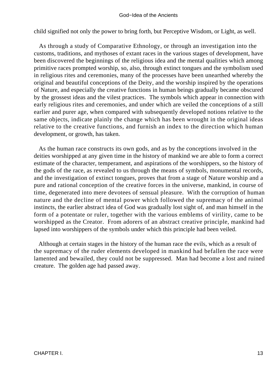child signified not only the power to bring forth, but Perceptive Wisdom, or Light, as well.

 As through a study of Comparative Ethnology, or through an investigation into the customs, traditions, and mythoses of extant races in the various stages of development, have been discovered the beginnings of the religious idea and the mental qualities which among primitive races prompted worship, so, also, through extinct tongues and the symbolism used in religious rites and ceremonies, many of the processes have been unearthed whereby the original and beautiful conceptions of the Deity, and the worship inspired by the operations of Nature, and especially the creative functions in human beings gradually became obscured by the grossest ideas and the vilest practices. The symbols which appear in connection with early religious rites and ceremonies, and under which are veiled the conceptions of a still earlier and purer age, when compared with subsequently developed notions relative to the same objects, indicate plainly the change which has been wrought in the original ideas relative to the creative functions, and furnish an index to the direction which human development, or growth, has taken.

 As the human race constructs its own gods, and as by the conceptions involved in the deities worshipped at any given time in the history of mankind we are able to form a correct estimate of the character, temperament, and aspirations of the worshippers, so the history of the gods of the race, as revealed to us through the means of symbols, monumental records, and the investigation of extinct tongues, proves that from a stage of Nature worship and a pure and rational conception of the creative forces in the universe, mankind, in course of time, degenerated into mere devotees of sensual pleasure. With the corruption of human nature and the decline of mental power which followed the supremacy of the animal instincts, the earlier abstract idea of God was gradually lost sight of, and man himself in the form of a potentate or ruler, together with the various emblems of virility, came to be worshipped as the Creator. From adorers of an abstract creative principle, mankind had lapsed into worshippers of the symbols under which this principle had been veiled.

 Although at certain stages in the history of the human race the evils, which as a result of the supremacy of the ruder elements developed in mankind had befallen the race were lamented and bewailed, they could not be suppressed. Man had become a lost and ruined creature. The golden age had passed away.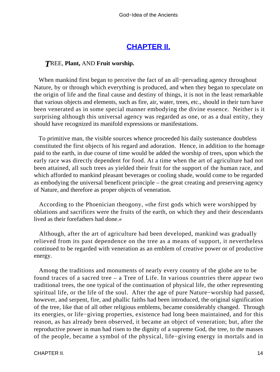## **[CHAPTER II.](#page-197-0)**

### *T*REE, **Plant,** AND **Fruit worship.**

 When mankind first began to perceive the fact of an all−pervading agency throughout Nature, by or through which everything is produced, and when they began to speculate on the origin of life and the final cause and destiny of things, it is not in the least remarkable that various objects and elements, such as fire, air, water, trees, etc., should in their turn have been venerated as in some special manner embodying the divine essence. Neither is it surprising although this universal agency was regarded as one, or as a dual entity, they should have recognized its manifold expressions or manifestations.

 To primitive man, the visible sources whence proceeded his daily sustenance doubtless constituted the first objects of his regard and adoration. Hence, in addition to the homage paid to the earth, in due course of time would be added the worship of trees, upon which the early race was directly dependent for food. At a time when the art of agriculture had not been attained, all such trees as yielded their fruit for the support of the human race, and which afforded to mankind pleasant beverages or cooling shade, would come to be regarded as embodying the universal beneficent principle – the great creating and preserving agency of Nature, and therefore as proper objects of veneration.

 According to the Phoenician theogony, «the first gods which were worshipped by oblations and sacrifices were the fruits of the earth, on which they and their descendants lived as their forefathers had done.»

 Although, after the art of agriculture had been developed, mankind was gradually relieved from its past dependence on the tree as a means of support, it nevertheless continued to be regarded with veneration as an emblem of creative power or of productive energy.

 Among the traditions and monuments of nearly every country of the globe are to be found traces of a sacred tree – a Tree of Life. In various countries there appear two traditional trees, the one typical of the continuation of physical life, the other representing spiritual life, or the life of the soul. After the age of pure Nature−worship had passed, however, and serpent, fire, and phallic faiths had been introduced, the original signification of the tree, like that of all other religious emblems, became considerably changed. Through its energies, or life−giving properties, existence had long been maintained, and for this reason, as has already been observed, it became an object of veneration; but, after the reproductive power in man had risen to the dignity of a supreme God, the tree, to the masses of the people, became a symbol of the physical, life−giving energy in mortals and in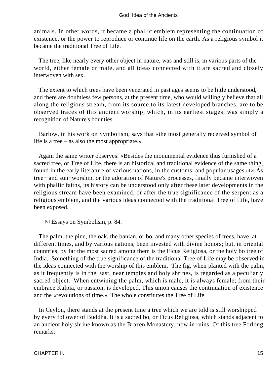animals. In other words, it became a phallic emblem representing the continuation of existence, or the power to reproduce or continue life on the earth. As a religious symbol it became the traditional Tree of Life.

 The tree, like nearly every other object in nature, was and still is, in various parts of the world, either female or male, and all ideas connected with it are sacred and closely interwoven with sex.

 The extent to which trees have been venerated in past ages seems to be little understood, and there are doubtless few persons, at the present time, who would willingly believe that all along the religious stream, from its source to its latest developed branches, are to be observed traces of this ancient worship, which, in its earliest stages, was simply a recognition of Nature's bounties.

 Barlow, in his work on Symbolism, says that «the most generally received symbol of life is a tree – as also the most appropriate.»

 Again the same writer observes: «Besides the monumental evidence thus furnished of a sacred tree, or Tree of Life, there is an historical and traditional evidence of the same thing, found in the early literature of various nations, in the customs, and popular usages.»[6] As tree− and sun−worship, or the adoration of Nature's processes, finally became interwoven with phallic faiths, its history can be understood only after these later developments in the religious stream have been examined, or after the true significance of the serpent as a religious emblem, and the various ideas connected with the traditional Tree of Life, have been exposed.

[6] Essays on Symbolism, p. 84.

 The palm, the pine, the oak, the banian, or bo, and many other species of trees, have, at different times, and by various nations, been invested with divine honors; but, in oriental countries, by far the most sacred among them is the Ficus Religiosa, or the holy bo tree of India. Something of the true significance of the traditional Tree of Life may be observed in the ideas connected with the worship of this emblem. The fig, when planted with the palm, as it frequently is in the East, near temples and holy shrines, is regarded as a peculiarly sacred object. When entwining the palm, which is male, it is always female; from their embrace Kalpia, or passion, is developed. This union causes the continuation of existence and the «revolutions of time.» The whole constitutes the Tree of Life.

 In Ceylon, there stands at the present time a tree which we are told is still worshipped by every follower of Buddha. It is a sacred bo, or Ficus Religiosa, which stands adjacent to an ancient holy shrine known as the Brazen Monastery, now in ruins. Of this tree Forlong remarks: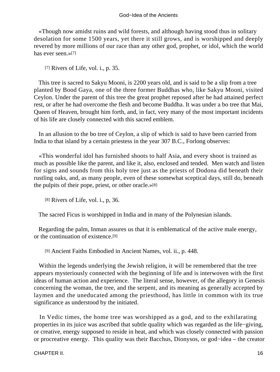«Though now amidst ruins and wild forests, and although having stood thus in solitary desolation for some 1500 years, yet there it still grows, and is worshipped and deeply revered by more millions of our race than any other god, prophet, or idol, which the world has ever seen.»[7]

[7] Rivers of Life, vol. i., p. 35.

 This tree is sacred to Sakyu Mooni, is 2200 years old, and is said to be a slip from a tree planted by Bood Gaya, one of the three former Buddhas who, like Sakyu Mooni, visited Ceylon. Under the parent of this tree the great prophet reposed after he had attained perfect rest, or after he had overcome the flesh and become Buddha. It was under a bo tree that Mai, Queen of Heaven, brought him forth, and, in fact, very many of the most important incidents of his life are closely connected with this sacred emblem.

 In an allusion to the bo tree of Ceylon, a slip of which is said to have been carried from India to that island by a certain priestess in the year 307 B.C., Forlong observes:

 «This wonderful idol has furnished shoots to half Asia, and every shoot is trained as much as possible like the parent, and like it, also, enclosed and tended. Men watch and listen for signs and sounds from this holy tree just as the priests of Dodona did beneath their rustling oaks, and, as many people, even of these somewhat sceptical days, still do, beneath the pulpits of their pope, priest, or other oracle.»[8]

[8] Rivers of Life, vol. i., p, 36.

The sacred Ficus is worshipped in India and in many of the Polynesian islands.

 Regarding the palm, Inman assures us that it is emblematical of the active male energy, or the continuation of existence.[9]

[9] Ancient Faiths Embodied in Ancient Names, vol. ii., p. 448.

 Within the legends underlying the Jewish religion, it will be remembered that the tree appears mysteriously connected with the beginning of life and is interwoven with the first ideas of human action and experience. The literal sense, however, of the allegory in Genesis concerning the woman, the tree, and the serpent, and its meaning as generally accepted by laymen and the uneducated among the priesthood, has little in common with its true significance as understood by the initiated.

 In Vedic times, the home tree was worshipped as a god, and to the exhilarating properties in its juice was ascribed that subtle quality which was regarded as the life−giving, or creative, energy supposed to reside in heat, and which was closely connected with passion or procreative energy. This quality was their Bacchus, Dionysos, or god−idea – the creator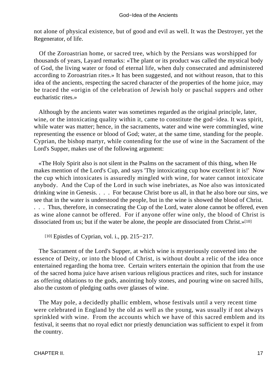not alone of physical existence, but of good and evil as well. It was the Destroyer, yet the Regenerator, of life.

 Of the Zoroastrian home, or sacred tree, which by the Persians was worshipped for thousands of years, Layard remarks: «The plant or its product was called the mystical body of God, the living water or food of eternal life, when duly consecrated and administered according to Zoroastrian rites.» It has been suggested, and not without reason, that to this idea of the ancients, respecting the sacred character of the properties of the home juice, may be traced the «origin of the celebration of Jewish holy or paschal suppers and other eucharistic rites.»

 Although by the ancients water was sometimes regarded as the original principle, later, wine, or the intoxicating quality within it, came to constitute the god−idea. It was spirit, while water was matter; hence, in the sacraments, water and wine were commingled, wine representing the essence or blood of God; water, at the same time, standing for the people. Cyprian, the bishop martyr, while contending for the use of wine in the Sacrament of the Lord's Supper, makes use of the following argument:

 «The Holy Spirit also is not silent in the Psalms on the sacrament of this thing, when He makes mention of the Lord's Cup, and says 'Thy intoxicating cup how excellent it is!' Now the cup which intoxicates is assuredly mingled with wine, for water cannot intoxicate anybody. And the Cup of the Lord in such wise inebriates, as Noe also was intoxicated drinking wine in Genesis. . . . For because Christ bore us all, in that he also bore our sins, we see that in the water is understood the people, but in the wine is showed the blood of Christ. . . . Thus, therefore, in consecrating the Cup of the Lord, water alone cannot be offered, even as wine alone cannot be offered. For if anyone offer wine only, the blood of Christ is dissociated from us; but if the water be alone, the people are dissociated from Christ.»[10]

[10] Epistles of Cyprian, vol. i., pp. 215−217.

 The Sacrament of the Lord's Supper, at which wine is mysteriously converted into the essence of Deity, or into the blood of Christ, is without doubt a relic of the idea once entertained regarding the homa tree. Certain writers entertain the opinion that from the use of the sacred homa juice have arisen various religious practices and rites, such for instance as offering oblations to the gods, anointing holy stones, and pouring wine on sacred hills, also the custom of pledging oaths over glasses of wine.

 The May pole, a decidedly phallic emblem, whose festivals until a very recent time were celebrated in England by the old as well as the young, was usually if not always sprinkled with wine. From the accounts which we have of this sacred emblem and its festival, it seems that no royal edict nor priestly denunciation was sufficient to expel it from the country.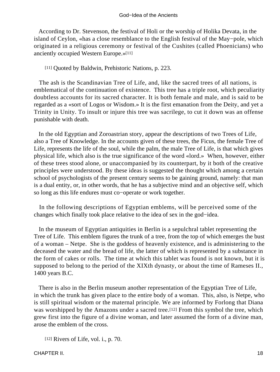According to Dr. Stevenson, the festival of Holi or the worship of Holika Devata, in the island of Ceylon, «has a close resemblance to the English festival of the May−pole, which originated in a religious ceremony or festival of the Cushites (called Phoenicians) who anciently occupied Western Europe.»[11]

[11] Quoted by Baldwin, Prehistoric Nations, p. 223.

 The ash is the Scandinavian Tree of Life, and, like the sacred trees of all nations, is emblematical of the continuation of existence. This tree has a triple root, which peculiarity doubtless accounts for its sacred character. It is both female and male, and is said to be regarded as a «sort of Logos or Wisdom.» It is the first emanation from the Deity, and yet a Trinity in Unity. To insult or injure this tree was sacrilege, to cut it down was an offense punishable with death.

 In the old Egyptian and Zoroastrian story, appear the descriptions of two Trees of Life, also a Tree of Knowledge. In the accounts given of these trees, the Ficus, the female Tree of Life, represents the life of the soul, while the palm, the male Tree of Life, is that which gives physical life, which also is the true significance of the word «lord.» When, however, either of these trees stood alone, or unaccompanied by its counterpart, by it both of the creative principles were understood. By these ideas is suggested the thought which among a certain school of psychologists of the present century seems to be gaining ground, namely: that man is a dual entity, or, in other words, that he has a subjective mind and an objective self, which so long as this life endures must co−operate or work together.

 In the following descriptions of Egyptian emblems, will be perceived some of the changes which finally took place relative to the idea of sex in the god−idea.

 In the museum of Egyptian antiquities in Berlin is a sepulchral tablet representing the Tree of Life. This emblem figures the trunk of a tree, from the top of which emerges the bust of a woman – Netpe. She is the goddess of heavenly existence, and is administering to the deceased the water and the bread of life, the latter of which is represented by a substance in the form of cakes or rolls. The time at which this tablet was found is not known, but it is supposed to belong to the period of the XIXth dynasty, or about the time of Rameses II., 1400 years B.C.

 There is also in the Berlin museum another representation of the Egyptian Tree of Life, in which the trunk has given place to the entire body of a woman. This, also, is Netpe, who is still spiritual wisdom or the maternal principle. We are informed by Forlong that Diana was worshipped by the Amazons under a sacred tree.<sup>[12]</sup> From this symbol the tree, which grew first into the figure of a divine woman, and later assumed the form of a divine man, arose the emblem of the cross.

```
[12] Rivers of Life, vol. i., p. 70.
```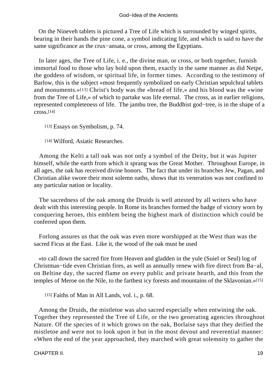On the Nineveh tablets is pictured a Tree of Life which is surrounded by winged spirits, bearing in their hands the pine cone, a symbol indicating life, and which is said to have the same significance as the crux−ansata, or cross, among the Egyptians.

 In later ages, the Tree of Life, i. e., the divine man, or cross, or both together, furnish immortal food to those who lay hold upon them, exactly in the same manner as did Netpe, the goddess of wisdom, or spiritual life, in former times. According to the testimony of Barlow, this is the subject «most frequently symbolized on early Christian sepulchral tablets and monuments.»[13] Christ's body was the «bread of life,» and his blood was the «wine from the Tree of Life,» of which to partake was life eternal. The cross, as in earlier religions, represented completeness of life. The jambu tree, the Buddhist god−tree, is in the shape of a cross.[14]

[13] Essays on Symbolism, p. 74.

[14] Wilford, Asiatic Researches.

 Among the Kelti a tall oak was not only a symbol of the Deity, but it was Jupiter himself, while the earth from which it sprang was the Great Mother. Throughout Europe, in all ages, the oak has received divine honors. The fact that under its branches Jew, Pagan, and Christian alike swore their most solemn oaths, shows that its veneration was not confined to any particular nation or locality.

 The sacredness of the oak among the Druids is well attested by all writers who have dealt with this interesting people. In Rome its branches formed the badge of victory worn by conquering heroes, this emblem being the highest mark of distinction which could be conferred upon them.

 Forlong assures us that the oak was even more worshipped at the West than was the sacred Ficus at the East. Like it, the wood of the oak must be used

 «to call down the sacred fire from Heaven and gladden in the yule (Suiel or Seul) log of Christmas−tide even Christian fires, as well as annually renew with fire direct from Ba−al, on Beltine day, the sacred flame on every public and private hearth, and this from the temples of Meroe on the Nile, to the farthest icy forests and mountains of the Sklavonian.»[15]

[15] Faiths of Man in All Lands, vol. i., p. 68.

 Among the Druids, the mistletoe was also sacred especially when entwining the oak. Together they represented the Tree of Life, or the two generating agencies throughout Nature. Of the species of it which grows on the oak, Borlaise says that they deified the mistletoe and were not to look upon it but in the most devout and reverential manner: «When the end of the year approached, they marched with great solemnity to gather the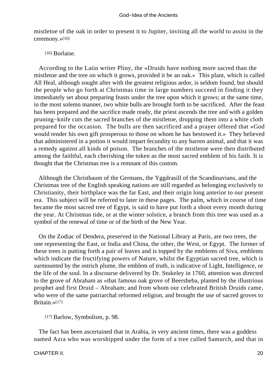mistletoe of the oak in order to present it to Jupiter, inviting all the world to assist in the ceremony.»[16]

[16] Borlaise.

 According to the Latin writer Pliny, the «Druids have nothing more sacred than the mistletoe and the tree on which it grows, provided it be an oak.» This plant, which is called All Heal, although sought after with the greatest religious ardor, is seldom found, but should the people who go forth at Christmas time in large numbers succeed in finding it they immediately set about preparing feasts under the tree upon which it grows; at the same time, in the most solemn manner, two white bulls are brought forth to be sacrificed. After the feast has been prepared and the sacrifice made ready, the priest ascends the tree and with a golden pruning−knife cuts the sacred branches of the mistletoe, dropping them into a white cloth prepared for the occasion. The bulls are then sacrificed and a prayer offered that «God would render his own gift prosperous to those on whom he has bestowed it.» They believed that administered in a potion it would impart fecundity to any barren animal, and that it was a remedy against all kinds of poison. The branches of the mistletoe were then distributed among the faithful, each cherishing the token as the most sacred emblem of his faith. It is thought that the Christmas tree is a remnant of this custom.

 Although the Christbaum of the Germans, the Yggdrasill of the Scandinavians, and the Christmas tree of the English speaking nations are still regarded as belonging exclusively to Christianity, their birthplace was the far East, and their origin long anterior to our present era. This subject will be referred to later in these pages. The palm, which in course of time became the most sacred tree of Egypt, is said to have put forth a shoot every month during the year. At Christmas tide, or at the winter solstice, a branch from this tree was used as a symbol of the renewal of time or of the birth of the New Year.

 On the Zodiac of Dendera, preserved in the National Library at Paris, are two trees, the one representing the East, or India and China, the other, the West, or Egypt. The former of these trees is putting forth a pair of leaves and is topped by the emblems of Siva, emblems which indicate the fructifying powers of Nature, whilst the Egyptian sacred tree, which is surmounted by the ostrich plume, the emblem of truth, is indicative of Light, Intelligence, or the life of the soul. In a discourse delivered by Dr. Stukeley in 1760, attention was directed to the grove of Abraham as «that famous oak grove of Beersheba, planted by the illustrious prophet and first Druid – Abraham; and from whom our celebrated British Druids came, who were of the same patriarchal reformed religion, and brought the use of sacred groves to Britain.»[17]

[17] Barlow, Symbolism, p. 98.

 The fact has been ascertained that in Arabia, in very ancient times, there was a goddess named Azra who was worshipped under the form of a tree called Samurch, and that in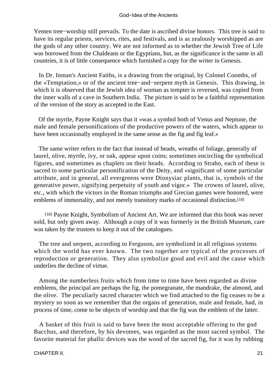Yemen tree−worship still prevails. To the date is ascribed divine honors. This tree is said to have its regular priests, services, rites, and festivals, and is as zealously worshipped as are the gods of any other country. We are not informed as to whether the Jewish Tree of Life was borrowed from the Chaldeans or the Egyptians, but, as the significance is the same in all countries, it is of little consequence which furnished a copy for the writer in Genesis.

 In Dr. Inman's Ancient Faiths, is a drawing from the original, by Colonel Coombs, of the «Temptation,» or of the ancient tree−and−serpent myth in Genesis. This drawing, in which it is observed that the Jewish idea of woman as tempter is reversed, was copied from the inner walls of a cave in Southern India. The picture is said to be a faithful representation of the version of the story as accepted in the East.

 Of the myrtle, Payne Knight says that it «was a symbol both of Venus and Neptune, the male and female personifications of the productive powers of the waters, which appear to have been occasionally employed in the same sense as the fig and fig leaf.»

 The same writer refers to the fact that instead of beads, wreaths of foliage, generally of laurel, olive, myrtle, ivy, or oak, appear upon coins; sometimes encircling the symbolical figures, and sometimes as chaplets on their heads. According to Strabo, each of these is sacred to some particular personification of the Deity, and «significant of some particular attribute, and in general, all evergreens were Dionysiac plants, that is, symbols of the generative power, signifying perpetuity of youth and vigor.» The crowns of laurel, olive, etc., with which the victors in the Roman triumphs and Grecian games were honored, were emblems of immortality, and not merely transitory marks of occasional distinction.[18]

[18] Payne Knight, Symbolism of Ancient Art. We are informed that this book was never sold, but only given away. Although a copy of it was formerly in the British Museum, care was taken by the trustees to keep it out of the catalogues.

 The tree and serpent, according to Ferguson, are symbolized in all religious systems which the world has ever known. The two together are typical of the processes of reproduction or generation. They also symbolize good and evil and the cause which underlies the decline of virtue.

 Among the numberless fruits which from time to time have been regarded as divine emblems, the principal are perhaps the fig, the pomegranate, the mandrake, the almond, and the olive. The peculiarly sacred character which we find attached to the fig ceases to be a mystery so soon as we remember that the organs of generation, male and female, had, in process of time, come to be objects of worship and that the fig was the emblem of the latter.

 A basket of this fruit is said to have been the most acceptable offering to the god Bacchus, and therefore, by his devotees, was regarded as the most sacred symbol. The favorite material for phallic devices was the wood of the sacred fig, for it was by rubbing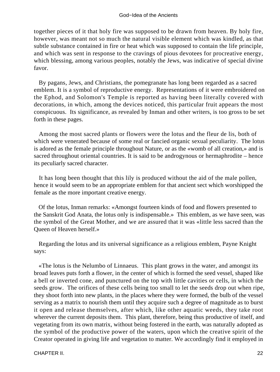together pieces of it that holy fire was supposed to be drawn from heaven. By holy fire, however, was meant not so much the natural visible element which was kindled, as that subtle substance contained in fire or heat which was supposed to contain the life principle, and which was sent in response to the cravings of pious devotees for procreative energy, which blessing, among various peoples, notably the Jews, was indicative of special divine favor.

 By pagans, Jews, and Christians, the pomegranate has long been regarded as a sacred emblem. It is a symbol of reproductive energy. Representations of it were embroidered on the Ephod, and Solomon's Temple is reported as having been literally covered with decorations, in which, among the devices noticed, this particular fruit appears the most conspicuous. Its significance, as revealed by Inman and other writers, is too gross to be set forth in these pages.

 Among the most sacred plants or flowers were the lotus and the fleur de lis, both of which were venerated because of some real or fancied organic sexual peculiarity. The lotus is adored as the female principle throughout Nature, or as the «womb of all creation,» and is sacred throughout oriental countries. It is said to be androgynous or hermaphrodite – hence its peculiarly sacred character.

 It has long been thought that this lily is produced without the aid of the male pollen, hence it would seem to be an appropriate emblem for that ancient sect which worshipped the female as the more important creative energy.

 Of the lotus, Inman remarks: «Amongst fourteen kinds of food and flowers presented to the Sanskrit God Anata, the lotus only is indispensable.» This emblem, as we have seen, was the symbol of the Great Mother, and we are assured that it was «little less sacred than the Queen of Heaven herself.»

 Regarding the lotus and its universal significance as a religious emblem, Payne Knight says:

 «The lotus is the Nelumbo of Linnaeus. This plant grows in the water, and amongst its broad leaves puts forth a flower, in the center of which is formed the seed vessel, shaped like a bell or inverted cone, and punctured on the top with little cavities or cells, in which the seeds grow. The orifices of these cells being too small to let the seeds drop out when ripe, they shoot forth into new plants, in the places where they were formed, the bulb of the vessel serving as a matrix to nourish them until they acquire such a degree of magnitude as to burst it open and release themselves, after which, like other aquatic weeds, they take root wherever the current deposits them. This plant, therefore, being thus productive of itself, and vegetating from its own matrix, without being fostered in the earth, was naturally adopted as the symbol of the productive power of the waters, upon which the creative spirit of the Creator operated in giving life and vegetation to matter. We accordingly find it employed in

CHAPTER II. 22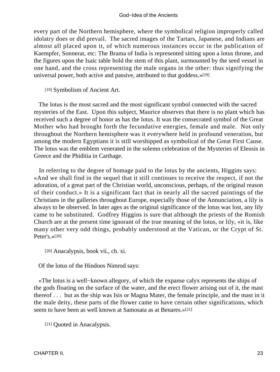every part of the Northern hemisphere, where the symbolical religion improperly called idolatry does or did prevail. The sacred images of the Tartars, Japanese, and Indians are almost all placed upon it, of which numerous instances occur in the publication of Kaempfer, Sonnerat, etc: The Brama of India is represented sitting upon a lotus throne, and the figures upon the Isaic table hold the stem of this plant, surmounted by the seed vessel in one hand, and the cross representing the male organs in the other: thus signifying the universal power, both active and passive, attributed to that goddess.»[19]

[19] Symbolism of Ancient Art.

 The lotus is the most sacred and the most significant symbol connected with the sacred mysteries of the East. Upon this subject, Maurice observes that there is no plant which has received such a degree of honor as has the lotus. It was the consecrated symbol of the Great Mother who had brought forth the fecundative energies, female and male. Not only throughout the Northern hemisphere was it everywhere held in profound veneration, but among the modern Egyptians it is still worshipped as symbolical of the Great First Cause. The lotus was the emblem venerated in the solemn celebration of the Mysteries of Eleusis in Greece and the Phiditia in Carthage.

 In referring to the degree of homage paid to the lotus by the ancients, Higgins says: «And we shall find in the sequel that it still continues to receive the respect, if not the adoration, of a great part of the Christian world, unconscious, perhaps, of the original reason of their conduct.» It is a significant fact that in nearly all the sacred paintings of the Christians in the galleries throughout Europe, especially those of the Annunciation, a lily is always to be observed. In later ages as the original significance of the lotus was lost, any lily came to be substituted. Godfrey Higgins is sure that although the priests of the Romish Church are at the present time ignorant of the true meaning of the lotus, or lily, «it is, like many other very odd things, probably understood at the Vatican, or the Crypt of St. Peter's.»[20]

[20] Anacalypsis, book vii., ch. xi.

Of the lotus of the Hindoos Nimrod says:

 «The lotus is a well−known allegory, of which the expanse calyx represents the ships of the gods floating on the surface of the water, and the erect flower arising out of it, the mast thereof . . . but as the ship was Isis or Magna Mater, the female principle, and the mast in it the male deity, these parts of the flower came to have certain other significations, which seem to have been as well known at Samosata as at Benares.»[21]

[21] Quoted in Anacalypsis.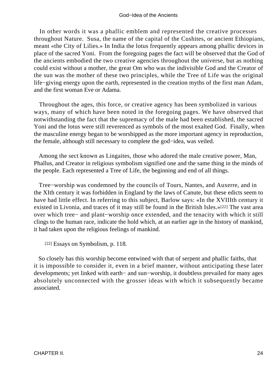#### God−Idea of the Ancients

 In other words it was a phallic emblem and represented the creative processes throughout Nature. Susa, the name of the capital of the Cushites, or ancient Ethiopians, meant «the City of Lilies.» In India the lotus frequently appears among phallic devices in place of the sacred Yoni. From the foregoing pages the fact will be observed that the God of the ancients embodied the two creative agencies throughout the universe, but as nothing could exist without a mother, the great Om who was the indivisible God and the Creator of the sun was the mother of these two principles, while the Tree of Life was the original life−giving energy upon the earth, represented in the creation myths of the first man Adam, and the first woman Eve or Adama.

 Throughout the ages, this force, or creative agency has been symbolized in various ways, many of which have been noted in the foregoing pages. We have observed that notwithstanding the fact that the supremacy of the male had been established, the sacred Yoni and the lotus were still reverenced as symbols of the most exalted God. Finally, when the masculine energy began to be worshipped as the more important agency in reproduction, the female, although still necessary to complete the god−idea, was veiled.

 Among the sect known as Lingaites, those who adored the male creative power, Man, Phallus, and Creator in religious symbolism signified one and the same thing in the minds of the people. Each represented a Tree of Life, the beginning and end of all things.

 Tree−worship was condemned by the councils of Tours, Nantes, and Auxerre, and in the XIth century it was forbidden in England by the laws of Canute, but these edicts seem to have had little effect. In referring to this subject, Barlow says: «In the XVIIIth century it existed in Livonia, and traces of it may still be found in the British Isles.»[22] The vast area over which tree− and plant−worship once extended, and the tenacity with which it still clings to the human race, indicate the hold which, at an earlier age in the history of mankind, it had taken upon the religious feelings of mankind.

[22] Essays on Symbolism, p. 118.

 So closely has this worship become entwined with that of serpent and phallic faiths, that it is impossible to consider it, even in a brief manner, without anticipating these later developments; yet linked with earth− and sun−worship, it doubtless prevailed for many ages absolutely unconnected with the grosser ideas with which it subsequently became associated.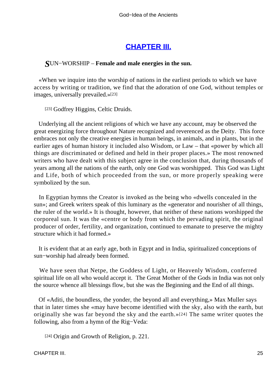## **[CHAPTER III.](#page-197-0)**

### *S*UN−WORSHIP – **Female and male energies in the sun.**

 «When we inquire into the worship of nations in the earliest periods to which we have access by writing or tradition, we find that the adoration of one God, without temples or images, universally prevailed.»[23]

[23] Godfrey Higgins, Celtic Druids.

 Underlying all the ancient religions of which we have any account, may be observed the great energizing force throughout Nature recognized and reverenced as the Deity. This force embraces not only the creative energies in human beings, in animals, and in plants, but in the earlier ages of human history it included also Wisdom, or Law – that «power by which all things are discriminated or defined and held in their proper places.» The most renowned writers who have dealt with this subject agree in the conclusion that, during thousands of years among all the nations of the earth, only one God was worshipped. This God was Light and Life, both of which proceeded from the sun, or more properly speaking were symbolized by the sun.

 In Egyptian hymns the Creator is invoked as the being who «dwells concealed in the sun»; and Greek writers speak of this luminary as the «generator and nourisher of all things, the ruler of the world.» It is thought, however, that neither of these nations worshipped the corporeal sun. It was the «centre or body from which the pervading spirit, the original producer of order, fertility, and organization, continued to emanate to preserve the mighty structure which it had formed.»

 It is evident that at an early age, both in Egypt and in India, spiritualized conceptions of sun−worship had already been formed.

 We have seen that Netpe, the Goddess of Light, or Heavenly Wisdom, conferred spiritual life on all who would accept it. The Great Mother of the Gods in India was not only the source whence all blessings flow, but she was the Beginning and the End of all things.

 Of «Aditi, the boundless, the yonder, the beyond all and everything,» Max Muller says that in later times she «may have become identified with the sky, also with the earth, but originally she was far beyond the sky and the earth.»[24] The same writer quotes the following, also from a hymn of the Rig−Veda:

[24] Origin and Growth of Religion, p. 221.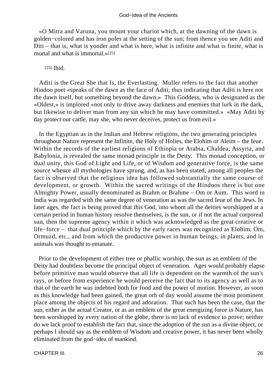#### God−Idea of the Ancients

 «O Mitra and Varuna, you mount your chariot which, at the dawning of the dawn is golden−colored and has iron poles at the setting of the sun; from thence you see Aditi and Diti – that is, what is yonder and what is here, what is infinite and what is finite, what is mortal and what is immortal.»[25]

[25] **Ibid.** 

 Aditi is the Great She that Is, the Everlasting. Muller refers to the fact that another Hindoo poet «speaks of the dawn as the face of Aditi; thus indicating that Aditi is here not the dawn itself, but something beyond the dawn.» This Goddess, who is designated as the «Oldest,» is implored «not only to drive away darkness and enemies that lurk in the dark, but likewise to deliver man from any sin which he may have committed.» «May Aditi by day protect our cattle, may she, who never deceives, protect us from evil.»

 In the Egyptian as in the Indian and Hebrew religions, the two generating principles throughout Nature represent the Infinite, the Holy of Holies, the Elohim or Aleim – the Ieue. Within the records of the earliest religions of Ethiopia or Arabia, Chaldea, Assyria, and Babylonia, is revealed the same monad principle in the Deity. This monad conception, or dual unity, this God of Light and Life, or of Wisdom and generative force, is the same source whence all mythologies have sprung, and, as has been stated, among all peoples the fact is observed that the religious idea has followed substantially the same course of development, or growth. Within the sacred writings of the Hindoos there is but one Almighty Power, usually denominated as Brahm or Brahme – Om or Aum. This word in India was regarded with the same degree of veneration as was the sacred Ieue of the Jews. In later ages, the fact is being proved that this God, into whom all the deities worshipped at a certain period in human history resolve themselves, is the sun, or if not the actual corporeal sun, then the supreme agency within it which was acknowledged as the great creative or life−force – that dual principle which by the early races was recognized as Elohim, Om, Ormuzd, etc., and from which the productive power in human beings, in plants, and in animals was thought to emanate.

 Prior to the development of either tree or phallic worship, the sun as an emblem of the Deity had doubtless become the principal object of veneration. Ages would probably elapse before primitive man would observe that all life is dependent on the warmth of the sun's rays, or before from experience he would perceive the fact that to its agency as well as to that of the earth he was indebted both for food and the power of motion. However, as soon as this knowledge had been gained, the great orb of day would assume the most prominent place among the objects of his regard and adoration. That such has been the case, that the sun, either as the actual Creator, or as an emblem of the great energizing force in Nature, has been worshipped by every nation of the globe, there is no lack of evidence to prove; neither do we lack proof to establish the fact that, since the adoption of the sun as a divine object, or perhaps I should say as the emblem of Wisdom and creative power, it has never been wholly eliminated from the god−idea of mankind.

CHAPTER III. 26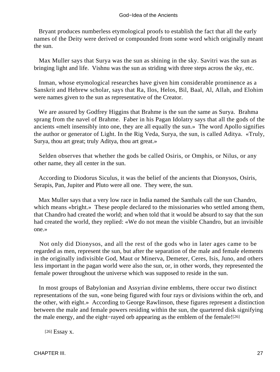Bryant produces numberless etymological proofs to establish the fact that all the early names of the Deity were derived or compounded from some word which originally meant the sun.

 Max Muller says that Surya was the sun as shining in the sky. Savitri was the sun as bringing light and life. Vishnu was the sun as striding with three steps across the sky, etc.

 Inman, whose etymological researches have given him considerable prominence as a Sanskrit and Hebrew scholar, says that Ra, Ilos, Helos, Bil, Baal, Al, Allah, and Elohim were names given to the sun as representative of the Creator.

 We are assured by Godfrey Higgins that Brahme is the sun the same as Surya. Brahma sprang from the navel of Brahme. Faber in his Pagan Idolatry says that all the gods of the ancients «melt insensibly into one, they are all equally the sun.» The word Apollo signifies the author or generator of Light. In the Rig Veda, Surya, the sun, is called Aditya. «Truly, Surya, thou art great; truly Aditya, thou art great.»

 Selden observes that whether the gods be called Osiris, or Omphis, or Nilus, or any other name, they all center in the sun.

 According to Diodorus Siculus, it was the belief of the ancients that Dionysos, Osiris, Serapis, Pan, Jupiter and Pluto were all one. They were, the sun.

 Max Muller says that a very low race in India named the Santhals call the sun Chandro, which means «bright.» These people declared to the missionaries who settled among them, that Chandro had created the world; and when told that it would be absurd to say that the sun had created the world, they replied: «We do not mean the visible Chandro, but an invisible one.»

 Not only did Dionysos, and all the rest of the gods who in later ages came to be regarded as men, represent the sun, but after the separation of the male and female elements in the originally indivisible God, Maut or Minerva, Demeter, Ceres, Isis, Juno, and others less important in the pagan world were also the sun, or, in other words, they represented the female power throughout the universe which was supposed to reside in the sun.

 In most groups of Babylonian and Assyrian divine emblems, there occur two distinct representations of the sun, «one being figured with four rays or divisions within the orb, and the other, with eight.» According to George Rawlinson, these figures represent a distinction between the male and female powers residing within the sun, the quartered disk signifying the male energy, and the eight−rayed orb appearing as the emblem of the female![26]

[26] Essay x.

CHAPTER III. 27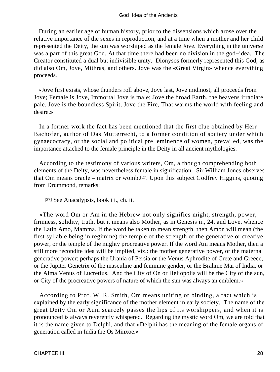During an earlier age of human history, prior to the dissensions which arose over the relative importance of the sexes in reproduction, and at a time when a mother and her child represented the Deity, the sun was worshiped as the female Jove. Everything in the universe was a part of this great God. At that time there had been no division in the god−idea. The Creator constituted a dual but indivisible unity. Dionysos formerly represented this God, as did also Om, Jove, Mithras, and others. Jove was the «Great Virgin» whence everything proceeds.

 «Jove first exists, whose thunders roll above, Jove last, Jove midmost, all proceeds from Jove; Female is Jove, Immortal Jove is male; Jove the broad Earth, the heavens irradiate pale. Jove is the boundless Spirit, Jove the Fire, That warms the world with feeling and desire.»

 In a former work the fact has been mentioned that the first clue obtained by Herr Bachofen, author of Das Mutterrecht, to a former condition of society under which gynaecocracy, or the social and political pre−eminence of women, prevailed, was the importance attached to the female principle in the Deity in all ancient mythologies.

 According to the testimony of various writers, Om, although comprehending both elements of the Deity, was nevertheless female in signification. Sir William Jones observes that Om means oracle – matrix or womb.[27] Upon this subject Godfrey Higgins, quoting from Drummond, remarks:

[27] See Anacalypsis, book iii., ch. ii.

 «The word Om or Am in the Hebrew not only signifies might, strength, power, firmness, solidity, truth, but it means also Mother, as in Genesis ii., 24, and Love, whence the Latin Amo, Mamma. If the word be taken to mean strength, then Amon will mean (the first syllable being in regimine) the temple of the strength of the generative or creative power, or the temple of the mighty procreative power. If the word Am means Mother, then a still more recondite idea will be implied, viz.: the mother generative power, or the maternal generative power: perhaps the Urania of Persia or the Venus Aphrodite of Crete and Greece, or the Jupiter Genetrix of the masculine and feminine gender, or the Brahme Mai of India, or the Alma Venus of Lucretius. And the City of On or Heliopolis will be the City of the sun, or City of the procreative powers of nature of which the sun was always an emblem.»

 According to Prof. W. R. Smith, Om means uniting or binding, a fact which is explained by the early significance of the mother element in early society. The name of the great Deity Om or Aum scarcely passes the lips of its worshippers, and when it is pronounced is always reverently whispered. Regarding the mystic word Om, we are told that it is the name given to Delphi, and that «Delphi has the meaning of the female organs of generation called in India the Os Minxoe.»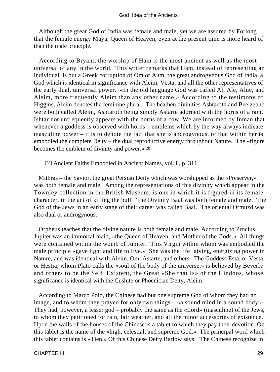Although the great God of India was female and male, yet we are assured by Forlong that the female energy Maya, Queen of Heaven, even at the present time is more heard of than the male principle.

 According to Bryant, the worship of Ham is the most ancient as well as the most universal of any in the world. This writer remarks that Ham, instead of representing an individual, is but a Greek corruption of Om or Aum, the great androgynous God of India, a God which is identical in significance with Aleim, Vesta, and all the other representatives of the early dual, universal power. «In the old language God was called Al, Ale, Alue, and Aleim, more frequently Aleim than any other name.» According to the testimony of Higgins, Aleim denotes the feminine plural. The heathen divinities Ashtaroth and Beelzebub were both called Aleim, Ashtaroth being simply Astarte adorned with the horns of a ram. Ishtar not unfrequently appears with the horns of a cow. We are informed by Inman that whenever a goddess is observed with horns – emblems which by the way always indicate masculine power – it is to denote the fact that she is androgynous, or that within her is embodied the complete Deity – the dual reproductive energy throughout Nature. The «figure becomes the emblem of divinity and power.»[28]

[28] Ancient Faiths Embodied in Ancient Names, vol. i., p. 311.

 Mithras – the Savior, the great Persian Deity which was worshipped as the «Preserver,» was both female and male. Among the representations of this divinity which appear in the Townley collection in the British Museum, is one in which it is figured in its female character, in the act of killing the bull. The Divinity Baal was both female and male. The God of the Jews in an early stage of their career was called Baal. The oriental Ormuzd was also dual or androgynous.

 Orpheus teaches that the divine nature is both female and male. According to Proclus, Jupiter was an immortal maid, «the Queen of Heaven, and Mother of the Gods.» All things were contained within the womb of Jupiter. This Virgin within whom was embodied the male principle «gave light and life to Eve.» She was the life−giving, energizing power in Nature, and was identical with Aleim, Om, Astarte, and others. The Goddess Esta, or Vesta, or Hestia, whom Plato calls the «soul of the body of the universe,» is believed by Beverly and others to be the Self−Existent, the Great «She that Is» of the Hindoos, whose significance is identical with the Cushite or Phoenician Deity, Aleim.

 According to Marco Polo, the Chinese had but one supreme God of whom they had no image, and to whom they prayed for only two things – «a sound mind in a sound body.» They had, however, a lesser god – probably the same as the «Lord» (masculine) of the Jews, to whom they petitioned for rain, fair weather, and all the minor accessories of existence. Upon the walls of the houses of the Chinese is a tablet to which they pay their devotion. On this tablet is the name of the «high, celestial, and supreme God.» The principal word which this tablet contains is «Tien.» Of this Chinese Deity Barlow says: "The Chinese recognize in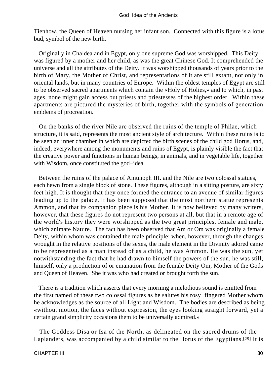Tienhow, the Queen of Heaven nursing her infant son. Connected with this figure is a lotus bud, symbol of the new birth.

 Originally in Chaldea and in Egypt, only one supreme God was worshipped. This Deity was figured by a mother and her child, as was the great Chinese God. It comprehended the universe and all the attributes of the Deity. It was worshipped thousands of years prior to the birth of Mary, the Mother of Christ, and representations of it are still extant, not only in oriental lands, but in many countries of Europe. Within the oldest temples of Egypt are still to be observed sacred apartments which contain the «Holy of Holies,» and to which, in past ages, none might gain access but priests and priestesses of the highest order. Within these apartments are pictured the mysteries of birth, together with the symbols of generation emblems of procreation.

 On the banks of the river Nile are observed the ruins of the temple of Philae, which structure, it is said, represents the most ancient style of architecture. Within these ruins is to be seen an inner chamber in which are depicted the birth scenes of the child god Horus, and, indeed, everywhere among the monuments and ruins of Egypt, is plainly visible the fact that the creative power and functions in human beings, in animals, and in vegetable life, together with Wisdom, once constituted the god−idea.

 Between the ruins of the palace of Amunoph III. and the Nile are two colossal statues, each hewn from a single block of stone. These figures, although in a sitting posture, are sixty feet high. It is thought that they once formed the entrance to an avenue of similar figures leading up to the palace. It has been supposed that the most northern statue represents Ammon, and that its companion piece is his Mother. It is now believed by many writers, however, that these figures do not represent two persons at all, but that in a remote age of the world's history they were worshipped as the two great principles, female and male, which animate Nature. The fact has been observed that Am or Om was originally a female Deity, within whom was contained the male principle; when, however, through the changes wrought in the relative positions of the sexes, the male element in the Divinity adored came to be represented as a man instead of as a child, he was Ammon. He was the sun, yet notwithstanding the fact that he had drawn to himself the powers of the sun, he was still, himself, only a production of or emanation from the female Deity Om, Mother of the Gods and Queen of Heaven. She it was who had created or brought forth the sun.

 There is a tradition which asserts that every morning a melodious sound is emitted from the first named of these two colossal figures as he salutes his rosy−fingered Mother whom he acknowledges as the source of all Light and Wisdom. The bodies are described as being «without motion, the faces without expression, the eyes looking straight forward, yet a certain grand simplicity occasions them to be universally admired.»

 The Goddess Disa or Isa of the North, as delineated on the sacred drums of the Laplanders, was accompanied by a child similar to the Horus of the Egyptians.[29] It is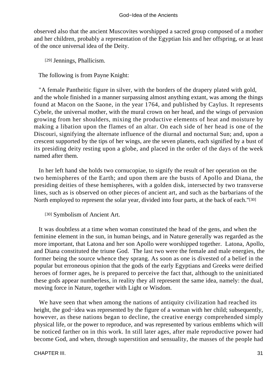observed also that the ancient Muscovites worshipped a sacred group composed of a mother and her children, probably a representation of the Egyptian Isis and her offspring, or at least of the once universal idea of the Deity.

[29] Jennings, Phallicism.

The following is from Payne Knight:

 "A female Pantheitic figure in silver, with the borders of the drapery plated with gold, and the whole finished in a manner surpassing almost anything extant, was among the things found at Macon on the Saone, in the year 1764, and published by Caylus. It represents Cybele, the universal mother, with the mural crown on her head, and the wings of pervasion growing from her shoulders, mixing the productive elements of heat and moisture by making a libation upon the flames of an altar. On each side of her head is one of the Discouri, signifying the alternate influence of the diurnal and nocturnal Sun; and, upon a crescent supported by the tips of her wings, are the seven planets, each signified by a bust of its presiding deity resting upon a globe, and placed in the order of the days of the week named after them.

 In her left hand she holds two cornucopiae, to signify the result of her operation on the two hemispheres of the Earth; and upon them are the busts of Apollo and Diana, the presiding deities of these hemispheres, with a golden disk, intersected by two transverse lines, such as is observed on other pieces of ancient art, and such as the barbarians of the North employed to represent the solar year, divided into four parts, at the back of each."[30]

[30] Symbolism of Ancient Art.

 It was doubtless at a time when woman constituted the head of the gens, and when the feminine element in the sun, in human beings, and in Nature generally was regarded as the more important, that Latona and her son Apollo were worshipped together. Latona, Apollo, and Diana constituted the triune God. The last two were the female and male energies, the former being the source whence they sprang. As soon as one is divested of a belief in the popular but erroneous opinion that the gods of the early Egyptians and Greeks were deified heroes of former ages, he is prepared to perceive the fact that, although to the uninitiated these gods appear numberless, in reality they all represent the same idea, namely: the dual, moving force in Nature, together with Light or Wisdom.

 We have seen that when among the nations of antiquity civilization had reached its height, the god−idea was represented by the figure of a woman with her child; subsequently, however, as these nations began to decline, the creative energy comprehended simply physical life, or the power to reproduce, and was represented by various emblems which will be noticed farther on in this work. In still later ages, after male reproductive power had become God, and when, through superstition and sensuality, the masses of the people had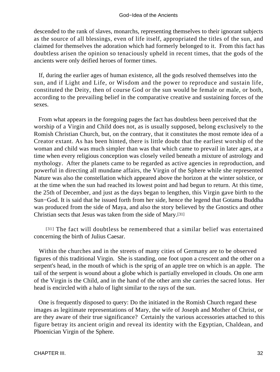descended to the rank of slaves, monarchs, representing themselves to their ignorant subjects as the source of all blessings, even of life itself, appropriated the titles of the sun, and claimed for themselves the adoration which had formerly belonged to it. From this fact has doubtless arisen the opinion so tenaciously upheld in recent times, that the gods of the ancients were only deified heroes of former times.

 If, during the earlier ages of human existence, all the gods resolved themselves into the sun, and if Light and Life, or Wisdom and the power to reproduce and sustain life, constituted the Deity, then of course God or the sun would be female or male, or both, according to the prevailing belief in the comparative creative and sustaining forces of the sexes.

 From what appears in the foregoing pages the fact has doubtless been perceived that the worship of a Virgin and Child does not, as is usually supposed, belong exclusively to the Romish Christian Church, but, on the contrary, that it constitutes the most remote idea of a Creator extant. As has been hinted, there is little doubt that the earliest worship of the woman and child was much simpler than was that which came to prevail in later ages, at a time when every religious conception was closely veiled beneath a mixture of astrology and mythology. After the planets came to be regarded as active agencies in reproduction, and powerful in directing all mundane affairs, the Virgin of the Sphere while she represented Nature was also the constellation which appeared above the horizon at the winter solstice, or at the time when the sun had reached its lowest point and had begun to return. At this time, the 25th of December, and just as the days began to lengthen, this Virgin gave birth to the Sun−God. It is said that he issued forth from her side, hence the legend that Gotama Buddha was produced from the side of Maya, and also the story believed by the Gnostics and other Christian sects that Jesus was taken from the side of Mary.[31]

[31] The fact will doubtless be remembered that a similar belief was entertained concerning the birth of Julius Caesar.

 Within the churches and in the streets of many cities of Germany are to be observed figures of this traditional Virgin. She is standing, one foot upon a crescent and the other on a serpent's head, in the mouth of which is the sprig of an apple tree on which is an apple. The tail of the serpent is wound about a globe which is partially enveloped in clouds. On one arm of the Virgin is the Child, and in the hand of the other arm she carries the sacred lotus. Her head is encircled with a halo of light similar to the rays of the sun.

 One is frequently disposed to query: Do the initiated in the Romish Church regard these images as legitimate representations of Mary, the wife of Joseph and Mother of Christ, or are they aware of their true significance? Certainly the various accessories attached to this figure betray its ancient origin and reveal its identity with the Egyptian, Chaldean, and Phoenician Virgin of the Sphere.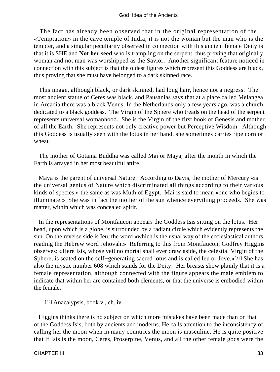The fact has already been observed that in the original representation of the «Temptation» in the cave temple of India, it is not the woman but the man who is the tempter, and a singular peculiarity observed in connection with this ancient female Deity is that it is SHE and **Not her seed** who is trampling on the serpent, thus proving that originally woman and not man was worshipped as the Savior. Another significant feature noticed in connection with this subject is that the oldest figures which represent this Goddess are black, thus proving that she must have belonged to a dark skinned race.

 This image, although black, or dark skinned, had long hair, hence not a negress. The most ancient statue of Ceres was black, and Pausanias says that at a place called Melangea in Arcadia there was a black Venus. In the Netherlands only a few years ago, was a church dedicated to a black goddess. The Virgin of the Sphere who treads on the head of the serpent represents universal womanhood. She is the Virgin of the first book of Genesis and mother of all the Earth. She represents not only creative power but Perceptive Wisdom. Although this Goddess is usually seen with the lotus in her hand, she sometimes carries ripe corn or wheat.

 The mother of Gotama Buddha was called Mai or Maya, after the month in which the Earth is arrayed in her most beautiful attire.

 Maya is the parent of universal Nature. According to Davis, the mother of Mercury «is the universal genius of Nature which discriminated all things according to their various kinds of species,» the same as was Muth of Egypt. Mai is said to mean «one who begins to illuminate.» She was in fact the mother of the sun whence everything proceeds. She was matter, within which was concealed spirit.

 In the representations of Montfaucon appears the Goddess Isis sitting on the lotus. Her head, upon which is a globe, is surrounded by a radiant circle which evidently represents the sun. On the reverse side is Ieu, the word «which is the usual way of the ecclesiastical authors reading the Hebrew word Jehovah.» Referring to this from Montfaucon, Godfrey Higgins observes: «Here Isis, whose veil no mortal shall ever draw aside, the celestial Virgin of the Sphere, is seated on the self−generating sacred lotus and is called Ieu or Jove.»[32] She has also the mystic number 608 which stands for the Deity. Her breasts show plainly that it is a female representation, although connected with the figure appears the male emblem to indicate that within her are contained both elements, or that the universe is embodied within the female.

[32] Anacalypsis, book v., ch. iv.

 Higgins thinks there is no subject on which more mistakes have been made than on that of the Goddess Isis, both by ancients and moderns. He calls attention to the inconsistency of calling her the moon when in many countries the moon is masculine. He is quite positive that if Isis is the moon, Ceres, Proserpine, Venus, and all the other female gods were the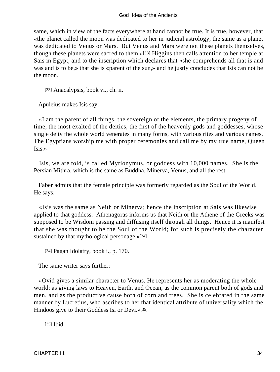same, which in view of the facts everywhere at hand cannot be true. It is true, however, that «the planet called the moon was dedicated to her in judicial astrology, the same as a planet was dedicated to Venus or Mars. But Venus and Mars were not these planets themselves, though these planets were sacred to them.»[33] Higgins then calls attention to her temple at Sais in Egypt, and to the inscription which declares that «she comprehends all that is and was and is to be,» that she is «parent of the sun,» and he justly concludes that Isis can not be the moon.

[33] Anacalypsis, book vi., ch. ii.

Apuleius makes Isis say:

 «I am the parent of all things, the sovereign of the elements, the primary progeny of time, the most exalted of the deities, the first of the heavenly gods and goddesses, whose single deity the whole world venerates in many forms, with various rites and various names. The Egyptians worship me with proper ceremonies and call me by my true name, Queen Isis.»

 Isis, we are told, is called Myrionymus, or goddess with 10,000 names. She is the Persian Mithra, which is the same as Buddha, Minerva, Venus, and all the rest.

 Faber admits that the female principle was formerly regarded as the Soul of the World. He says:

 «Isis was the same as Neith or Minerva; hence the inscription at Sais was likewise applied to that goddess. Athenagoras informs us that Neith or the Athene of the Greeks was supposed to be Wisdom passing and diffusing itself through all things. Hence it is manifest that she was thought to be the Soul of the World; for such is precisely the character sustained by that mythological personage.»[34]

[34] Pagan Idolatry, book i., p. 170.

The same writer says further:

 «Ovid gives a similar character to Venus. He represents her as moderating the whole world; as giving laws to Heaven, Earth, and Ocean, as the common parent both of gods and men, and as the productive cause both of corn and trees. She is celebrated in the same manner by Lucretius, who ascribes to her that identical attribute of universality which the Hindoos give to their Goddess Isi or Devi.»[35]

[35] **Ibid.**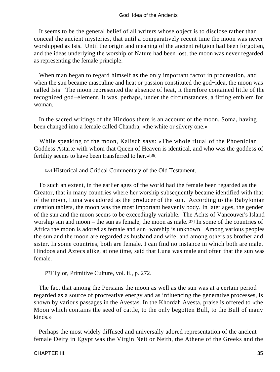#### God−Idea of the Ancients

 It seems to be the general belief of all writers whose object is to disclose rather than conceal the ancient mysteries, that until a comparatively recent time the moon was never worshipped as Isis. Until the origin and meaning of the ancient religion had been forgotten, and the ideas underlying the worship of Nature had been lost, the moon was never regarded as representing the female principle.

 When man began to regard himself as the only important factor in procreation, and when the sun became masculine and heat or passion constituted the god−idea, the moon was called Isis. The moon represented the absence of heat, it therefore contained little of the recognized god−element. It was, perhaps, under the circumstances, a fitting emblem for woman.

 In the sacred writings of the Hindoos there is an account of the moon, Soma, having been changed into a female called Chandra, «the white or silvery one.»

 While speaking of the moon, Kalisch says: «The whole ritual of the Phoenician Goddess Astarte with whom that Queen of Heaven is identical, and who was the goddess of fertility seems to have been transferred to her.»[36]

[36] Historical and Critical Commentary of the Old Testament.

 To such an extent, in the earlier ages of the world had the female been regarded as the Creator, that in many countries where her worship subsequently became identified with that of the moon, Luna was adored as the producer of the sun. According to the Babylonian creation tablets, the moon was the most important heavenly body. In later ages, the gender of the sun and the moon seems to be exceedingly variable. The Achts of Vancouver's Island worship sun and moon – the sun as female, the moon as male.[37] In some of the countries of Africa the moon is adored as female and sun−worship is unknown. Among various peoples the sun and the moon are regarded as husband and wife, and among others as brother and sister. In some countries, both are female. I can find no instance in which both are male. Hindoos and Aztecs alike, at one time, said that Luna was male and often that the sun was female.

[37] Tylor, Primitive Culture, vol. ii., p. 272.

 The fact that among the Persians the moon as well as the sun was at a certain period regarded as a source of procreative energy and as influencing the generative processes, is shown by various passages in the Avestas. In the Khordah Avesta, praise is offered to «the Moon which contains the seed of cattle, to the only begotten Bull, to the Bull of many kinds.»

 Perhaps the most widely diffused and universally adored representation of the ancient female Deity in Egypt was the Virgin Neit or Neith, the Athene of the Greeks and the

CHAPTER III. 35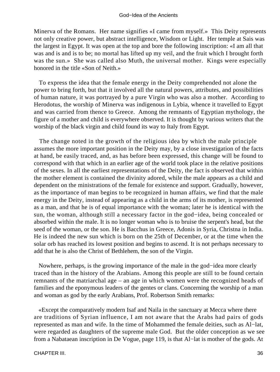Minerva of the Romans. Her name signifies «I came from myself.» This Deity represents not only creative power, but abstract intelligence, Wisdom or Light. Her temple at Sais was the largest in Egypt. It was open at the top and bore the following inscription: «I am all that was and is and is to be; no mortal has lifted up my veil, and the fruit which I brought forth was the sun.» She was called also Muth, the universal mother. Kings were especially honored in the title «Son of Neith.»

 To express the idea that the female energy in the Deity comprehended not alone the power to bring forth, but that it involved all the natural powers, attributes, and possibilities of human nature, it was portrayed by a pure Virgin who was also a mother. According to Herodotus, the worship of Minerva was indigenous in Lybia, whence it travelled to Egypt and was carried from thence to Greece. Among the remnants of Egyptian mythology, the figure of a mother and child is everywhere observed. It is thought by various writers that the worship of the black virgin and child found its way to Italy from Egypt.

 The change noted in the growth of the religious idea by which the male principle assumes the more important position in the Deity may, by a close investigation of the facts at hand, be easily traced, and, as has before been expressed, this change will be found to correspond with that which in an earlier age of the world took place in the relative positions of the sexes. In all the earliest representations of the Deity, the fact is observed that within the mother element is contained the divinity adored, while the male appears as a child and dependent on the ministrations of the female for existence and support. Gradually, however, as the importance of man begins to be recognized in human affairs, we find that the male energy in the Deity, instead of appearing as a child in the arms of its mother, is represented as a man, and that he is of equal importance with the woman; later he is identical with the sun, the woman, although still a necessary factor in the god−idea, being concealed or absorbed within the male. It is no longer woman who is to bruise the serpent's head, but the seed of the woman, or the son. He is Bacchus in Greece, Adonis in Syria, Christna in India. He is indeed the new sun which is born on the 25th of December, or at the time when the solar orb has reached its lowest position and begins to ascend. It is not perhaps necessary to add that he is also the Christ of Bethlehem, the son of the Virgin.

 Nowhere, perhaps, is the growing importance of the male in the god−idea more clearly traced than in the history of the Arabians. Among this people are still to be found certain remnants of the matriarchal age – an age in which women were the recognized heads of families and the eponymous leaders of the gentes or clans. Concerning the worship of a man and woman as god by the early Arabians, Prof. Robertson Smith remarks:

 «Except the comparatively modern Isaf and Naila in the sanctuary at Mecca where there are traditions of Syrian influence, I am not aware that the Arabs had pairs of gods represented as man and wife. In the time of Mohammed the female deities, such as Al−lat, were regarded as daughters of the supreme male God. But the older conception as we see from a Nabataean inscription in De Vogue, page 119, is that Al−lat is mother of the gods. At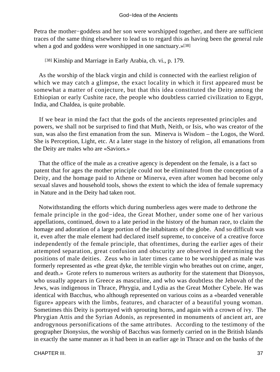Petra the mother−goddess and her son were worshipped together, and there are sufficient traces of the same thing elsewhere to lead us to regard this as having been the general rule when a god and goddess were worshipped in one sanctuary.»<sup>[38]</sup>

#### [38] Kinship and Marriage in Early Arabia, ch. vi., p. 179.

 As the worship of the black virgin and child is connected with the earliest religion of which we may catch a glimpse, the exact locality in which it first appeared must be somewhat a matter of conjecture, but that this idea constituted the Deity among the Ethiopian or early Cushite race, the people who doubtless carried civilization to Egypt, India, and Chaldea, is quite probable.

 If we bear in mind the fact that the gods of the ancients represented principles and powers, we shall not be surprised to find that Muth, Neith, or Isis, who was creator of the sun, was also the first emanation from the sun. Minerva is Wisdom – the Logos, the Word. She is Perception, Light, etc. At a later stage in the history of religion, all emanations from the Deity are males who are «Saviors.»

 That the office of the male as a creative agency is dependent on the female, is a fact so patent that for ages the mother principle could not be eliminated from the conception of a Deity, and the homage paid to Athene or Minerva, even after women had become only sexual slaves and household tools, shows the extent to which the idea of female supremacy in Nature and in the Deity had taken root.

 Notwithstanding the efforts which during numberless ages were made to dethrone the female principle in the god−idea, the Great Mother, under some one of her various appellations, continued, down to a late period in the history of the human race, to claim the homage and adoration of a large portion of the inhabitants of the globe. And so difficult was it, even after the male element had declared itself supreme, to conceive of a creative force independently of the female principle, that oftentimes, during the earlier ages of their attempted separation, great confusion and obscurity are observed in determining the positions of male deities. Zeus who in later times came to be worshipped as male was formerly represented as «the great dyke, the terrible virgin who breathes out on crime, anger, and death.» Grote refers to numerous writers as authority for the statement that Dionysos, who usually appears in Greece as masculine, and who was doubtless the Jehovah of the Jews, was indigenous in Thrace, Phrygia, and Lydia as the Great Mother Cybele. He was identical with Bacchus, who although represented on various coins as a «bearded venerable figure» appears with the limbs, features, and character of a beautiful young woman. Sometimes this Deity is portrayed with sprouting horns, and again with a crown of ivy. The Phrygian Attis and the Syrian Adonis, as represented in monuments of ancient art, are androgynous personifications of the same attributes. According to the testimony of the geographer Dionysius, the worship of Bacchus was formerly carried on in the British Islands in exactly the same manner as it had been in an earlier age in Thrace and on the banks of the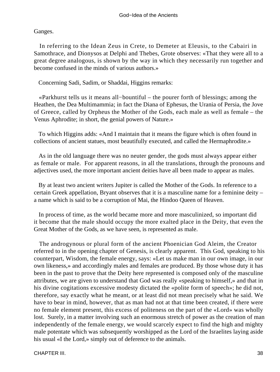Ganges.

 In referring to the Idean Zeus in Crete, to Demeter at Eleusis, to the Cabairi in Samothrace, and Dionysos at Delphi and Thebes, Grote observes: «That they were all to a great degree analogous, is shown by the way in which they necessarily run together and become confused in the minds of various authors.»

Concerning Sadi, Sadim, or Shaddai, Higgins remarks:

 «Parkhurst tells us it means all−bountiful – the pourer forth of blessings; among the Heathen, the Dea Multimammia; in fact the Diana of Ephesus, the Urania of Persia, the Jove of Greece, called by Orpheus the Mother of the Gods, each male as well as female – the Venus Aphrodite; in short, the genial powers of Nature.»

 To which Higgins adds: «And I maintain that it means the figure which is often found in collections of ancient statues, most beautifully executed, and called the Hermaphrodite.»

 As in the old language there was no neuter gender, the gods must always appear either as female or male. For apparent reasons, in all the translations, through the pronouns and adjectives used, the more important ancient deities have all been made to appear as males.

 By at least two ancient writers Jupiter is called the Mother of the Gods. In reference to a certain Greek appellation, Bryant observes that it is a masculine name for a feminine deity – a name which is said to be a corruption of Mai, the Hindoo Queen of Heaven.

 In process of time, as the world became more and more masculinized, so important did it become that the male should occupy the more exalted place in the Deity, that even the Great Mother of the Gods, as we have seen, is represented as male.

 The androgynous or plural form of the ancient Phoenician God Aleim, the Creator referred to in the opening chapter of Genesis, is clearly apparent. This God, speaking to his counterpart, Wisdom, the female energy, says: «Let us make man in our own image, in our own likeness,» and accordingly males and females are produced. By those whose duty it has been in the past to prove that the Deity here represented is composed only of the masculine attributes, we are given to understand that God was really «speaking to himself,» and that in his divine cogitations excessive modesty dictated the «polite form of speech»; he did not, therefore, say exactly what he meant, or at least did not mean precisely what he said. We have to bear in mind, however, that as man had not at that time been created, if there were no female element present, this excess of politeness on the part of the «Lord» was wholly lost. Surely, in a matter involving such an enormous stretch of power as the creation of man independently of the female energy, we would scarcely expect to find the high and mighty male potentate which was subsequently worshipped as the Lord of the Israelites laying aside his usual «I the Lord,» simply out of deference to the animals.

CHAPTER III. 38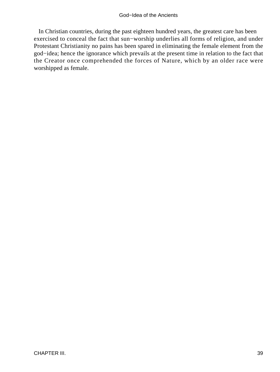In Christian countries, during the past eighteen hundred years, the greatest care has been exercised to conceal the fact that sun−worship underlies all forms of religion, and under Protestant Christianity no pains has been spared in eliminating the female element from the god−idea; hence the ignorance which prevails at the present time in relation to the fact that the Creator once comprehended the forces of Nature, which by an older race were worshipped as female.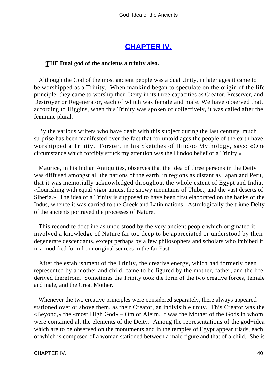## **[CHAPTER IV.](#page-197-0)**

### *T*HE **Dual god of the ancients a trinity also.**

 Although the God of the most ancient people was a dual Unity, in later ages it came to be worshipped as a Trinity. When mankind began to speculate on the origin of the life principle, they came to worship their Deity in its three capacities as Creator, Preserver, and Destroyer or Regenerator, each of which was female and male. We have observed that, according to Higgins, when this Trinity was spoken of collectively, it was called after the feminine plural.

 By the various writers who have dealt with this subject during the last century, much surprise has been manifested over the fact that for untold ages the people of the earth have worshipped a Trinity. Forster, in his Sketches of Hindoo Mythology, says: «One circumstance which forcibly struck my attention was the Hindoo belief of a Trinity.»

 Maurice, in his Indian Antiquities, observes that the idea of three persons in the Deity was diffused amongst all the nations of the earth, in regions as distant as Japan and Peru, that it was memorially acknowledged throughout the whole extent of Egypt and India, «flourishing with equal vigor amidst the snowy mountains of Thibet, and the vast deserts of Siberia.» The idea of a Trinity is supposed to have been first elaborated on the banks of the Indus, whence it was carried to the Greek and Latin nations. Astrologically the triune Deity of the ancients portrayed the processes of Nature.

 This recondite doctrine as understood by the very ancient people which originated it, involved a knowledge of Nature far too deep to be appreciated or understood by their degenerate descendants, except perhaps by a few philosophers and scholars who imbibed it in a modified form from original sources in the far East.

 After the establishment of the Trinity, the creative energy, which had formerly been represented by a mother and child, came to be figured by the mother, father, and the life derived therefrom. Sometimes the Trinity took the form of the two creative forces, female and male, and the Great Mother.

 Whenever the two creative principles were considered separately, there always appeared stationed over or above them, as their Creator, an indivisible unity. This Creator was the «Beyond,» the «most High God» – Om or Aleim. It was the Mother of the Gods in whom were contained all the elements of the Deity. Among the representations of the god−idea which are to be observed on the monuments and in the temples of Egypt appear triads, each of which is composed of a woman stationed between a male figure and that of a child. She is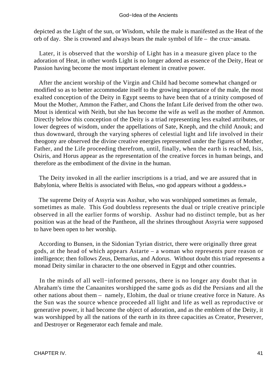depicted as the Light of the sun, or Wisdom, while the male is manifested as the Heat of the orb of day. She is crowned and always bears the male symbol of life – the crux−ansata.

 Later, it is observed that the worship of Light has in a measure given place to the adoration of Heat, in other words Light is no longer adored as essence of the Deity, Heat or Passion having become the most important element in creative power.

 After the ancient worship of the Virgin and Child had become somewhat changed or modified so as to better accommodate itself to the growing importance of the male, the most exalted conception of the Deity in Egypt seems to have been that of a trinity composed of Mout the Mother, Ammon the Father, and Chons the Infant Life derived from the other two. Mout is identical with Neith, but she has become the wife as well as the mother of Ammon. Directly below this conception of the Deity is a triad representing less exalted attributes, or lower degrees of wisdom, under the appellations of Sate, Kneph, and the child Anouk; and thus downward, through the varying spheres of celestial light and life involved in their theogony are observed the divine creative energies represented under the figures of Mother, Father, and the Life proceeding therefrom, until, finally, when the earth is reached, Isis, Osiris, and Horus appear as the representation of the creative forces in human beings, and therefore as the embodiment of the divine in the human.

 The Deity invoked in all the earlier inscriptions is a triad, and we are assured that in Babylonia, where Beltis is associated with Belus, «no god appears without a goddess.»

 The supreme Deity of Assyria was Asshur, who was worshipped sometimes as female, sometimes as male. This God doubtless represents the dual or triple creative principle observed in all the earlier forms of worship. Asshur had no distinct temple, but as her position was at the head of the Pantheon, all the shrines throughout Assyria were supposed to have been open to her worship.

 According to Bunsen, in the Sidonian Tyrian district, there were originally three great gods, at the head of which appears Astarte – a woman who represents pure reason or intelligence; then follows Zeus, Demarius, and Adorus. Without doubt this triad represents a monad Deity similar in character to the one observed in Egypt and other countries.

 In the minds of all well−informed persons, there is no longer any doubt that in Abraham's time the Canaanites worshipped the same gods as did the Persians and all the other nations about them – namely, Elohim, the dual or triune creative force in Nature. As the Sun was the source whence proceeded all light and life as well as reproductive or generative power, it had become the object of adoration, and as the emblem of the Deity, it was worshipped by all the nations of the earth in its three capacities as Creator, Preserver, and Destroyer or Regenerator each female and male.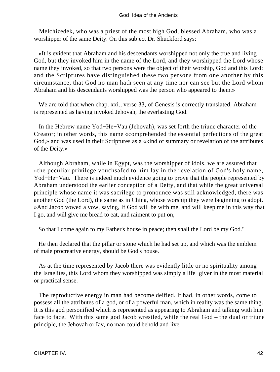#### God−Idea of the Ancients

 Melchizedek, who was a priest of the most high God, blessed Abraham, who was a worshipper of the same Deity. On this subject Dr. Shuckford says:

 «It is evident that Abraham and his descendants worshipped not only the true and living God, but they invoked him in the name of the Lord, and they worshipped the Lord whose name they invoked, so that two persons were the object of their worship, God and this Lord: and the Scriptures have distinguished these two persons from one another by this circumstance, that God no man hath seen at any time nor can see but the Lord whom Abraham and his descendants worshipped was the person who appeared to them.»

 We are told that when chap. xxi., verse 33, of Genesis is correctly translated, Abraham is represented as having invoked Jehovah, the everlasting God.

 In the Hebrew name Yod−He−Vau (Jehovah), was set forth the triune character of the Creator; in other words, this name «comprehended the essential perfections of the great God,» and was used in their Scriptures as a «kind of summary or revelation of the attributes of the Deity.»

 Although Abraham, while in Egypt, was the worshipper of idols, we are assured that «the peculiar privilege vouchsafed to him lay in the revelation of God's holy name, Yod−He−Vau. There is indeed much evidence going to prove that the people represented by Abraham understood the earlier conception of a Deity, and that while the great universal principle whose name it was sacrilege to pronounce was still acknowledged, there was another God (the Lord), the same as in China, whose worship they were beginning to adopt. »And Jacob vowed a vow, saying, If God will be with me, and will keep me in this way that I go, and will give me bread to eat, and raiment to put on,

So that I come again to my Father's house in peace; then shall the Lord be my God."

 He then declared that the pillar or stone which he had set up, and which was the emblem of male procreative energy, should be God's house.

 As at the time represented by Jacob there was evidently little or no spirituality among the Israelites, this Lord whom they worshipped was simply a life−giver in the most material or practical sense.

 The reproductive energy in man had become deified. It had, in other words, come to possess all the attributes of a god, or of a powerful man, which in reality was the same thing. It is this god personified which is represented as appearing to Abraham and talking with him face to face. With this same god Jacob wrestled, while the real God – the dual or triune principle, the Jehovah or Iav, no man could behold and live.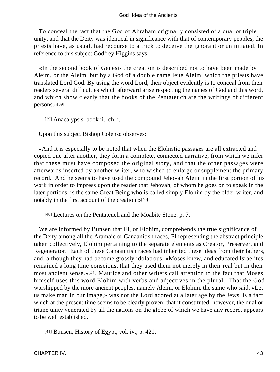To conceal the fact that the God of Abraham originally consisted of a dual or triple unity, and that the Deity was identical in significance with that of contemporary peoples, the priests have, as usual, had recourse to a trick to deceive the ignorant or uninitiated. In reference to this subject Godfrey Higgins says:

 «In the second book of Genesis the creation is described not to have been made by Aleim, or the Aleim, but by a God of a double name Ieue Aleim; which the priests have translated Lord God. By using the word Lord, their object evidently is to conceal from their readers several difficulties which afterward arise respecting the names of God and this word, and which show clearly that the books of the Pentateuch are the writings of different persons.»[39]

[39] Anacalypsis, book ii., ch, i.

Upon this subject Bishop Colenso observes:

 «And it is especially to be noted that when the Elohistic passages are all extracted and copied one after another, they form a complete, connected narrative; from which we infer that these must have composed the original story, and that the other passages were afterwards inserted by another writer, who wished to enlarge or supplement the primary record. And he seems to have used the compound Jehovah Aleim in the first portion of his work in order to impress upon the reader that Jehovah, of whom he goes on to speak in the later portions, is the same Great Being who is called simply Elohim by the older writer, and notably in the first account of the creation.»[40]

[40] Lectures on the Pentateuch and the Moabite Stone, p. 7.

 We are informed by Bunsen that El, or Elohim, comprehends the true significance of the Deity among all the Aramaic or Canaanitish races, El representing the abstract principle taken collectively, Elohim pertaining to the separate elements as Creator, Preserver, and Regenerator. Each of these Canaanitish races had inherited these ideas from their fathers, and, although they had become grossly idolatrous, «Moses knew, and educated Israelites remained a long time conscious, that they used them not merely in their real but in their most ancient sense.»[41] Maurice and other writers call attention to the fact that Moses himself uses this word Elohim with verbs and adjectives in the plural. That the God worshipped by the more ancient peoples, namely Aleim, or Elohim, the same who said, «Let us make man in our image,» was not the Lord adored at a later age by the Jews, is a fact which at the present time seems to be clearly proven; that it constituted, however, the dual or triune unity venerated by all the nations on the globe of which we have any record, appears to be well established.

[41] Bunsen, History of Egypt, vol. iv., p. 421.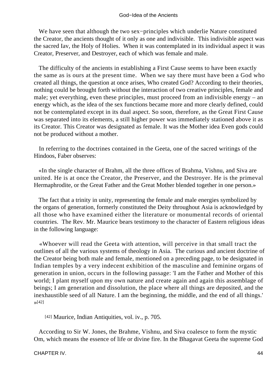We have seen that although the two sex−principles which underlie Nature constituted the Creator, the ancients thought of it only as one and indivisible. This indivisible aspect was the sacred Iav, the Holy of Holies. When it was contemplated in its individual aspect it was Creator, Preserver, and Destroyer, each of which was female and male.

 The difficulty of the ancients in establishing a First Cause seems to have been exactly the same as is ours at the present time. When we say there must have been a God who created all things, the question at once arises, Who created God? According to their theories, nothing could be brought forth without the interaction of two creative principles, female and male; yet everything, even these principles, must proceed from an indivisible energy – an energy which, as the idea of the sex functions became more and more clearly defined, could not be contemplated except in its dual aspect. So soon, therefore, as the Great First Cause was separated into its elements, a still higher power was immediately stationed above it as its Creator. This Creator was designated as female. It was the Mother idea Even gods could not be produced without a mother.

 In referring to the doctrines contained in the Geeta, one of the sacred writings of the Hindoos, Faber observes:

 «In the single character of Brahm, all the three offices of Brahma, Vishnu, and Siva are united. He is at once the Creator, the Preserver, and the Destroyer. He is the primeval Hermaphrodite, or the Great Father and the Great Mother blended together in one person.»

 The fact that a trinity in unity, representing the female and male energies symbolized by the organs of generation, formerly constituted the Deity throughout Asia is acknowledged by all those who have examined either the literature or monumental records of oriental countries. The Rev. Mr. Maurice bears testimony to the character of Eastern religious ideas in the following language:

 «Whoever will read the Geeta with attention, will perceive in that small tract the outlines of all the various systems of theology in Asia. The curious and ancient doctrine of the Creator being both male and female, mentioned on a preceding page, to be designated in Indian temples by a very indecent exhibition of the masculine and feminine organs of generation in union, occurs in the following passage: 'I am the Father and Mother of this world; I plant myself upon my own nature and create again and again this assemblage of beings; I am generation and dissolution, the place where all things are deposited, and the inexhaustible seed of all Nature. I am the beginning, the middle, and the end of all things.'  $\sqrt{42}$ ]

[42] Maurice, Indian Antiquities, vol. iv., p. 705.

 According to Sir W. Jones, the Brahme, Vishnu, and Siva coalesce to form the mystic Om, which means the essence of life or divine fire. In the Bhagavat Geeta the supreme God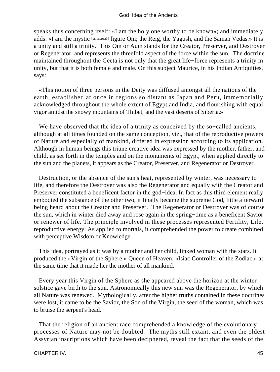speaks thus concerning itself: «I am the holy one worthy to be known»; and immediately adds: «I am the mystic [trilateral] figure Om; the Reig, the Yagush, and the Saman Vedas.» It is a unity and still a trinity. This Om or Aum stands for the Creator, Preserver, and Destroyer or Regenerator, and represents the threefold aspect of the force within the sun. The doctrine maintained throughout the Geeta is not only that the great life−force represents a trinity in unity, but that it is both female and male. On this subject Maurice, in his Indian Antiquities, says:

 «This notion of three persons in the Deity was diffused amongst all the nations of the earth, established at once in regions so distant as Japan and Peru, immemorially acknowledged throughout the whole extent of Egypt and India, and flourishing with equal vigor amidst the snowy mountains of Thibet, and the vast deserts of Siberia.»

 We have observed that the idea of a trinity as conceived by the so−called ancients, although at all times founded on the same conception, viz., that of the reproductive powers of Nature and especially of mankind, differed in expression according to its application. Although in human beings this triune creative idea was expressed by the mother, father, and child, as set forth in the temples and on the monuments of Egypt, when applied directly to the sun and the planets, it appears as the Creator, Preserver, and Regenerator or Destroyer.

 Destruction, or the absence of the sun's heat, represented by winter, was necessary to life, and therefore the Destroyer was also the Regenerator and equally with the Creator and Preserver constituted a beneficent factor in the god−idea. In fact as this third element really embodied the substance of the other two, it finally became the supreme God, little afterward being heard about the Creator and Preserver. The Regenerator or Destroyer was of course the sun, which in winter died away and rose again in the spring−time as a beneficent Savior or renewer of life. The principle involved in these processes represented Fertility, Life, reproductive energy. As applied to mortals, it comprehended the power to create combined with perceptive Wisdom or Knowledge.

 This idea, portrayed as it was by a mother and her child, linked woman with the stars. It produced the «Virgin of the Sphere,» Queen of Heaven, «Isiac Controller of the Zodiac,» at the same time that it made her the mother of all mankind.

 Every year this Virgin of the Sphere as she appeared above the horizon at the winter solstice gave birth to the sun. Astronomically this new sun was the Regenerator, by which all Nature was renewed. Mythologically, after the higher truths contained in these doctrines were lost, it came to be the Savior, the Son of the Virgin, the seed of the woman, which was to bruise the serpent's head.

 That the religion of an ancient race comprehended a knowledge of the evolutionary processes of Nature may not be doubted. The myths still extant, and even the oldest Assyrian inscriptions which have been deciphered, reveal the fact that the seeds of the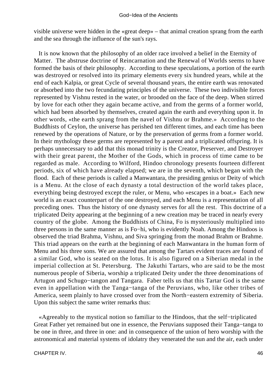visible universe were hidden in the «great deep» – that animal creation sprang from the earth and the sea through the influence of the sun's rays.

 It is now known that the philosophy of an older race involved a belief in the Eternity of Matter. The abstruse doctrine of Reincarnation and the Renewal of Worlds seems to have formed the basis of their philosophy. According to these speculations, a portion of the earth was destroyed or resolved into its primary elements every six hundred years, while at the end of each Kalpia, or great Cycle of several thousand years, the entire earth was renovated or absorbed into the two fecundating principles of the universe. These two indivisible forces represented by Vishnu rested in the water, or brooded on the face of the deep. When stirred by love for each other they again became active, and from the germs of a former world, which had been absorbed by themselves, created again the earth and everything upon it. In other words, «the earth sprang from the navel of Vishnu or Brahme.» According to the Buddhists of Ceylon, the universe has perished ten different times, and each time has been renewed by the operations of Nature, or by the preservation of germs from a former world. In their mythology these germs are represented by a parent and a triplicated offspring. It is perhaps unnecessary to add that this monad trinity is the Creator, Preserver, and Destroyer with their great parent, the Mother of the Gods, which in process of time came to be regarded as male. According to Wilford, Hindoo chronology presents fourteen different periods, six of which have already elapsed; we are in the seventh, which began with the flood. Each of these periods is called a Manwantara, the presiding genius or Deity of which is a Menu. At the close of each dynasty a total destruction of the world takes place, everything being destroyed except the ruler, or Menu, who «escapes in a boat.» Each new world is an exact counterpart of the one destroyed, and each Menu is a representation of all preceding ones. Thus the history of one dynasty serves for all the rest. This doctrine of a triplicated Deity appearing at the beginning of a new creation may be traced in nearly every country of the globe. Among the Buddhists of China, Fo is mysteriously multiplied into three persons in the same manner as is Fo−hi, who is evidently Noah. Among the Hindoos is observed the triad Brahma, Vishnu, and Siva springing from the monad Brahm or Brahme. This triad appears on the earth at the beginning of each Manwantara in the human form of Menu and his three sons. We are assured that among the Tartars evident traces are found of a similar God, who is seated on the lotus. It is also figured on a Siberian medal in the imperial collection at St. Petersburg. The Jakuthi Tartars, who are said to be the most numerous people of Siberia, worship a triplicated Deity under the three denominations of Artugon and Schugo−tangon and Tangara. Faber tells us that this Tartar God is the same even in appellation with the Tanga−tanga of the Peruvians, who, like other tribes of America, seem plainly to have crossed over from the North−eastern extremity of Siberia. Upon this subject the same writer remarks thus:

 «Agreeably to the mystical notion so familiar to the Hindoos, that the self−triplicated Great Father yet remained but one in essence, the Peruvians supposed their Tanga−tanga to be one in three, and three in one: and in consequence of the union of hero worship with the astronomical and material systems of idolatry they venerated the sun and the air, each under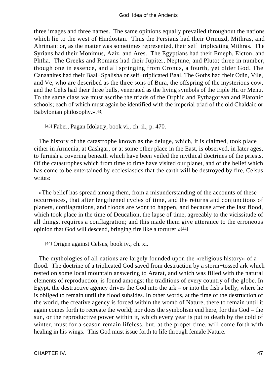three images and three names. The same opinions equally prevailed throughout the nations which lie to the west of Hindostan. Thus the Persians had their Ormuzd, Mithras, and Ahriman: or, as the matter was sometimes represented, their self−triplicating Mithras. The Syrians had their Monimus, Aziz, and Ares. The Egyptians had their Emeph, Eicton, and Phtha. The Greeks and Romans had their Jupiter, Neptune, and Pluto; three in number, though one in essence, and all springing from Cronus, a fourth, yet older God. The Canaanites had their Baal−Spalisha or self−triplicated Baal. The Goths had their Odin, Vile, and Ve, who are described as the three sons of Bura, the offspring of the mysterious cow, and the Celts had their three bulls, venerated as the living symbols of the triple Hu or Menu. To the same class we must ascribe the triads of the Orphic and Pythagorean and Platonic schools; each of which must again be identified with the imperial triad of the old Chaldaic or Babylonian philosophy.»[43]

[43] Faber, Pagan Idolatry, book vi., ch. ii., p. 470.

 The history of the catastrophe known as the deluge, which, it is claimed, took place either in Armenia, at Cashgar, or at some other place in the East, is observed, in later ages, to furnish a covering beneath which have been veiled the mythical doctrines of the priests. Of the catastrophes which from time to time have visited our planet, and of the belief which has come to be entertained by ecclesiastics that the earth will be destroyed by fire, Celsus writes:

 «The belief has spread among them, from a misunderstanding of the accounts of these occurrences, that after lengthened cycles of time, and the returns and conjunctions of planets, conflagrations, and floods are wont to happen, and because after the last flood, which took place in the time of Deucalion, the lapse of time, agreeably to the vicissitude of all things, requires a conflagration; and this made them give utterance to the erroneous opinion that God will descend, bringing fire like a torturer.»[44]

[44] Origen against Celsus, book iv., ch. xi.

 The mythologies of all nations are largely founded upon the «religious history» of a flood. The doctrine of a triplicated God saved from destruction by a storm−tossed ark which rested on some local mountain answering to Ararat, and which was filled with the natural elements of reproduction, is found amongst the traditions of every country of the globe. In Egypt, the destructive agency drives the God into the ark – or into the fish's belly, where he is obliged to remain until the flood subsides. In other words, at the time of the destruction of the world, the creative agency is forced within the womb of Nature, there to remain until it again comes forth to recreate the world; nor does the symbolism end here, for this God – the sun, or the reproductive power within it, which every year is put to death by the cold of winter, must for a season remain lifeless, but, at the proper time, will come forth with healing in his wings. This God must issue forth to life through female Nature.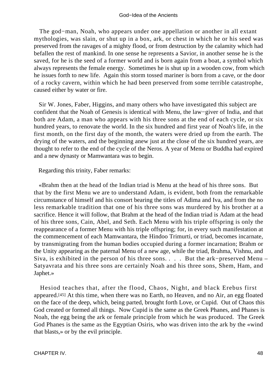#### God−Idea of the Ancients

 The god−man, Noah, who appears under one appellation or another in all extant mythologies, was slain, or shut up in a box, ark, or chest in which he or his seed was preserved from the ravages of a mighty flood, or from destruction by the calamity which had befallen the rest of mankind. In one sense he represents a Savior, in another sense he is the saved, for he is the seed of a former world and is born again from a boat, a symbol which always represents the female energy. Sometimes he is shut up in a wooden cow, from which he issues forth to new life. Again this storm tossed mariner is born from a cave, or the door of a rocky cavern, within which he had been preserved from some terrible catastrophe, caused either by water or fire.

 Sir W. Jones, Faber, Higgins, and many others who have investigated this subject are confident that the Noah of Genesis is identical with Menu, the law−giver of India, and that both are Adam, a man who appears with his three sons at the end of each cycle, or six hundred years, to renovate the world. In the six hundred and first year of Noah's life, in the first month, on the first day of the month, the waters were dried up from the earth. The drying of the waters, and the beginning anew just at the close of the six hundred years, are thought to refer to the end of the cycle of the Neros. A year of Menu or Buddha had expired and a new dynasty or Mamwantara was to begin.

Regarding this trinity, Faber remarks:

 «Brahm then at the head of the Indian triad is Menu at the head of his three sons. But that by the first Menu we are to understand Adam, is evident, both from the remarkable circumstance of himself and his consort bearing the titles of Adima and Iva, and from the no less remarkable tradition that one of his three sons was murdered by his brother at a sacrifice. Hence it will follow, that Brahm at the head of the Indian triad is Adam at the head of his three sons, Cain, Abel, and Seth. Each Menu with his triple offspring is only the reappearance of a former Menu with his triple offspring; for, in every such manifestation at the commencement of each Mamwantara, the Hindoo Trimurti, or triad, becomes incarnate, by transmigrating from the human bodies occupied during a former incarnation; Brahm or the Unity appearing as the paternal Menu of a new age, while the triad, Brahma, Vishnu, and Siva, is exhibited in the person of his three sons. . . . But the ark−preserved Menu – Satyavrata and his three sons are certainly Noah and his three sons, Shem, Ham, and Japhet.»

 Hesiod teaches that, after the flood, Chaos, Night, and black Erebus first appeared.[45] At this time, when there was no Earth, no Heaven, and no Air, an egg floated on the face of the deep, which, being parted, brought forth Love, or Cupid. Out of Chaos this God created or formed all things. Now Cupid is the same as the Greek Phanes, and Phanes is Noah, the egg being the ark or female principle from which he was produced. The Greek God Phanes is the same as the Egyptian Osiris, who was driven into the ark by the «wind that blasts,» or by the evil principle.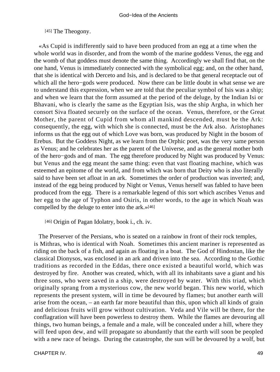[45] The Theogony.

 «As Cupid is indifferently said to have been produced from an egg at a time when the whole world was in disorder, and from the womb of the marine goddess Venus, the egg and the womb of that goddess must denote the same thing. Accordingly we shall find that, on the one hand, Venus is immediately connected with the symbolical egg; and, on the other hand, that she is identical with Derceto and Isis, and is declared to be that general receptacle out of which all the hero−gods were produced. Now there can be little doubt in what sense we are to understand this expression, when we are told that the peculiar symbol of Isis was a ship; and when we learn that the form assumed at the period of the deluge, by the Indian Isi or Bhavani, who is clearly the same as the Egyptian Isis, was the ship Argha, in which her consort Siva floated securely on the surface of the ocean. Venus, therefore, or the Great Mother, the parent of Cupid from whom all mankind descended, must be the Ark: consequently, the egg, with which she is connected, must be the Ark also. Aristophanes informs us that the egg out of which Love was born, was produced by Night in the bosom of Erebus. But the Goddess Night, as we learn from the Orphic poet, was the very same person as Venus; and he celebrates her as the parent of the Universe, and as the general mother both of the hero−gods and of man. The egg therefore produced by Night was produced by Venus: but Venus and the egg meant the same thing: even that vast floating machine, which was esteemed an epitome of the world, and from which was born that Deity who is also literally said to have been set afloat in an ark. Sometimes the order of production was inverted; and, instead of the egg being produced by Night or Venus, Venus herself was fabled to have been produced from the egg. There is a remarkable legend of this sort which ascribes Venus and her egg to the age of Typhon and Osiris, in other words, to the age in which Noah was compelled by the deluge to enter into the ark.»[46]

[46] Origin of Pagan Idolatry, book i., ch. iv.

 The Preserver of the Persians, who is seated on a rainbow in front of their rock temples, is Mithras, who is identical with Noah. Sometimes this ancient mariner is represented as riding on the back of a fish, and again as floating in a boat. The God of Hindostan, like the classical Dionysos, was enclosed in an ark and driven into the sea. According to the Gothic traditions as recorded in the Eddas, there once existed a beautiful world, which was destroyed by fire. Another was created, which, with all its inhabitants save a giant and his three sons, who were saved in a ship, were destroyed by water. With this triad, which originally sprang from a mysterious cow, the new world began. This new world, which represents the present system, will in time be devoured by flames; but another earth will arise from the ocean, – an earth far more beautiful than this, upon which all kinds of grain and delicious fruits will grow without cultivation. Veda and Vile will be there, for the conflagration will have been powerless to destroy them. While the flames are devouring all things, two human beings, a female and a male, will be concealed under a hill, where they will feed upon dew, and will propagate so abundantly that the earth will soon be peopled with a new race of beings. During the catastrophe, the sun will be devoured by a wolf, but

CHAPTER IV. 49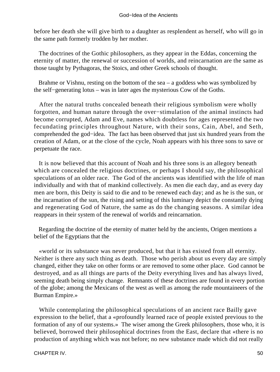before her death she will give birth to a daughter as resplendent as herself, who will go in the same path formerly trodden by her mother.

 The doctrines of the Gothic philosophers, as they appear in the Eddas, concerning the eternity of matter, the renewal or succession of worlds, and reincarnation are the same as those taught by Pythagoras, the Stoics, and other Greek schools of thought.

Brahme or Vishnu, resting on the bottom of the sea – a goddess who was symbolized by the self−generating lotus – was in later ages the mysterious Cow of the Goths.

 After the natural truths concealed beneath their religious symbolism were wholly forgotten, and human nature through the over−stimulation of the animal instincts had become corrupted, Adam and Eve, names which doubtless for ages represented the two fecundating principles throughout Nature, with their sons, Cain, Abel, and Seth, comprehended the god−idea. The fact has been observed that just six hundred years from the creation of Adam, or at the close of the cycle, Noah appears with his three sons to save or perpetuate the race.

 It is now believed that this account of Noah and his three sons is an allegory beneath which are concealed the religious doctrines, or perhaps I should say, the philosophical speculations of an older race. The God of the ancients was identified with the life of man individually and with that of mankind collectively. As men die each day, and as every day men are born, this Deity is said to die and to be renewed each day; and as he is the sun, or the incarnation of the sun, the rising and setting of this luminary depict the constantly dying and regenerating God of Nature, the same as do the changing seasons. A similar idea reappears in their system of the renewal of worlds and reincarnation.

 Regarding the doctrine of the eternity of matter held by the ancients, Origen mentions a belief of the Egyptians that the

 «world or its substance was never produced, but that it has existed from all eternity. Neither is there any such thing as death. Those who perish about us every day are simply changed, either they take on other forms or are removed to some other place. God cannot be destroyed, and as all things are parts of the Deity everything lives and has always lived, seeming death being simply change. Remnants of these doctrines are found in every portion of the globe; among the Mexicans of the west as well as among the rude mountaineers of the Burman Empire.»

 While contemplating the philosophical speculations of an ancient race Bailly gave expression to the belief, that a «profoundly learned race of people existed previous to the formation of any of our systems.» The wiser among the Greek philosophers, those who, it is believed, borrowed their philosophical doctrines from the East, declare that «there is no production of anything which was not before; no new substance made which did not really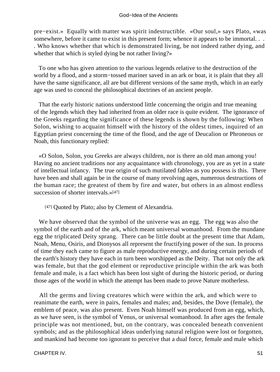pre−exist.» Equally with matter was spirit indestructible. «Our soul,» says Plato, «was somewhere, before it came to exist in this present form; whence it appears to be immortal. . . . Who knows whether that which is demonstrated living, be not indeed rather dying, and whether that which is styled dying be not rather living?»

 To one who has given attention to the various legends relative to the destruction of the world by a flood, and a storm−tossed mariner saved in an ark or boat, it is plain that they all have the same significance, all are but different versions of the same myth, which in an early age was used to conceal the philosophical doctrines of an ancient people.

 That the early historic nations understood little concerning the origin and true meaning of the legends which they had inherited from an older race is quite evident. The ignorance of the Greeks regarding the significance of these legends is shown by the following: When Solon, wishing to acquaint himself with the history of the oldest times, inquired of an Egyptian priest concerning the time of the flood, and the age of Deucalion or Phroneous or Noah, this functionary replied:

 «O Solon, Solon, you Greeks are always children, nor is there an old man among you! Having no ancient traditions nor any acquaintance with chronology, you are as yet in a state of intellectual infancy. The true origin of such mutilated fables as you possess is this. There have been and shall again be in the course of many revolving ages, numerous destructions of the human race; the greatest of them by fire and water, but others in an almost endless succession of shorter intervals.»[47]

[47] Quoted by Plato; also by Clement of Alexandria.

 We have observed that the symbol of the universe was an egg. The egg was also the symbol of the earth and of the ark, which meant universal womanhood. From the mundane egg the triplicated Deity sprang. There can be little doubt at the present time that Adam, Noah, Menu, Osiris, and Dionysos all represent the fructifying power of the sun. In process of time they each came to figure as male reproductive energy, and during certain periods of the earth's history they have each in turn been worshipped as the Deity. That not only the ark was female, but that the god element or reproductive principle within the ark was both female and male, is a fact which has been lost sight of during the historic period, or during those ages of the world in which the attempt has been made to prove Nature motherless.

 All the germs and living creatures which were within the ark, and which were to reanimate the earth, were in pairs, females and males; and, besides, the Dove (female), the emblem of peace, was also present. Even Noah himself was produced from an egg, which, as we have seen, is the symbol of Venus, or universal womanhood. In after ages the female principle was not mentioned, but, on the contrary, was concealed beneath convenient symbols; and as the philosophical ideas underlying natural religion were lost or forgotten, and mankind had become too ignorant to perceive that a dual force, female and male which

CHAPTER IV. 51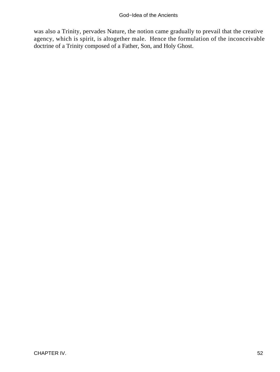was also a Trinity, pervades Nature, the notion came gradually to prevail that the creative agency, which is spirit, is altogether male. Hence the formulation of the inconceivable doctrine of a Trinity composed of a Father, Son, and Holy Ghost.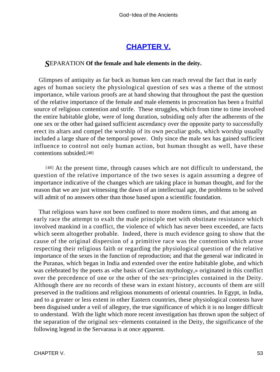## **[CHAPTER V.](#page-197-0)**

### *S*EPARATION **Of the female and hale elements in the deity.**

 Glimpses of antiquity as far back as human ken can reach reveal the fact that in early ages of human society the physiological question of sex was a theme of the utmost importance, while various proofs are at hand showing that throughout the past the question of the relative importance of the female and male elements in procreation has been a fruitful source of religious contention and strife. These struggles, which from time to time involved the entire habitable globe, were of long duration, subsiding only after the adherents of the one sex or the other had gained sufficient ascendancy over the opposite party to successfully erect its altars and compel the worship of its own peculiar gods, which worship usually included a large share of the temporal power. Only since the male sex has gained sufficient influence to control not only human action, but human thought as well, have these contentions subsided.[48]

[48] At the present time, through causes which are not difficult to understand, the question of the relative importance of the two sexes is again assuming a degree of importance indicative of the changes which are taking place in human thought, and for the reason that we are just witnessing the dawn of an intellectual age, the problems to be solved will admit of no answers other than those based upon a scientific foundation.

 That religious wars have not been confined to more modern times, and that among an early race the attempt to exalt the male principle met with obstinate resistance which involved mankind in a conflict, the violence of which has never been exceeded, are facts which seem altogether probable. Indeed, there is much evidence going to show that the cause of the original dispersion of a primitive race was the contention which arose respecting their religious faith or regarding the physiological question of the relative importance of the sexes in the function of reproduction; and that the general war indicated in the Puranas, which began in India and extended over the entire habitable globe, and which was celebrated by the poets as «the basis of Grecian mythology,» originated in this conflict over the precedence of one or the other of the sex−principles contained in the Deity. Although there are no records of these wars in extant history, accounts of them are still preserved in the traditions and religious monuments of oriental countries. In Egypt, in India, and to a greater or less extent in other Eastern countries, these physiological contests have been disguised under a veil of allegory, the true significance of which it is no longer difficult to understand. With the light which more recent investigation has thrown upon the subject of the separation of the original sex−elements contained in the Deity, the significance of the following legend in the Servarasa is at once apparent.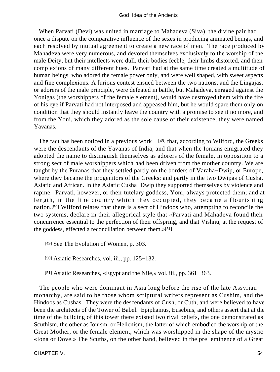When Parvati (Devi) was united in marriage to Mahadeva (Siva), the divine pair had once a dispute on the comparative influence of the sexes in producing animated beings, and each resolved by mutual agreement to create a new race of men. The race produced by Mahadeva were very numerous, and devoted themselves exclusively to the worship of the male Deity, but their intellects were dull, their bodies feeble, their limbs distorted, and their complexions of many different hues. Parvati had at the same time created a multitude of human beings, who adored the female power only, and were well shaped, with sweet aspects and fine complexions. A furious contest ensued between the two nations, and the Lingajas, or adorers of the male principle, were defeated in battle, but Mahadeva, enraged against the Yonigas (the worshippers of the female element), would have destroyed them with the fire of his eye if Parvati had not interposed and appeased him, but he would spare them only on condition that they should instantly leave the country with a promise to see it no more, and from the Yoni, which they adored as the sole cause of their existence, they were named Yavanas.

The fact has been noticed in a previous work  $[49]$  that, according to Wilford, the Greeks were the descendants of the Yavanas of India, and that when the Ionians emigrated they adopted the name to distinguish themselves as adorers of the female, in opposition to a strong sect of male worshippers which had been driven from the mother country. We are taught by the Puranas that they settled partly on the borders of Varaha−Dwip, or Europe, where they became the progenitors of the Greeks; and partly in the two Dwipas of Cusha, Asiatic and African. In the Asiatic Cusha−Dwip they supported themselves by violence and rapine. Parvati, however, or their tutelary goddess, Yoni, always protected them; and at length, in the fine country which they occupied, they became a flourishing nation.[50] Wilford relates that there is a sect of Hindoos who, attempting to reconcile the two systems, declare in their allegorical style that «Parvati and Mahadeva found their concurrence essential to the perfection of their offspring, and that Vishnu, at the request of the goddess, effected a reconciliation between them.»[51]

- [49] See The Evolution of Women, p. 303.
- [50] Asiatic Researches, vol. iii., pp. 125−132.
- [51] Asiatic Researches, «Egypt and the Nile,» vol. iii., pp. 361−363.

 The people who were dominant in Asia long before the rise of the late Assyrian monarchy, are said to be those whom scriptural writers represent as Cushim, and the Hindoos as Cushas. They were the descendants of Cush, or Cuth, and were believed to have been the architects of the Tower of Babel. Epiphanius, Eusebius, and others assert that at the time of the building of this tower there existed two rival beliefs, the one demonstrated as Scuthism, the other as Ionism, or Hellenism, the latter of which embodied the worship of the Great Mother, or the female element, which was worshipped in the shape of the mystic «Iona or Dove.» The Scuths, on the other hand, believed in the pre−eminence of a Great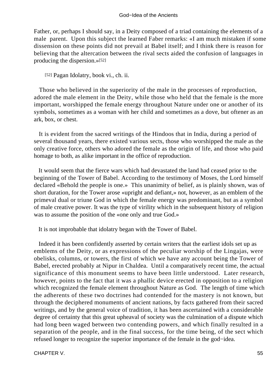Father, or, perhaps I should say, in a Deity composed of a triad containing the elements of a male parent. Upon this subject the learned Faber remarks: «I am much mistaken if some dissension on these points did not prevail at Babel itself; and I think there is reason for believing that the altercation between the rival sects aided the confusion of languages in producing the dispersion.»[52]

[52] Pagan Idolatry, book vi., ch. ii.

 Those who believed in the superiority of the male in the processes of reproduction, adored the male element in the Deity, while those who held that the female is the more important, worshipped the female energy throughout Nature under one or another of its symbols, sometimes as a woman with her child and sometimes as a dove, but oftener as an ark, box, or chest.

 It is evident from the sacred writings of the Hindoos that in India, during a period of several thousand years, there existed various sects, those who worshipped the male as the only creative force, others who adored the female as the origin of life, and those who paid homage to both, as alike important in the office of reproduction.

 It would seem that the fierce wars which had devastated the land had ceased prior to the beginning of the Tower of Babel. According to the testimony of Moses, the Lord himself declared «Behold the people is one.» This unanimity of belief, as is plainly shown, was of short duration, for the Tower arose «upright and defiant,» not, however, as an emblem of the primeval dual or triune God in which the female energy was predominant, but as a symbol of male creative power. It was the type of virility which in the subsequent history of religion was to assume the position of the «one only and true God.»

It is not improbable that idolatry began with the Tower of Babel.

 Indeed it has been confidently asserted by certain writers that the earliest idols set up as emblems of the Deity, or as expressions of the peculiar worship of the Lingajas, were obelisks, columns, or towers, the first of which we have any account being the Tower of Babel, erected probably at Nipur in Chaldea. Until a comparatively recent time, the actual significance of this monument seems to have been little understood. Later research, however, points to the fact that it was a phallic device erected in opposition to a religion which recognized the female element throughout Nature as God. The length of time which the adherents of these two doctrines had contended for the mastery is not known, but through the deciphered monuments of ancient nations, by facts gathered from their sacred writings, and by the general voice of tradition, it has been ascertained with a considerable degree of certainty that this great upheaval of society was the culmination of a dispute which had long been waged between two contending powers, and which finally resulted in a separation of the people, and in the final success, for the time being, of the sect which refused longer to recognize the superior importance of the female in the god−idea.

CHAPTER V. 55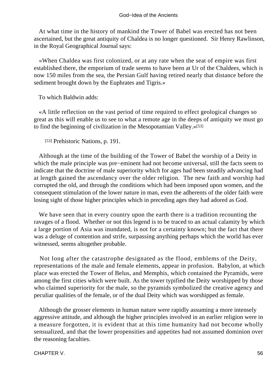At what time in the history of mankind the Tower of Babel was erected has not been ascertained, but the great antiquity of Chaldea is no longer questioned. Sir Henry Rawlinson, in the Royal Geographical Journal says:

 «When Chaldea was first colonized, or at any rate when the seat of empire was first established there, the emporium of trade seems to have been at Ur of the Chaldees, which is now 150 miles from the sea, the Persian Gulf having retired nearly that distance before the sediment brought down by the Euphrates and Tigris.»

To which Baldwin adds:

 «A little reflection on the vast period of time required to effect geological changes so great as this will enable us to see to what a remote age in the deeps of antiquity we must go to find the beginning of civilization in the Mesopotamian Valley.»[53]

[53] Prehistoric Nations, p. 191.

 Although at the time of the building of the Tower of Babel the worship of a Deity in which the male principle was pre−eminent had not become universal, still the facts seem to indicate that the doctrine of male superiority which for ages had been steadily advancing had at length gained the ascendancy over the older religion. The new faith and worship had corrupted the old, and through the conditions which had been imposed upon women, and the consequent stimulation of the lower nature in man, even the adherents of the older faith were losing sight of those higher principles which in preceding ages they had adored as God.

 We have seen that in every country upon the earth there is a tradition recounting the ravages of a flood. Whether or not this legend is to be traced to an actual calamity by which a large portion of Asia was inundated, is not for a certainty known; but the fact that there was a deluge of contention and strife, surpassing anything perhaps which the world has ever witnessed, seems altogether probable.

 Not long after the catastrophe designated as the flood, emblems of the Deity, representations of the male and female elements, appear in profusion. Babylon, at which place was erected the Tower of Belus, and Memphis, which contained the Pyramids, were among the first cities which were built. As the tower typified the Deity worshipped by those who claimed superiority for the male, so the pyramids symbolized the creative agency and peculiar qualities of the female, or of the dual Deity which was worshipped as female.

 Although the grosser elements in human nature were rapidly assuming a more intensely aggressive attitude, and although the higher principles involved in an earlier religion were in a measure forgotten, it is evident that at this time humanity had not become wholly sensualized, and that the lower propensities and appetites had not assumed dominion over the reasoning faculties.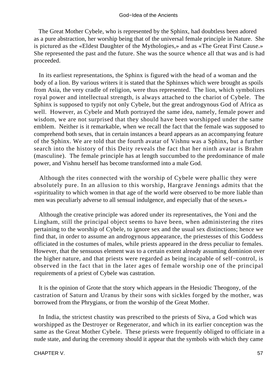The Great Mother Cybele, who is represented by the Sphinx, had doubtless been adored as a pure abstraction, her worship being that of the universal female principle in Nature. She is pictured as the «Eldest Daughter of the Mythologies,» and as «The Great First Cause.» She represented the past and the future. She was the source whence all that was and is had proceeded.

 In its earliest representations, the Sphinx is figured with the head of a woman and the body of a lion. By various writers it is stated that the Sphinxes which were brought as spoils from Asia, the very cradle of religion, were thus represented. The lion, which symbolizes royal power and intellectual strength, is always attached to the chariot of Cybele. The Sphinx is supposed to typify not only Cybele, but the great androgynous God of Africa as well. However, as Cybele and Muth portrayed the same idea, namely, female power and wisdom, we are not surprised that they should have been worshipped under the same emblem. Neither is it remarkable, when we recall the fact that the female was supposed to comprehend both sexes, that in certain instances a beard appears as an accompanying feature of the Sphinx. We are told that the fourth avatar of Vishnu was a Sphinx, but a further search into the history of this Deity reveals the fact that her ninth avatar is Brahm (masculine). The female principle has at length succumbed to the predominance of male power, and Vishnu herself has become transformed into a male God.

 Although the rites connected with the worship of Cybele were phallic they were absolutely pure. In an allusion to this worship, Hargrave Jennings admits that the «spirituality to which women in that age of the world were observed to be more liable than men was peculiarly adverse to all sensual indulgence, and especially that of the sexes.»

 Although the creative principle was adored under its representatives, the Yoni and the Lingham, still the principal object seems to have been, when administering the rites pertaining to the worship of Cybele, to ignore sex and the usual sex distinctions; hence we find that, in order to assume an androgynous appearance, the priestesses of this Goddess officiated in the costumes of males, while priests appeared in the dress peculiar to females. However, that the sensuous element was to a certain extent already assuming dominion over the higher nature, and that priests were regarded as being incapable of self−control, is observed in the fact that in the later ages of female worship one of the principal requirements of a priest of Cybele was castration.

 It is the opinion of Grote that the story which appears in the Hesiodic Theogony, of the castration of Saturn and Uranus by their sons with sickles forged by the mother, was borrowed from the Phrygians, or from the worship of the Great Mother.

 In India, the strictest chastity was prescribed to the priests of Siva, a God which was worshipped as the Destroyer or Regenerator, and which in its earlier conception was the same as the Great Mother Cybele. These priests were frequently obliged to officiate in a nude state, and during the ceremony should it appear that the symbols with which they came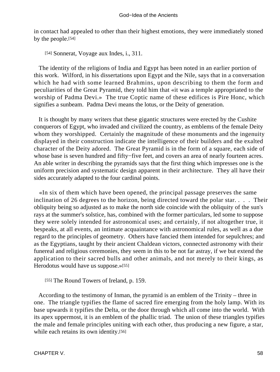in contact had appealed to other than their highest emotions, they were immediately stoned by the people.[54]

[54] Sonnerat, Voyage aux Indes, i., 311.

 The identity of the religions of India and Egypt has been noted in an earlier portion of this work. Wilford, in his dissertations upon Egypt and the Nile, says that in a conversation which he had with some learned Brahmins, upon describing to them the form and peculiarities of the Great Pyramid, they told him that «it was a temple appropriated to the worship of Padma Devi.» The true Coptic name of these edifices is Pire Honc, which signifies a sunbeam. Padma Devi means the lotus, or the Deity of generation.

 It is thought by many writers that these gigantic structures were erected by the Cushite conquerors of Egypt, who invaded and civilized the country, as emblems of the female Deity whom they worshipped. Certainly the magnitude of these monuments and the ingenuity displayed in their construction indicate the intelligence of their builders and the exalted character of the Deity adored. The Great Pyramid is in the form of a square, each side of whose base is seven hundred and fifty−five feet, and covers an area of nearly fourteen acres. An able writer in describing the pyramids says that the first thing which impresses one is the uniform precision and systematic design apparent in their architecture. They all have their sides accurately adapted to the four cardinal points.

 «In six of them which have been opened, the principal passage preserves the same inclination of 26 degrees to the horizon, being directed toward the polar star. . . . Their obliquity being so adjusted as to make the north side coincide with the obliquity of the sun's rays at the summer's solstice, has, combined with the former particulars, led some to suppose they were solely intended for astronomical uses; and certainly, if not altogether true, it bespeaks, at all events, an intimate acquaintance with astronomical rules, as well as a due regard to the principles of geometry. Others have fancied them intended for sepulchres; and as the Egyptians, taught by their ancient Chaldean victors, connected astronomy with their funereal and religious ceremonies, they seem in this to be not far astray, if we but extend the application to their sacred bulls and other animals, and not merely to their kings, as Herodotus would have us suppose.»[55]

[55] The Round Towers of Ireland, p. 159.

 According to the testimony of Inman, the pyramid is an emblem of the Trinity – three in one. The triangle typifies the flame of sacred fire emerging from the holy lamp. With its base upwards it typifies the Delta, or the door through which all come into the world. With its apex uppermost, it is an emblem of the phallic triad. The union of these triangles typifies the male and female principles uniting with each other, thus producing a new figure, a star, while each retains its own identity.[56]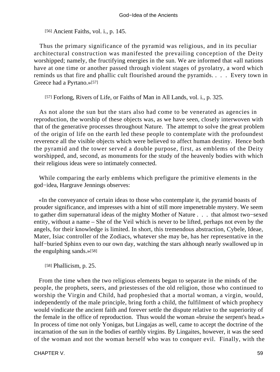[56] Ancient Faiths, vol. *i.*, p. 145.

 Thus the primary significance of the pyramid was religious, and in its peculiar architectural construction was manifested the prevailing conception of the Deity worshipped; namely, the fructifying energies in the sun. We are informed that «all nations have at one time or another passed through violent stages of pyrolatry, a word which reminds us that fire and phallic cult flourished around the pyramids. . . . Every town in Greece had a Pyrtano.»[57]

[57] Forlong, Rivers of Life, or Faiths of Man in All Lands, vol. i., p. 325.

As not alone the sun but the stars also had come to be venerated as agencies in reproduction, the worship of these objects was, as we have seen, closely interwoven with that of the generative processes throughout Nature. The attempt to solve the great problem of the origin of life on the earth led these people to contemplate with the profoundest reverence all the visible objects which were believed to affect human destiny. Hence both the pyramid and the tower served a double purpose, first, as emblems of the Deity worshipped, and, second, as monuments for the study of the heavenly bodies with which their religious ideas were so intimately connected.

 While comparing the early emblems which prefigure the primitive elements in the god−idea, Hargrave Jennings observes:

 «In the conveyance of certain ideas to those who contemplate it, the pyramid boasts of prouder significance, and impresses with a hint of still more impenetrable mystery. We seem to gather dim supernatural ideas of the mighty Mother of Nature . . . that almost two−sexed entity, without a name – She of the Veil which is never to be lifted, perhaps not even by the angels, for their knowledge is limited. In short, this tremendous abstraction, Cybele, Ideae, Mater, Isiac controller of the Zodiacs, whatever she may be, has her representative in the half−buried Sphinx even to our own day, watching the stars although nearly swallowed up in the engulphing sands.»[58]

[58] Phallicism, p. 25.

 From the time when the two religious elements began to separate in the minds of the people, the prophets, seers, and priestesses of the old religion, those who continued to worship the Virgin and Child, had prophesied that a mortal woman, a virgin, would, independently of the male principle, bring forth a child, the fulfilment of which prophecy would vindicate the ancient faith and forever settle the dispute relative to the superiority of the female in the office of reproduction. Thus would the woman «bruise the serpent's head.» In process of time not only Yonigas, but Lingajas as well, came to accept the doctrine of the incarnation of the sun in the bodies of earthly virgins. By Lingaites, however, it was the seed of the woman and not the woman herself who was to conquer evil. Finally, with the

CHAPTER V. 59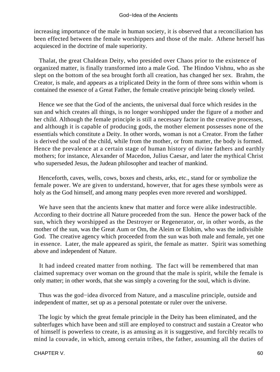increasing importance of the male in human society, it is observed that a reconciliation has been effected between the female worshippers and those of the male. Athene herself has acquiesced in the doctrine of male superiority.

 Thalat, the great Chaldean Deity, who presided over Chaos prior to the existence of organized matter, is finally transformed into a male God. The Hindoo Vishnu, who as she slept on the bottom of the sea brought forth all creation, has changed her sex. Brahm, the Creator, is male, and appears as a triplicated Deity in the form of three sons within whom is contained the essence of a Great Father, the female creative principle being closely veiled.

 Hence we see that the God of the ancients, the universal dual force which resides in the sun and which creates all things, is no longer worshipped under the figure of a mother and her child. Although the female principle is still a necessary factor in the creative processes, and although it is capable of producing gods, the mother element possesses none of the essentials which constitute a Deity. In other words, woman is not a Creator. From the father is derived the soul of the child, while from the mother, or from matter, the body is formed. Hence the prevalence at a certain stage of human history of divine fathers and earthly mothers; for instance, Alexander of Macedon, Julius Caesar, and later the mythical Christ who superseded Jesus, the Judean philosopher and teacher of mankind.

 Henceforth, caves, wells, cows, boxes and chests, arks, etc., stand for or symbolize the female power. We are given to understand, however, that for ages these symbols were as holy as the God himself, and among many peoples even more revered and worshipped.

 We have seen that the ancients knew that matter and force were alike indestructible. According to their doctrine all Nature proceeded from the sun. Hence the power back of the sun, which they worshipped as the Destroyer or Regenerator, or, in other words, as the mother of the sun, was the Great Aum or Om, the Aleim or Elohim, who was the indivisible God. The creative agency which proceeded from the sun was both male and female, yet one in essence. Later, the male appeared as spirit, the female as matter. Spirit was something above and independent of Nature.

 It had indeed created matter from nothing. The fact will be remembered that man claimed supremacy over woman on the ground that the male is spirit, while the female is only matter; in other words, that she was simply a covering for the soul, which is divine.

 Thus was the god−idea divorced from Nature, and a masculine principle, outside and independent of matter, set up as a personal potentate or ruler over the universe.

 The logic by which the great female principle in the Deity has been eliminated, and the subterfuges which have been and still are employed to construct and sustain a Creator who of himself is powerless to create, is as amusing as it is suggestive, and forcibly recalls to mind la couvade, in which, among certain tribes, the father, assuming all the duties of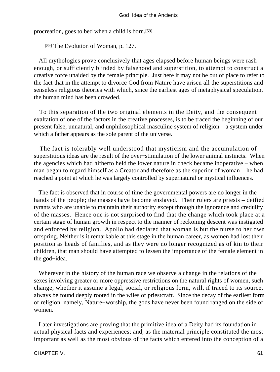procreation, goes to bed when a child is born.[59]

[59] The Evolution of Woman, p. 127.

 All mythologies prove conclusively that ages elapsed before human beings were rash enough, or sufficiently blinded by falsehood and superstition, to attempt to construct a creative force unaided by the female principle. Just here it may not be out of place to refer to the fact that in the attempt to divorce God from Nature have arisen all the superstitions and senseless religious theories with which, since the earliest ages of metaphysical speculation, the human mind has been crowded.

 To this separation of the two original elements in the Deity, and the consequent exaltation of one of the factors in the creative processes, is to be traced the beginning of our present false, unnatural, and unphilosophical masculine system of religion – a system under which a father appears as the sole parent of the universe.

 The fact is tolerably well understood that mysticism and the accumulation of superstitious ideas are the result of the over−stimulation of the lower animal instincts. When the agencies which had hitherto held the lower nature in check became inoperative – when man began to regard himself as a Creator and therefore as the superior of woman – he had reached a point at which he was largely controlled by supernatural or mystical influences.

 The fact is observed that in course of time the governmental powers are no longer in the hands of the people; the masses have become enslaved. Their rulers are priests – deified tyrants who are unable to maintain their authority except through the ignorance and credulity of the masses. Hence one is not surprised to find that the change which took place at a certain stage of human growth in respect to the manner of reckoning descent was instigated and enforced by religion. Apollo had declared that woman is but the nurse to her own offspring. Neither is it remarkable at this stage in the human career, as women had lost their position as heads of families, and as they were no longer recognized as of kin to their children, that man should have attempted to lessen the importance of the female element in the god−idea.

 Wherever in the history of the human race we observe a change in the relations of the sexes involving greater or more oppressive restrictions on the natural rights of women, such change, whether it assume a legal, social, or religious form, will, if traced to its source, always be found deeply rooted in the wiles of priestcraft. Since the decay of the earliest form of religion, namely, Nature−worship, the gods have never been found ranged on the side of women.

 Later investigations are proving that the primitive idea of a Deity had its foundation in actual physical facts and experiences; and, as the maternal principle constituted the most important as well as the most obvious of the facts which entered into the conception of a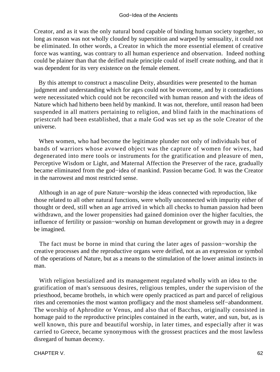Creator, and as it was the only natural bond capable of binding human society together, so long as reason was not wholly clouded by superstition and warped by sensuality, it could not be eliminated. In other words, a Creator in which the more essential element of creative force was wanting, was contrary to all human experience and observation. Indeed nothing could be plainer than that the deified male principle could of itself create nothing, and that it was dependent for its very existence on the female element.

 By this attempt to construct a masculine Deity, absurdities were presented to the human judgment and understanding which for ages could not be overcome, and by it contradictions were necessitated which could not be reconciled with human reason and with the ideas of Nature which had hitherto been held by mankind. It was not, therefore, until reason had been suspended in all matters pertaining to religion, and blind faith in the machinations of priestcraft had been established, that a male God was set up as the sole Creator of the universe.

 When women, who had become the legitimate plunder not only of individuals but of bands of warriors whose avowed object was the capture of women for wives, had degenerated into mere tools or instruments for the gratification and pleasure of men, Perceptive Wisdom or Light, and Maternal Affection the Preserver of the race, gradually became eliminated from the god−idea of mankind. Passion became God. It was the Creator in the narrowest and most restricted sense.

 Although in an age of pure Nature−worship the ideas connected with reproduction, like those related to all other natural functions, were wholly unconnected with impurity either of thought or deed, still when an age arrived in which all checks to human passion had been withdrawn, and the lower propensities had gained dominion over the higher faculties, the influence of fertility or passion−worship on human development or growth may in a degree be imagined.

 The fact must be borne in mind that curing the later ages of passion−worship the creative processes and the reproductive organs were deified, not as an expression or symbol of the operations of Nature, but as a means to the stimulation of the lower animal instincts in man.

 With religion bestialized and its management regulated wholly with an idea to the gratification of man's sensuous desires, religious temples, under the supervision of the priesthood, became brothels, in which were openly practiced as part and parcel of religious rites and ceremonies the most wanton profligacy and the most shameless self−abandonment. The worship of Aphrodite or Venus, and also that of Bacchus, originally consisted in homage paid to the reproductive principles contained in the earth, water, and sun, but, as is well known, this pure and beautiful worship, in later times, and especially after it was carried to Greece, became synonymous with the grossest practices and the most lawless disregard of human decency.

CHAPTER V. 62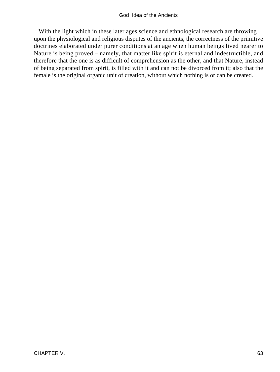#### God−Idea of the Ancients

With the light which in these later ages science and ethnological research are throwing upon the physiological and religious disputes of the ancients, the correctness of the primitive doctrines elaborated under purer conditions at an age when human beings lived nearer to Nature is being proved – namely, that matter like spirit is eternal and indestructible, and therefore that the one is as difficult of comprehension as the other, and that Nature, instead of being separated from spirit, is filled with it and can not be divorced from it; also that the female is the original organic unit of creation, without which nothing is or can be created.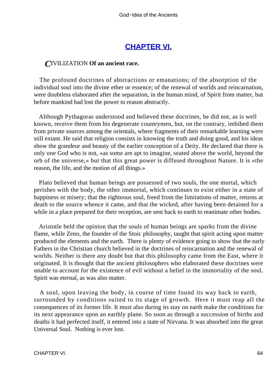# **[CHAPTER VI.](#page-197-0)**

## *C*IVILIZATION **Of an ancient race.**

 The profound doctrines of abstractions or emanations; of the absorption of the individual soul into the divine ether or essence; of the renewal of worlds and reincarnation, were doubtless elaborated after the separation, in the human mind, of Spirit from matter, but before mankind had lost the power to reason abstractly.

 Although Pythagoras understood and believed these doctrines, he did not, as is well known, receive them from his degenerate countrymen, but, on the contrary, imbibed them from private sources among the orientals, where fragments of their remarkable learning were still extant. He said that religion consists in knowing the truth and doing good, and his ideas show the grandeur and beauty of the earlier conception of a Deity. He declared that there is only one God who is not, «as some are apt to imagine, seated above the world, beyond the orb of the universe,» but that this great power is diffused throughout Nature. It is «the reason, the life, and the motion of all things.»

 Plato believed that human beings are possessed of two souls, the one mortal, which perishes with the body, the other immortal, which continues to exist either in a state of happiness or misery; that the righteous soul, freed from the limitations of matter, returns at death to the source whence it came, and that the wicked, after having been detained for a while in a place prepared for their reception, are sent back to earth to reanimate other bodies.

 Aristotle held the opinion that the souls of human beings are sparks from the divine flame, while Zeno, the founder of the Stoic philosophy, taught that spirit acting upon matter produced the elements and the earth. There is plenty of evidence going to show that the early Fathers in the Christian church believed in the doctrines of reincarnation and the renewal of worlds. Neither is there any doubt but that this philosophy came from the East, where it originated. It is thought that the ancient philosophers who elaborated these doctrines were unable to account for the existence of evil without a belief in the immortality of the soul. Spirit was eternal, as was also matter.

 A soul, upon leaving the body, in course of time found its way back to earth, surrounded by conditions suited to its stage of growth. Here it must reap all the consequences of its former life. It must also during its stay on earth make the conditions for its next appearance upon an earthly plane. So soon as through a succession of births and deaths it had perfected itself, it entered into a state of Nirvana. It was absorbed into the great Universal Soul. Nothing is ever lost.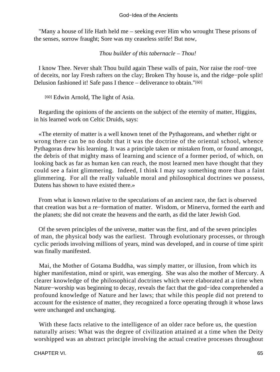"Many a house of life Hath held me – seeking ever Him who wrought These prisons of the senses, sorrow fraught; Sore was my ceaseless strife! But now,

## *Thou builder of this tabernacle – Thou!*

 I know Thee. Never shalt Thou build again These walls of pain, Nor raise the roof−tree of deceits, nor lay Fresh rafters on the clay; Broken Thy house is, and the ridge−pole split! Delusion fashioned it! Safe pass I thence – deliverance to obtain."[60]

[60] Edwin Arnold, The light of Asia.

 Regarding the opinions of the ancients on the subject of the eternity of matter, Higgins, in his learned work on Celtic Druids, says:

 «The eternity of matter is a well known tenet of the Pythagoreans, and whether right or wrong there can be no doubt that it was the doctrine of the oriental school, whence Pythagoras drew his learning. It was a principle taken or mistaken from, or found amongst, the debris of that mighty mass of learning and science of a former period, of which, on looking back as far as human ken can reach, the most learned men have thought that they could see a faint glimmering. Indeed, I think I may say something more than a faint glimmering. For all the really valuable moral and philosophical doctrines we possess, Dutens has shown to have existed there.»

 From what is known relative to the speculations of an ancient race, the fact is observed that creation was but a re−formation of matter. Wisdom, or Minerva, formed the earth and the planets; she did not create the heavens and the earth, as did the later Jewish God.

 Of the seven principles of the universe, matter was the first, and of the seven principles of man, the physical body was the earliest. Through evolutionary processes, or through cyclic periods involving millions of years, mind was developed, and in course of time spirit was finally manifested.

 Mai, the Mother of Gotama Buddha, was simply matter, or illusion, from which its higher manifestation, mind or spirit, was emerging. She was also the mother of Mercury. A clearer knowledge of the philosophical doctrines which were elaborated at a time when Nature−worship was beginning to decay, reveals the fact that the god−idea comprehended a profound knowledge of Nature and her laws; that while this people did not pretend to account for the existence of matter, they recognized a force operating through it whose laws were unchanged and unchanging.

With these facts relative to the intelligence of an older race before us, the question naturally arises: What was the degree of civilization attained at a time when the Deity worshipped was an abstract principle involving the actual creative processes throughout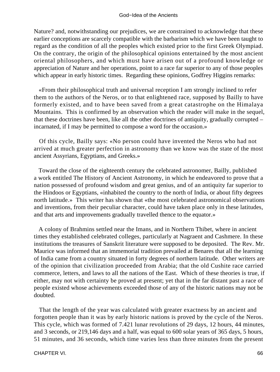Nature? and, notwithstanding our prejudices, we are constrained to acknowledge that these earlier conceptions are scarcely compatible with the barbarism which we have been taught to regard as the condition of all the peoples which existed prior to the first Greek Olympiad. On the contrary, the origin of the philosophical opinions entertained by the most ancient oriental philosophers, and which must have arisen out of a profound knowledge or appreciation of Nature and her operations, point to a race far superior to any of those peoples which appear in early historic times. Regarding these opinions, Godfrey Higgins remarks:

 «From their philosophical truth and universal reception I am strongly inclined to refer them to the authors of the Neros, or to that enlightened race, supposed by Bailly to have formerly existed, and to have been saved from a great catastrophe on the Himalaya Mountains. This is confirmed by an observation which the reader will make in the sequel, that these doctrines have been, like all the other doctrines of antiquity, gradually corrupted – incarnated, if I may be permitted to compose a word for the occasion.»

 Of this cycle, Bailly says: «No person could have invented the Neros who had not arrived at much greater perfection in astronomy than we know was the state of the most ancient Assyrians, Egyptians, and Greeks.»

 Toward the close of the eighteenth century the celebrated astronomer, Bailly, published a work entitled The History of Ancient Astronomy, in which he endeavored to prove that a nation possessed of profound wisdom and great genius, and of an antiquity far superior to the Hindoos or Egyptians, «inhabited the country to the north of India, or about fifty degrees north latitude.» This writer has shown that «the most celebrated astronomical observations and inventions, from their peculiar character, could have taken place only in these latitudes, and that arts and improvements gradually travelled thence to the equator.»

 A colony of Brahmins settled near the Imans, and in Northern Thibet, where in ancient times they established celebrated colleges, particularly at Nagraent and Cashmere. In these institutions the treasures of Sanskrit literature were supposed to be deposited. The Rev. Mr. Maurice was informed that an immemorial tradition prevailed at Benares that all the learning of India came from a country situated in forty degrees of northern latitude. Other writers are of the opinion that civilization proceeded from Arabia; that the old Cushite race carried commerce, letters, and laws to all the nations of the East. Which of these theories is true, if either, may not with certainty be proved at present; yet that in the far distant past a race of people existed whose achievements exceeded those of any of the historic nations may not be doubted.

 That the length of the year was calculated with greater exactness by an ancient and forgotten people than it was by early historic nations is proved by the cycle of the Neros. This cycle, which was formed of 7.421 lunar revolutions of 29 days, 12 hours, 44 minutes, and 3 seconds, or 219,146 days and a half, was equal to 600 solar years of 365 days, 5 hours, 51 minutes, and 36 seconds, which time varies less than three minutes from the present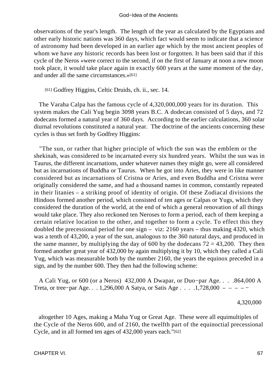observations of the year's length. The length of the year as calculated by the Egyptians and other early historic nations was 360 days, which fact would seem to indicate that a science of astronomy had been developed in an earlier age which by the most ancient peoples of whom we have any historic records has been lost or forgotten. It has been said that if this cycle of the Neros «were correct to the second, if on the first of January at noon a new moon took place, it would take place again in exactly 600 years at the same moment of the day, and under all the same circumstances.»[61]

[61] Godfrey Higgins, Celtic Druids, ch. ii., sec. 14.

 The Varaha Calpa has the famous cycle of 4,320,000,000 years for its duration. This system makes the Cali Yug begin 3098 years B.C. A dodecan consisted of 5 days, and 72 dodecans formed a natural year of 360 days. According to the earlier calculations, 360 solar diurnal revolutions constituted a natural year. The doctrine of the ancients concerning these cycles is thus set forth by Godfrey Higgins:

 "The sun, or rather that higher principle of which the sun was the emblem or the shekinah, was considered to be incarnated every six hundred years. Whilst the sun was in Taurus, the different incarnations, under whatever names they might go, were all considered but as incarnations of Buddha or Taurus. When he got into Aries, they were in like manner considered but as incarnations of Cristna or Aries, and even Buddha and Cristna were originally considered the same, and had a thousand names in common, constantly repeated in their litanies – a striking proof of identity of origin. Of these Zodiacal divisions the Hindoos formed another period, which consisted of ten ages or Calpas or Yugs, which they considered the duration of the world, at the end of which a general renovation of all things would take place. They also reckoned ten Neroses to form a period, each of them keeping a certain relative location to the other, and together to form a cycle. To effect this they doubled the precessional period for one sign – viz: 2160 years – thus making 4320, which was a tenth of 43,200, a year of the sun, analogous to the 360 natural days, and produced in the same manner, by multiplying the day of 600 by the dodecans  $72 = 43,200$ . They then formed another great year of 432,000 by again multiplying it by 10, which they called a Cali Yug, which was measurable both by the number 2160, the years the equinox preceded in a sign, and by the number 600. They then had the following scheme:

 A Cali Yug, or 600 (or a Neros) 432,000 A Dwapar, or Duo−par Age. . . .864,000 A Treta, or tree−par Age. . . 1,296,000 A Satya, or Satis Age . . . .1,728,000 – – – – −

4,320,000

 altogether 10 Ages, making a Maha Yug or Great Age. These were all equimultiples of the Cycle of the Neros 600, and of 2160, the twelfth part of the equinoctial precessional Cycle, and in all formed ten ages of 432,000 years each."[62]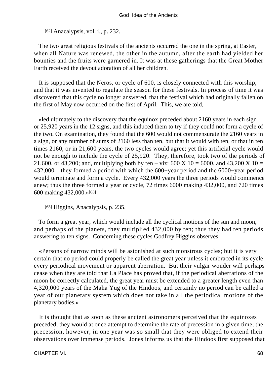[62] Anacalypsis, vol. i., p. 232.

 The two great religious festivals of the ancients occurred the one in the spring, at Easter, when all Nature was renewed, the other in the autumn, after the earth had yielded her bounties and the fruits were garnered in. It was at these gatherings that the Great Mother Earth received the devout adoration of all her children.

 It is supposed that the Neros, or cycle of 600, is closely connected with this worship, and that it was invented to regulate the season for these festivals. In process of time it was discovered that this cycle no longer answered, that the festival which had originally fallen on the first of May now occurred on the first of April. This, we are told,

 «led ultimately to the discovery that the equinox preceded about 2160 years in each sign or 25,920 years in the 12 signs, and this induced them to try if they could not form a cycle of the two. On examination, they found that the 600 would not commensurate the 2160 years in a sign, or any number of sums of 2160 less than ten, but that it would with ten, or that in ten times 2160, or in 21,600 years, the two cycles would agree; yet this artificial cycle would not be enough to include the cycle of 25,920. They, therefore, took two of the periods of 21,600, or 43,200; and, multiplying both by ten – viz: 600 X 10 = 6000, and 43,200 X 10 = 432,000 – they formed a period with which the 600−year period and the 6000−year period would terminate and form a cycle. Every 432,000 years the three periods would commence anew; thus the three formed a year or cycle, 72 times 6000 making 432,000, and 720 times 600 making 432,000.»[63]

[63] Higgins, Anacalypsis, p. 235.

 To form a great year, which would include all the cyclical motions of the sun and moon, and perhaps of the planets, they multiplied 432,000 by ten; thus they had ten periods answering to ten signs. Concerning these cycles Godfrey Higgins observes:

 «Persons of narrow minds will be astonished at such monstrous cycles; but it is very certain that no period could properly be called the great year unless it embraced in its cycle every periodical movement or apparent aberration. But their vulgar wonder will perhaps cease when they are told that La Place has proved that, if the periodical aberrations of the moon be correctly calculated, the great year must be extended to a greater length even than 4,320,000 years of the Maha Yug of the Hindoos, and certainly no period can be called a year of our planetary system which does not take in all the periodical motions of the planetary bodies.»

 It is thought that as soon as these ancient astronomers perceived that the equinoxes preceded, they would at once attempt to determine the rate of precession in a given time; the precession, however, in one year was so small that they were obliged to extend their observations over immense periods. Jones informs us that the Hindoos first supposed that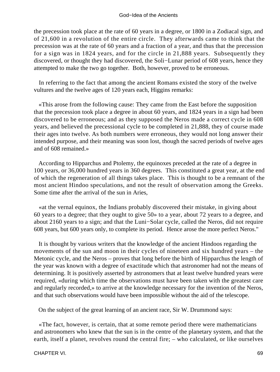the precession took place at the rate of 60 years in a degree, or 1800 in a Zodiacal sign, and of 21,600 in a revolution of the entire circle. They afterwards came to think that the precession was at the rate of 60 years and a fraction of a year, and thus that the precession for a sign was in 1824 years, and for the circle in 21,888 years. Subsequently they discovered, or thought they had discovered, the Soli−Lunar period of 608 years, hence they attempted to make the two go together. Both, however, proved to be erroneous.

 In referring to the fact that among the ancient Romans existed the story of the twelve vultures and the twelve ages of 120 years each, Higgins remarks:

 «This arose from the following cause: They came from the East before the supposition that the precession took place a degree in about 60 years, and 1824 years in a sign had been discovered to be erroneous; and as they supposed the Neros made a correct cycle in 608 years, and believed the precessional cycle to be completed in 21,888, they of course made their ages into twelve. As both numbers were erroneous, they would not long answer their intended purpose, and their meaning was soon lost, though the sacred periods of twelve ages and of 608 remained.»

 According to Hipparchus and Ptolemy, the equinoxes preceded at the rate of a degree in 100 years, or 36,000 hundred years in 360 degrees. This constituted a great year, at the end of which the regeneration of all things takes place. This is thought to be a remnant of the most ancient Hindoo speculations, and not the result of observation among the Greeks. Some time after the arrival of the sun in Aries,

 «at the vernal equinox, the Indians probably discovered their mistake, in giving about 60 years to a degree; that they ought to give 50» to a year, about 72 years to a degree, and about 2160 years to a sign; and that the Luni−Solar cycle, called the Neros, did not require 608 years, but 600 years only, to complete its period. Hence arose the more perfect Neros."

 It is thought by various writers that the knowledge of the ancient Hindoos regarding the movements of the sun and moon in their cycles of nineteen and six hundred years – the Metonic cycle, and the Neros – proves that long before the birth of Hipparchus the length of the year was known with a degree of exactitude which that astronomer had not the means of determining. It is positively asserted by astronomers that at least twelve hundred years were required, «during which time the observations must have been taken with the greatest care and regularly recorded,» to arrive at the knowledge necessary for the invention of the Neros, and that such observations would have been impossible without the aid of the telescope.

On the subject of the great learning of an ancient race, Sir W. Drummond says:

 «The fact, however, is certain, that at some remote period there were mathematicians and astronomers who knew that the sun is in the centre of the planetary system, and that the earth, itself a planet, revolves round the central fire; – who calculated, or like ourselves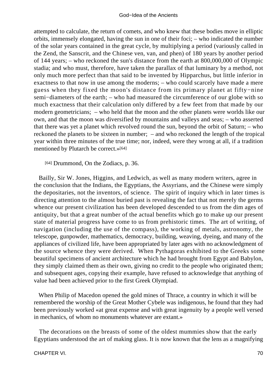attempted to calculate, the return of comets, and who knew that these bodies move in elliptic orbits, immensely elongated, having the sun in one of their foci; – who indicated the number of the solar years contained in the great cycle, by multiplying a period (variously called in the Zend, the Sanscrit, and the Chinese ven, van, and phen) of 180 years by another period of 144 years; – who reckoned the sun's distance from the earth at 800,000,000 of Olympic stadia; and who must, therefore, have taken the parallax of that luminary by a method, not only much more perfect than that said to be invented by Hipparchus, but little inferior in exactness to that now in use among the moderns; – who could scarcely have made a mere guess when they fixed the moon's distance from its primary planet at fifty−nine semi−diameters of the earth; – who had measured the circumference of our globe with so much exactness that their calculation only differed by a few feet from that made by our modern geometricians; – who held that the moon and the other planets were worlds like our own, and that the moon was diversified by mountains and valleys and seas; – who asserted that there was yet a planet which revolved round the sun, beyond the orbit of Saturn; – who reckoned the planets to be sixteen in number; – and who reckoned the length of the tropical year within three minutes of the true time; nor, indeed, were they wrong at all, if a tradition mentioned by Plutarch be correct.»[64]

[64] Drummond, On the Zodiacs, p. 36.

 Bailly, Sir W. Jones, Higgins, and Ledwich, as well as many modern writers, agree in the conclusion that the Indians, the Egyptians, the Assyrians, and the Chinese were simply the depositaries, not the inventors, of science. The spirit of inquiry which in later times is directing attention to the almost buried past is revealing the fact that not merely the germs whence our present civilization has been developed descended to us from the dim ages of antiquity, but that a great number of the actual benefits which go to make up our present state of material progress have come to us from prehistoric times. The art of writing, of navigation (including the use of the compass), the working of metals, astronomy, the telescope, gunpowder, mathematics, democracy, building, weaving, dyeing, and many of the appliances of civilized life, have been appropriated by later ages with no acknowledgment of the source whence they were derived. When Pythagoras exhibited to the Greeks some beautiful specimens of ancient architecture which he had brought from Egypt and Babylon, they simply claimed them as their own, giving no credit to the people who originated them; and subsequent ages, copying their example, have refused to acknowledge that anything of value had been achieved prior to the first Greek Olympiad.

 When Philip of Macedon opened the gold mines of Thrace, a country in which it will be remembered the worship of the Great Mother Cybele was indigenous, he found that they had been previously worked «at great expense and with great ingenuity by a people well versed in mechanics, of whom no monuments whatever are extant.»

 The decorations on the breasts of some of the oldest mummies show that the early Egyptians understood the art of making glass. It is now known that the lens as a magnifying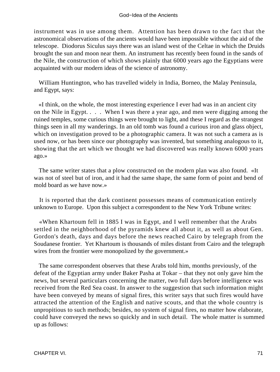instrument was in use among them. Attention has been drawn to the fact that the astronomical observations of the ancients would have been impossible without the aid of the telescope. Diodorus Siculus says there was an island west of the Celtae in which the Druids brought the sun and moon near them. An instrument has recently been found in the sands of the Nile, the construction of which shows plainly that 6000 years ago the Egyptians were acquainted with our modern ideas of the science of astronomy.

 William Huntington, who has travelled widely in India, Borneo, the Malay Peninsula, and Egypt, says:

 «I think, on the whole, the most interesting experience I ever had was in an ancient city on the Nile in Egypt. . . . When I was there a year ago, and men were digging among the ruined temples, some curious things were brought to light, and these I regard as the strangest things seen in all my wanderings. In an old tomb was found a curious iron and glass object, which on investigation proved to be a photographic camera. It was not such a camera as is used now, or has been since our photography was invented, but something analogous to it, showing that the art which we thought we had discovered was really known 6000 years ago.»

 The same writer states that a plow constructed on the modern plan was also found. «It was not of steel but of iron, and it had the same shape, the same form of point and bend of mold board as we have now.»

 It is reported that the dark continent possesses means of communication entirely unknown to Europe. Upon this subject a correspondent to the New York Tribune writes:

 «When Khartoum fell in 1885 I was in Egypt, and I well remember that the Arabs settled in the neighborhood of the pyramids knew all about it, as well as about Gen. Gordon's death, days and days before the news reached Cairo by telegraph from the Soudanese frontier. Yet Khartoum is thousands of miles distant from Cairo and the telegraph wires from the frontier were monopolized by the government.»

 The same correspondent observes that these Arabs told him, months previously, of the defeat of the Egyptian army under Baker Pasha at Tokar – that they not only gave him the news, but several particulars concerning the matter, two full days before intelligence was received from the Red Sea coast. In answer to the suggestion that such information might have been conveyed by means of signal fires, this writer says that such fires would have attracted the attention of the English and native scouts, and that the whole country is unpropitious to such methods; besides, no system of signal fires, no matter how elaborate, could have conveyed the news so quickly and in such detail. The whole matter is summed up as follows: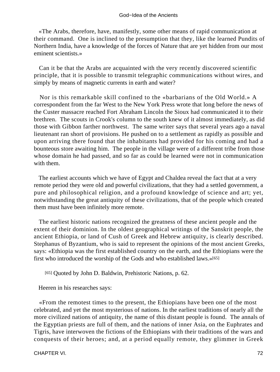«The Arabs, therefore, have, manifestly, some other means of rapid communication at their command. One is inclined to the presumption that they, like the learned Pundits of Northern India, have a knowledge of the forces of Nature that are yet hidden from our most eminent scientists.»

 Can it be that the Arabs are acquainted with the very recently discovered scientific principle, that it is possible to transmit telegraphic communications without wires, and simply by means of magnetic currents in earth and water?

 Nor is this remarkable skill confined to the «barbarians of the Old World.» A correspondent from the far West to the New York Press wrote that long before the news of the Custer massacre reached Fort Abraham Lincoln the Sioux had communicated it to their brethren. The scouts in Crook's column to the south knew of it almost immediately, as did those with Gibbon farther northwest. The same writer says that several years ago a naval lieutenant ran short of provisions. He pushed on to a settlement as rapidly as possible and upon arriving there found that the inhabitants had provided for his coming and had a bounteous store awaiting him. The people in the village were of a different tribe from those whose domain he had passed, and so far as could be learned were not in communication with them.

 The earliest accounts which we have of Egypt and Chaldea reveal the fact that at a very remote period they were old and powerful civilizations, that they had a settled government, a pure and philosophical religion, and a profound knowledge of science and art; yet, notwithstanding the great antiquity of these civilizations, that of the people which created them must have been infinitely more remote.

 The earliest historic nations recognized the greatness of these ancient people and the extent of their dominion. In the oldest geographical writings of the Sanskrit people, the ancient Ethiopia, or land of Cush of Greek and Hebrew antiquity, is clearly described. Stephanus of Byzantium, who is said to represent the opinions of the most ancient Greeks, says: «Ethiopia was the first established country on the earth, and the Ethiopians were the first who introduced the worship of the Gods and who established laws.»[65]

[65] Quoted by John D. Baldwin, Prehistoric Nations, p. 62.

Heeren in his researches says:

 «From the remotest times to the present, the Ethiopians have been one of the most celebrated, and yet the most mysterious of nations. In the earliest traditions of nearly all the more civilized nations of antiquity, the name of this distant people is found. The annals of the Egyptian priests are full of them, and the nations of inner Asia, on the Euphrates and Tigris, have interwoven the fictions of the Ethiopians with their traditions of the wars and conquests of their heroes; and, at a period equally remote, they glimmer in Greek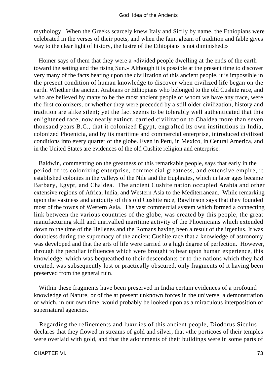mythology. When the Greeks scarcely knew Italy and Sicily by name, the Ethiopians were celebrated in the verses of their poets, and when the faint gleam of tradition and fable gives way to the clear light of history, the lustre of the Ethiopians is not diminished.»

 Homer says of them that they were a «divided people dwelling at the ends of the earth toward the setting and the rising Sun.» Although it is possible at the present time to discover very many of the facts bearing upon the civilization of this ancient people, it is impossible in the present condition of human knowledge to discover when civilized life began on the earth. Whether the ancient Arabians or Ethiopians who belonged to the old Cushite race, and who are believed by many to be the most ancient people of whom we have any trace, were the first colonizers, or whether they were preceded by a still older civilization, history and tradition are alike silent; yet the fact seems to be tolerably well authenticated that this enlightened race, now nearly extinct, carried civilization to Chaldea more than seven thousand years B.C., that it colonized Egypt, engrafted its own institutions in India, colonized Phoenicia, and by its maritime and commercial enterprise, introduced civilized conditions into every quarter of the globe. Even in Peru, in Mexico, in Central America, and in the United States are evidences of the old Cushite religion and enterprise.

 Baldwin, commenting on the greatness of this remarkable people, says that early in the period of its colonizing enterprise, commercial greatness, and extensive empire, it established colonies in the valleys of the Nile and the Euphrates, which in later ages became Barbary, Egypt, and Chaldea. The ancient Cushite nation occupied Arabia and other extensive regions of Africa, India, and Western Asia to the Mediterranean. While remarking upon the vastness and antiquity of this old Cushite race, Rawlinson says that they founded most of the towns of Western Asia. The vast commercial system which formed a connecting link between the various countries of the globe, was created by this people, the great manufacturing skill and unrivalled maritime activity of the Phoenicians which extended down to the time of the Hellenes and the Romans having been a result of the irgenius. It was doubtless during the supremacy of the ancient Cushite race that a knowledge of astronomy was developed and that the arts of life were carried to a high degree of perfection. However, through the peculiar influences which were brought to bear upon human experience, this knowledge, which was bequeathed to their descendants or to the nations which they had created, was subsequently lost or practically obscured, only fragments of it having been preserved from the general ruin.

 Within these fragments have been preserved in India certain evidences of a profound knowledge of Nature, or of the at present unknown forces in the universe, a demonstration of which, in our own time, would probably be looked upon as a miraculous interposition of supernatural agencies.

 Regarding the refinements and luxuries of this ancient people, Diodorus Siculus declares that they flowed in streams of gold and silver, that «the porticoes of their temples were overlaid with gold, and that the adornments of their buildings were in some parts of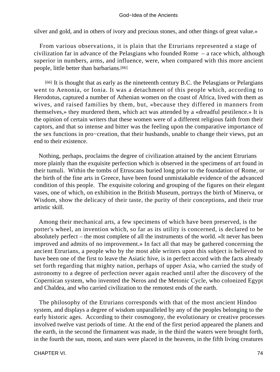#### God−Idea of the Ancients

silver and gold, and in others of ivory and precious stones, and other things of great value.»

 From various observations, it is plain that the Etrurians represented a stage of civilization far in advance of the Pelasgians who founded Rome – a race which, although superior in numbers, arms, and influence, were, when compared with this more ancient people, little better than barbarians.[66]

[66] It is thought that as early as the nineteenth century B.C. the Pelasgians or Pelargians went to Aenonia, or Ionia. It was a detachment of this people which, according to Herodotus, captured a number of Athenian women on the coast of Africa, lived with them as wives, and raised families by them, but, «because they differed in manners from themselves,» they murdered them, which act was attended by a «dreadful pestilence.» It is the opinion of certain writers that these women were of a different religious faith from their captors, and that so intense and bitter was the feeling upon the comparative importance of the sex functions in pro−creation, that their husbands, unable to change their views, put an end to their existence.

 Nothing, perhaps, proclaims the degree of civilization attained by the ancient Etrurians more plainly than the exquisite perfection which is observed in the specimens of art found in their tumuli. Within the tombs of Etruscans buried long prior to the foundation of Rome, or the birth of the fine arts in Greece, have been found unmistakable evidence of the advanced condition of this people. The exquisite coloring and grouping of the figures on their elegant vases, one of which, on exhibition in the British Museum, portrays the birth of Minerva, or Wisdom, show the delicacy of their taste, the purity of their conceptions, and their true artistic skill.

 Among their mechanical arts, a few specimens of which have been preserved, is the potter's wheel, an invention which, so far as its utility is concerned, is declared to be absolutely perfect – the most complete of all the instruments of the world. «It never has been improved and admits of no improvement.» In fact all that may be gathered concerning the ancient Etrurians, a people who by the most able writers upon this subject is believed to have been one of the first to leave the Asiatic hive, is in perfect accord with the facts already set forth regarding that mighty nation, perhaps of upper Asia, who carried the study of astronomy to a degree of perfection never again reached until after the discovery of the Copernican system, who invented the Neros and the Metonic Cycle, who colonized Egypt and Chaldea, and who carried civilization to the remotest ends of the earth.

 The philosophy of the Etrurians corresponds with that of the most ancient Hindoo system, and displays a degree of wisdom unparalleled by any of the peoples belonging to the early historic ages. According to their cosmogony, the evolutionary or creative processes involved twelve vast periods of time. At the end of the first period appeared the planets and the earth, in the second the firmament was made, in the third the waters were brought forth, in the fourth the sun, moon, and stars were placed in the heavens, in the fifth living creatures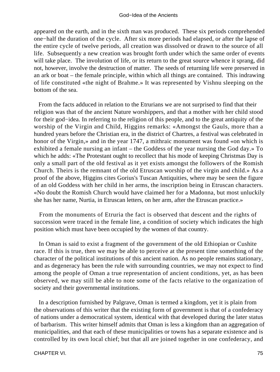appeared on the earth, and in the sixth man was produced. These six periods comprehended one−half the duration of the cycle. After six more periods had elapsed, or after the lapse of the entire cycle of twelve periods, all creation was dissolved or drawn to the source of all life. Subsequently a new creation was brought forth under which the same order of events will take place. The involution of life, or its return to the great source whence it sprang, did not, however, involve the destruction of matter. The seeds of returning life were preserved in an ark or boat – the female principle, within which all things are contained. This indrawing of life constituted «the night of Brahme.» It was represented by Vishnu sleeping on the bottom of the sea.

 From the facts adduced in relation to the Etrurians we are not surprised to find that their religion was that of the ancient Nature worshippers, and that a mother with her child stood for their god−idea. In referring to the religion of this people, and to the great antiquity of the worship of the Virgin and Child, Higgins remarks: «Amongst the Gauls, more than a hundred years before the Christian era, in the district of Chartres, a festival was celebrated in honor of the Virgin,» and in the year 1747, a mithraic monument was found «on which is exhibited a female nursing an infant – the Goddess of the year nursing the God day.» To which he adds: «The Protestant ought to recollect that his mode of keeping Christmas Day is only a small part of the old festival as it yet exists amongst the followers of the Romish Church. Theirs is the remnant of the old Etruscan worship of the virgin and child.» As a proof of the above, Higgins cites Gorius's Tuscan Antiquities, where may be seen the figure of an old Goddess with her child in her arms, the inscription being in Etruscan characters. «No doubt the Romish Church would have claimed her for a Madonna, but most unluckily she has her name, Nurtia, in Etruscan letters, on her arm, after the Etruscan practice.»

 From the monuments of Etruria the fact is observed that descent and the rights of succession were traced in the female line, a condition of society which indicates the high position which must have been occupied by the women of that country.

 In Oman is said to exist a fragment of the government of the old Ethiopian or Cushite race. If this is true, then we may be able to perceive at the present time something of the character of the political institutions of this ancient nation. As no people remains stationary, and as degeneracy has been the rule with surrounding countries, we may not expect to find among the people of Oman a true representation of ancient conditions, yet, as has been observed, we may still be able to note some of the facts relative to the organization of society and their governmental institutions.

 In a description furnished by Palgrave, Oman is termed a kingdom, yet it is plain from the observations of this writer that the existing form of government is that of a confederacy of nations under a democratical system, identical with that developed during the later status of barbarism. This writer himself admits that Oman is less a kingdom than an aggregation of municipalities, and that each of these municipalities or towns has a separate existence and is controlled by its own local chief; but that all are joined together in one confederacy, and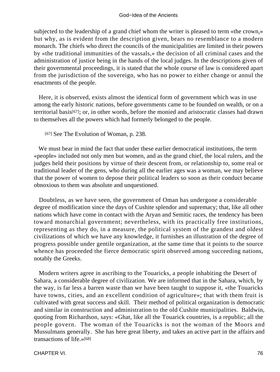subjected to the leadership of a grand chief whom the writer is pleased to term «the crown,» but why, as is evident from the description given, bears no resemblance to a modern monarch. The chiefs who direct the councils of the municipalities are limited in their powers by «the traditional immunities of the vassals,» the decision of all criminal cases and the administration of justice being in the hands of the local judges. In the descriptions given of their governmental proceedings, it is stated that the whole course of law is considered apart from the jurisdiction of the sovereign, who has no power to either change or annul the enactments of the people.

 Here, it is observed, exists almost the identical form of government which was in use among the early historic nations, before governments came to be founded on wealth, or on a territorial basis[67]; or, in other words, before the monied and aristocratic classes had drawn to themselves all the powers which had formerly belonged to the people.

[67] See The Evolution of Woman, p. 238.

 We must bear in mind the fact that under these earlier democratical institutions, the term «people» included not only men but women, and as the grand chief, the local rulers, and the judges held their positions by virtue of their descent from, or relationship to, some real or traditional leader of the gens, who during all the earlier ages was a woman, we may believe that the power of women to depose their political leaders so soon as their conduct became obnoxious to them was absolute and unquestioned.

 Doubtless, as we have seen, the government of Oman has undergone a considerable degree of modification since the days of Cushite splendor and supremacy; that, like all other nations which have come in contact with the Aryan and Semitic races, the tendency has been toward monarchial government; nevertheless, with its practically free institutions, representing as they do, in a measure, the political system of the grandest and oldest civilizations of which we have any knowledge, it furnishes an illustration of the degree of progress possible under gentile organization, at the same time that it points to the source whence has proceeded the fierce democratic spirit observed among succeeding nations, notably the Greeks.

 Modern writers agree in ascribing to the Touaricks, a people inhabiting the Desert of Sahara, a considerable degree of civilization. We are informed that in the Sahara, which, by the way, is far less a barren waste than we have been taught to suppose it, «the Touaricks have towns, cities, and an excellent condition of agriculture»; that with them fruit is cultivated with great success and skill. Their method of political organization is democratic and similar in construction and administration to the old Cushite municipalities. Baldwin, quoting from Richardson, says: «Ghat, like all the Touarick countries, is a republic; all the people govern. The woman of the Touaricks is not the woman of the Moors and Mussulmans generally. She has here great liberty, and takes an active part in the affairs and transactions of life.»[68]

CHAPTER VI. 2002. THE STREET WAS SERVED FOR THE STREET WAS SERVED FOR THE STREET WAS SERVED FOR THE STREET WAS SERVED FOR THE STREET WAS SERVED FOR THE STREET WAS SERVED FOR THE STREET WAS SERVED FOR THE STREET OF THE STRE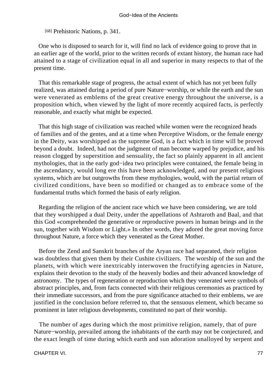[68] Prehistoric Nations, p. 341.

 One who is disposed to search for it, will find no lack of evidence going to prove that in an earlier age of the world, prior to the written records of extant history, the human race had attained to a stage of civilization equal in all and superior in many respects to that of the present time.

 That this remarkable stage of progress, the actual extent of which has not yet been fully realized, was attained during a period of pure Nature−worship, or while the earth and the sun were venerated as emblems of the great creative energy throughout the universe, is a proposition which, when viewed by the light of more recently acquired facts, is perfectly reasonable, and exactly what might be expected.

 That this high stage of civilization was reached while women were the recognized heads of families and of the gentes, and at a time when Perceptive Wisdom, or the female energy in the Deity, was worshipped as the supreme God, is a fact which in time will be proved beyond a doubt. Indeed, had not the judgment of man become warped by prejudice, and his reason clogged by superstition and sensuality, the fact so plainly apparent in all ancient mythologies, that in the early god−idea two principles were contained, the female being in the ascendancy, would long ere this have been acknowledged, and our present religious systems, which are but outgrowths from these mythologies, would, with the partial return of civilized conditions, have been so modified or changed as to embrace some of the fundamental truths which formed the basis of early religion.

 Regarding the religion of the ancient race which we have been considering, we are told that they worshipped a dual Deity, under the appellations of Ashtaroth and Baal, and that this God «comprehended the generative or reproductive powers in human beings and in the sun, together with Wisdom or Light.» In other words, they adored the great moving force throughout Nature, a force which they venerated as the Great Mother.

 Before the Zend and Sanskrit branches of the Aryan race had separated, their religion was doubtless that given them by their Cushite civilizers. The worship of the sun and the planets, with which were inextricably interwoven the fructifying agencies in Nature, explains their devotion to the study of the heavenly bodies and their advanced knowledge of astronomy. The types of regeneration or reproduction which they venerated were symbols of abstract principles, and, from facts connected with their religious ceremonies as practiced by their immediate successors, and from the pure significance attached to their emblems, we are justified in the conclusion before referred to, that the sensuous element, which became so prominent in later religious developments, constituted no part of their worship.

 The number of ages during which the most primitive religion, namely, that of pure Nature−worship, prevailed among the inhabitants of the earth may not be conjectured, and the exact length of time during which earth and sun adoration unalloyed by serpent and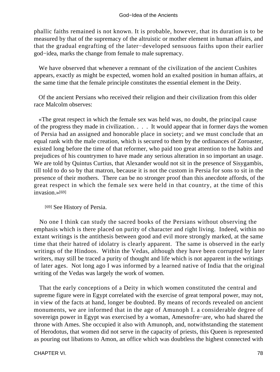phallic faiths remained is not known. It is probable, however, that its duration is to be measured by that of the supremacy of the altruistic or mother element in human affairs, and that the gradual engrafting of the later−developed sensuous faiths upon their earlier god−idea, marks the change from female to male supremacy.

 We have observed that whenever a remnant of the civilization of the ancient Cushites appears, exactly as might be expected, women hold an exalted position in human affairs, at the same time that the female principle constitutes the essential element in the Deity.

 Of the ancient Persians who received their religion and their civilization from this older race Malcolm observes:

 «The great respect in which the female sex was held was, no doubt, the principal cause of the progress they made in civilization. . . . It would appear that in former days the women of Persia had an assigned and honorable place in society; and we must conclude that an equal rank with the male creation, which is secured to them by the ordinances of Zoroaster, existed long before the time of that reformer, who paid too great attention to the habits and prejudices of his countrymen to have made any serious alteration in so important an usage. We are told by Quintus Curtius, that Alexander would not sit in the presence of Sisygambis, till told to do so by that matron, because it is not the custom in Persia for sons to sit in the presence of their mothers. There can be no stronger proof than this anecdote affords, of the great respect in which the female sex were held in that country, at the time of this invasion.»[69]

[69] See History of Persia.

 No one I think can study the sacred books of the Persians without observing the emphasis which is there placed on purity of character and right living. Indeed, within no extant writings is the antithesis between good and evil more strongly marked, at the same time that their hatred of idolatry is clearly apparent. The same is observed in the early writings of the Hindoos. Within the Vedas, although they have been corrupted by later writers, may still be traced a purity of thought and life which is not apparent in the writings of later ages. Not long ago I was informed by a learned native of India that the original writing of the Vedas was largely the work of women.

 That the early conceptions of a Deity in which women constituted the central and supreme figure were in Egypt correlated with the exercise of great temporal power, may not, in view of the facts at hand, longer be doubted. By means of records revealed on ancient monuments, we are informed that in the age of Amunoph I. a considerable degree of sovereign power in Egypt was exercised by a woman, Amesnofre−are, who had shared the throne with Ames. She occupied it also with Amunoph, and, notwithstanding the statement of Herodotus, that women did not serve in the capacity of priests, this Queen is represented as pouring out libations to Amon, an office which was doubtless the highest connected with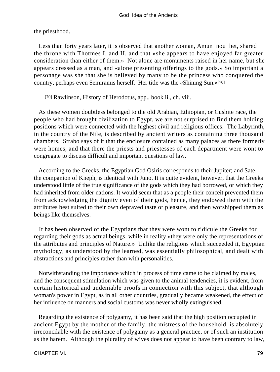the priesthood.

 Less than forty years later, it is observed that another woman, Amun−nou−het, shared the throne with Thotmes I. and II. and that «she appears to have enjoyed far greater consideration than either of them.» Not alone are monuments raised in her name, but she appears dressed as a man, and «alone presenting offerings to the gods.» So important a personage was she that she is believed by many to be the princess who conquered the country, perhaps even Semiramis herself. Her title was the «Shining Sun.»[70]

[70] Rawlinson, History of Herodotus, app., book ii., ch. viii.

 As these women doubtless belonged to the old Arabian, Ethiopian, or Cushite race, the people who had brought civilization to Egypt, we are not surprised to find them holding positions which were connected with the highest civil and religious offices. The Labyrinth, in the country of the Nile, is described by ancient writers as containing three thousand chambers. Strabo says of it that the enclosure contained as many palaces as there formerly were homes, and that there the priests and priestesses of each department were wont to congregate to discuss difficult and important questions of law.

 According to the Greeks, the Egyptian God Osiris corresponds to their Jupiter; and Sate, the companion of Kneph, is identical with Juno. It is quite evident, however, that the Greeks understood little of the true significance of the gods which they had borrowed, or which they had inherited from older nations. It would seem that as a people their conceit prevented them from acknowledging the dignity even of their gods, hence, they endowed them with the attributes best suited to their own depraved taste or pleasure, and then worshipped them as beings like themselves.

 It has been observed of the Egyptians that they were wont to ridicule the Greeks for regarding their gods as actual beings, while in reality «they were only the representations of the attributes and principles of Nature.» Unlike the religions which succeeded it, Egyptian mythology, as understood by the learned, was essentially philosophical, and dealt with abstractions and principles rather than with personalities.

 Notwithstanding the importance which in process of time came to be claimed by males, and the consequent stimulation which was given to the animal tendencies, it is evident, from certain historical and undeniable proofs in connection with this subject, that although woman's power in Egypt, as in all other countries, gradually became weakened, the effect of her influence on manners and social customs was never wholly extinguished.

 Regarding the existence of polygamy, it has been said that the high position occupied in ancient Egypt by the mother of the family, the mistress of the household, is absolutely irreconcilable with the existence of polygamy as a general practice, or of such an institution as the harem. Although the plurality of wives does not appear to have been contrary to law,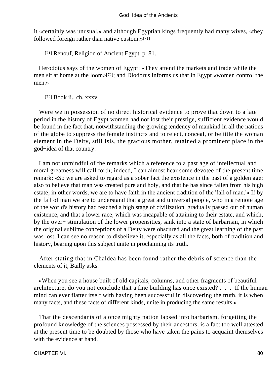it «certainly was unusual,» and although Egyptian kings frequently had many wives, «they followed foreign rather than native custom.»[71]

[71] Renouf, Religion of Ancient Egypt, p. 81.

 Herodotus says of the women of Egypt: «They attend the markets and trade while the men sit at home at the loom»[72]; and Diodorus informs us that in Egypt «women control the men.»

[72] Book ii., ch. xxxv.

 Were we in possession of no direct historical evidence to prove that down to a late period in the history of Egypt women had not lost their prestige, sufficient evidence would be found in the fact that, notwithstanding the growing tendency of mankind in all the nations of the globe to suppress the female instincts and to reject, conceal, or belittle the woman element in the Deity, still Isis, the gracious mother, retained a prominent place in the god−idea of that country.

 I am not unmindful of the remarks which a reference to a past age of intellectual and moral greatness will call forth; indeed, I can almost hear some devotee of the present time remark: «So we are asked to regard as a sober fact the existence in the past of a golden age; also to believe that man was created pure and holy, and that he has since fallen from his high estate; in other words, we are to have faith in the ancient tradition of the 'fall of man.'» If by the fall of man we are to understand that a great and universal people, who in a remote age of the world's history had reached a high stage of civilization, gradually passed out of human existence, and that a lower race, which was incapable of attaining to their estate, and which, by the over− stimulation of the lower propensities, sank into a state of barbarism, in which the original sublime conceptions of a Deity were obscured and the great learning of the past was lost, I can see no reason to disbelieve it, especially as all the facts, both of tradition and history, bearing upon this subject unite in proclaiming its truth.

 After stating that in Chaldea has been found rather the debris of science than the elements of it, Bailly asks:

 «When you see a house built of old capitals, columns, and other fragments of beautiful architecture, do you not conclude that a fine building has once existed? . . . If the human mind can ever flatter itself with having been successful in discovering the truth, it is when many facts, and these facts of different kinds, unite in producing the same results.»

 That the descendants of a once mighty nation lapsed into barbarism, forgetting the profound knowledge of the sciences possessed by their ancestors, is a fact too well attested at the present time to be doubted by those who have taken the pains to acquaint themselves with the evidence at hand.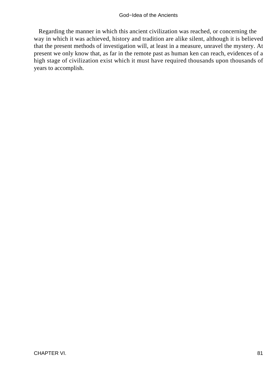Regarding the manner in which this ancient civilization was reached, or concerning the way in which it was achieved, history and tradition are alike silent, although it is believed that the present methods of investigation will, at least in a measure, unravel the mystery. At present we only know that, as far in the remote past as human ken can reach, evidences of a high stage of civilization exist which it must have required thousands upon thousands of years to accomplish.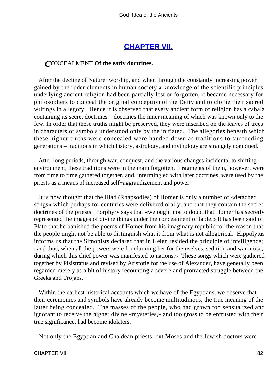## **[CHAPTER VII.](#page-197-0)**

### *C*ONCEALMENT **Of the early doctrines.**

 After the decline of Nature−worship, and when through the constantly increasing power gained by the ruder elements in human society a knowledge of the scientific principles underlying ancient religion had been partially lost or forgotten, it became necessary for philosophers to conceal the original conception of the Deity and to clothe their sacred writings in allegory. Hence it is observed that every ancient form of religion has a cabala containing its secret doctrines – doctrines the inner meaning of which was known only to the few. In order that these truths might be preserved, they were inscribed on the leaves of trees in characters or symbols understood only by the initiated. The allegories beneath which these higher truths were concealed were handed down as traditions to succeeding generations – traditions in which history, astrology, and mythology are strangely combined.

 After long periods, through war, conquest, and the various changes incidental to shifting environment, these traditions were in the main forgotten. Fragments of them, however, were from time to time gathered together, and, intermingled with later doctrines, were used by the priests as a means of increased self−aggrandizement and power.

 It is now thought that the Iliad (Rhapsodies) of Homer is only a number of «detached songs» which perhaps for centuries were delivered orally, and that they contain the secret doctrines of the priests. Porphyry says that «we ought not to doubt that Homer has secretly represented the images of divine things under the concealment of fable.» It has been said of Plato that he banished the poems of Homer from his imaginary republic for the reason that the people might not be able to distinguish what is from what is not allegorical. Hippolytus informs us that the Simonists declared that in Helen resided the principle of intelligence; «and thus, when all the powers were for claiming her for themselves, sedition and war arose, during which this chief power was manifested to nations.» These songs which were gathered together by Pisistratus and revised by Aristotle for the use of Alexander, have generally been regarded merely as a bit of history recounting a severe and protracted struggle between the Greeks and Trojans.

 Within the earliest historical accounts which we have of the Egyptians, we observe that their ceremonies and symbols have already become multitudinous, the true meaning of the latter being concealed. The masses of the people, who had grown too sensualized and ignorant to receive the higher divine «mysteries,» and too gross to be entrusted with their true significance, had become idolaters.

Not only the Egyptian and Chaldean priests, but Moses and the Jewish doctors were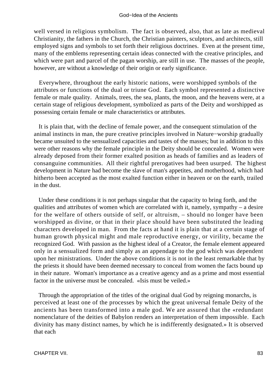well versed in religious symbolism. The fact is observed, also, that as late as medieval Christianity, the fathers in the Church, the Christian painters, sculptors, and architects, still employed signs and symbols to set forth their religious doctrines. Even at the present time, many of the emblems representing certain ideas connected with the creative principles, and which were part and parcel of the pagan worship, are still in use. The masses of the people, however, are without a knowledge of their origin or early significance.

 Everywhere, throughout the early historic nations, were worshipped symbols of the attributes or functions of the dual or triune God. Each symbol represented a distinctive female or male quality. Animals, trees, the sea, plants, the moon, and the heavens were, at a certain stage of religious development, symbolized as parts of the Deity and worshipped as possessing certain female or male characteristics or attributes.

 It is plain that, with the decline of female power, and the consequent stimulation of the animal instincts in man, the pure creative principles involved in Nature−worship gradually became unsuited to the sensualized capacities and tastes of the masses; but in addition to this were other reasons why the female principle in the Deity should be concealed. Women were already deposed from their former exalted position as heads of families and as leaders of consanguine communities. All their rightful prerogatives had been usurped. The highest development in Nature had become the slave of man's appetites, and motherhood, which had hitherto been accepted as the most exalted function either in heaven or on the earth, trailed in the dust.

 Under these conditions it is not perhaps singular that the capacity to bring forth, and the qualities and attributes of women which are correlated with it, namely, sympathy – a desire for the welfare of others outside of self, or altruism, – should no longer have been worshipped as divine, or that in their place should have been substituted the leading characters developed in man. From the facts at hand it is plain that at a certain stage of human growth physical might and male reproductive energy, or virility, became the recognized God. With passion as the highest ideal of a Creator, the female element appeared only in a sensualized form and simply as an appendage to the god which was dependent upon her ministrations. Under the above conditions it is not in the least remarkable that by the priests it should have been deemed necessary to conceal from women the facts bound up in their nature. Woman's importance as a creative agency and as a prime and most essential factor in the universe must be concealed. «Isis must be veiled.»

 Through the appropriation of the titles of the original dual God by reigning monarchs, is perceived at least one of the processes by which the great universal female Deity of the ancients has been transformed into a male god. We are assured that the «redundant nomenclature of the deities of Babylon renders an interpretation of them impossible. Each divinity has many distinct names, by which he is indifferently designated.» It is observed that each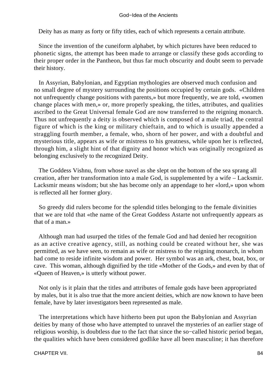Deity has as many as forty or fifty titles, each of which represents a certain attribute.

 Since the invention of the cuneiform alphabet, by which pictures have been reduced to phonetic signs, the attempt has been made to arrange or classify these gods according to their proper order in the Pantheon, but thus far much obscurity and doubt seem to pervade their history.

 In Assyrian, Babylonian, and Egyptian mythologies are observed much confusion and no small degree of mystery surrounding the positions occupied by certain gods. «Children not unfrequently change positions with parents,» but more frequently, we are told, «women change places with men,» or, more properly speaking, the titles, attributes, and qualities ascribed to the Great Universal female God are now transferred to the reigning monarch. Thus not unfrequently a deity is observed which is composed of a male triad, the central figure of which is the king or military chieftain, and to which is usually appended a straggling fourth member, a female, who, shorn of her power, and with a doubtful and mysterious title, appears as wife or mistress to his greatness, while upon her is reflected, through him, a slight hint of that dignity and honor which was originally recognized as belonging exclusively to the recognized Deity.

 The Goddess Vishnu, from whose navel as she slept on the bottom of the sea sprang all creation, after her transformation into a male God, is supplemented by a wife – Lacksmir. Lacksmir means wisdom; but she has become only an appendage to her «lord,» upon whom is reflected all her former glory.

 So greedy did rulers become for the splendid titles belonging to the female divinities that we are told that «the name of the Great Goddess Astarte not unfrequently appears as that of a man.»

 Although man had usurped the titles of the female God and had denied her recognition as an active creative agency, still, as nothing could be created without her, she was permitted, as we have seen, to remain as wife or mistress to the reigning monarch, in whom had come to reside infinite wisdom and power. Her symbol was an ark, chest, boat, box, or cave. This woman, although dignified by the title «Mother of the Gods,» and even by that of «Queen of Heaven,» is utterly without power.

 Not only is it plain that the titles and attributes of female gods have been appropriated by males, but it is also true that the more ancient deities, which are now known to have been female, have by later investigators been represented as male.

 The interpretations which have hitherto been put upon the Babylonian and Assyrian deities by many of those who have attempted to unravel the mysteries of an earlier stage of religious worship, is doubtless due to the fact that since the so−called historic period began, the qualities which have been considered godlike have all been masculine; it has therefore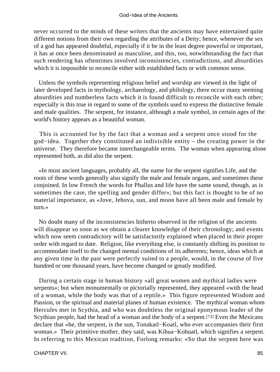never occurred to the minds of these writers that the ancients may have entertained quite different notions from their own regarding the attributes of a Deity; hence, whenever the sex of a god has appeared doubtful, especially if it be in the least degree powerful or important, it has at once been denominated as masculine, and this, too, notwithstanding the fact that such rendering has oftentimes involved inconsistencies, contradictions, and absurdities which it is impossible to reconcile either with established facts or with common sense.

 Unless the symbols representing religious belief and worship are viewed in the light of later developed facts in mythology, archaeology, and philology, there occur many seeming absurdities and numberless facts which it is found difficult to reconcile with each other; especially is this true in regard to some of the symbols used to express the distinctive female and male qualities. The serpent, for instance, although a male symbol, in certain ages of the world's history appears as a beautiful woman.

 This is accounted for by the fact that a woman and a serpent once stood for the god−idea. Together they constituted an indivisible entity – the creating power in the universe. They therefore became interchangeable terms. The woman when appearing alone represented both, as did also the serpent.

 «In most ancient languages, probably all, the name for the serpent signifies Life, and the roots of these words generally also signify the male and female organs, and sometimes these conjoined. In low French the words for Phallus and life have the same sound, though, as is sometimes the case, the spelling and gender differ»; but this fact is thought to be of no material importance, as «Jove, Jehova, sun, and moon have all been male and female by turn.»

 No doubt many of the inconsistencies hitherto observed in the religion of the ancients will disappear so soon as we obtain a clearer knowledge of their chronology; and events which now seem contradictory will be satisfactorily explained when placed in their proper order with regard to date. Religion, like everything else, is constantly shifting its position to accommodate itself to the changed mental conditions of its adherents; hence, ideas which at any given time in the past were perfectly suited to a people, would, in the course of five hundred or one thousand years, have become changed or greatly modified.

 During a certain stage in human history «all great women and mythical ladies were serpents»; but when monumentally or pictorially represented, they appeared «with the head of a woman, while the body was that of a reptile.» This figure represented Wisdom and Passion, or the spiritual and material planes of human existence. The mythical woman whom Hercules met in Scythia, and who was doubtless the original eponymous leader of the Scythian people, had the head of a woman and the body of a serpent.[73] Even the Mexicans declare that «he, the serpent, is the sun, Tonakatl−Koatl, who ever accompanies their first woman.» Their primitive mother, they said, was Kihua−Kohuatl, which signifies a serpent. In referring to this Mexican tradition, Forlong remarks: «So that the serpent here was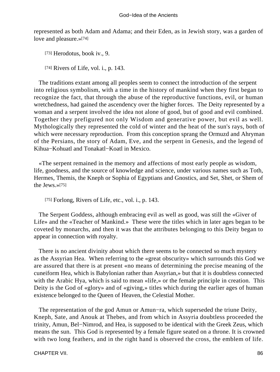represented as both Adam and Adama; and their Eden, as in Jewish story, was a garden of love and pleasure.»[74]

[73] Herodotus, book iv., 9.

[74] Rivers of Life, vol. *i.*, p. 143.

 The traditions extant among all peoples seem to connect the introduction of the serpent into religious symbolism, with a time in the history of mankind when they first began to recognize the fact, that through the abuse of the reproductive functions, evil, or human wretchedness, had gained the ascendency over the higher forces. The Deity represented by a woman and a serpent involved the idea not alone of good, but of good and evil combined. Together they prefigured not only Wisdom and generative power, but evil as well. Mythologically they represented the cold of winter and the heat of the sun's rays, both of which were necessary reproduction. From this conception sprang the Ormuzd and Ahryman of the Persians, the story of Adam, Eve, and the serpent in Genesis, and the legend of Kihua−Kohuatl and Tonakatl−Koatl in Mexico.

 «The serpent remained in the memory and affections of most early people as wisdom, life, goodness, and the source of knowledge and science, under various names such as Toth, Hermes, Themis, the Kneph or Sophia of Egyptians and Gnostics, and Set, Shet, or Shem of the Jews.»[75]

[75] Forlong, Rivers of Life, etc., vol. i., p. 143.

 The Serpent Goddess, although embracing evil as well as good, was still the «Giver of Life» and the «Teacher of Mankind.» These were the titles which in later ages began to be coveted by monarchs, and then it was that the attributes belonging to this Deity began to appear in connection with royalty.

 There is no ancient divinity about which there seems to be connected so much mystery as the Assyrian Hea. When referring to the «great obscurity» which surrounds this God we are assured that there is at present «no means of determining the precise meaning of the cuneiform Hea, which is Babylonian rather than Assyrian,» but that it is doubtless connected with the Arabic Hya, which is said to mean «life,» or the female principle in creation. This Deity is the God of «glory» and of «giving,» titles which during the earlier ages of human existence belonged to the Queen of Heaven, the Celestial Mother.

 The representation of the god Amun or Amun−ra, which superseded the triune Deity, Kneph, Sate, and Anouk at Thebes, and from which in Assyria doubtless proceeded the trinity, Amun, Bel−Nimrod, and Hea, is supposed to be identical with the Greek Zeus, which means the sun. This God is represented by a female figure seated on a throne. It is crowned with two long feathers, and in the right hand is observed the cross, the emblem of life.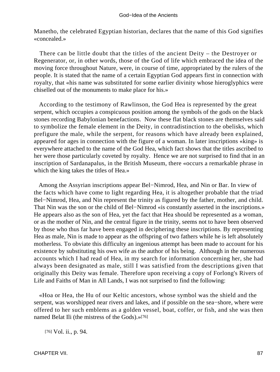Manetho, the celebrated Egyptian historian, declares that the name of this God signifies «concealed.»

 There can be little doubt that the titles of the ancient Deity – the Destroyer or Regenerator, or, in other words, those of the God of life which embraced the idea of the moving force throughout Nature, were, in course of time, appropriated by the rulers of the people. It is stated that the name of a certain Egyptian God appears first in connection with royalty, that «his name was substituted for some earlier divinity whose hieroglyphics were chiselled out of the monuments to make place for his.»

 According to the testimony of Rawlinson, the God Hea is represented by the great serpent, which occupies a conspicuous position among the symbols of the gods on the black stones recording Babylonian benefactions. Now these flat black stones are themselves said to symbolize the female element in the Deity, in contradistinction to the obelisks, which prefigure the male, while the serpent, for reasons which have already been explained, appeared for ages in connection with the figure of a woman. In later inscriptions «king» is everywhere attached to the name of the God Hea, which fact shows that the titles ascribed to her were those particularly coveted by royalty. Hence we are not surprised to find that in an inscription of Sardanapalus, in the British Museum, there «occurs a remarkable phrase in which the king takes the titles of Hea.»

 Among the Assyrian inscriptions appear Bel−Nimrod, Hea, and Nin or Bar. In view of the facts which have come to light regarding Hea, it is altogether probable that the triad Bel−Nimrod, Hea, and Nin represent the trinity as figured by the father, mother, and child. That Nin was the son or the child of Bel−Nimrod «is constantly asserted in the inscriptions.» He appears also as the son of Hea, yet the fact that Hea should be represented as a woman, or as the mother of Nin, and the central figure in the trinity, seems not to have been observed by those who thus far have been engaged in deciphering these inscriptions. By representing Hea as male, Nin is made to appear as the offspring of two fathers while he is left absolutely motherless. To obviate this difficulty an ingenious attempt has been made to account for his existence by substituting his own wife as the author of his being. Although in the numerous accounts which I had read of Hea, in my search for information concerning her, she had always been designated as male, still I was satisfied from the descriptions given that originally this Deity was female. Therefore upon receiving a copy of Forlong's Rivers of Life and Faiths of Man in All Lands, I was not surprised to find the following:

 «Hoa or Hea, the Hu of our Keltic ancestors, whose symbol was the shield and the serpent, was worshipped near rivers and lakes, and if possible on the sea−shore, where were offered to her such emblems as a golden vessel, boat, coffer, or fish, and she was then named Belat Ili (the mistress of the Gods).»[76]

[76] Vol. ii., p. 94.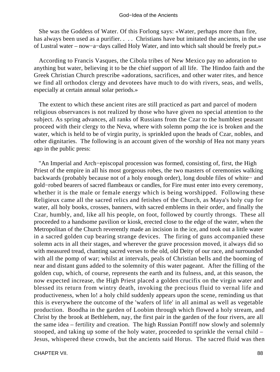She was the Goddess of Water. Of this Forlong says: «Water, perhaps more than fire, has always been used as a purifier. . . . Christians have but imitated the ancients, in the use of Lustral water – now−a−days called Holy Water, and into which salt should be freely put.»

 According to Francis Vasques, the Cibola tribes of New Mexico pay no adoration to anything but water, believing it to be the chief support of all life. The Hindoo faith and the Greek Christian Church prescribe «adorations, sacrifices, and other water rites, and hence we find all orthodox clergy and devotees have much to do with rivers, seas, and wells, especially at certain annual solar periods.»

 The extent to which these ancient rites are still practiced as part and parcel of modern religious observances is not realized by those who have given no special attention to the subject. As spring advances, all ranks of Russians from the Czar to the humblest peasant proceed with their clergy to the Neva, where with solemn pomp the ice is broken and the water, which is held to be of virgin purity, is sprinkled upon the heads of Czar, nobles, and other dignitaries. The following is an account given of the worship of Hea not many years ago in the public press:

 "An Imperial and Arch−episcopal procession was formed, consisting of, first, the High Priest of the empire in all his most gorgeous robes, the two masters of ceremonies walking backwards (probably because not of a holy enough order), long double files of white− and gold−robed bearers of sacred flambeaux or candles, for Fire must enter into every ceremony, whether it is the male or female energy which is being worshipped. Following these Religieux came all the sacred relics and fetishes of the Church, as Maya's holy cup for water, all holy books, crosses, banners, with sacred emblems in their order, and finally the Czar, humbly, and, like all his people, on foot, followed by courtly throngs. These all proceeded to a handsome pavilion or kiosk, erected close to the edge of the water, when the Metropolitan of the Church reverently made an incision in the ice, and took out a little water in a sacred golden cup bearing strange devices. The firing of guns accompanied these solemn acts in all their stages, and wherever the grave procession moved, it always did so with measured tread, chanting sacred verses to the old, old Deity of our race, and surrounded with all the pomp of war; whilst at intervals, peals of Christian bells and the booming of near and distant guns added to the solemnity of this water pageant. After the filling of the golden cup, which, of course, represents the earth and its fulness, and, at this season, the now expected increase, the High Priest placed a golden crucifix on the virgin water and blessed its return from wintry death, invoking the precious fluid to vernal life and productiveness, when lo! a holy child suddenly appears upon the scene, reminding us that this is everywhere the outcome of the 'wafers of life' in all animal as well as vegetable production. Boodha in the garden of Loobim through which flowed a holy stream, and Christ by the brook at Bethlehem, nay, the first pair in the garden of the four rivers, are all the same idea – fertility and creation. The high Russian Pontiff now slowly and solemnly stooped, and taking up some of the holy water, proceeded to sprinkle the vernal child – Jesus, whispered these crowds, but the ancients said Horus. The sacred fluid was then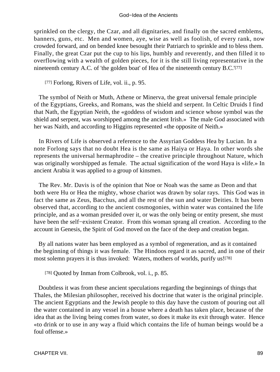#### God−Idea of the Ancients

sprinkled on the clergy, the Czar, and all dignitaries, and finally on the sacred emblems, banners, guns, etc. Men and women, aye, wise as well as foolish, of every rank, now crowded forward, and on bended knee besought their Patriarch to sprinkle and to bless them. Finally, the great Czar put the cup to his lips, humbly and reverently, and then filled it to overflowing with a wealth of golden pieces, for it is the still living representative in the nineteenth century A.C. of 'the golden boat' of Hea of the nineteenth century B.C.'[77]

[77] Forlong, Rivers of Life, vol. ii., p. 95.

 The symbol of Neith or Muth, Athene or Minerva, the great universal female principle of the Egyptians, Greeks, and Romans, was the shield and serpent. In Celtic Druids I find that Nath, the Egyptian Neith, the «goddess of wisdom and science whose symbol was the shield and serpent, was worshipped among the ancient Irish.» The male God associated with her was Naith, and according to Higgins represented «the opposite of Neith.»

 In Rivers of Life is observed a reference to the Assyrian Goddess Hea by Lucian. In a note Forlong says that no doubt Hea is the same as Haiya or Haya. In other words she represents the universal hermaphrodite – the creative principle throughout Nature, which was originally worshipped as female. The actual signification of the word Haya is «life.» In ancient Arabia it was applied to a group of kinsmen.

 The Rev. Mr. Davis is of the opinion that Noe or Noah was the same as Deon and that both were Hu or Hea the mighty, whose chariot was drawn by solar rays. This God was in fact the same as Zeus, Bacchus, and all the rest of the sun and water Deities. It has been observed that, according to the ancient cosmogonies, within water was contained the life principle, and as a woman presided over it, or was the only being or entity present, she must have been the self−existent Creator. From this woman sprang all creation. According to the account in Genesis, the Spirit of God moved on the face of the deep and creation began.

 By all nations water has been employed as a symbol of regeneration, and as it contained the beginning of things it was female. The Hindoos regard it as sacred, and in one of their most solemn prayers it is thus invoked: Waters, mothers of worlds, purify us![78]

[78] Quoted by Inman from Colbrook, vol. i., p. 85.

 Doubtless it was from these ancient speculations regarding the beginnings of things that Thales, the Milesian philosopher, received his doctrine that water is the original principle. The ancient Egyptians and the Jewish people to this day have the custom of pouring out all the water contained in any vessel in a house where a death has taken place, because of the idea that as the living being comes from water, so does it make its exit through water. Hence «to drink or to use in any way a fluid which contains the life of human beings would be a foul offense.»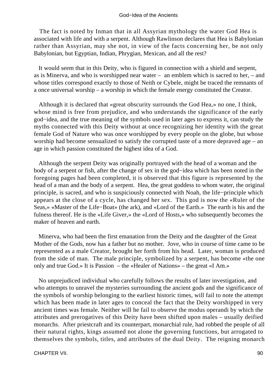The fact is noted by Inman that in all Assyrian mythology the water God Hea is associated with life and with a serpent. Although Rawlinson declares that Hea is Babylonian rather than Assyrian, may she not, in view of the facts concerning her, be not only Babylonian, but Egyptian, Indian, Phrygian, Mexican, and all the rest?

 It would seem that in this Deity, who is figured in connection with a shield and serpent, as is Minerva, and who is worshipped near water – an emblem which is sacred to her, – and whose titles correspond exactly to those of Neith or Cybele, might be traced the remnants of a once universal worship – a worship in which the female energy constituted the Creator.

 Although it is declared that «great obscurity surrounds the God Hea,» no one, I think, whose mind is free from prejudice, and who understands the significance of the early god−idea, and the true meaning of the symbols used in later ages to express it, can study the myths connected with this Deity without at once recognizing her identity with the great female God of Nature who was once worshipped by every people on the globe, but whose worship had become sensualized to satisfy the corrupted taste of a more depraved age – an age in which passion constituted the highest idea of a God.

 Although the serpent Deity was originally portrayed with the head of a woman and the body of a serpent or fish, after the change of sex in the god−idea which has been noted in the foregoing pages had been completed, it is observed that this figure is represented by the head of a man and the body of a serpent. Hea, the great goddess to whom water, the original principle, is sacred, and who is suspiciously connected with Noah, the life−principle which appears at the close of a cycle, has changed her sex. This god is now the «Ruler of the Seas,» «Master of the Life−Boat» (the ark), and «Lord of the Earth.» The earth is his and the fulness thereof. He is the «Life Giver,» the «Lord of Hosts,» who subsequently becomes the maker of heaven and earth.

 Minerva, who had been the first emanation from the Deity and the daughter of the Great Mother of the Gods, now has a father but no mother. Jove, who in course of time came to be represented as a male Creator, brought her forth from his head. Later, woman is produced from the side of man. The male principle, symbolized by a serpent, has become «the one only and true God.» It is Passion – the «Healer of Nations» – the great «I Am.»

 No unprejudiced individual who carefully follows the results of later investigation, and who attempts to unravel the mysteries surrounding the ancient gods and the significance of the symbols of worship belonging to the earliest historic times, will fail to note the attempt which has been made in later ages to conceal the fact that the Deity worshipped in very ancient times was female. Neither will he fail to observe the modus operandi by which the attributes and prerogatives of this Deity have been shifted upon males – usually deified monarchs. After priestcraft and its counterpart, monarchial rule, had robbed the people of all their natural rights, kings assumed not alone the governing functions, but arrogated to themselves the symbols, titles, and attributes of the dual Deity. The reigning monarch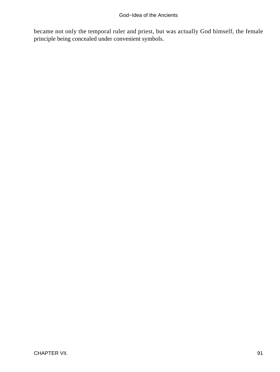became not only the temporal ruler and priest, but was actually God himself, the female principle being concealed under convenient symbols.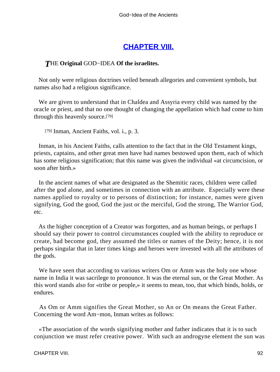## **[CHAPTER VIII.](#page-197-0)**

## *T*HE **Original** GOD−IDEA **Of the israelites.**

 Not only were religious doctrines veiled beneath allegories and convenient symbols, but names also had a religious significance.

 We are given to understand that in Chaldea and Assyria every child was named by the oracle or priest, and that no one thought of changing the appellation which had come to him through this heavenly source.[79]

[79] Inman, Ancient Faiths, vol. i., p. 3.

 Inman, in his Ancient Faiths, calls attention to the fact that in the Old Testament kings, priests, captains, and other great men have had names bestowed upon them, each of which has some religious signification; that this name was given the individual «at circumcision, or soon after birth.»

 In the ancient names of what are designated as the Shemitic races, children were called after the god alone, and sometimes in connection with an attribute. Especially were these names applied to royalty or to persons of distinction; for instance, names were given signifying, God the good, God the just or the merciful, God the strong, The Warrior God, etc.

 As the higher conception of a Creator was forgotten, and as human beings, or perhaps I should say their power to control circumstances coupled with the ability to reproduce or create, had become god, they assumed the titles or names of the Deity; hence, it is not perhaps singular that in later times kings and heroes were invested with all the attributes of the gods.

 We have seen that according to various writers Om or Amm was the holy one whose name in India it was sacrilege to pronounce. It was the eternal sun, or the Great Mother. As this word stands also for «tribe or people,» it seems to mean, too, that which binds, holds, or endures.

 As Om or Amm signifies the Great Mother, so An or On means the Great Father. Concerning the word Am−mon, Inman writes as follows:

 «The association of the words signifying mother and father indicates that it is to such conjunction we must refer creative power. With such an androgyne element the sun was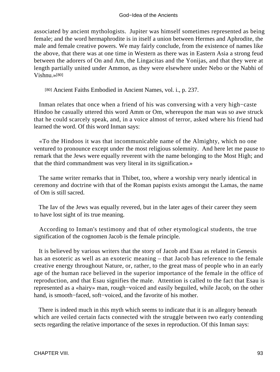associated by ancient mythologists. Jupiter was himself sometimes represented as being female; and the word hermaphrodite is in itself a union between Hermes and Aphrodite, the male and female creative powers. We may fairly conclude, from the existence of names like the above, that there was at one time in Western as there was in Eastern Asia a strong feud between the adorers of On and Am, the Lingacitas and the Yonijas, and that they were at length partially united under Ammon, as they were elsewhere under Nebo or the Nabhi of Vishnu.»[80]

[80] Ancient Faiths Embodied in Ancient Names, vol. i., p. 237.

 Inman relates that once when a friend of his was conversing with a very high−caste Hindoo he casually uttered this word Amm or Om, whereupon the man was so awe struck that he could scarcely speak, and, in a voice almost of terror, asked where his friend had learned the word. Of this word Inman says:

 «To the Hindoos it was that incommunicable name of the Almighty, which no one ventured to pronounce except under the most religious solemnity. And here let me pause to remark that the Jews were equally reverent with the name belonging to the Most High; and that the third commandment was very literal in its signification.»

 The same writer remarks that in Thibet, too, where a worship very nearly identical in ceremony and doctrine with that of the Roman papists exists amongst the Lamas, the name of Om is still sacred.

 The Iav of the Jews was equally revered, but in the later ages of their career they seem to have lost sight of its true meaning.

 According to Inman's testimony and that of other etymological students, the true signification of the cognomen Jacob is the female principle.

 It is believed by various writers that the story of Jacob and Esau as related in Genesis has an esoteric as well as an exoteric meaning – that Jacob has reference to the female creative energy throughout Nature, or, rather, to the great mass of people who in an early age of the human race believed in the superior importance of the female in the office of reproduction, and that Esau signifies the male. Attention is called to the fact that Esau is represented as a «hairy» man, rough−voiced and easily beguiled, while Jacob, on the other hand, is smooth−faced, soft−voiced, and the favorite of his mother.

 There is indeed much in this myth which seems to indicate that it is an allegory beneath which are veiled certain facts connected with the struggle between two early contending sects regarding the relative importance of the sexes in reproduction. Of this Inman says: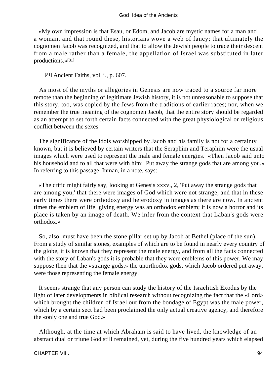«My own impression is that Esau, or Edom, and Jacob are mystic names for a man and a woman, and that round these, historians wove a web of fancy; that ultimately the cognomen Jacob was recognized, and that to allow the Jewish people to trace their descent from a male rather than a female, the appellation of Israel was substituted in later productions.»[81]

[81] Ancient Faiths, vol. i., p. 607.

 As most of the myths or allegories in Genesis are now traced to a source far more remote than the beginning of legitimate Jewish history, it is not unreasonable to suppose that this story, too, was copied by the Jews from the traditions of earlier races; nor, when we remember the true meaning of the cognomen Jacob, that the entire story should be regarded as an attempt to set forth certain facts connected with the great physiological or religious conflict between the sexes.

 The significance of the idols worshipped by Jacob and his family is not for a certainty known, but it is believed by certain writers that the Seraphim and Teraphim were the usual images which were used to represent the male and female energies. «Then Jacob said unto his household and to all that were with him: Put away the strange gods that are among you.» In referring to this passage, Inman, in a note, says:

 «The critic might fairly say, looking at Genesis xxxv., 2, 'Put away the strange gods that are among you,' that there were images of God which were not strange, and that in these early times there were orthodoxy and heterodoxy in images as there are now. In ancient times the emblem of life−giving energy was an orthodox emblem; it is now a horror and its place is taken by an image of death. We infer from the context that Laban's gods were orthodox.»

 So, also, must have been the stone pillar set up by Jacob at Bethel (place of the sun). From a study of similar stones, examples of which are to be found in nearly every country of the globe, it is known that they represent the male energy, and from all the facts connected with the story of Laban's gods it is probable that they were emblems of this power. We may suppose then that the «strange gods,» the unorthodox gods, which Jacob ordered put away, were those representing the female energy.

 It seems strange that any person can study the history of the Israelitish Exodus by the light of later developments in biblical research without recognizing the fact that the «Lord» which brought the children of Israel out from the bondage of Egypt was the male power, which by a certain sect had been proclaimed the only actual creative agency, and therefore the «only one and true God.»

 Although, at the time at which Abraham is said to have lived, the knowledge of an abstract dual or triune God still remained, yet, during the five hundred years which elapsed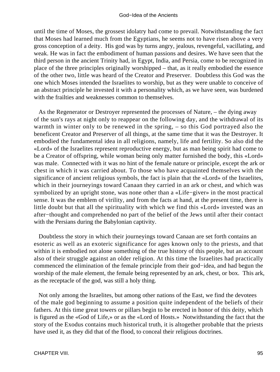until the time of Moses, the grossest idolatry had come to prevail. Notwithstanding the fact that Moses had learned much from the Egyptians, he seems not to have risen above a very gross conception of a deity. His god was by turns angry, jealous, revengeful, vacillating, and weak. He was in fact the embodiment of human passions and desires. We have seen that the third person in the ancient Trinity had, in Egypt, India, and Persia, come to be recognized in place of the three principles originally worshipped – that, as it really embodied the essence of the other two, little was heard of the Creator and Preserver. Doubtless this God was the one which Moses intended the Israelites to worship, but as they were unable to conceive of an abstract principle he invested it with a personality which, as we have seen, was burdened with the frailties and weaknesses common to themselves.

 As the Regenerator or Destroyer represented the processes of Nature, – the dying away of the sun's rays at night only to reappear on the following day, and the withdrawal of its warmth in winter only to be renewed in the spring, – so this God portrayed also the beneficent Creator and Preserver of all things, at the same time that it was the Destroyer. It embodied the fundamental idea in all religions, namely, life and fertility. So also did the «Lord» of the Israelites represent reproductive energy, but as man being spirit had come to be a Creator of offspring, while woman being only matter furnished the body, this «Lord» was male. Connected with it was no hint of the female nature or principle, except the ark or chest in which it was carried about. To those who have acquainted themselves with the significance of ancient religious symbols, the fact is plain that the «Lord» of the Israelites, which in their journeyings toward Canaan they carried in an ark or chest, and which was symbolized by an upright stone, was none other than a «Life−giver» in the most practical sense. It was the emblem of virility, and from the facts at hand, at the present time, there is little doubt but that all the spirituality with which we find this «Lord» invested was an after−thought and comprehended no part of the belief of the Jews until after their contact with the Persians during the Babylonian captivity.

 Doubtless the story in which their journeyings toward Canaan are set forth contains an esoteric as well as an exoteric significance for ages known only to the priests, and that within it is embodied not alone something of the true history of this people, but an account also of their struggle against an older religion. At this time the Israelites had practically commenced the elimination of the female principle from their god−idea, and had begun the worship of the male element, the female being represented by an ark, chest, or box. This ark, as the receptacle of the god, was still a holy thing.

 Not only among the Israelites, but among other nations of the East, we find the devotees of the male god beginning to assume a position quite independent of the beliefs of their fathers. At this time great towers or pillars begin to be erected in honor of this deity, which is figured as the «God of Life,» or as the «Lord of Hosts.» Notwithstanding the fact that the story of the Exodus contains much historical truth, it is altogether probable that the priests have used it, as they did that of the flood, to conceal their religious doctrines.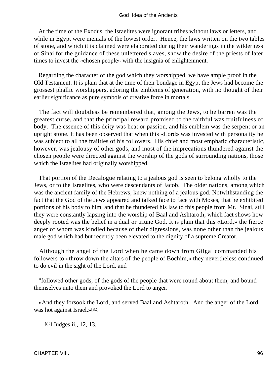At the time of the Exodus, the Israelites were ignorant tribes without laws or letters, and while in Egypt were menials of the lowest order. Hence, the laws written on the two tables of stone, and which it is claimed were elaborated during their wanderings in the wilderness of Sinai for the guidance of these unlettered slaves, show the desire of the priests of later times to invest the «chosen people» with the insignia of enlightenment.

 Regarding the character of the god which they worshipped, we have ample proof in the Old Testament. It is plain that at the time of their bondage in Egypt the Jews had become the grossest phallic worshippers, adoring the emblems of generation, with no thought of their earlier significance as pure symbols of creative force in mortals.

 The fact will doubtless be remembered that, among the Jews, to be barren was the greatest curse, and that the principal reward promised to the faithful was fruitfulness of body. The essence of this deity was heat or passion, and his emblem was the serpent or an upright stone. It has been observed that when this «Lord» was invested with personality he was subject to all the frailties of his followers. His chief and most emphatic characteristic, however, was jealousy of other gods, and most of the imprecations thundered against the chosen people were directed against the worship of the gods of surrounding nations, those which the Israelites had originally worshipped.

 That portion of the Decalogue relating to a jealous god is seen to belong wholly to the Jews, or to the Israelites, who were descendants of Jacob. The older nations, among which was the ancient family of the Hebrews, knew nothing of a jealous god. Notwithstanding the fact that the God of the Jews appeared and talked face to face with Moses, that he exhibited portions of his body to him, and that he thundered his law to this people from Mt. Sinai, still they were constantly lapsing into the worship of Baal and Ashtaroth, which fact shows how deeply rooted was the belief in a dual or triune God. It is plain that this «Lord,» the fierce anger of whom was kindled because of their digressions, was none other than the jealous male god which had but recently been elevated to the dignity of a supreme Creator.

 Although the angel of the Lord when he came down from Gilgal commanded his followers to «throw down the altars of the people of Bochim,» they nevertheless continued to do evil in the sight of the Lord, and

 "followed other gods, of the gods of the people that were round about them, and bound themselves unto them and provoked the Lord to anger.

 «And they forsook the Lord, and served Baal and Ashtaroth. And the anger of the Lord was hot against Israel.»[82]

[82] Judges ii., 12, 13.

CHAPTER VIII. 96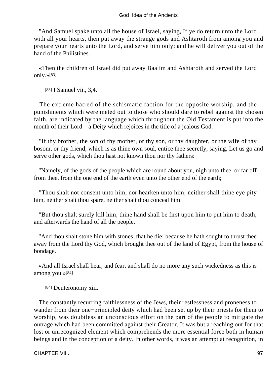"And Samuel spake unto all the house of Israel, saying, If ye do return unto the Lord with all your hearts, then put away the strange gods and Ashtaroth from among you and prepare your hearts unto the Lord, and serve him only: and he will deliver you out of the hand of the Philistines.

 «Then the children of Israel did put away Baalim and Ashtaroth and served the Lord only.»[83]

[83] **I Samuel vii., 3.4.** 

 The extreme hatred of the schismatic faction for the opposite worship, and the punishments which were meted out to those who should dare to rebel against the chosen faith, are indicated by the language which throughout the Old Testament is put into the mouth of their Lord – a Deity which rejoices in the title of a jealous God.

 "If thy brother, the son of thy mother, or thy son, or thy daughter, or the wife of thy bosom, or thy friend, which is as thine own soul, entice thee secretly, saying, Let us go and serve other gods, which thou hast not known thou nor thy fathers:

 "Namely, of the gods of the people which are round about you, nigh unto thee, or far off from thee, from the one end of the earth even unto the other end of the earth;

 "Thou shalt not consent unto him, nor hearken unto him; neither shall thine eye pity him, neither shalt thou spare, neither shalt thou conceal him:

 "But thou shalt surely kill him; thine hand shall be first upon him to put him to death, and afterwards the hand of all the people.

 "And thou shalt stone him with stones, that he die; because he hath sought to thrust thee away from the Lord thy God, which brought thee out of the land of Egypt, from the house of bondage.

 «And all Israel shall hear, and fear, and shall do no more any such wickedness as this is among you.»[84]

[84] Deuteronomy xiii.

 The constantly recurring faithlessness of the Jews, their restlessness and proneness to wander from their one−principled deity which had been set up by their priests for them to worship, was doubtless an unconscious effort on the part of the people to mitigate the outrage which had been committed against their Creator. It was but a reaching out for that lost or unrecognized element which comprehends the more essential force both in human beings and in the conception of a deity. In other words, it was an attempt at recognition, in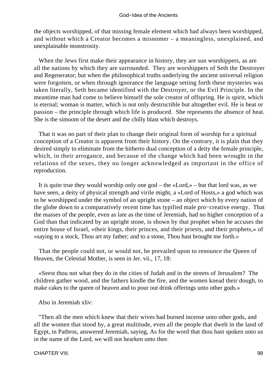the objects worshipped, of that missing female element which had always been worshipped, and without which a Creator becomes a misnomer – a meaningless, unexplained, and unexplainable monstrosity.

 When the Jews first make their appearance in history, they are sun worshippers, as are all the nations by which they are surrounded. They are worshippers of Seth the Destroyer and Regenerator; but when the philosophical truths underlying the ancient universal religion were forgotten, or when through ignorance the language setting forth these mysteries was taken literally, Seth became identified with the Destroyer, or the Evil Principle. In the meantime man had come to believe himself the sole creator of offspring. He is spirit, which is eternal; woman is matter, which is not only destructible but altogether evil. He is heat or passion – the principle through which life is produced. She represents the absence of heat. She is the simoom of the desert and the chilly blast which destroys.

 That it was no part of their plan to change their original form of worship for a spiritual conception of a Creator is apparent from their history. On the contrary, it is plain that they desired simply to eliminate from the hitherto dual conception of a deity the female principle, which, in their arrogance, and because of the change which had been wrought in the relations of the sexes, they no longer acknowledged as important in the office of reproduction.

 It is quite true they would worship only one god – the «Lord,» – but that lord was, as we have seen, a deity of physical strength and virile might, a «Lord of Hosts,» a god which was to be worshipped under the symbol of an upright stone – an object which by every nation of the globe down to a comparatively recent time has typified male pro−creative energy. That the masses of the people, even as late as the time of Jeremiah, had no higher conception of a God than that indicated by an upright stone, is shown by that prophet when he accuses the entire house of Israel, «their kings, their princes, and their priests, and their prophets,» of «saying to a stock, Thou art my father; and to a stone, Thou hast brought me forth.»

 That the people could not, or would not, be prevailed upon to renounce the Queen of Heaven, the Celestial Mother, is seen in Jer. vii., 17, 18:

 «Seest thou not what they do in the cities of Judah and in the streets of Jerusalem? The children gather wood, and the fathers kindle the fire, and the women knead their dough, to make cakes to the queen of heaven and to pour out drink offerings unto other gods.»

Also in Jeremiah xliv:

 "Then all the men which knew that their wives had burned incense unto other gods, and all the women that stood by, a great multitude, even all the people that dwelt in the land of Egypt, in Pathros, answered Jeremiah, saying, As for the word that thou hast spoken unto us in the name of the Lord, we will not hearken unto thee.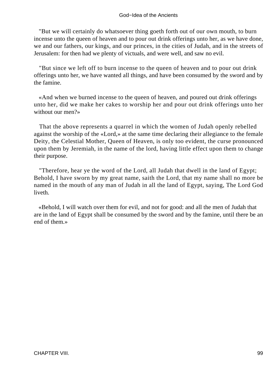"But we will certainly do whatsoever thing goeth forth out of our own mouth, to burn incense unto the queen of heaven and to pour out drink offerings unto her, as we have done, we and our fathers, our kings, and our princes, in the cities of Judah, and in the streets of Jerusalem: for then had we plenty of victuals, and were well, and saw no evil.

 "But since we left off to burn incense to the queen of heaven and to pour out drink offerings unto her, we have wanted all things, and have been consumed by the sword and by the famine.

 «And when we burned incense to the queen of heaven, and poured out drink offerings unto her, did we make her cakes to worship her and pour out drink offerings unto her without our men?»

 That the above represents a quarrel in which the women of Judah openly rebelled against the worship of the «Lord,» at the same time declaring their allegiance to the female Deity, the Celestial Mother, Queen of Heaven, is only too evident, the curse pronounced upon them by Jeremiah, in the name of the lord, having little effect upon them to change their purpose.

 "Therefore, hear ye the word of the Lord, all Judah that dwell in the land of Egypt; Behold, I have sworn by my great name, saith the Lord, that my name shall no more be named in the mouth of any man of Judah in all the land of Egypt, saying, The Lord God liveth.

 «Behold, I will watch over them for evil, and not for good: and all the men of Judah that are in the land of Egypt shall be consumed by the sword and by the famine, until there be an end of them.»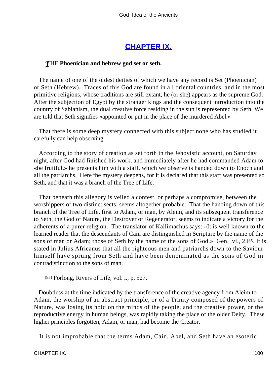# **[CHAPTER IX.](#page-197-0)**

### *T*HE **Phoenician and hebrew god set or seth.**

 The name of one of the oldest deities of which we have any record is Set (Phoenician) or Seth (Hebrew). Traces of this God are found in all oriental countries; and in the most primitive religions, whose traditions are still extant, he (or she) appears as the supreme God. After the subjection of Egypt by the stranger kings and the consequent introduction into the country of Sabianism, the dual creative force residing in the sun is represented by Seth. We are told that Seth signifies «appointed or put in the place of the murdered Abel.»

 That there is some deep mystery connected with this subject none who has studied it carefully can help observing.

 According to the story of creation as set forth in the Jehovistic account, on Saturday night, after God had finished his work, and immediately after he had commanded Adam to «be fruitful,» he presents him with a staff, which we observe is handed down to Enoch and all the patriarchs. Here the mystery deepens, for it is declared that this staff was presented so Seth, and that it was a branch of the Tree of Life.

 That beneath this allegory is veiled a contest, or perhaps a compromise, between the worshippers of two distinct sects, seems altogether probable. That the handing down of this branch of the Tree of Life, first to Adam, or man, by Aleim, and its subsequent transference to Seth, the God of Nature, the Destroyer or Regenerator, seems to indicate a victory for the adherents of a purer religion. The translator of Kallimachus says: «It is well known to the learned reader that the descendants of Cain are distinguished in Scripture by the name of the sons of man or Adam; those of Seth by the name of the sons of God.» Gen. vi., 2.[85] It is stated in Julius Africanus that all the righteous men and patriarchs down to the Saviour himself have sprung from Seth and have been denominated as the sons of God in contradistinction to the sons of man.

[85] Forlong, Rivers of Life, vol. i., p. 527.

 Doubtless at the time indicated by the transference of the creative agency from Aleim to Adam, the worship of an abstract principle, or of a Trinity composed of the powers of Nature, was losing its hold on the minds of the people, and the creative power, or the reproductive energy in human beings, was rapidly taking the place of the older Deity. These higher principles forgotten, Adam, or man, had become the Creator.

It is not improbable that the terms Adam, Cain, Abel, and Seth have an esoteric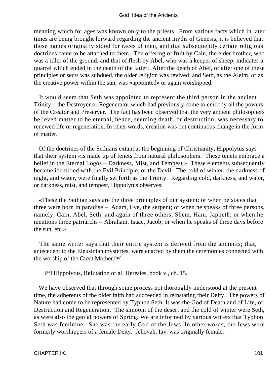meaning which for ages was known only to the priests. From various facts which in later times are being brought forward regarding the ancient myths of Genesis, it is believed that these names originally stood for races of men, and that subsequently certain religious doctrines came to be attached to them. The offering of fruit by Cain, the elder brother, who was a tiller of the ground, and that of flesh by Abel, who was a keeper of sheep, indicates a quarrel which ended in the death of the latter. After the death of Abel, or after one of these principles or sects was subdued, the older religion was revived, and Seth, as the Aleim, or as the creative power within the sun, was «appointed» or again worshipped.

 It would seem that Seth was appointed to represent the third person in the ancient Trinity – the Destroyer or Regenerator which had previously come to embody all the powers of the Creator and Preserver. The fact has been observed that the very ancient philosophers believed matter to be eternal, hence, seeming death, or destruction, was necessary to renewed life or regeneration. In other words, creation was but continuous change in the form of matter.

 Of the doctrines of the Sethians extant at the beginning of Christianity, Hippolytus says that their system «is made up of tenets from natural philosophers. These tenets embrace a belief in the Eternal Logos – Darkness, Mist, and Tempest.» These elements subsequently became identified with the Evil Principle, or the Devil. The cold of winter, the darkness of night, and water, were finally set forth as the Trinity. Regarding cold, darkness, and water, or darkness, mist, and tempest, Hippolytus observes:

 «These the Sethian says are the three principles of our system; or when he states that three were born in paradise – Adam, Eve, the serpent; or when he speaks of three persons, namely, Cain, Abel, Seth, and again of three others, Shem, Ham, Japheth; or when he mentions three patriarchs – Abraham, Isaac, Jacob; or when he speaks of three days before the sun, etc.»

 The same writer says that their entire system is derived from the ancients; that, antecedent to the Eleusinian mysteries, were enacted by them the ceremonies connected with the worship of the Great Mother.[86]

[86] Hippolytus, Refutation of all Heresies, book v., ch. 15.

 We have observed that through some process not thoroughly understood at the present time, the adherents of the older faith had succeeded in reinstating their Deity. The powers of Nature had come to be represented by Typhon Seth. It was the God of Death and of Life, of Destruction and Regeneration. The simoom of the desert and the cold of winter were Seth, as were also the genial powers of Spring. We are informed by various writers that Typhon Seth was feminine. She was the early God of the Jews. In other words, the Jews were formerly worshippers of a female Deity. Jehovah, Iav, was originally female.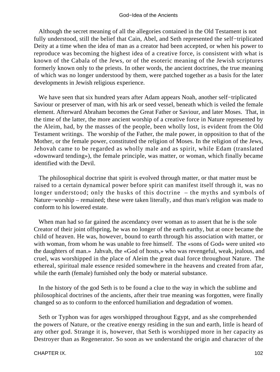Although the secret meaning of all the allegories contained in the Old Testament is not fully understood, still the belief that Cain, Abel, and Seth represented the self−triplicated Deity at a time when the idea of man as a creator had been accepted, or when his power to reproduce was becoming the highest idea of a creative force, is consistent with what is known of the Cabala of the Jews, or of the esoteric meaning of the Jewish scriptures formerly known only to the priests. In other words, the ancient doctrines, the true meaning of which was no longer understood by them, were patched together as a basis for the later developments in Jewish religious experience.

 We have seen that six hundred years after Adam appears Noah, another self−triplicated Saviour or preserver of man, with his ark or seed vessel, beneath which is veiled the female element. Afterward Abraham becomes the Great Father or Saviour, and later Moses. That, in the time of the latter, the more ancient worship of a creative force in Nature represented by the Aleim, had, by the masses of the people, been wholly lost, is evident from the Old Testament writings. The worship of the Father, the male power, in opposition to that of the Mother, or the female power, constituted the religion of Moses. In the religion of the Jews, Jehovah came to be regarded as wholly male and as spirit, while Edam (translated «downward tending»), the female principle, was matter, or woman, which finally became identified with the Devil.

 The philosophical doctrine that spirit is evolved through matter, or that matter must be raised to a certain dynamical power before spirit can manifest itself through it, was no longer understood; only the husks of this doctrine – the myths and symbols of Nature−worship – remained; these were taken literally, and thus man's religion was made to conform to his lowered estate.

 When man had so far gained the ascendancy over woman as to assert that he is the sole Creator of their joint offspring, he was no longer of the earth earthy, but at once became the child of heaven. He was, however, bound to earth through his association with matter, or with woman, from whom he was unable to free himself. The «sons of God» were united «to the daughters of man.» Jahvah, the «God of hosts,» who was revengeful, weak, jealous, and cruel, was worshipped in the place of Aleim the great dual force throughout Nature. The ethereal, spiritual male essence resided somewhere in the heavens and created from afar, while the earth (female) furnished only the body or material substance.

 In the history of the god Seth is to be found a clue to the way in which the sublime and philosophical doctrines of the ancients, after their true meaning was forgotten, were finally changed so as to conform to the enforced humiliation and degradation of women.

 Seth or Typhon was for ages worshipped throughout Egypt, and as she comprehended the powers of Nature, or the creative energy residing in the sun and earth, little is heard of any other god. Strange it is, however, that Seth is worshipped more in her capacity as Destroyer than as Regenerator. So soon as we understand the origin and character of the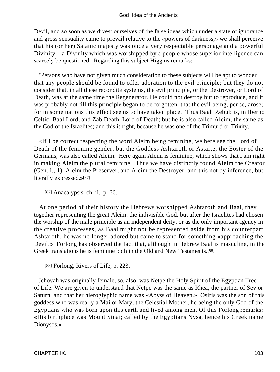Devil, and so soon as we divest ourselves of the false ideas which under a state of ignorance and gross sensuality came to prevail relative to the «powers of darkness,» we shall perceive that his (or her) Satanic majesty was once a very respectable personage and a powerful Divinity – a Divinity which was worshipped by a people whose superior intelligence can scarcely be questioned. Regarding this subject Higgins remarks:

 "Persons who have not given much consideration to these subjects will be apt to wonder that any people should be found to offer adoration to the evil principle; but they do not consider that, in all these recondite systems, the evil principle, or the Destroyer, or Lord of Death, was at the same time the Regenerator. He could not destroy but to reproduce, and it was probably not till this principle began to be forgotten, that the evil being, per se, arose; for in some nations this effect seems to have taken place. Thus Baal−Zebub is, in Iberno Celtic, Baal Lord, and Zab Death, Lord of Death; but he is also called Aleim, the same as the God of the Israelites; and this is right, because he was one of the Trimurti or Trinity.

 «If I be correct respecting the word Aleim being feminine, we here see the Lord of Death of the feminine gender; but the Goddess Ashtaroth or Astarte, the Eoster of the Germans, was also called Aleim. Here again Aleim is feminine, which shows that I am right in making Aleim the plural feminine. Thus we have distinctly found Aleim the Creator (Gen. i., 1), Aleim the Preserver, and Aleim the Destroyer, and this not by inference, but literally expressed.»[87]

[87] Anacalypsis, ch. ii., p. 66.

 At one period of their history the Hebrews worshipped Ashtaroth and Baal, they together representing the great Aleim, the indivisible God, but after the Israelites had chosen the worship of the male principle as an independent deity, or as the only important agency in the creative processes, as Baal might not be represented aside from his counterpart Ashtaroth, he was no longer adored but came to stand for something «approaching the Devil.» Forlong has observed the fact that, although in Hebrew Baal is masculine, in the Greek translations he is feminine both in the Old and New Testaments.[88]

[88] Forlong, Rivers of Life, p. 223.

 Jehovah was originally female, so, also, was Netpe the Holy Spirit of the Egyptian Tree of Life. We are given to understand that Netpe was the same as Rhea, the partner of Sev or Saturn, and that her hieroglyphic name was «Abyss of Heaven.» Osiris was the son of this goddess who was really a Mai or Mary, the Celestial Mother, he being the only God of the Egyptians who was born upon this earth and lived among men. Of this Forlong remarks: «His birthplace was Mount Sinai; called by the Egyptians Nysa, hence his Greek name Dionysos.»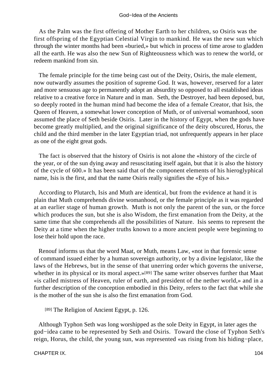As the Palm was the first offering of Mother Earth to her children, so Osiris was the first offspring of the Egyptian Celestial Virgin to mankind. He was the new sun which through the winter months had been «buried,» but which in process of time arose to gladden all the earth. He was also the new Sun of Righteousness which was to renew the world, or redeem mankind from sin.

 The female principle for the time being cast out of the Deity, Osiris, the male element, now outwardly assumes the position of supreme God. It was, however, reserved for a later and more sensuous age to permanently adopt an absurdity so opposed to all established ideas relative to a creative force in Nature and in man. Seth, the Destroyer, had been deposed, but, so deeply rooted in the human mind had become the idea of a female Creator, that Isis, the Queen of Heaven, a somewhat lower conception of Muth, or of universal womanhood, soon assumed the place of Seth beside Osiris. Later in the history of Egypt, when the gods have become greatly multiplied, and the original significance of the deity obscured, Horus, the child and the third member in the later Egyptian triad, not unfrequently appears in her place as one of the eight great gods.

 The fact is observed that the history of Osiris is not alone the «history of the circle of the year, or of the sun dying away and resuscitating itself again, but that it is also the history of the cycle of 600.» It has been said that of the component elements of his hieroglyphical name, Isis is the first, and that the name Osiris really signifies the «Eye of Isis.»

 According to Plutarch, Isis and Muth are identical, but from the evidence at hand it is plain that Muth comprehends divine womanhood, or the female principle as it was regarded at an earlier stage of human growth. Muth is not only the parent of the sun, or the force which produces the sun, but she is also Wisdom, the first emanation from the Deity, at the same time that she comprehends all the possibilities of Nature. Isis seems to represent the Deity at a time when the higher truths known to a more ancient people were beginning to lose their hold upon the race.

 Renouf informs us that the word Maat, or Muth, means Law, «not in that forensic sense of command issued either by a human sovereign authority, or by a divine legislator, like the laws of the Hebrews, but in the sense of that unerring order which governs the universe, whether in its physical or its moral aspect.»[89] The same writer observes further that Maat «is called mistress of Heaven, ruler of earth, and president of the nether world,» and in a further description of the conception embodied in this Deity, refers to the fact that while she is the mother of the sun she is also the first emanation from God.

[89] The Religion of Ancient Egypt, p. 126.

 Although Typhon Seth was long worshipped as the sole Deity in Egypt, in later ages the god−idea came to be represented by Seth and Osiris. Toward the close of Typhon Seth's reign, Horus, the child, the young sun, was represented «as rising from his hiding−place,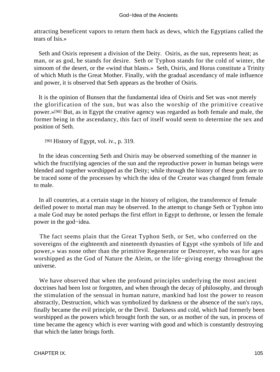attracting beneficent vapors to return them back as dews, which the Egyptians called the tears of Isis.»

 Seth and Osiris represent a division of the Deity. Osiris, as the sun, represents heat; as man, or as god, he stands for desire. Seth or Typhon stands for the cold of winter, the simoom of the desert, or the «wind that blasts.» Seth, Osiris, and Horus constitute a Trinity of which Muth is the Great Mother. Finally, with the gradual ascendancy of male influence and power, it is observed that Seth appears as the brother of Osiris.

 It is the opinion of Bunsen that the fundamental idea of Osiris and Set was «not merely the glorification of the sun, but was also the worship of the primitive creative power.»[90] But, as in Egypt the creative agency was regarded as both female and male, the former being in the ascendancy, this fact of itself would seem to determine the sex and position of Seth.

[90] History of Egypt, vol. iv., p. 319.

 In the ideas concerning Seth and Osiris may be observed something of the manner in which the fructifying agencies of the sun and the reproductive power in human beings were blended and together worshipped as the Deity; while through the history of these gods are to be traced some of the processes by which the idea of the Creator was changed from female to male.

 In all countries, at a certain stage in the history of religion, the transference of female deified power to mortal man may be observed. In the attempt to change Seth or Typhon into a male God may be noted perhaps the first effort in Egypt to dethrone, or lessen the female power in the god−idea.

 The fact seems plain that the Great Typhon Seth, or Set, who conferred on the sovereigns of the eighteenth and nineteenth dynasties of Egypt «the symbols of life and power,» was none other than the primitive Regenerator or Destroyer, who was for ages worshipped as the God of Nature the Aleim, or the life−giving energy throughout the universe.

 We have observed that when the profound principles underlying the most ancient doctrines had been lost or forgotten, and when through the decay of philosophy, and through the stimulation of the sensual in human nature, mankind had lost the power to reason abstractly, Destruction, which was symbolized by darkness or the absence of the sun's rays, finally became the evil principle, or the Devil. Darkness and cold, which had formerly been worshipped as the powers which brought forth the sun, or as mother of the sun, in process of time became the agency which is ever warring with good and which is constantly destroying that which the latter brings forth.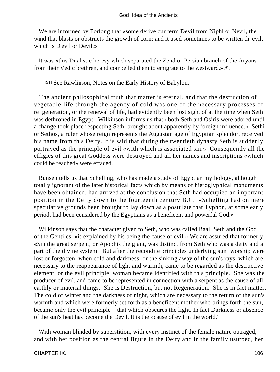We are informed by Forlong that «some derive our term Devil from Niphl or Nevil, the wind that blasts or obstructs the growth of corn; and it used sometimes to be written th' evil, which is D'evil or Devil.»

 It was «this Dualistic heresy which separated the Zend or Persian branch of the Aryans from their Vedic brethren, and compelled them to emigrate to the westward.»[91]

[91] See Rawlinson, Notes on the Early History of Babylon.

 The ancient philosophical truth that matter is eternal, and that the destruction of vegetable life through the agency of cold was one of the necessary processes of re−generation, or the renewal of life, had evidently been lost sight of at the time when Seth was dethroned in Egypt. Wilkinson informs us that «both Seth and Osiris were adored until a change took place respecting Seth, brought about apparently by foreign influence.» Sethi or Sethos, a ruler whose reign represents the Augustan age of Egyptian splendor, received his name from this Deity. It is said that during the twentieth dynasty Seth is suddenly portrayed as the principle of evil «with which is associated sin.» Consequently all the effigies of this great Goddess were destroyed and all her names and inscriptions «which could be reached» were effaced.

 Bunsen tells us that Schelling, who has made a study of Egyptian mythology, although totally ignorant of the later historical facts which by means of hieroglyphical monuments have been obtained, had arrived at the conclusion that Seth had occupied an important position in the Deity down to the fourteenth century B.C. «Schelling had on mere speculative grounds been brought to lay down as a postulate that Typhon, at some early period, had been considered by the Egyptians as a beneficent and powerful God.»

 Wilkinson says that the character given to Seth, who was called Baal−Seth and the God of the Gentiles, «is explained by his being the cause of evil.» We are assured that formerly «Sin the great serpent, or Apophis the giant, was distinct from Seth who was a deity and a part of the divine system. But after the recondite principles underlying sun−worship were lost or forgotten; when cold and darkness, or the sinking away of the sun's rays, which are necessary to the reappearance of light and warmth, came to be regarded as the destructive element, or the evil principle, woman became identified with this principle. She was the producer of evil, and came to be represented in connection with a serpent as the cause of all earthly or material things. She is Destruction, but not Regeneration. She is in fact matter. The cold of winter and the darkness of night, which are necessary to the return of the sun's warmth and which were formerly set forth as a beneficent mother who brings forth the sun, became only the evil principle – that which obscures the light. In fact Darkness or absence of the sun's heat has become the Devil. It is the »cause of evil in the world."

With woman blinded by superstition, with every instinct of the female nature outraged, and with her position as the central figure in the Deity and in the family usurped, her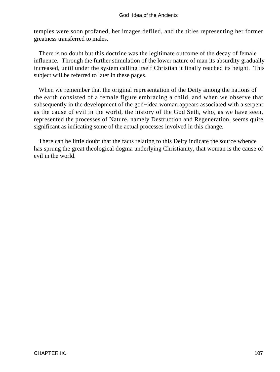temples were soon profaned, her images defiled, and the titles representing her former greatness transferred to males.

 There is no doubt but this doctrine was the legitimate outcome of the decay of female influence. Through the further stimulation of the lower nature of man its absurdity gradually increased, until under the system calling itself Christian it finally reached its height. This subject will be referred to later in these pages.

 When we remember that the original representation of the Deity among the nations of the earth consisted of a female figure embracing a child, and when we observe that subsequently in the development of the god−idea woman appears associated with a serpent as the cause of evil in the world, the history of the God Seth, who, as we have seen, represented the processes of Nature, namely Destruction and Regeneration, seems quite significant as indicating some of the actual processes involved in this change.

 There can be little doubt that the facts relating to this Deity indicate the source whence has sprung the great theological dogma underlying Christianity, that woman is the cause of evil in the world.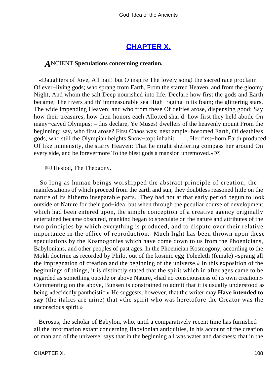# **[CHAPTER X.](#page-197-0)**

## *A*NCIENT **Speculations concerning creation.**

 «Daughters of Jove, All hail! but O inspire The lovely song! the sacred race proclaim Of ever−living gods; who sprang from Earth, From the starred Heaven, and from the gloomy Night, And whom the salt Deep nourished into life. Declare how first the gods and Earth became; The rivers and th' immeasurable sea High−raging in its foam; the glittering stars, The wide impending Heaven; and who from these Of deities arose, dispensing good; Say how their treasures, how their honors each Allotted shar'd: how first they held abode On many−caved Olympus: – this declare, Ye Muses! dwellers of the heavenly mount From the beginning; say, who first arose? First Chaos was: next ample−bosomed Earth, Of deathless gods, who still the Olympian heights Snow−topt inhabit. . . . Her first−born Earth produced Of like immensity, the starry Heaven: That he might sheltering compass her around On every side, and be forevermore To the blest gods a mansion unremoved.»[92]

[92] Hesiod, The Theogony.

 So long as human beings worshipped the abstract principle of creation, the manifestations of which proceed from the earth and sun, they doubtless reasoned little on the nature of its hitherto inseparable parts. They had not at that early period begun to look outside of Nature for their god−idea, but when through the peculiar course of development which had been entered upon, the simple conception of a creative agency originally entertained became obscured, mankind began to speculate on the nature and attributes of the two principles by which everything is produced, and to dispute over their relative importance in the office of reproduction. Much light has been thrown upon these speculations by the Kosmogonies which have come down to us from the Phoenicians, Babylonians, and other peoples of past ages. In the Phoenician Kosmogony, according to the Mokh doctrine as recorded by Philo, out of the kosmic egg Toleeleth (female) «sprang all the impregnation of creation and the beginning of the universe.» In this exposition of the beginnings of things, it is distinctly stated that the spirit which in after ages came to be regarded as something outside or above Nature, «had no consciousness of its own creation.» Commenting on the above, Bunsen is constrained to admit that it is usually understood as being «decidedly pantheistic.» He suggests, however, that the writer may **Have intended to say** (the italics are mine) that «the spirit who was heretofore the Creator was the unconscious spirit.»

 Berosus, the scholar of Babylon, who, until a comparatively recent time has furnished all the information extant concerning Babylonian antiquities, in his account of the creation of man and of the universe, says that in the beginning all was water and darkness; that in the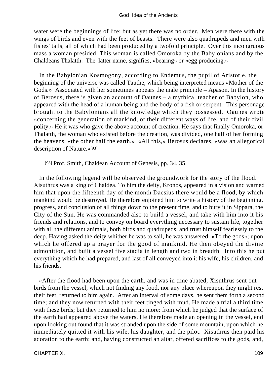water were the beginnings of life; but as yet there was no order. Men were there with the wings of birds and even with the feet of beasts. There were also quadrupeds and men with fishes' tails, all of which had been produced by a twofold principle. Over this incongruous mass a woman presided. This woman is called Omoroka by the Babylonians and by the Chaldeans Thalatth. The latter name, signifies, «bearing» or «egg producing.»

 In the Babylonian Kosmogony, according to Endemus, the pupil of Aristotle, the beginning of the universe was called Tauthe, which being interpreted means «Mother of the Gods.» Associated with her sometimes appears the male principle – Apason. In the history of Berosus, there is given an account of Oaunes – a mythical teacher of Babylon, who appeared with the head of a human being and the body of a fish or serpent. This personage brought to the Babylonians all the knowledge which they possessed. Oaunes wrote «concerning the generation of mankind, of their different ways of life, and of their civil polity.» He it was who gave the above account of creation. He says that finally Omoroka, or Thalatth, the woman who existed before the creation, was divided, one half of her forming the heavens, «the other half the earth.» «All this,» Berosus declares, «was an allegorical description of Nature.»[93]

[93] Prof. Smith, Chaldean Account of Genesis, pp. 34, 35.

 In the following legend will be observed the groundwork for the story of the flood. Xisuthrus was a king of Chaldea. To him the deity, Kronos, appeared in a vision and warned him that upon the fifteenth day of the month Daesius there would be a flood, by which mankind would be destroyed. He therefore enjoined him to write a history of the beginning, progress, and conclusion of all things down to the present time, and to bury it in Sippara, the City of the Sun. He was commanded also to build a vessel, and take with him into it his friends and relations, and to convey on board everything necessary to sustain life, together with all the different animals, both birds and quadrupeds, and trust himself fearlessly to the deep. Having asked the deity whither he was to sail, he was answered: «To the gods»; upon which he offered up a prayer for the good of mankind. He then obeyed the divine admonition, and built a vessel five stadia in length and two in breadth. Into this he put everything which he had prepared, and last of all conveyed into it his wife, his children, and his friends.

 «After the flood had been upon the earth, and was in time abated, Xisuthrus sent out birds from the vessel, which not finding any food, nor any place whereupon they might rest their feet, returned to him again. After an interval of some days, he sent them forth a second time; and they now returned with their feet tinged with mud. He made a trial a third time with these birds; but they returned to him no more: from which he judged that the surface of the earth had appeared above the waters. He therefore made an opening in the vessel, end upon looking out found that it was stranded upon the side of some mountain, upon which he immediately quitted it with his wife, his daughter, and the pilot. Xisuthrus then paid his adoration to the earth: and, having constructed an altar, offered sacrifices to the gods, and,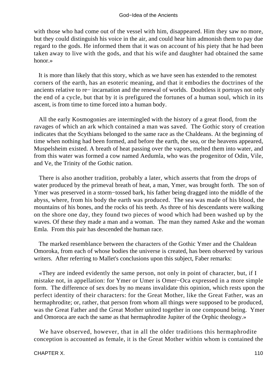with those who had come out of the vessel with him, disappeared. Him they saw no more, but they could distinguish his voice in the air, and could hear him admonish them to pay due regard to the gods. He informed them that it was on account of his piety that he had been taken away to live with the gods, and that his wife and daughter had obtained the same honor.»

 It is more than likely that this story, which as we have seen has extended to the remotest corners of the earth, has an esoteric meaning, and that it embodies the doctrines of the ancients relative to re− incarnation and the renewal of worlds. Doubtless it portrays not only the end of a cycle, but that by it is prefigured the fortunes of a human soul, which in its ascent, is from time to time forced into a human body.

 All the early Kosmogonies are intermingled with the history of a great flood, from the ravages of which an ark which contained a man was saved. The Gothic story of creation indicates that the Scythians belonged to the same race as the Chaldeans. At the beginning of time when nothing had been formed, and before the earth, the sea, or the heavens appeared, Muspelsheim existed. A breath of heat passing over the vapors, melted them into water, and from this water was formed a cow named Aedumla, who was the progenitor of Odin, Vile, and Ve, the Trinity of the Gothic nation.

 There is also another tradition, probably a later, which asserts that from the drops of water produced by the primeval breath of heat, a man, Ymer, was brought forth. The son of Ymer was preserved in a storm−tossed bark, his father being dragged into the middle of the abyss, where, from his body the earth was produced. The sea was made of his blood, the mountains of his bones, and the rocks of his teeth. As three of his descendants were walking on the shore one day, they found two pieces of wood which had been washed up by the waves. Of these they made a man and a woman. The man they named Aske and the woman Emla. From this pair has descended the human race.

 The marked resemblance between the characters of the Gothic Ymer and the Chaldean Omoroka, from each of whose bodies the universe is created, has been observed by various writers. After referring to Mallet's conclusions upon this subject, Faber remarks:

 «They are indeed evidently the same person, not only in point of character, but, if I mistake not, in appellation: for Ymer or Umer is Omer−Oca expressed in a more simple form. The difference of sex does by no means invalidate this opinion, which rests upon the perfect identity of their characters: for the Great Mother, like the Great Father, was an hermaphrodite; or, rather, that person from whom all things were supposed to be produced, was the Great Father and the Great Mother united together in one compound being. Ymer and Omoroca are each the same as that hermaphrodite Jupiter of the Orphic theology.»

 We have observed, however, that in all the older traditions this hermaphrodite conception is accounted as female, it is the Great Mother within whom is contained the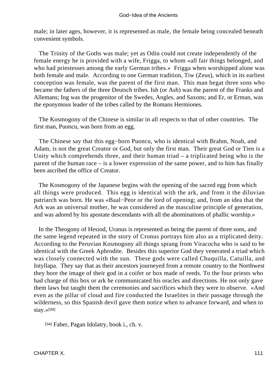male; in later ages, however, it is represented as male, the female being concealed beneath convenient symbols.

 The Trinity of the Goths was male; yet as Odin could not create independently of the female energy he is provided with a wife, Frigga, to whom «all fair things belonged, and who had priestesses among the early German tribes.» Frigga when worshipped alone was both female and male. According to one German tradition, Tiw (Zeus), which in its earliest conception was female, was the parent of the first man. This man begat three sons who became the fathers of the three Deutsch tribes. Ish (or Ash) was the parent of the Franks and Allemans; Ing was the progenitor of the Swedes, Angles, and Saxons; and Er, or Erman, was the eponymous leader of the tribes called by the Romans Hermiones.

 The Kosmogony of the Chinese is similar in all respects to that of other countries. The first man, Puoncu, was born from an egg.

 The Chinese say that this egg−born Puoncu, who is identical with Brahm, Noah, and Adam, is not the great Creator or God, but only the first man. Their great God or Tien is a Unity which comprehends three, and their human triad – a triplicated being who is the parent of the human race – is a lower expression of the same power, and to him has finally been ascribed the office of Creator.

 The Kosmogony of the Japanese begins with the opening of the sacred egg from which all things were produced. This egg is identical with the ark, and from it the diluvian patriarch was born. He was «Baal−Peor or the lord of opening; and, from an idea that the Ark was an universal mother, he was considered as the masculine principle of generation, and was adored by his apostate descendants with all the abominations of phallic worship.»

 In the Theogony of Hesiod, Uranus is represented as being the parent of three sons, and the same legend repeated in the story of Cronus portrays him also as a triplicated deity. According to the Peruvian Kosmogony all things sprang from Viracocha who is said to be identical with the Greek Aphrodite. Besides this superior God they venerated a triad which was closely connected with the sun. These gods were called Chuquilla, Catuilla, and Intyllapa. They say that as their ancestors journeyed from a remote country to the Northwest they bore the image of their god in a coifer or box made of reeds. To the four priests who had charge of this box or ark he communicated his oracles and directions. He not only gave them laws but taught them the ceremonies and sacrifices which they were to observe. «And even as the pillar of cloud and fire conducted the Israelites in their passage through the wilderness, so this Spanish devil gave them notice when to advance forward, and when to stay.»[94]

[94] Faber, Pagan Idolatry, book i., ch. v.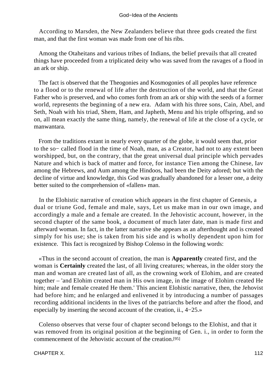#### God−Idea of the Ancients

 According to Marsden, the New Zealanders believe that three gods created the first man, and that the first woman was made from one of his ribs.

 Among the Otaheitans and various tribes of Indians, the belief prevails that all created things have proceeded from a triplicated deity who was saved from the ravages of a flood in an ark or ship.

 The fact is observed that the Theogonies and Kosmogonies of all peoples have reference to a flood or to the renewal of life after the destruction of the world, and that the Great Father who is preserved, and who comes forth from an ark or ship with the seeds of a former world, represents the beginning of a new era. Adam with his three sons, Cain, Abel, and Seth, Noah with his triad, Shem, Ham, and Japheth, Menu and his triple offspring, and so on, all mean exactly the same thing, namely, the renewal of life at the close of a cycle, or manwantara.

 From the traditions extant in nearly every quarter of the globe, it would seem that, prior to the so− called flood in the time of Noah, man, as a Creator, had not to any extent been worshipped, but, on the contrary, that the great universal dual principle which pervades Nature and which is back of matter and force, for instance Tien among the Chinese, Iav among the Hebrews, and Aum among the Hindoos, had been the Deity adored; but with the decline of virtue and knowledge, this God was gradually abandoned for a lesser one, a deity better suited to the comprehension of «fallen» man.

 In the Elohistic narrative of creation which appears in the first chapter of Genesis, a dual or triune God, female and male, says, Let us make man in our own image, and accordingly a male and a female are created. In the Jehovistic account, however, in the second chapter of the same book, a document of much later date, man is made first and afterward woman. In fact, in the latter narrative she appears as an afterthought and is created simply for his use; she is taken from his side and is wholly dependent upon him for existence. This fact is recognized by Bishop Colenso in the following words:

 «Thus in the second account of creation, the man is **Apparently** created first, and the woman is **Certainly** created the last, of all living creatures; whereas, in the older story the man and woman are created last of all, as the crowning work of Elohim, and are created together – 'and Elohim created man in His own image, in the image of Elohim created He him; male and female created He them.' This ancient Elohistic narrative, then, the Jehovist had before him; and he enlarged and enlivened it by introducing a number of passages recording additional incidents in the lives of the patriarchs before and after the flood, and especially by inserting the second account of the creation, ii., 4−25.»

 Colenso observes that verse four of chapter second belongs to the Elohist, and that it was removed from its original position at the beginning of Gen. i., in order to form the commencement of the Jehovistic account of the creation.[95]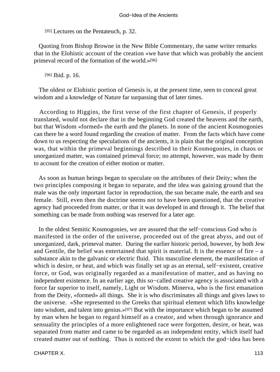[95] Lectures on the Pentateuch, p. 32.

 Quoting from Bishop Browne in the New Bible Commentary, the same writer remarks that in the Elohistic account of the creation «we have that which was probably the ancient primeval record of the formation of the world.»[96]

[96] Ibid. p. 16.

 The oldest or Elohistic portion of Genesis is, at the present time, seen to conceal great wisdom and a knowledge of Nature far surpassing that of later times.

 According to Higgins, the first verse of the first chapter of Genesis, if properly translated, would not declare that in the beginning God created the heavens and the earth, but that Wisdom «formed» the earth and the planets. In none of the ancient Kosmogonies can there be a word found regarding the creation of matter. From the facts which have come down to us respecting the speculations of the ancients, it is plain that the original conception was, that within the primeval beginnings described in their Kosmogonies, in chaos or unorganized matter, was contained primeval force; no attempt, however, was made by them to account for the creation of either motion or matter.

 As soon as human beings began to speculate on the attributes of their Deity; when the two principles composing it began to separate, and the idea was gaining ground that the male was the only important factor in reproduction, the sun became male, the earth and sea female. Still, even then the doctrine seems not to have been questioned, that the creative agency had proceeded from matter, or that it was developed in and through it. The belief that something can be made from nothing was reserved for a later age.

 In the oldest Semitic Kosmogonies, we are assured that the self−conscious God who is manifested in the order of the universe, proceeded out of the great abyss, and out of unorganized, dark, primeval matter. During the earlier historic period, however, by both Jew and Gentile, the belief was entertained that spirit is material. It is the essence of fire  $-$  a substance akin to the galvanic or electric fluid. This masculine element, the manifestation of which is desire, or heat, and which was finally set up as an eternal, self−existent, creative force, or God, was originally regarded as a manifestation of matter, and as having no independent existence. In an earlier age, this so−called creative agency is associated with a force far superior to itself, namely, Light or Wisdom. Minerva, who is the first emanation from the Deity, «formed» all things. She it is who discriminates all things and gives laws to the universe. «She represented to the Greeks that spiritual element which lifts knowledge into wisdom, and talent into genius.»[97] But with the importance which began to be assumed by man when he began to regard himself as a creator, and when through ignorance and sensuality the principles of a more enlightened race were forgotten, desire, or heat, was separated from matter and came to be regarded as an independent entity, which itself had created matter out of nothing. Thus is noticed the extent to which the god−idea has been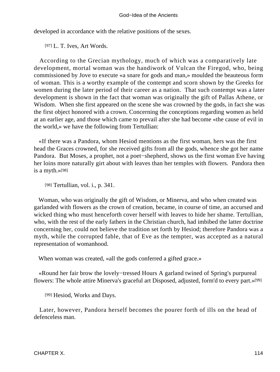developed in accordance with the relative positions of the sexes.

[97] L. T. Ives, Art Words.

 According to the Grecian mythology, much of which was a comparatively late development, mortal woman was the handiwork of Vulcan the Firegod, who, being commissioned by Jove to execute «a snare for gods and man,» moulded the beauteous form of woman. This is a worthy example of the contempt and scorn shown by the Greeks for women during the later period of their career as a nation. That such contempt was a later development is shown in the fact that woman was originally the gift of Pallas Athene, or Wisdom. When she first appeared on the scene she was crowned by the gods, in fact she was the first object honored with a crown. Concerning the conceptions regarding women as held at an earlier age, and those which came to prevail after she had become «the cause of evil in the world,» we have the following from Tertullian:

 «If there was a Pandora, whom Hesiod mentions as the first woman, hers was the first head the Graces crowned, for she received gifts from all the gods, whence she got her name Pandora. But Moses, a prophet, not a poet−shepherd, shows us the first woman Eve having her loins more naturally girt about with leaves than her temples with flowers. Pandora then is a myth.»[98]

[98] Tertullian, vol. *i.*, p. 341.

 Woman, who was originally the gift of Wisdom, or Minerva, and who when created was garlanded with flowers as the crown of creation, became, in course of time, an accursed and wicked thing who must henceforth cover herself with leaves to hide her shame. Tertullian, who, with the rest of the early fathers in the Christian church, had imbibed the latter doctrine concerning her, could not believe the tradition set forth by Hesiod; therefore Pandora was a myth, while the corrupted fable, that of Eve as the tempter, was accepted as a natural representation of womanhood.

When woman was created, «all the gods conferred a gifted grace.»

 «Round her fair brow the lovely−tressed Hours A garland twined of Spring's purpureal flowers: The whole attire Minerva's graceful art Disposed, adjusted, form'd to every part.»[99]

[99] Hesiod, Works and Days.

 Later, however, Pandora herself becomes the pourer forth of ills on the head of defenceless man.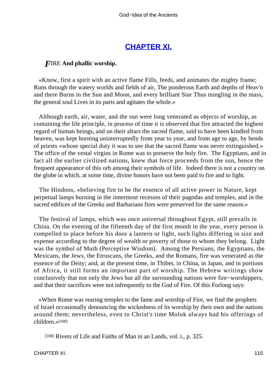# **[CHAPTER XI.](#page-197-0)**

## *F*IRE **And phallic worship.**

 «Know, first a spirit with an active flame Fills, feeds, and animates the mighty frame; Runs through the watery worlds and fields of air, The ponderous Earth and depths of Heav'n and there Burns in the Sun and Moon, and every brilliant Star Thus mingling in the mass, the general soul Lives in its parts and agitates the whole.»

 Although earth, air, water, and the sun were long venerated as objects of worship, as containing the life principle, in process of time it is observed that fire attracted the highest regard of human beings, and on their altars the sacred flame, said to have been kindled from heaven, was kept burning uninterruptedly from year to year, and from age to age, by bends of priests «whose special duty it was to see that the sacred flame was never extinguished.» The office of the vestal virgins in Rome was to preserve the holy fire. The Egyptians, and in fact all the earlier civilized nations, knew that force proceeds from the sun, hence the frequent appearance of this orb among their symbols of life. Indeed there is not a country on the globe in which, at some time, divine honors have not been paid to fire and to light.

 The Hindoos, «believing fire to be the essence of all active power in Nature, kept perpetual lamps burning in the innermost recesses of their pagodas and temples, and in the sacred edifices of the Greeks and Barbarians fires were preserved for the same reason.»

 The festival of lamps, which was once universal throughout Egypt, still prevails in China. On the evening of the fifteenth day of the first month in the year, every person is compelled to place before his door a lantern or light, such lights differing in size and expense according to the degree of wealth or poverty of those to whom they belong. Light was the symbol of Muth (Perceptive Wisdom). Among the Persians, the Egyptians, the Mexicans, the Jews, the Etruscans, the Greeks, and the Romans, fire was venerated as the essence of the Deity; and, at the present time, in Thibet, in China, in Japan, and in portions of Africa, it still forms an important part of worship. The Hebrew writings show conclusively that not only the Jews but all the surrounding nations were fire−worshippers, and that their sacrifices were not infrequently to the God of Fire. Of this Forlong says:

 «When Rome was rearing temples to the fame and worship of Fire, we find the prophets of Israel occasionally denouncing the wickedness of its worship by their own and the nations around them; nevertheless, even to Christ's time Molok always had his offerings of children.»[100]

[100] Rivers of Life and Faiths of Man in an Lands, vol. i., p. 325.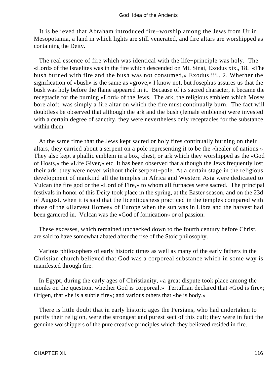It is believed that Abraham introduced fire−worship among the Jews from Ur in Mesopotamia, a land in which lights are still venerated, and fire altars are worshipped as containing the Deity.

 The real essence of fire which was identical with the life−principle was holy. The «Lord» of the Israelites was in the fire which descended on Mt. Sinai, Exodus xix., 18. «The bush burned with fire and the bush was not consumed,» Exodus iii., 2. Whether the signification of «bush» is the same as «grove,» I know not, but Josephus assures us that the bush was holy before the flame appeared in it. Because of its sacred character, it became the receptacle for the burning «Lord» of the Jews. The ark, the religious emblem which Moses bore aloft, was simply a fire altar on which the fire must continually burn. The fact will doubtless be observed that although the ark and the bush (female emblems) were invested with a certain degree of sanctity, they were nevertheless only receptacles for the substance within them.

 At the same time that the Jews kept sacred or holy fires continually burning on their altars, they carried about a serpent on a pole representing it to be the «healer of nations.» They also kept a phallic emblem in a box, chest, or ark which they worshipped as the «God of Hosts,» the «Life Giver,» etc. It has been observed that although the Jews frequently lost their ark, they were never without their serpent−pole. At a certain stage in the religious development of mankind all the temples in Africa and Western Asia were dedicated to Vulcan the fire god or the «Lord of Fire,» to whom all furnaces were sacred. The principal festivals in honor of this Deity took place in the spring, at the Easter season, and on the 23d of August, when it is said that the licentiousness practiced in the temples compared with those of the «Harvest Homes» of Europe when the sun was in Libra and the harvest had been garnered in. Vulcan was the «God of fornication» or of passion.

 These excesses, which remained unchecked down to the fourth century before Christ, are said to have somewhat abated after the rise of the Stoic philosophy.

 Various philosophers of early historic times as well as many of the early fathers in the Christian church believed that God was a corporeal substance which in some way is manifested through fire.

 In Egypt, during the early ages of Christianity, «a great dispute took place among the monks on the question, whether God is corporeal.» Tertullian declared that «God is fire»; Origen, that «he is a subtle fire»; and various others that «he is body.»

 There is little doubt that in early historic ages the Persians, who had undertaken to purify their religion, were the strongest and purest sect of this cult; they were in fact the genuine worshippers of the pure creative principles which they believed resided in fire.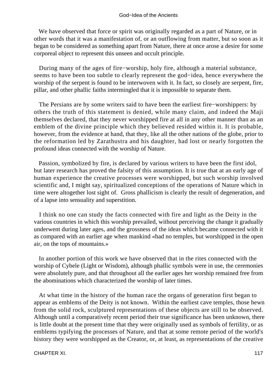We have observed that force or spirit was originally regarded as a part of Nature, or in other words that it was a manifestation of, or an outflowing from matter, but so soon as it began to be considered as something apart from Nature, there at once arose a desire for some corporeal object to represent this unseen and occult principle.

 During many of the ages of fire−worship, holy fire, although a material substance, seems to have been too subtle to clearly represent the god−idea, hence everywhere the worship of the serpent is found to be interwoven with it. In fact, so closely are serpent, fire, pillar, and other phallic faiths intermingled that it is impossible to separate them.

 The Persians are by some writers said to have been the earliest fire−worshippers: by others the truth of this statement is denied, while many claim, and indeed the Maji themselves declared, that they never worshipped fire at all in any other manner than as an emblem of the divine principle which they believed resided within it. It is probable, however, from the evidence at hand, that they, like all the other nations of the globe, prior to the reformation led by Zarathustra and his daughter, had lost or nearly forgotten the profound ideas connected with the worship of Nature.

 Passion, symbolized by fire, is declared by various writers to have been the first idol, but later research has proved the falsity of this assumption. It is true that at an early age of human experience the creative processes were worshipped, but such worship involved scientific and, I might say, spiritualized conceptions of the operations of Nature which in time were altogether lost sight of. Gross phallicism is clearly the result of degeneration, and of a lapse into sensuality and superstition.

 I think no one can study the facts connected with fire and light as the Deity in the various countries in which this worship prevailed, without perceiving the change it gradually underwent during later ages, and the grossness of the ideas which became connected with it as compared with an earlier age when mankind «had no temples, but worshipped in the open air, on the tops of mountains.»

 In another portion of this work we have observed that in the rites connected with the worship of Cybele (Light or Wisdom), although phallic symbols were in use, the ceremonies were absolutely pure, and that throughout all the earlier ages her worship remained free from the abominations which characterized the worship of later times.

 At what time in the history of the human race the organs of generation first began to appear as emblems of the Deity is not known. Within the earliest cave temples, those hewn from the solid rock, sculptured representations of these objects are still to be observed. Although until a comparatively recent period their true significance has been unknown, there is little doubt at the present time that they were originally used as symbols of fertility, or as emblems typifying the processes of Nature, and that at some remote period of the world's history they were worshipped as the Creator, or, at least, as representations of the creative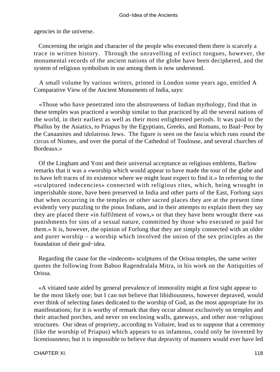agencies in the universe.

 Concerning the origin and character of the people who executed them there is scarcely a trace in written history. Through the unravelling of extinct tongues, however, the monumental records of the ancient nations of the globe have been deciphered, and the system of religious symbolism in use among them is now understood.

 A small volume by various writers, printed in London some years ago, entitled A Comparative View of the Ancient Monuments of India, says:

 «Those who have penetrated into the abstruseness of Indian mythology, find that in these temples was practiced a worship similar to that practiced by all the several nations of the world, in their earliest as well as their most enlightened periods. It was paid to the Phallus by the Asiatics, to Priapus by the Egyptians, Greeks, and Romans, to Baal−Peor by the Canaanites and idolatrous Jews. The figure is seen on the fascia which runs round the circus of Nismes, and over the portal of the Cathedral of Toulouse, and several churches of Bordeaux.»

 Of the Lingham and Yoni and their universal acceptance as religious emblems, Barlow remarks that it was a «worship which would appear to have made the tour of the globe and to have left traces of its existence where we might least expect to find it.» In referring to the «sculptured indecencies» connected with religious rites, which, being wrought in imperishable stone, have been preserved in India and other parts of the East, Forlong says that when occurring in the temples or other sacred places they are at the present time evidently very puzzling to the pious Indians, and in their attempts to explain them they say they are placed there «in fulfilment of vows,» or that they have been wrought there «as punishments for sins of a sexual nature, committed by those who executed or paid for them.» It is, however, the opinion of Forlong that they are simply connected with an older and purer worship – a worship which involved the union of the sex principles as the foundation of their god−idea.

 Regarding the cause for the «indecent» sculptures of the Orissa temples, the same writer quotes the following from Baboo Ragendralala Mitra, in his work on the Antiquities of Orissa.

 «A vitiated taste aided by general prevalence of immorality might at first sight appear to be the most likely one; but I can not believe that libidiousness, however depraved, would ever think of selecting fanes dedicated to the worship of God, as the most appropriate for its manifestations; for it is worthy of remark that they occur almost exclusively on temples and their attached porches, and never on enclosing walls, gateways, and other non−religious structures. Our ideas of propriety, according to Voltaire, lead us to suppose that a ceremony (like the worship of Priapus) which appears to us infamous, could only be invented by licentiousness; but it is impossible to believe that depravity of manners would ever have led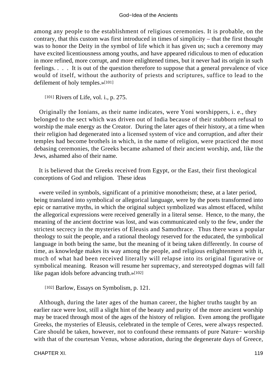among any people to the establishment of religious ceremonies. It is probable, on the contrary, that this custom was first introduced in times of simplicity – that the first thought was to honor the Deity in the symbol of life which it has given us; such a ceremony may have excited licentiousness among youths, and have appeared ridiculous to men of education in more refined, more corrupt, and more enlightened times, but it never had its origin in such feelings. . . . It is out of the question therefore to suppose that a general prevalence of vice would of itself, without the authority of priests and scriptures, suffice to lead to the defilement of holy temples.»[101]

[101] Rivers of Life, vol. i., p. 275.

 Originally the Ionians, as their name indicates, were Yoni worshippers, i. e., they belonged to the sect which was driven out of India because of their stubborn refusal to worship the male energy as the Creator. During the later ages of their history, at a time when their religion had degenerated into a licensed system of vice and corruption, and after their temples had become brothels in which, in the name of religion, were practiced the most debasing ceremonies, the Greeks became ashamed of their ancient worship, and, like the Jews, ashamed also of their name.

 It is believed that the Greeks received from Egypt, or the East, their first theological conceptions of God and religion. These ideas

 «were veiled in symbols, significant of a primitive monotheism; these, at a later period, being translated into symbolical or allegorical language, were by the poets transformed into epic or narrative myths, in which the original subject symbolized was almost effaced, whilst the allegorical expressions were received generally in a literal sense. Hence, to the many, the meaning of the ancient doctrine was lost, and was communicated only to the few, under the strictest secrecy in the mysteries of Eleusis and Samothrace. Thus there was a popular theology to suit the people, and a rational theology reserved for the educated, the symbolical language in both being the same, but the meaning of it being taken differently. In course of time, as knowledge makes its way among the people, and religious enlightenment with it, much of what had been received literally will relapse into its original figurative or symbolical meaning. Reason will resume her supremacy, and stereotyped dogmas will fall like pagan idols before advancing truth.»[102]

[102] Barlow, Essays on Symbolism, p. 121.

 Although, during the later ages of the human career, the higher truths taught by an earlier race were lost, still a slight hint of the beauty and purity of the more ancient worship may be traced through most of the ages of the history of religion. Even among the profligate Greeks, the mysteries of Eleusis, celebrated in the temple of Ceres, were always respected. Care should be taken, however, not to confound these remnants of pure Nature− worship with that of the courtesan Venus, whose adoration, during the degenerate days of Greece,

CHAPTER XI. 2002. 2004. The state of the state of the state of the state of the state of the state of the state of the state of the state of the state of the state of the state of the state of the state of the state of the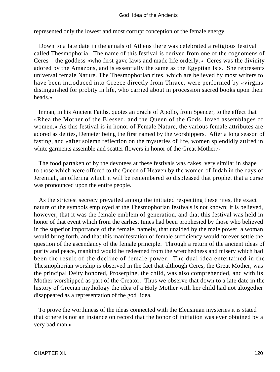#### God−Idea of the Ancients

represented only the lowest and most corrupt conception of the female energy.

 Down to a late date in the annals of Athens there was celebrated a religious festival called Thesmophoria. The name of this festival is derived from one of the cognomens of Ceres – the goddess «who first gave laws and made life orderly.» Ceres was the divinity adored by the Amazons, and is essentially the same as the Egyptian Isis. She represents universal female Nature. The Thesmophorian rites, which are believed by most writers to have been introduced into Greece directly from Thrace, were performed by «virgins distinguished for probity in life, who carried about in procession sacred books upon their heads.»

 Inman, in his Ancient Faiths, quotes an oracle of Apollo, from Spencer, to the effect that «Rhea the Mother of the Blessed, and the Queen of the Gods, loved assemblages of women.» As this festival is in honor of Female Nature, the various female attributes are adored as deities, Demeter being the first named by the worshippers. After a long season of fasting, and «after solemn reflection on the mysteries of life, women splendidly attired in white garments assemble and scatter flowers in honor of the Great Mother.»

 The food partaken of by the devotees at these festivals was cakes, very similar in shape to those which were offered to the Queen of Heaven by the women of Judah in the days of Jeremiah, an offering which it will be remembered so displeased that prophet that a curse was pronounced upon the entire people.

 As the strictest secrecy prevailed among the initiated respecting these rites, the exact nature of the symbols employed at the Thesmophorian festivals is not known; it is believed, however, that it was the female emblem of generation, and that this festival was held in honor of that event which from the earliest times had been prophesied by those who believed in the superior importance of the female, namely, that unaided by the male power, a woman would bring forth, and that this manifestation of female sufficiency would forever settle the question of the ascendancy of the female principle. Through a return of the ancient ideas of purity and peace, mankind would be redeemed from the wretchedness and misery which had been the result of the decline of female power. The dual idea entertained in the Thesmophorian worship is observed in the fact that although Ceres, the Great Mother, was the principal Deity honored, Proserpine, the child, was also comprehended, and with its Mother worshipped as part of the Creator. Thus we observe that down to a late date in the history of Grecian mythology the idea of a Holy Mother with her child had not altogether disappeared as a representation of the god−idea.

 To prove the worthiness of the ideas connected with the Eleusinian mysteries it is stated that «there is not an instance on record that the honor of initiation was ever obtained by a very bad man.»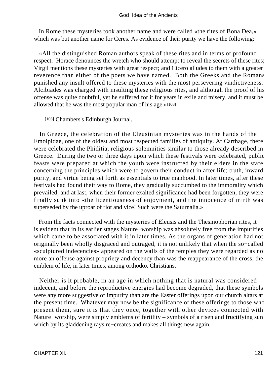### God−Idea of the Ancients

 In Rome these mysteries took another name and were called «the rites of Bona Dea,» which was but another name for Ceres. As evidence of their purity we have the following:

 «All the distinguished Roman authors speak of these rites and in terms of profound respect. Horace denounces the wretch who should attempt to reveal the secrets of these rites; Virgil mentions these mysteries with great respect; and Cicero alludes to them with a greater reverence than either of the poets we have named. Both the Greeks and the Romans punished any insult offered to these mysteries with the most persevering vindictiveness. Alcibiades was charged with insulting these religious rites, and although the proof of his offense was quite doubtful, yet he suffered for it for years in exile and misery, and it must be allowed that he was the most popular man of his age.»[103]

[103] Chambers's Edinburgh Journal.

 In Greece, the celebration of the Eleusinian mysteries was in the hands of the Emolpidae, one of the oldest and most respected families of antiquity. At Carthage, there were celebrated the Phiditia, religious solemnities similar to those already described in Greece. During the two or three days upon which these festivals were celebrated, public feasts were prepared at which the youth were instructed by their elders in the state concerning the principles which were to govern their conduct in after life; truth, inward purity, and virtue being set forth as essentials to true manhood. In later times, after these festivals had found their way to Rome, they gradually succumbed to the immorality which prevailed, and at last, when their former exalted significance had been forgotten, they were finally sunk into «the licentiousness of enjoyment, and the innocence of mirth was superseded by the uproar of riot and vice! Such were the Saturnalia.»

 From the facts connected with the mysteries of Eleusis and the Thesmophorian rites, it is evident that in its earlier stages Nature−worship was absolutely free from the impurities which came to be associated with it in later times. As the organs of generation had not originally been wholly disgraced and outraged, it is not unlikely that when the so−called «sculptured indecencies» appeared on the walls of the temples they were regarded as no more an offense against propriety and decency than was the reappearance of the cross, the emblem of life, in later times, among orthodox Christians.

 Neither is it probable, in an age in which nothing that is natural was considered indecent, and before the reproductive energies had become degraded, that these symbols were any more suggestive of impurity than are the Easter offerings upon our church altars at the present time. Whatever may now be the significance of these offerings to those who present them, sure it is that they once, together with other devices connected with Nature−worship, were simply emblems of fertility – symbols of a risen and fructifying sun which by its gladdening rays re−creates and makes all things new again.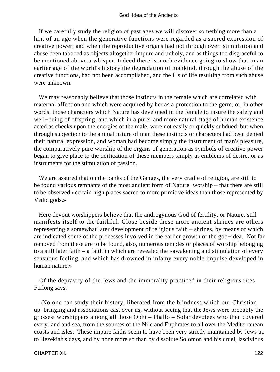If we carefully study the religion of past ages we will discover something more than a hint of an age when the generative functions were regarded as a sacred expression of creative power, and when the reproductive organs had not through over−stimulation and abuse been tabooed as objects altogether impure and unholy, and as things too disgraceful to be mentioned above a whisper. Indeed there is much evidence going to show that in an earlier age of the world's history the degradation of mankind, through the abuse of the creative functions, had not been accomplished, and the ills of life resulting from such abuse were unknown.

 We may reasonably believe that those instincts in the female which are correlated with maternal affection and which were acquired by her as a protection to the germ, or, in other words, those characters which Nature has developed in the female to insure the safety and well−being of offspring, and which in a purer and more natural stage of human existence acted as cheeks upon the energies of the male, were not easily or quickly subdued; but when through subjection to the animal nature of man these instincts or characters had been denied their natural expression, and woman had become simply the instrument of man's pleasure, the comparatively pure worship of the organs of generation as symbols of creative power began to give place to the deification of these members simply as emblems of desire, or as instruments for the stimulation of passion.

 We are assured that on the banks of the Ganges, the very cradle of religion, are still to be found various remnants of the most ancient form of Nature−worship – that there are still to be observed «certain high places sacred to more primitive ideas than those represented by Vedic gods.»

 Here devout worshippers believe that the androgynous God of fertility, or Nature, still manifests itself to the faithful. Close beside these more ancient shrines are others representing a somewhat later development of religious faith – shrines, by means of which are indicated some of the processes involved in the earlier growth of the god−idea. Not far removed from these are to be found, also, numerous temples or places of worship belonging to a still later faith – a faith in which are revealed the «awakening and stimulation of every sensuous feeling, and which has drowned in infamy every noble impulse developed in human nature.»

 Of the depravity of the Jews and the immorality practiced in their religious rites, Forlong says:

 «No one can study their history, liberated from the blindness which our Christian up−bringing and associations cast over us, without seeing that the Jews were probably the grossest worshippers among all those Ophi – Phallo – Solar devotees who then covered every land and sea, from the sources of the Nile and Euphrates to all over the Mediterranean coasts and isles. These impure faiths seem to have been very strictly maintained by Jews up to Hezekiah's days, and by none more so than by dissolute Solomon and his cruel, lascivious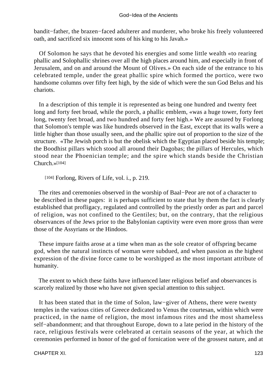### God−Idea of the Ancients

bandit−father, the brazen−faced adulterer and murderer, who broke his freely volunteered oath, and sacrificed six innocent sons of his king to his Javah.»

 Of Solomon he says that he devoted his energies and some little wealth «to rearing phallic and Solophallic shrines over all the high places around him, and especially in front of Jerusalem, and on and around the Mount of Olives.» On each side of the entrance to his celebrated temple, under the great phallic spire which formed the portico, were two handsome columns over fifty feet high, by the side of which were the sun God Belus and his chariots.

 In a description of this temple it is represented as being one hundred and twenty feet long and forty feet broad, while the porch, a phallic emblem, «was a huge tower, forty feet long, twenty feet broad, and two hundred and forty feet high.» We are assured by Forlong that Solomon's temple was like hundreds observed in the East, except that its walls were a little higher than those usually seen, and the phallic spire out of proportion to the size of the structure. «The Jewish porch is but the obelisk which the Egyptian placed beside his temple; the Boodhist pillars which stood all around their Dagobas; the pillars of Hercules, which stood near the Phoenician temple; and the spire which stands beside the Christian Church.»[104]

[104] Forlong, Rivers of Life, vol. i., p. 219.

 The rites and ceremonies observed in the worship of Baal−Peor are not of a character to be described in these pages: it is perhaps sufficient to state that by them the fact is clearly established that profligacy, regulated and controlled by the priestly order as part and parcel of religion, was not confined to the Gentiles; but, on the contrary, that the religious observances of the Jews prior to the Babylonian captivity were even more gross than were those of the Assyrians or the Hindoos.

 These impure faiths arose at a time when man as the sole creator of offspring became god, when the natural instincts of woman were subdued, and when passion as the highest expression of the divine force came to be worshipped as the most important attribute of humanity.

 The extent to which these faiths have influenced later religious belief and observances is scarcely realized by those who have not given special attention to this subject.

 It has been stated that in the time of Solon, law−giver of Athens, there were twenty temples in the various cities of Greece dedicated to Venus the courtesan, within which were practiced, in the name of religion, the most infamous rites and the most shameless self−abandonment; and that throughout Europe, down to a late period in the history of the race, religious festivals were celebrated at certain seasons of the year, at which the ceremonies performed in honor of the god of fornication were of the grossest nature, and at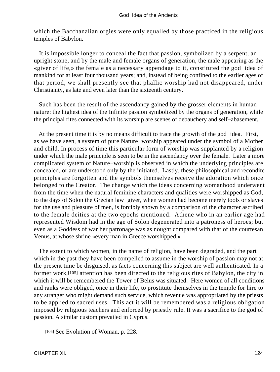which the Bacchanalian orgies were only equalled by those practiced in the religious temples of Babylon.

 It is impossible longer to conceal the fact that passion, symbolized by a serpent, an upright stone, and by the male and female organs of generation, the male appearing as the «giver of life,» the female as a necessary appendage to it, constituted the god−idea of mankind for at least four thousand years; and, instead of being confined to the earlier ages of that period, we shall presently see that phallic worship had not disappeared, under Christianity, as late and even later than the sixteenth century.

 Such has been the result of the ascendancy gained by the grosser elements in human nature: the highest idea of the Infinite passion symbolized by the organs of generation, while the principal rites connected with its worship are scenes of debauchery and self−abasement.

 At the present time it is by no means difficult to trace the growth of the god−idea. First, as we have seen, a system of pure Nature−worship appeared under the symbol of a Mother and child. In process of time this particular form of worship was supplanted by a religion under which the male principle is seen to be in the ascendancy over the female. Later a more complicated system of Nature−worship is observed in which the underlying principles are concealed, or are understood only by the initiated. Lastly, these philosophical and recondite principles are forgotten and the symbols themselves receive the adoration which once belonged to the Creator. The change which the ideas concerning womanhood underwent from the time when the natural feminine characters and qualities were worshipped as God, to the days of Solon the Grecian law−giver, when women had become merely tools or slaves for the use and pleasure of men, is forcibly shown by a comparison of the character ascribed to the female deities at the two epochs mentioned. Athene who in an earlier age had represented Wisdom had in the age of Solon degenerated into a patroness of heroes; but even as a Goddess of war her patronage was as nought compared with that of the courtesan Venus, at whose shrine «every man in Greece worshipped.»

 The extent to which women, in the name of religion, have been degraded, and the part which in the past they have been compelled to assume in the worship of passion may not at the present time be disguised, as facts concerning this subject are well authenticated. In a former work,[105] attention has been directed to the religious rites of Babylon, the city in which it will be remembered the Tower of Belus was situated. Here women of all conditions and ranks were obliged, once in their life, to prostitute themselves in the temple for hire to any stranger who might demand such service, which revenue was appropriated by the priests to be applied to sacred uses. This act it will be remembered was a religious obligation imposed by religious teachers and enforced by priestly rule. It was a sacrifice to the god of passion. A similar custom prevailed in Cyprus.

[105] See Evolution of Woman, p. 228.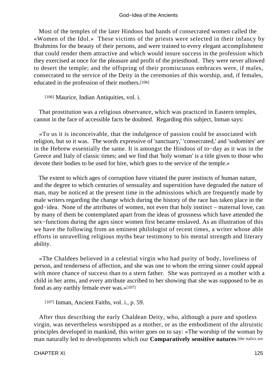Most of the temples of the later Hindoos had bands of consecrated women called the «Women of the Idol.» These victims of the priests were selected in their infancy by Brahmins for the beauty of their persons, and were trained to every elegant accomplishment that could render them attractive and which would insure success in the profession which they exercised at once for the pleasure and profit of the priesthood. They were never allowed to desert the temple; and the offspring of their promiscuous embraces were, if males, consecrated to the service of the Deity in the ceremonies of this worship, and, if females, educated in the profession of their mothers.[106]

[106] Maurice, Indian Antiquities, vol. i.

 That prostitution was a religious observance, which was practiced in Eastern temples, cannot in the face of accessible facts be doubted. Regarding this subject, Inman says:

 «To us it is inconceivable, that the indulgence of passion could be associated with religion, but so it was. The words expressive of 'sanctuary,' 'consecrated,' and 'sodomites' are in the Hebrew essentially the same. It is amongst the Hindoos of to−day as it was in the Greece and Italy of classic times; and we find that 'holy woman' is a title given to those who devote their bodies to be used for hire, which goes to the service of the temple.»

 The extent to which ages of corruption have vitiated the purer instincts of human nature, and the degree to which centuries of sensuality and superstition have degraded the nature of man, may be noticed at the present time in the admissions which are frequently made by male writers regarding the change which during the history of the race has taken place in the god−idea. None of the attributes of women, not even that holy instinct – maternal love, can by many of them be contemplated apart from the ideas of grossness which have attended the sex−functions during the ages since women first became enslaved. As an illustration of this we have the following from an eminent philologist of recent times, a writer whose able efforts in unravelling religious myths bear testimony to his mental strength and literary ability.

 «The Chaldees believed in a celestial virgin who had purity of body, loveliness of person, and tenderness of affection, and she was one to whom the erring sinner could appeal with more chance of success than to a stern father. She was portrayed as a mother with a child in her arms, and every attribute ascribed to her showing that she was supposed to be as fond as any earthly female ever was.»[107]

[107] Inman, Ancient Faiths, vol. i., p. 59.

 After thus describing the early Chaldean Deity, who, although a pure and spotless virgin, was nevertheless worshipped as a mother, or as the embodiment of the altruistic principles developed in mankind, this writer goes on to say: «The worship of the woman by man naturally led to developments which our **Comparatively sensitive natures** [the italics are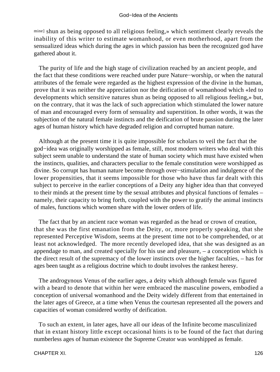mine] shun as being opposed to all religious feeling,» which sentiment clearly reveals the inability of this writer to estimate womanhood, or even motherhood, apart from the sensualized ideas which during the ages in which passion has been the recognized god have gathered about it.

 The purity of life and the high stage of civilization reached by an ancient people, and the fact that these conditions were reached under pure Nature−worship, or when the natural attributes of the female were regarded as the highest expression of the divine in the human, prove that it was neither the appreciation nor the deification of womanhood which «led to developments which sensitive natures shun as being opposed to all religious feeling,» but, on the contrary, that it was the lack of such appreciation which stimulated the lower nature of man and encouraged every form of sensuality and superstition. In other words, it was the subjection of the natural female instincts and the deification of brute passion during the later ages of human history which have degraded religion and corrupted human nature.

 Although at the present time it is quite impossible for scholars to veil the fact that the god−idea was originally worshipped as female, still, most modern writers who deal with this subject seem unable to understand the state of human society which must have existed when the instincts, qualities, and characters peculiar to the female constitution were worshipped as divine. So corrupt has human nature become through over−stimulation and indulgence of the lower propensities, that it seems impossible for those who have thus far dealt with this subject to perceive in the earlier conceptions of a Deity any higher idea than that conveyed to their minds at the present time by the sexual attributes and physical functions of females – namely, their capacity to bring forth, coupled with the power to gratify the animal instincts of males, functions which women share with the lower orders of life.

 The fact that by an ancient race woman was regarded as the head or crown of creation, that she was the first emanation from the Deity, or, more properly speaking, that she represented Perceptive Wisdom, seems at the present time not to be comprehended, or at least not acknowledged. The more recently developed idea, that she was designed as an appendage to man, and created specially for his use and pleasure, – a conception which is the direct result of the supremacy of the lower instincts over the higher faculties, – has for ages been taught as a religious doctrine which to doubt involves the rankest heresy.

 The androgynous Venus of the earlier ages, a deity which although female was figured with a beard to denote that within her were embraced the masculine powers, embodied a conception of universal womanhood and the Deity widely different from that entertained in the later ages of Greece, at a time when Venus the courtesan represented all the powers and capacities of woman considered worthy of deification.

 To such an extent, in later ages, have all our ideas of the Infinite become masculinized that in extant history little except occasional hints is to be found of the fact that during numberless ages of human existence the Supreme Creator was worshipped as female.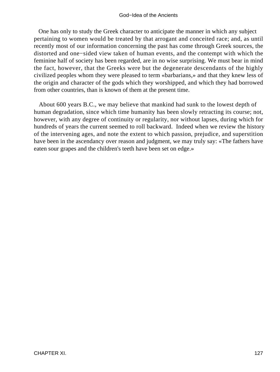### God−Idea of the Ancients

 One has only to study the Greek character to anticipate the manner in which any subject pertaining to women would be treated by that arrogant and conceited race; and, as until recently most of our information concerning the past has come through Greek sources, the distorted and one−sided view taken of human events, and the contempt with which the feminine half of society has been regarded, are in no wise surprising. We must bear in mind the fact, however, that the Greeks were but the degenerate descendants of the highly civilized peoples whom they were pleased to term «barbarians,» and that they knew less of the origin and character of the gods which they worshipped, and which they had borrowed from other countries, than is known of them at the present time.

 About 600 years B.C., we may believe that mankind had sunk to the lowest depth of human degradation, since which time humanity has been slowly retracting its course; not, however, with any degree of continuity or regularity, nor without lapses, during which for hundreds of years the current seemed to roll backward. Indeed when we review the history of the intervening ages, and note the extent to which passion, prejudice, and superstition have been in the ascendancy over reason and judgment, we may truly say: «The fathers have eaten sour grapes and the children's teeth have been set on edge.»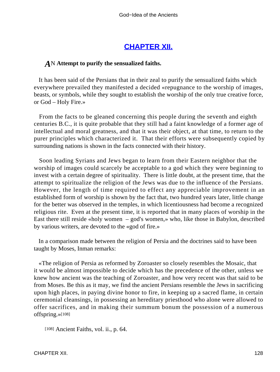# **[CHAPTER XII.](#page-197-0)**

## *A*N **Attempt to purify the sensualized faiths.**

 It has been said of the Persians that in their zeal to purify the sensualized faiths which everywhere prevailed they manifested a decided «repugnance to the worship of images, beasts, or symbols, while they sought to establish the worship of the only true creative force, or God – Holy Fire.»

 From the facts to be gleaned concerning this people during the seventh and eighth centuries B.C., it is quite probable that they still had a faint knowledge of a former age of intellectual and moral greatness, and that it was their object, at that time, to return to the purer principles which characterized it. That their efforts were subsequently copied by surrounding nations is shown in the facts connected with their history.

 Soon leading Syrians and Jews began to learn from their Eastern neighbor that the worship of images could scarcely be acceptable to a god which they were beginning to invest with a certain degree of spirituality. There is little doubt, at the present time, that the attempt to spiritualize the religion of the Jews was due to the influence of the Persians. However, the length of time required to effect any appreciable improvement in an established form of worship is shown by the fact that, two hundred years later, little change for the better was observed in the temples, in which licentiousness had become a recognized religious rite. Even at the present time, it is reported that in many places of worship in the East there still reside «holy women – god's women,» who, like those in Babylon, described by various writers, are devoted to the «god of fire.»

 In a comparison made between the religion of Persia and the doctrines said to have been taught by Moses, Inman remarks:

 «The religion of Persia as reformed by Zoroaster so closely resembles the Mosaic, that it would be almost impossible to decide which has the precedence of the other, unless we knew how ancient was the teaching of Zoroaster, and how very recent was that said to be from Moses. Be this as it may, we find the ancient Persians resemble the Jews in sacrificing upon high places, in paying divine honor to fire, in keeping up a sacred flame, in certain ceremonial cleansings, in possessing an hereditary priesthood who alone were allowed to offer sacrifices, and in making their summum bonum the possession of a numerous offspring.»[108]

[108] Ancient Faiths, vol. ii., p. 64.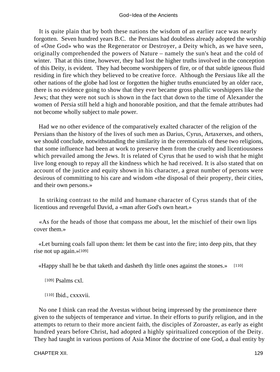### God−Idea of the Ancients

 It is quite plain that by both these nations the wisdom of an earlier race was nearly forgotten. Seven hundred years B.C. the Persians had doubtless already adopted the worship of «One God» who was the Regenerator or Destroyer, a Deity which, as we have seen, originally comprehended the powers of Nature – namely the sun's heat and the cold of winter. That at this time, however, they had lost the higher truths involved in the conception of this Deity, is evident. They had become worshippers of fire, or of that subtle igneous fluid residing in fire which they believed to be creative force. Although the Persiaus like all the other nations of the globe had lost or forgotten the higher truths enunciated by an older race, there is no evidence going to show that they ever became gross phallic worshippers like the Jews; that they were not such is shown in the fact that down to the time of Alexander the women of Persia still held a high and honorable position, and that the female attributes had not become wholly subject to male power.

 Had we no other evidence of the comparatively exalted character of the religion of the Persians than the history of the lives of such men as Darius, Cyrus, Artaxerxes, and others, we should conclude, notwithstanding the similarity in the ceremonials of these two religions, that some influence had been at work to preserve them from the cruelty and licentiousness which prevailed among the Jews. It is related of Cyrus that he used to wish that he might live long enough to repay all the kindness which he had received. It is also stated that on account of the justice and equity shown in his character, a great number of persons were desirous of committing to his care and wisdom «the disposal of their property, their cities, and their own persons.»

 In striking contrast to the mild and humane character of Cyrus stands that of the licentious and revengeful David, a «man after God's own heart.»

 «As for the heads of those that compass me about, let the mischief of their own lips cover them.»

 «Let burning coals fall upon them: let them be cast into the fire; into deep pits, that they rise not up again.»[109]

«Happy shall he be that taketh and dasheth thy little ones against the stones.» [110]

[109] Psalms cxl.

[110] Ibid., cxxxvii.

 No one I think can read the Avestas without being impressed by the prominence there given to the subjects of temperance and virtue. In their efforts to purify religion, and in the attempts to return to their more ancient faith, the disciples of Zoroaster, as early as eight hundred years before Christ, had adopted a highly spiritualized conception of the Deity. They had taught in various portions of Asia Minor the doctrine of one God, a dual entity by

CHAPTER XII. 129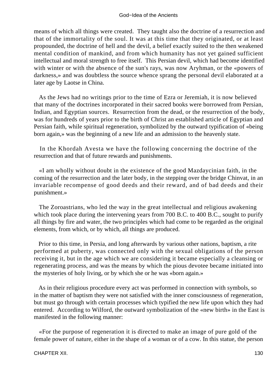means of which all things were created. They taught also the doctrine of a resurrection and that of the immortality of the soul. It was at this time that they originated, or at least propounded, the doctrine of hell and the devil, a belief exactly suited to the then weakened mental condition of mankind, and from which humanity has not yet gained sufficient intellectual and moral strength to free itself. This Persian devil, which had become identified with winter or with the absence of the sun's rays, was now Aryhman, or the «powers of darkness,» and was doubtless the source whence sprang the personal devil elaborated at a later age by Laotse in China.

 As the Jews had no writings prior to the time of Ezra or Jeremiah, it is now believed that many of the doctrines incorporated in their sacred books were borrowed from Persian, Indian, and Egyptian sources. Resurrection from the dead, or the resurrection of the body, was for hundreds of years prior to the birth of Christ an established article of Egyptian and Persian faith, while spiritual regeneration, symbolized by the outward typification of «being born again,» was the beginning of a new life and an admission to the heavenly state.

 In the Khordah Avesta we have the following concerning the doctrine of the resurrection and that of future rewards and punishments.

 «I am wholly without doubt in the existence of the good Mazdaycinian faith, in the coming of the resurrection and the later body, in the stepping over the bridge Chinvat, in an invariable recompense of good deeds and their reward, and of bad deeds and their punishment.»

 The Zoroastrians, who led the way in the great intellectual and religious awakening which took place during the intervening years from 700 B.C. to 400 B.C., sought to purify all things by fire and water, the two principles which had come to be regarded as the original elements, from which, or by which, all things are produced.

 Prior to this time, in Persia, and long afterwards by various other nations, baptism, a rite performed at puberty, was connected only with the sexual obligations of the person receiving it, but in the age which we are considering it became especially a cleansing or regenerating process, and was the means by which the pious devotee became initiated into the mysteries of holy living, or by which she or he was «born again.»

 As in their religious procedure every act was performed in connection with symbols, so in the matter of baptism they were not satisfied with the inner consciousness of regeneration, but must go through with certain processes which typified the new life upon which they had entered. According to Wilford, the outward symbolization of the «new birth» in the East is manifested in the following manner:

 «For the purpose of regeneration it is directed to make an image of pure gold of the female power of nature, either in the shape of a woman or of a cow. In this statue, the person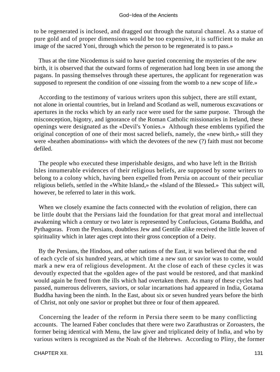to be regenerated is inclosed, and dragged out through the natural channel. As a statue of pure gold and of proper dimensions would be too expensive, it is sufficient to make an image of the sacred Yoni, through which the person to be regenerated is to pass.»

 Thus at the time Nicodemus is said to have queried concerning the mysteries of the new birth, it is observed that the outward forms of regeneration had long been in use among the pagans. In passing themselves through these apertures, the applicant for regeneration was supposed to represent the condition of one «issuing from the womb to a new scope of life.»

 According to the testimony of various writers upon this subject, there are still extant, not alone in oriental countries, but in Ireland and Scotland as well, numerous excavations or apertures in the rocks which by an early race were used for the same purpose. Through the misconception, bigotry, and ignorance of the Roman Catholic missionaries in Ireland, these openings were designated as the «Devil's Yonies.» Although these emblems typified the original conception of one of their most sacred beliefs, namely, the «new birth,» still they were «heathen abominations» with which the devotees of the new (?) faith must not become defiled.

 The people who executed these imperishable designs, and who have left in the British Isles innumerable evidences of their religious beliefs, are supposed by some writers to belong to a colony which, having been expelled from Persia on account of their peculiar religious beliefs, settled in the «White Island,» the «Island of the Blessed.» This subject will, however, be referred to later in this work.

 When we closely examine the facts connected with the evolution of religion, there can be little doubt that the Persians laid the foundation for that great moral and intellectual awakening which a century or two later is represented by Confucious, Gotama Buddha, and Pythagoras. From the Persians, doubtless Jew and Gentile alike received the little leaven of spirituality which in later ages crept into their gross conception of a Deity.

 By the Persians, the Hindoos, and other nations of the East, it was believed that the end of each cycle of six hundred years, at which time a new sun or savior was to come, would mark a new era of religious development. At the close of each of these cycles it was devoutly expected that the «golden age» of the past would be restored, and that mankind would again be freed from the ills which had overtaken them. As many of these cycles had passed, numerous deliverers, saviors, or solar incarnations had appeared in India, Gotama Buddha having been the ninth. In the East, about six or seven hundred years before the birth of Christ, not only one savior or prophet but three or four of them appeared.

 Concerning the leader of the reform in Persia there seem to be many conflicting accounts. The learned Faber concludes that there were two Zarathustras or Zoroasters, the former being identical with Menu, the law giver and triplicated deity of India, and who by various writers is recognized as the Noah of the Hebrews. According to Pliny, the former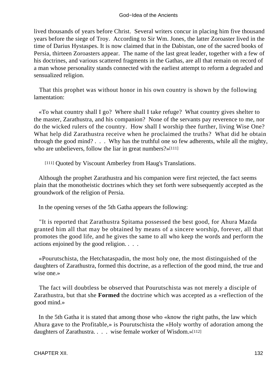lived thousands of years before Christ. Several writers concur in placing him five thousand years before the siege of Troy. According to Sir Wm. Jones, the latter Zoroaster lived in the time of Darius Hystaspes. It is now claimed that in the Dabistan, one of the sacred books of Persia, thirteen Zoroasters appear. The name of the last great leader, together with a few of his doctrines, and various scattered fragments in the Gathas, are all that remain on record of a man whose personality stands connected with the earliest attempt to reform a degraded and sensualized religion.

 That this prophet was without honor in his own country is shown by the following lamentation:

 «To what country shall I go? Where shall I take refuge? What country gives shelter to the master, Zarathustra, and his companion? None of the servants pay reverence to me, nor do the wicked rulers of the country. How shall I worship thee further, living Wise One? What help did Zarathustra receive when he proclaimed the truths? What did he obtain through the good mind? . . . Why has the truthful one so few adherents, while all the mighty, who are unbelievers, follow the liar in great numbers?»[111]

[111] Quoted by Viscount Amberley from Haug's Translations.

 Although the prophet Zarathustra and his companion were first rejected, the fact seems plain that the monotheistic doctrines which they set forth were subsequently accepted as the groundwork of the religion of Persia.

In the opening verses of the 5th Gatha appears the following:

 "It is reported that Zarathustra Spitama possessed the best good, for Ahura Mazda granted him all that may be obtained by means of a sincere worship, forever, all that promotes the good life, and he gives the same to all who keep the words and perform the actions enjoined by the good religion. . . .

 «Pourutschista, the Hetchataspadin, the most holy one, the most distinguished of the daughters of Zarathustra, formed this doctrine, as a reflection of the good mind, the true and wise one.»

 The fact will doubtless be observed that Pourutschista was not merely a disciple of Zarathustra, but that she **Formed** the doctrine which was accepted as a «reflection of the good mind.»

 In the 5th Gatha it is stated that among those who «know the right paths, the law which Ahura gave to the Profitable,» is Pourutschista the «Holy worthy of adoration among the daughters of Zarathustra. . . . wise female worker of Wisdom.»[112]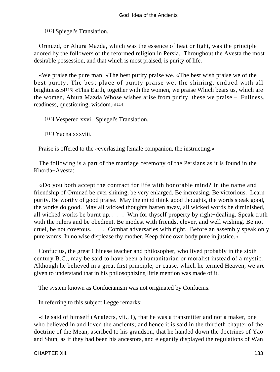[112] Spiegel's Translation.

 Ormuzd, or Ahura Mazda, which was the essence of heat or light, was the principle adored by the followers of the reformed religion in Persia. Throughout the Avesta the most desirable possession, and that which is most praised, is purity of life.

 «We praise the pure man. »The best purity praise we. «The best wish praise we of the best purity. The best place of purity praise we, the shining, endued with all brightness.»[113] «This Earth, together with the women, we praise Which bears us, which are the women, Ahura Mazda Whose wishes arise from purity, these we praise – Fullness, readiness, questioning, wisdom.»[114]

[113] Vespered xxvi. Spiegel's Translation.

[114] Yacna xxxviii.

Praise is offered to the «everlasting female companion, the instructing.»

 The following is a part of the marriage ceremony of the Persians as it is found in the Khorda−Avesta:

 «Do you both accept the contract for life with honorable mind? In the name and friendship of Ormuzd be ever shining, be very enlarged. Be increasing. Be victorious. Learn purity. Be worthy of good praise. May the mind think good thoughts, the words speak good, the works do good. May all wicked thoughts hasten away, all wicked words be diminished, all wicked works be burnt up. . . . Win for thyself property by right−dealing. Speak truth with the rulers and be obedient. Be modest with friends, clever, and well wishing. Be not cruel, be not covetous. . . . Combat adversaries with right. Before an assembly speak only pure words. In no wise displease thy mother. Keep thine own body pure in justice.»

 Confucius, the great Chinese teacher and philosopher, who lived probably in the sixth century B.C., may be said to have been a humanitarian or moralist instead of a mystic. Although he believed in a great first principle, or cause, which he termed Heaven, we are given to understand that in his philosophizing little mention was made of it.

The system known as Confucianism was not originated by Confucius.

In referring to this subject Legge remarks:

 «He said of himself (Analects, vii., I), that he was a transmitter and not a maker, one who believed in and loved the ancients; and hence it is said in the thirtieth chapter of the doctrine of the Mean, ascribed to his grandson, that he handed down the doctrines of Yao and Shun, as if they had been his ancestors, and elegantly displayed the regulations of Wan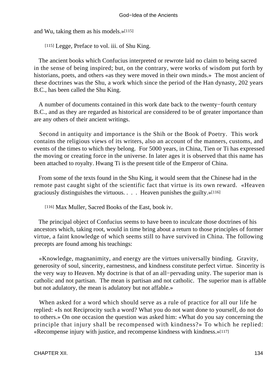and Wu, taking them as his models.»[115]

[115] Legge, Preface to vol. iii. of Shu King.

 The ancient books which Confucius interpreted or rewrote laid no claim to being sacred in the sense of being inspired; but, on the contrary, were works of wisdom put forth by historians, poets, and others «as they were moved in their own minds.» The most ancient of these doctrines was the Shu, a work which since the period of the Han dynasty, 202 years B.C., has been called the Shu King.

 A number of documents contained in this work date back to the twenty−fourth century B.C., and as they are regarded as historical are considered to be of greater importance than are any others of their ancient writings.

 Second in antiquity and importance is the Shih or the Book of Poetry. This work contains the religious views of its writers, also an account of the manners, customs, and events of the times to which they belong. For 5000 years, in China, Tien or Ti has expressed the moving or creating force in the universe. In later ages it is observed that this name has been attached to royalty. Hwang Ti is the present title of the Emperor of China.

 From some of the texts found in the Shu King, it would seem that the Chinese had in the remote past caught sight of the scientific fact that virtue is its own reward. «Heaven graciously distinguishes the virtuous. . . . Heaven punishes the guilty.»[116]

[116] Max Muller, Sacred Books of the East, book iv.

 The principal object of Confucius seems to have been to inculcate those doctrines of his ancestors which, taking root, would in time bring about a return to those principles of former virtue, a faint knowledge of which seems still to have survived in China. The following precepts are found among his teachings:

 «Knowledge, magnanimity, and energy are the virtues universally binding. Gravity, generosity of soul, sincerity, earnestness, and kindness constitute perfect virtue. Sincerity is the very way to Heaven. My doctrine is that of an all−pervading unity. The superior man is catholic and not partisan. The mean is partisan and not catholic. The superior man is affable but not adulatory, the mean is adulatory but not affable.»

 When asked for a word which should serve as a rule of practice for all our life he replied: «Is not Reciprocity such a word? What you do not want done to yourself, do not do to others.» On one occasion the question was asked him: «What do you say concerning the principle that injury shall be recompensed with kindness?» To which he replied: «Recompense injury with justice, and recompense kindness with kindness.»[117]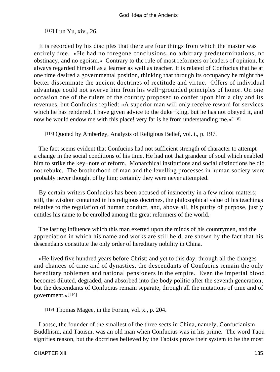### [117] Lun Yu, xiv., 26.

 It is recorded by his disciples that there are four things from which the master was entirely free. «He had no foregone conclusions, no arbitrary predeterminations, no obstinacy, and no egoism.» Contrary to the rule of most reformers or leaders of opinion, he always regarded himself as a learner as well as teacher. It is related of Confucius that he at one time desired a governmental position, thinking that through its occupancy he might the better disseminate the ancient doctrines of rectitude and virtue. Offers of individual advantage could not swerve him from his well−grounded principles of honor. On one occasion one of the rulers of the country proposed to confer upon him a city and its revenues, but Confucius replied: «A superior man will only receive reward for services which he has rendered. I have given advice to the duke−king, but he has not obeyed it, and now he would endow me with this place! very far is he from understanding me.»[118]

[118] Quoted by Amberley, Analysis of Religious Belief, vol. i., p. 197.

 The fact seems evident that Confucius had not sufficient strength of character to attempt a change in the social conditions of his time. He had not that grandeur of soul which enabled him to strike the key−note of reform. Monarchical institutions and social distinctions he did not rebuke. The brotherhood of man and the levelling processes in human society were probably never thought of by him; certainly they were never attempted.

 By certain writers Confucius has been accused of insincerity in a few minor matters; still, the wisdom contained in his religious doctrines, the philosophical value of his teachings relative to the regulation of human conduct, and, above all, his purity of purpose, justly entitles his name to be enrolled among the great reformers of the world.

 The lasting influence which this man exerted upon the minds of his countrymen, and the appreciation in which his name and works are still held, are shown by the fact that his descendants constitute the only order of hereditary nobility in China.

 «He lived five hundred years before Christ; and yet to this day, through all the changes and chances of time and of dynasties, the descendants of Confucius remain the only hereditary noblemen and national pensioners in the empire. Even the imperial blood becomes diluted, degraded, and absorbed into the body politic after the seventh generation; but the descendants of Confucius remain separate, through all the mutations of time and of government.»[119]

[119] Thomas Magee, in the Forum, vol. x., p. 204.

 Laotse, the founder of the smallest of the three sects in China, namely, Confucianism, Buddhism, and Taoism, was an old man when Confucius was in his prime. The word Taou signifies reason, but the doctrines believed by the Taoists prove their system to be the most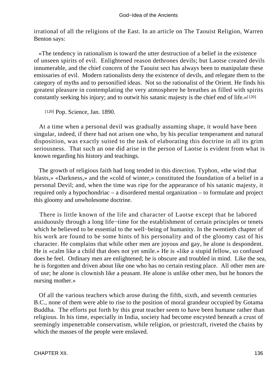irrational of all the religions of the East. In an article on The Taouist Religion, Warren Benton says:

 «The tendency in rationalism is toward the utter destruction of a belief in the existence of unseen spirits of evil. Enlightened reason dethrones devils; but Laotse created devils innumerable, and the chief concern of the Taouist sect has always been to manipulate these emissaries of evil. Modern rationalists deny the existence of devils, and relegate them to the category of myths and to personified ideas. Not so the rationalist of the Orient. He finds his greatest pleasure in contemplating the very atmosphere he breathes as filled with spirits constantly seeking his injury; and to outwit his satanic majesty is the chief end of life.»[120]

[120] Pop. Science, Jan. 1890.

 At a time when a personal devil was gradually assuming shape, it would have been singular, indeed, if there had not arisen one who, by his peculiar temperament and natural disposition, was exactly suited to the task of elaborating this doctrine in all its grim seriousness. That such an one did arise in the person of Laotse is evident from what is known regarding his history and teachings.

 The growth of religious faith had long tended in this direction. Typhon, «the wind that blasts,» «Darkness,» and the «cold of winter,» constituted the foundation of a belief in a personal Devil; and, when the time was ripe for the appearance of his satanic majesty, it required only a hypochondriac – a disordered mental organization – to formulate and project this gloomy and unwholesome doctrine.

 There is little known of the life and character of Laotse except that he labored assiduously through a long life−time for the establishment of certain principles or tenets which he believed to be essential to the well−being of humanity. In the twentieth chapter of his work are found to be some hints of his personality and of the gloomy cast of his character. He complains that while other men are joyous and gay, he alone is despondent. He is «calm like a child that does not yet smile.» He is «like a stupid fellow, so confused does he feel. Ordinary men are enlightened; he is obscure and troubled in mind. Like the sea, he is forgotten and driven about like one who has no certain resting place. All other men are of use; he alone is clownish like a peasant. He alone is unlike other men, but he honors the nursing mother.»

 Of all the various teachers which arose during the fifth, sixth, and seventh centuries B.C., none of them were able to rise to the position of moral grandeur occupied by Gotama Buddha. The efforts put forth by this great teacher seem to have been humane rather than religious. In his time, especially in India, society had become encysted beneath a crust of seemingly impenetrable conservatism, while religion, or priestcraft, riveted the chains by which the masses of the people were enslaved.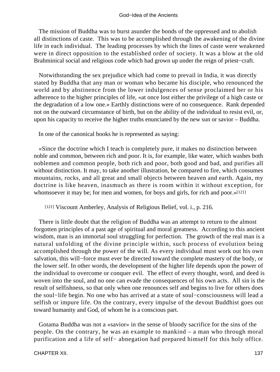The mission of Buddha was to burst asunder the bonds of the oppressed and to abolish all distinctions of caste. This was to be accomplished through the awakening of the divine life in each individual. The leading processes by which the lines of caste were weakened were in direct opposition to the established order of society. It was a blow at the old Brahminical social and religious code which had grown up under the reign of priest−craft.

 Notwithstanding the sex prejudice which had come to prevail in India, it was directly stated by Buddha that any man or woman who became his disciple, who renounced the world and by abstinence from the lower indulgences of sense proclaimed her or his adherence to the higher principles of life, «at once lost either the privilege of a high caste or the degradation of a low one.» Earthly distinctions were of no consequence. Rank depended not on the outward circumstance of birth, but on the ability of the individual to resist evil, or, upon his capacity to receive the higher truths enunciated by the new sun or savior – Buddha.

In one of the canonical books he is represented as saying:

 «Since the doctrine which I teach is completely pure, it makes no distinction between noble and common, between rich and poor. It is, for example, like water, which washes both noblemen and common people, both rich and poor, both good and bad, and purifies all without distinction. It may, to take another illustration, be compared to fire, which consumes mountains, rocks, and all great and small objects between heaven and earth. Again, my doctrine is like heaven, inasmuch as there is room within it without exception, for whomsoever it may be; for men and women, for boys and girls, for rich and poor.»[121]

[121] Viscount Amberley, Analysis of Religious Belief, vol. i., p. 216.

 There is little doubt that the religion of Buddha was an attempt to return to the almost forgotten principles of a past age of spiritual and moral greatness. According to this ancient wisdom, man is an immortal soul struggling for perfection. The growth of the real man is a natural unfolding of the divine principle within, such process of evolution being accomplished through the power of the will. As every individual must work out his own salvation, this will−force must ever be directed toward the complete mastery of the body, or the lower self. In other words, the development of the higher life depends upon the power of the individual to overcome or conquer evil. The effect of every thought, word, and deed is woven into the soul, and no one can evade the consequences of his own acts. All sin is the result of selfishness, so that only when one renounces self and begins to live for others does the soul−life begin. No one who has arrived at a state of soul−consciousness will lead a selfish or impure life. On the contrary, every impulse of the devout Buddhist goes out toward humanity and God, of whom he is a conscious part.

 Gotama Buddha was not a «savior» in the sense of bloody sacrifice for the sins of the people. On the contrary, he was an example to mankind – a man who through moral purification and a life of self− abnegation had prepared himself for this holy office.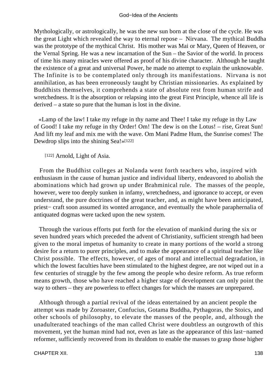Mythologically, or astrologically, he was the new sun born at the close of the cycle. He was the great Light which revealed the way to eternal repose – Nirvana. The mythical Buddha was the prototype of the mythical Christ. His mother was Mai or Mary, Queen of Heaven, or the Vernal Spring. He was a new incarnation of the Sun – the Savior of the world. In process of time his many miracles were offered as proof of his divine character. Although he taught the existence of a great and universal Power, he made no attempt to explain the unknowable. The Infinite is to be contemplated only through its manifestations. Nirvana is not annihilation, as has been erroneously taught by Christian missionaries. As explained by Buddhists themselves, it comprehends a state of absolute rest from human strife and wretchedness. It is the absorption or relapsing into the great First Principle, whence all life is derived – a state so pure that the human is lost in the divine.

 «Lamp of the law! I take my refuge in thy name and Thee! I take my refuge in thy Law of Good! I take my refuge in thy Order! Om! The dew is on the Lotus! – rise, Great Sun! And lift my leaf and mix me with the wave. Om Mani Padme Hum, the Sunrise comes! The Dewdrop slips into the shining Sea!»[122]

[122] Arnold, Light of Asia.

 From the Buddhist colleges at Nolanda went forth teachers who, inspired with enthusiasm in the cause of human justice and individual liberty, endeavored to abolish the abominations which had grown up under Brahminical rule. The masses of the people, however, were too deeply sunken in infamy, wretchedness, and ignorance to accept, or even understand, the pure doctrines of the great teacher, and, as might have been anticipated, priest− craft soon assumed its wonted arrogance, and eventually the whole paraphernalia of antiquated dogmas were tacked upon the new system.

 Through the various efforts put forth for the elevation of mankind during the six or seven hundred years which preceded the advent of Christianity, sufficient strength had been given to the moral impetus of humanity to create in many portions of the world a strong desire for a return to purer principles, and to make the appearance of a spiritual teacher like Christ possible. The effects, however, of ages of moral and intellectual degradation, in which the lowest faculties have been stimulated to the highest degree, are not wiped out in a few centuries of struggle by the few among the people who desire reform. As true reform means growth, those who have reached a higher stage of development can only point the way to others – they are powerless to effect changes for which the masses are unprepared.

 Although through a partial revival of the ideas entertained by an ancient people the attempt was made by Zoroaster, Confucius, Gotama Buddha, Pythagoras, the Stoics, and other schools of philosophy, to elevate the masses of the people, and, although the unadulterated teachings of the man called Christ were doubtless an outgrowth of this movement, yet the human mind had not, even as late as the appearance of this last−named reformer, sufficiently recovered from its thraldom to enable the masses to grasp those higher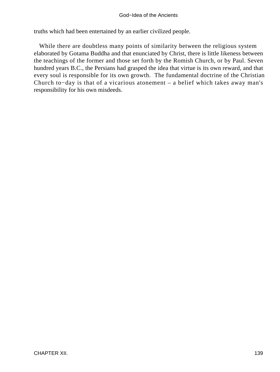truths which had been entertained by an earlier civilized people.

 While there are doubtless many points of similarity between the religious system elaborated by Gotama Buddha and that enunciated by Christ, there is little likeness between the teachings of the former and those set forth by the Romish Church, or by Paul. Seven hundred years B.C., the Persians had grasped the idea that virtue is its own reward, and that every soul is responsible for its own growth. The fundamental doctrine of the Christian Church to−day is that of a vicarious atonement – a belief which takes away man's responsibility for his own misdeeds.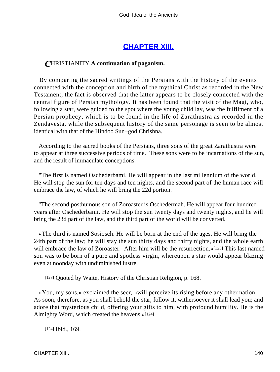## **[CHAPTER XIII.](#page-197-0)**

## *C*HRISTIANITY **A continuation of paganism.**

 By comparing the sacred writings of the Persians with the history of the events connected with the conception and birth of the mythical Christ as recorded in the New Testament, the fact is observed that the latter appears to be closely connected with the central figure of Persian mythology. It has been found that the visit of the Magi, who, following a star, were guided to the spot where the young child lay, was the fulfilment of a Persian prophecy, which is to be found in the life of Zarathustra as recorded in the Zendavesta, while the subsequent history of the same personage is seen to be almost identical with that of the Hindoo Sun−god Chrishna.

 According to the sacred books of the Persians, three sons of the great Zarathustra were to appear at three successive periods of time. These sons were to be incarnations of the sun, and the result of immaculate conceptions.

 "The first is named Oschederbami. He will appear in the last millennium of the world. He will stop the sun for ten days and ten nights, and the second part of the human race will embrace the law, of which he will bring the 22d portion.

 "The second posthumous son of Zoroaster is Oschedermah. He will appear four hundred years after Oschederbami. He will stop the sun twenty days and twenty nights, and he will bring the 23d part of the law, and the third part of the world will be converted.

 «The third is named Sosiosch. He will be born at the end of the ages. He will bring the 24th part of the law; he will stay the sun thirty days and thirty nights, and the whole earth will embrace the law of Zoroaster. After him will be the resurrection.»[123] This last named son was to be born of a pure and spotless virgin, whereupon a star would appear blazing even at noonday with undiminished lustre.

[123] Quoted by Waite, History of the Christian Religion, p. 168.

 «You, my sons,» exclaimed the seer, «will perceive its rising before any other nation. As soon, therefore, as you shall behold the star, follow it, withersoever it shall lead you; and adore that mysterious child, offering your gifts to him, with profound humility. He is the Almighty Word, which created the heavens.»[124]

[124] **Ibid.**, 169.

CHAPTER XIII. 140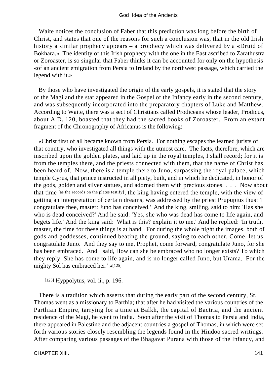Waite notices the conclusion of Faber that this prediction was long before the birth of Christ, and states that one of the reasons for such a conclusion was, that in the old Irish history a similar prophecy appears – a prophecy which was delivered by a «Druid of Bokhara.» The identity of this Irish prophecy with the one in the East ascribed to Zarathustra or Zoroaster, is so singular that Faber thinks it can be accounted for only on the hypothesis «of an ancient emigration from Persia to Ireland by the northwest passage, which carried the legend with it.»

 By those who have investigated the origin of the early gospels, it is stated that the story of the Magi and the star appeared in the Gospel of the Infancy early in the second century, and was subsequently incorporated into the preparatory chapters of Luke and Matthew. According to Waite, there was a sect of Christians called Prodiceans whose leader, Prodicus, about A.D. 120, boasted that they had the sacred books of Zoroaster. From an extant fragment of the Chronography of Africanus is the following:

 «Christ first of all became known from Persia. For nothing escapes the learned jurists of that country, who investigated all things with the utmost care. The facts, therefore, which are inscribed upon the golden plates, and laid up in the royal temples, I shall record; for it is from the temples there, and the priests connected with them, that the name of Christ has been heard of. Now, there is a temple there to Juno, surpassing the royal palace, which temple Cyrus, that prince instructed in all piety, built, and in which he dedicated, in honor of the gods, golden and silver statues, and adorned them with precious stones. . . . Now about that time [as the records on the plates testify], the king having entered the temple, with the view of getting an interpretation of certain dreams, was addressed by the priest Prupupius thus: 'I congratulate thee, master: Juno has conceived.' 'And the king, smiling, said to him: 'Has she who is dead conceived?' And he said: 'Yes, she who was dead has come to life again, and begets life.' And the king said: 'What is this? explain it to me.' And he replied: 'In truth, master, the time for these things is at hand. For during the whole night the images, both of gods and goddesses, continued beating the ground, saying to each other, Come, let us congratulate Juno. And they say to me, Prophet, come forward, congratulate Juno, for she has been embraced. And I said, How can she be embraced who no longer exists? To which they reply, She has come to life again, and is no longer called Juno, but Urama. For the mighty Sol has embraced her.' »[125]

[125] Hyppolytus, vol. ii., p. 196.

 There is a tradition which asserts that during the early part of the second century, St. Thomas went as a missionary to Parthia; that after he had visited the various countries of the Parthian Empire, tarrying for a time at Balkh, the capital of Bactria, and the ancient residence of the Magi, he went to India. Soon after the visit of Thomas to Persia and India, there appeared in Palestine and the adjacent countries a gospel of Thomas, in which were set forth various stories closely resembling the legends found in the Hindoo sacred writings. After comparing various passages of the Bhagavat Purana with those of the Infancy, and

CHAPTER XIII. 141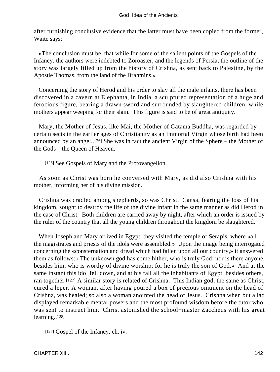after furnishing conclusive evidence that the latter must have been copied from the former, Waite says:

 «The conclusion must be, that while for some of the salient points of the Gospels of the Infancy, the authors were indebted to Zoroaster, and the legends of Persia, the outline of the story was largely filled up from the history of Crishna, as sent back to Palestine, by the Apostle Thomas, from the land of the Brahmins.»

 Concerning the story of Herod and his order to slay all the male infants, there has been discovered in a cavern at Elephanta, in India, a sculptured representation of a huge and ferocious figure, bearing a drawn sword and surrounded by slaughtered children, while mothers appear weeping for their slain. This figure is said to be of great antiquity.

 Mary, the Mother of Jesus, like Mai, the Mother of Gatama Buddha, was regarded by certain sects in the earlier ages of Christianity as an Immortal Virgin whose birth had been announced by an angel.[126] She was in fact the ancient Virgin of the Sphere – the Mother of the Gods – the Queen of Heaven.

[126] See Gospels of Mary and the Protovangelion.

 As soon as Christ was born he conversed with Mary, as did also Crishna with his mother, informing her of his divine mission.

 Crishna was cradled among shepherds, so was Christ. Cansa, fearing the loss of his kingdom, sought to destroy the life of the divine infant in the same manner as did Herod in the case of Christ. Both children are carried away by night, after which an order is issued by the ruler of the country that all the young children throughout the kingdom be slaughtered.

 When Joseph and Mary arrived in Egypt, they visited the temple of Serapis, where «all the magistrates and priests of the idols were assembled.» Upon the image being interrogated concerning the «consternation and dread which had fallen upon all our country,» it answered them as follows: «The unknown god has come hither, who is truly God; nor is there anyone besides him, who is worthy of divine worship; for he is truly the son of God.» And at the same instant this idol fell down, and at his fall all the inhabitants of Egypt, besides others, ran together.[127] A similar story is related of Crishna. This Indian god, the same as Christ, cured a leper. A woman, after having poured a box of precious ointment on the head of Crishna, was healed; so also a woman anointed the head of Jesus. Crishna when but a lad displayed remarkable mental powers and the most profound wisdom before the tutor who was sent to instruct him. Christ astonished the school−master Zaccheus with his great learning.[128]

[127] Gospel of the Infancy, ch. iv.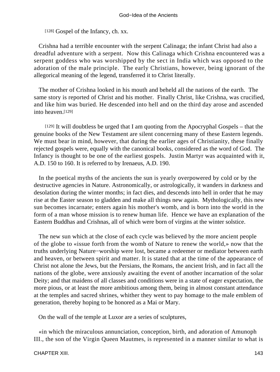[128] Gospel of the Infancy, ch. xx.

 Crishna had a terrible encounter with the serpent Calinaga; the infant Christ had also a dreadful adventure with a serpent. Now this Calinaga which Crishna encountered was a serpent goddess who was worshipped by the sect in India which was opposed to the adoration of the male principle. The early Christians, however, being ignorant of the allegorical meaning of the legend, transferred it to Christ literally.

 The mother of Crishna looked in his mouth and beheld all the nations of the earth. The same story is reported of Christ and his mother. Finally Christ, like Crishna, was crucified, and like him was buried. He descended into hell and on the third day arose and ascended into heaven.[129]

[129] It will doubtless be urged that I am quoting from the Apocryphal Gospels – that the genuine books of the New Testament are silent concerning many of these Eastern legends. We must bear in mind, however, that during the earlier ages of Christianity, these finally rejected gospels were, equally with the canonical books, considered as the word of God. The Infancy is thought to be one of the earliest gospels. Justin Martyr was acquainted with it, A.D. 150 to 160. It is referred to by Irenaeus, A.D. 190.

 In the poetical myths of the ancients the sun is yearly overpowered by cold or by the destructive agencies in Nature. Astronomically, or astrologically, it wanders in darkness and desolation during the winter months; in fact dies, and descends into hell in order that he may rise at the Easter season to gladden and make all things new again. Mythologically, this new sun becomes incarnate; enters again his mother's womb, and is born into the world in the form of a man whose mission is to renew human life. Hence we have an explanation of the Eastern Buddhas and Crishnas, all of which were born of virgins at the winter solstice.

 The new sun which at the close of each cycle was believed by the more ancient people of the globe to «issue forth from the womb of Nature to renew the world,» now that the truths underlying Nature−worship were lost, became a redeemer or mediator between earth and heaven, or between spirit and matter. It is stated that at the time of the appearance of Christ not alone the Jews, but the Persians, the Romans, the ancient Irish, and in fact all the nations of the globe, were anxiously awaiting the event of another incarnation of the solar Deity; and that maidens of all classes and conditions were in a state of eager expectation, the more pious, or at least the more ambitious among them, being in almost constant attendance at the temples and sacred shrines, whither they went to pay homage to the male emblem of generation, thereby hoping to be honored as a Mai or Mary.

On the wall of the temple at Luxor are a series of sculptures,

 «in which the miraculous annunciation, conception, birth, and adoration of Amunoph III., the son of the Virgin Queen Mautmes, is represented in a manner similar to what is

#### CHAPTER XIII. 143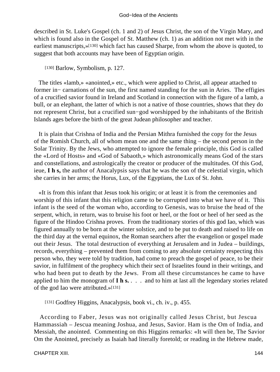described in St. Luke's Gospel (ch. 1 and 2) of Jesus Christ, the son of the Virgin Mary, and which is found also in the Gospel of St. Matthew (ch. 1) as an addition not met with in the earliest manuscripts,»[130] which fact has caused Sharpe, from whom the above is quoted, to suggest that both accounts may have been of Egyptian origin.

[130] Barlow, Symbolism, p. 127.

 The titles «lamb,» «anointed,» etc., which were applied to Christ, all appear attached to former in− carnations of the sun, the first named standing for the sun in Aries. The effigies of a crucified savior found in Ireland and Scotland in connection with the figure of a lamb, a bull, or an elephant, the latter of which is not a native of those countries, shows that they do not represent Christ, but a crucified sun−god worshipped by the inhabitants of the British Islands ages before the birth of the great Judean philosopher and teacher.

 It is plain that Crishna of India and the Persian Mithra furnished the copy for the Jesus of the Romish Church, all of whom mean one and the same thing – the second person in the Solar Trinity. By the Jews, who attempted to ignore the female principle, this God is called the «Lord of Hosts» and «God of Sabaoth,» which astronomically means God of the stars and constellations, and astrologically the creator or producer of the multitudes. Of this God, ieue, **I h s,** the author of Anacalypsis says that he was the son of the celestial virgin, which she carries in her arms; the Horus, Lux, of the Egyptians, the Lux of St. John.

 «It is from this infant that Jesus took his origin; or at least it is from the ceremonies and worship of this infant that this religion came to be corrupted into what we have of it. This infant is the seed of the woman who, according to Genesis, was to bruise the head of the serpent, which, in return, was to bruise his foot or heel, or the foot or heel of her seed as the figure of the Hindoo Crishna proves. From the traditionary stories of this god Iao, which was figured annually to be born at the winter solstice, and to be put to death and raised to life on the third day at the vernal equinox, the Roman searchers after the evangelion or gospel made out their Jesus. The total destruction of everything at Jerusalem and in Judea – buildings, records, everything – prevented them from coming to any absolute certainty respecting this person who, they were told by tradition, had come to preach the gospel of peace, to be their savior, in fulfilment of the prophecy which their sect of Israelites found in their writings, and who had been put to death by the Jews. From all these circumstances he came to have applied to him the monogram of **I h s.** . . . and to him at last all the legendary stories related of the god Iao were attributed.»[131]

[131] Godfrey Higgins, Anacalypsis, book vi., ch. iv., p. 455.

 According to Faber, Jesus was not originally called Jesus Christ, but Jescua Hammassiah – Jescua meaning Joshua, and Jesus, Savior. Ham is the Om of India, and Messiah, the anointed. Commenting on this Higgins remarks: «It will then be, The Savior Om the Anointed, precisely as Isaiah had literally foretold; or reading in the Hebrew made,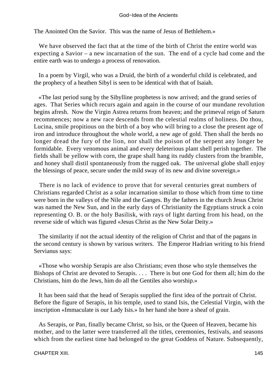The Anointed Om the Savior. This was the name of Jesus of Bethlehem.»

 We have observed the fact that at the time of the birth of Christ the entire world was expecting a Savior – a new incarnation of the sun. The end of a cycle had come and the entire earth was to undergo a process of renovation.

 In a poem by Virgil, who was a Druid, the birth of a wonderful child is celebrated, and the prophecy of a heathen Sibyl is seen to be identical with that of Isaiah.

 «The last period sung by the Sibylline prophetess is now arrived; and the grand series of ages. That Series which recurs again and again in the course of our mundane revolution begins afresh. Now the Virgin Astrea returns from heaven; and the primeval reign of Saturn recommences; now a new race descends from the celestial realms of holiness. Do thou, Lucina, smile propitious on the birth of a boy who will bring to a close the present age of iron and introduce throughout the whole world, a new age of gold. Then shall the herds no longer dread the fury of the lion, nor shall the poison of the serpent any longer be formidable. Every venomous animal and every deleterious plant shell perish together. The fields shall be yellow with corn, the grape shall hang its ruddy clusters from the bramble, and honey shall distil spontaneously from the rugged oak. The universal globe shall enjoy the blessings of peace, secure under the mild sway of its new and divine sovereign.»

 There is no lack of evidence to prove that for several centuries great numbers of Christians regarded Christ as a solar incarnation similar to those which from time to time were born in the valleys of the Nile and the Ganges. By the fathers in the church Jesus Christ was named the New Sun, and in the early days of Christianity the Egyptians struck a coin representing O. B. or the holy Basilisk, with rays of light darting from his head, on the reverse side of which was figured «Jesus Christ as the New Solar Deity.»

 The similarity if not the actual identity of the religion of Christ and that of the pagans in the second century is shown by various writers. The Emperor Hadrian writing to his friend Servianus says:

 «Those who worship Serapis are also Christians; even those who style themselves the Bishops of Christ are devoted to Serapis. . . . There is but one God for them all; him do the Christians, him do the Jews, him do all the Gentiles also worship.»

 It has been said that the head of Serapis supplied the first idea of the portrait of Christ. Before the figure of Serapis, in his temple, used to stand Isis, the Celestial Virgin, with the inscription «Immaculate is our Lady Isis.» In her hand she bore a sheaf of grain.

 As Serapis, or Pan, finally became Christ, so Isis, or the Queen of Heaven, became his mother, and to the latter were transferred all the titles, ceremonies, festivals, and seasons which from the earliest time had belonged to the great Goddess of Nature. Subsequently,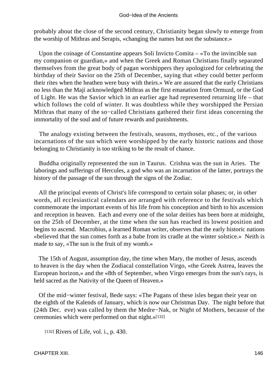probably about the close of the second century, Christianity began slowly to emerge from the worship of Mithras and Serapis, «changing the names but not the substance.»

 Upon the coinage of Constantine appears Soli Invicto Comita – «To the invincible sun my companion or guardian,» and when the Greek and Roman Christians finally separated themselves from the great body of pagan worshippers they apologized for celebrating the birthday of their Savior on the 25th of December, saying that «they could better perform their rites when the heathen were busy with theirs.» We are assured that the early Christians no less than the Maji acknowledged Mithras as the first emanation from Ormuzd, or the God of Light. He was the Savior which in an earlier age had represented returning life – that which follows the cold of winter. It was doubtless while they worshipped the Persian Mithras that many of the so−called Christians gathered their first ideas concerning the immortality of the soul and of future rewards and punishments.

 The analogy existing between the festivals, seasons, mythoses, etc., of the various incarnations of the sun which were worshipped by the early historic nations and those belonging to Christianity is too striking to be the result of chance.

 Buddha originally represented the sun in Taurus. Crishna was the sun in Aries. The laborings and sufferings of Hercules, a god who was an incarnation of the latter, portrays the history of the passage of the sun through the signs of the Zodiac.

 All the principal events of Christ's life correspond to certain solar phases; or, in other words, all ecclesiastical calendars are arranged with reference to the festivals which commemorate the important events of his life from his conception and birth to his ascension and reception in heaven. Each and every one of the solar deities has been born at midnight, on the 25th of December, at the time when the sun has reached its lowest position and begins to ascend. Macrobius, a learned Roman writer, observes that the early historic nations «believed that the sun comes forth as a babe from its cradle at the winter solstice.» Neith is made to say, «The sun is the fruit of my womb.»

 The 15th of August, assumption day, the time when Mary, the mother of Jesus, ascends to heaven is the day when the Zodiacal constellation Virgo, «the Greek Astrea, leaves the European horizon,» and the «8th of September, when Virgo emerges from the sun's rays, is held sacred as the Nativity of the Queen of Heaven.»

 Of the mid−winter festival, Bede says: «The Pagans of these isles began their year on the eighth of the Kalends of January, which is now our Christmas Day. The night before that (24th Dec. eve) was called by them the Medre−Nak, or Night of Mothers, because of the ceremonies which were performed on that night.»[132]

[132] Rivers of Life, vol. i., p. 430.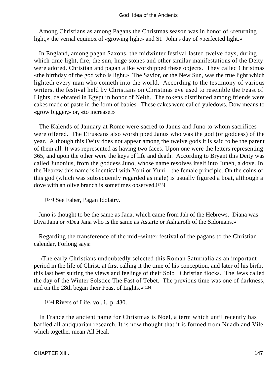Among Christians as among Pagans the Christmas season was in honor of «returning light,» the vernal equinox of «growing light» and St. John's day of «perfected light.»

 In England, among pagan Saxons, the midwinter festival lasted twelve days, during which time light, fire, the sun, huge stones and other similar manifestations of the Deity were adored. Christian and pagan alike worshipped these objects. They called Christmas «the birthday of the god who is light.» The Savior, or the New Sun, was the true light which lighteth every man who cometh into the world. According to the testimony of various writers, the festival held by Christians on Christmas eve used to resemble the Feast of Lights, celebrated in Egypt in honor of Neith. The tokens distributed among friends were cakes made of paste in the form of babies. These cakes were called yuledows. Dow means to «grow bigger,» or, «to increase.»

 The Kalends of January at Rome were sacred to Janus and Juno to whom sacrifices were offered. The Etruscans also worshipped Janus who was the god (or goddess) of the year. Although this Deity does not appear among the twelve gods it is said to be the parent of them all. It was represented as having two faces. Upon one were the letters representing 365, and upon the other were the keys of life and death. According to Bryant this Deity was called Junonius, from the goddess Juno, whose name resolves itself into Juneh, a dove. In the Hebrew this name is identical with Yoni or Yuni – the female principle. On the coins of this god (which was subsequently regarded as male) is usually figured a boat, although a dove with an olive branch is sometimes observed.[133]

[133] See Faber, Pagan Idolatry.

 Juno is thought to be the same as Jana, which came from Jah of the Hebrews. Diana was Diva Jana or «Dea Jana who is the same as Astarte or Ashtaroth of the Sidonians.»

 Regarding the transference of the mid−winter festival of the pagans to the Christian calendar, Forlong says:

 «The early Christians undoubtedly selected this Roman Saturnalia as an important period in the life of Christ, at first calling it the time of his conception, and later of his birth, this last best suiting the views and feelings of their Solo− Christian flocks. The Jews called the day of the Winter Solstice The Fast of Tebet. The previous time was one of darkness, and on the 28th began their Feast of Lights.»[134]

[134] Rivers of Life, vol. i., p. 430.

 In France the ancient name for Christmas is Noel, a term which until recently has baffled all antiquarian research. It is now thought that it is formed from Nuadh and Vile which together mean All Heal.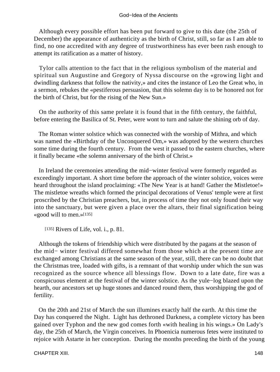Although every possible effort has been put forward to give to this date (the 25th of December) the appearance of authenticity as the birth of Christ, still, so far as I am able to find, no one accredited with any degree of trustworthiness has ever been rash enough to attempt its ratification as a matter of history.

 Tylor calls attention to the fact that in the religious symbolism of the material and spiritual sun Augustine and Gregory of Nyssa discourse on the «growing light and dwindling darkness that follow the nativity,» and cites the instance of Leo the Great who, in a sermon, rebukes the «pestiferous persuasion, that this solemn day is to be honored not for the birth of Christ, but for the rising of the New Sun.»

 On the authority of this same prelate it is found that in the fifth century, the faithful, before entering the Basilica of St. Peter, were wont to turn and salute the shining orb of day.

 The Roman winter solstice which was connected with the worship of Mithra, and which was named the «Birthday of the Unconquered Om,» was adopted by the western churches some time during the fourth century. From the west it passed to the eastern churches, where it finally became «the solemn anniversary of the birth of Christ.»

 In Ireland the ceremonies attending the mid−winter festival were formerly regarded as exceedingly important. A short time before the approach of the winter solstice, voices were heard throughout the island proclaiming: «The New Year is at hand! Gather the Mistletoe!» The mistletoe wreaths which formed the principal decorations of Venus' temple were at first proscribed by the Christian preachers, but, in process of time they not only found their way into the sanctuary, but were given a place over the altars, their final signification being «good will to men.»[135]

[135] Rivers of Life, vol. i., p. 81.

 Although the tokens of friendship which were distributed by the pagans at the season of the mid− winter festival differed somewhat from those which at the present time are exchanged among Christians at the same season of the year, still, there can be no doubt that the Christmas tree, loaded with gifts, is a remnant of that worship under which the sun was recognized as the source whence all blessings flow. Down to a late date, fire was a conspicuous element at the festival of the winter solstice. As the yule−log blazed upon the hearth, our ancestors set up huge stones and danced round them, thus worshipping the god of fertility.

 On the 20th and 21st of March the sun illumines exactly half the earth. At this time the Day has conquered the Night. Light has dethroned Darkness, a complete victory has been gained over Typhon and the new god comes forth «with healing in his wings.» On Lady's day, the 25th of March, the Virgin conceives. In Phoenicia numerous fetes were instituted to rejoice with Astarte in her conception. During the months preceding the birth of the young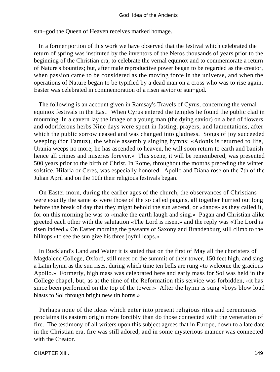sun−god the Queen of Heaven receives marked homage.

 In a former portion of this work we have observed that the festival which celebrated the return of spring was instituted by the inventors of the Neros thousands of years prior to the beginning of the Christian era, to celebrate the vernal equinox and to commemorate a return of Nature's bounties; but, after male reproductive power began to be regarded as the creator, when passion came to be considered as the moving force in the universe, and when the operations of Nature began to be typified by a dead man on a cross who was to rise again, Easter was celebrated in commemoration of a risen savior or sun−god.

 The following is an account given in Ramsay's Travels of Cyrus, concerning the vernal equinox festivals in the East. When Cyrus entered the temples he found the public clad in mourning. In a cavern lay the image of a young man (the dying savior) on a bed of flowers and odoriferous herbs Nine days were spent in fasting, prayers, and lamentations, after which the public sorrow ceased and was changed into gladness. Songs of joy succeeded weeping (for Tamuz), the whole assembly singing hymns: «Adonis is returned to life, Urania weeps no more, he has ascended to heaven, he will soon return to earth and banish hence all crimes and miseries forever.» This scene, it will be remembered, was presented 500 years prior to the birth of Christ. In Rome, throughout the months preceding the winter solstice, Hilaria or Ceres, was especially honored. Apollo and Diana rose on the 7th of the Julian April and on the 10th their religious festivals began.

 On Easter morn, during the earlier ages of the church, the observances of Christians were exactly the same as were those of the so called pagans, all together hurried out long before the break of day that they might behold the sun ascend, or «dance» as they called it, for on this morning he was to «make the earth laugh and sing.» Pagan and Christian alike greeted each other with the salutation «The Lord is risen,» and the reply was «The Lord is risen indeed.» On Easter morning the peasants of Saxony and Brandenburg still climb to the hilltops «to see the sun give his three joyful leaps.»

 In Buckland's Land and Water it is stated that on the first of May all the choristers of Magdalene College, Oxford, still meet on the summit of their tower, 150 feet high, and sing a Latin hymn as the sun rises, during which time ten bells are rung «to welcome the gracious Apollo.» Formerly, high mass was celebrated here and early mass for Sol was held in the College chapel, but, as at the time of the Reformation this service was forbidden, «it has since been performed on the top of the tower.» After the hymn is sung «boys blow loud blasts to Sol through bright new tin horns.»

 Perhaps none of the ideas which enter into present religious rites and ceremonies proclaims its eastern origin more forcibly than do those connected with the veneration of fire. The testimony of all writers upon this subject agrees that in Europe, down to a late date in the Christian era, fire was still adored, and in some mysterious manner was connected with the Creator.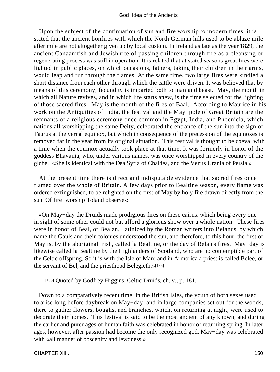Upon the subject of the continuation of sun and fire worship to modern times, it is stated that the ancient bonfires with which the North German hills used to be ablaze mile after mile are not altogether given up by local custom. In Ireland as late as the year 1829, the ancient Canaanitish and Jewish rite of passing children through fire as a cleansing or regenerating process was still in operation. It is related that at stated seasons great fires were lighted in public places, on which occasions, fathers, taking their children in their arms, would leap and run through the flames. At the same time, two large fires were kindled a short distance from each other through which the cattle were driven. It was believed that by means of this ceremony, fecundity is imparted both to man and beast. May, the month in which all Nature revives, and in which life starts anew, is the time selected for the lighting of those sacred fires. May is the month of the fires of Baal. According to Maurice in his work on the Antiquities of India, the festival and the May−pole of Great Britain are the remnants of a religious ceremony once common in Egypt, India, and Phoenicia, which nations all worshipping the same Deity, celebrated the entrance of the sun into the sign of Taurus at the vernal equinox, but which in consequence of the precession of the equinoxes is removed far in the year from its original situation. This festival is thought to be coeval with a time when the equinox actually took place at that time. It was formerly in honor of the goddess Bhavania, who, under various names, was once worshipped in every country of the globe. «She is identical with the Dea Syria of Chaldea, and the Venus Urania of Persia.»

 At the present time there is direct and indisputable evidence that sacred fires once flamed over the whole of Britain. A few days prior to Bealtine season, every flame was ordered extinguished, to be relighted on the first of May by holy fire drawn directly from the sun. Of fire−worship Toland observes:

 «On May−day the Druids made prodigious fires on these cairns, which being every one in sight of some other could not but afford a glorious show over a whole nation. These fires were in honor of Beal, or Bealan, Latinized by the Roman writers into Belanus, by which name the Gauls and their colonies understood the sun, and therefore, to this hour, the first of May is, by the aboriginal Irish, called la Bealtine, or the day of Belan's fires. May−day is likewise called la Bealtine by the Highlanders of Scotland, who are no contemptible part of the Celtic offspring. So it is with the Isle of Man: and in Armorica a priest is called Belee, or the servant of Bel, and the priesthood Belegieth.»[136]

[136] Quoted by Godfrey Higgins, Celtic Druids, ch. v., p. 181.

 Down to a comparatively recent time, in the British Isles, the youth of both sexes used to arise long before daybreak on May−day, and in large companies set out for the woods, there to gather flowers, boughs, and branches, which, on returning at night, were used to decorate their homes. This festival is said to be the most ancient of any known, and during the earlier and purer ages of human faith was celebrated in honor of returning spring. In later ages, however, after passion had become the only recognized god, May−day was celebrated with «all manner of obscenity and lewdness.»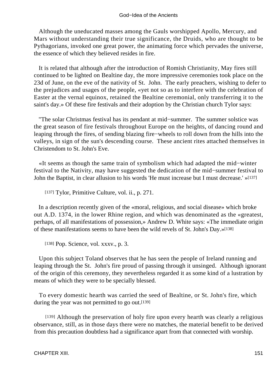Although the uneducated masses among the Gauls worshipped Apollo, Mercury, and Mars without understanding their true significance, the Druids, who are thought to be Pythagorians, invoked one great power, the animating force which pervades the universe, the essence of which they believed resides in fire.

 It is related that although after the introduction of Romish Christianity, May fires still continued to be lighted on Bealtine day, the more impressive ceremonies took place on the 23d of June, on the eve of the nativity of St. John. The early preachers, wishing to defer to the prejudices and usages of the people, «yet not so as to interfere with the celebration of Easter at the vernal equinox, retained the Bealtine ceremonial, only transferring it to the saint's day.» Of these fire festivals and their adoption by the Christian church Tylor says:

 "The solar Christmas festival has its pendant at mid−summer. The summer solstice was the great season of fire festivals throughout Europe on the heights, of dancing round and leaping through the fires, of sending blazing fire−wheels to roll down from the hills into the valleys, in sign of the sun's descending course. These ancient rites attached themselves in Christendom to St. John's Eve.

 «It seems as though the same train of symbolism which had adapted the mid−winter festival to the Nativity, may have suggested the dedication of the mid−summer festival to John the Baptist, in clear allusion to his words 'He must increase but I must decrease.' »[137]

[137] Tylor, Primitive Culture, vol. ii., p. 271.

 In a description recently given of the «moral, religious, and social disease» which broke out A.D. 1374, in the lower Rhine region, and which was denominated as the «greatest, perhaps, of all manifestations of possession,» Andrew D. White says: «The immediate origin of these manifestations seems to have been the wild revels of St. John's Day.»[138]

[138] Pop. Science, vol. xxxv., p. 3.]

 Upon this subject Toland observes that he has seen the people of Ireland running and leaping through the St. John's fire proud of passing through it unsinged. Although ignorant of the origin of this ceremony, they nevertheless regarded it as some kind of a lustration by means of which they were to be specially blessed.

 To every domestic hearth was carried the seed of Bealtine, or St. John's fire, which during the year was not permitted to go out.[139]

[139] Although the preservation of holy fire upon every hearth was clearly a religious observance, still, as in those days there were no matches, the material benefit to be derived from this precaution doubtless had a significance apart from that connected with worship.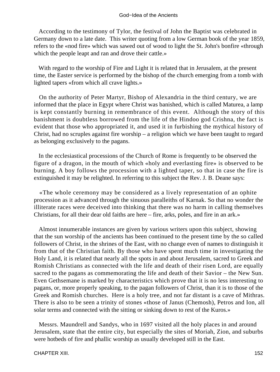According to the testimony of Tylor, the festival of John the Baptist was celebrated in Germany down to a late date. This writer quoting from a low German book of the year 1859, refers to the «nod fire» which was sawed out of wood to light the St. John's bonfire «through which the people leapt and ran and drove their cattle.»

 With regard to the worship of Fire and Light it is related that in Jerusalem, at the present time, the Easter service is performed by the bishop of the church emerging from a tomb with lighted tapers «from which all crave lights.»

 On the authority of Peter Martyr, Bishop of Alexandria in the third century, we are informed that the place in Egypt where Christ was banished, which is called Maturea, a lamp is kept constantly burning in remembrance of this event. Although the story of this banishment is doubtless borrowed from the life of the Hindoo god Crishna, the fact is evident that those who appropriated it, and used it in furbishing the mythical history of Christ, had no scruples against fire worship – a religion which we have been taught to regard as belonging exclusively to the pagans.

 In the ecclesiastical processions of the Church of Rome is frequently to be observed the figure of a dragon, in the mouth of which «holy and everlasting fire» is observed to be burning. A boy follows the procession with a lighted taper, so that in case the fire is extinguished it may be relighted. In referring to this subject the Rev. J. B. Deane says:

 «The whole ceremony may be considered as a lively representation of an ophite procession as it advanced through the sinuous paralleiths of Karnak. So that no wonder the illiterate races were deceived into thinking that there was no harm in calling themselves Christians, for all their dear old faiths are here – fire, arks, poles, and fire in an ark.»

 Almost innumerable instances are given by various writers upon this subject, showing that the sun worship of the ancients has been continued to the present time by the so called followers of Christ, in the shrines of the East, with no change even of names to distinguish it from that of the Christian faith. By those who have spent much time in investigating the Holy Land, it is related that nearly all the spots in and about Jerusalem, sacred to Greek and Romish Christians as connected with the life and death of their risen Lord, are equally sacred to the pagans as commemorating the life and death of their Savior – the New Sun. Even Gethsemane is marked by characteristics which prove that it is no less interesting to pagans, or, more properly speaking, to the pagan followers of Christ, than it is to those of the Greek and Romish churches. Here is a holy tree, and not far distant is a cave of Mithras. There is also to be seen a trinity of stones «those of Janus (Chemosh), Petros and Ion, all solar terms and connected with the sitting or sinking down to rest of the Kuros.»

 Messrs. Maundrell and Sandys, who in 1697 visited all the holy places in and around Jerusalem, state that the entire city, but especially the sites of Moriah, Zion, and suburbs were hotbeds of fire and phallic worship as usually developed still in the East.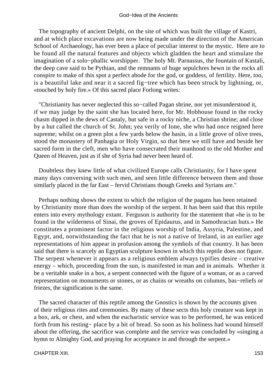The topography of ancient Delphi, on the site of which was built the village of Kastri, and at which place excavations are now being made under the direction of the American School of Archaeology, has ever been a place of peculiar interest to the mystic. Here are to be found all the natural features and objects which gladden the heart and stimulate the imagination of a solo−phallic worshipper. The holy Mt. Parnassus, the fountain of Kastali, the deep cave said to be Pythian, and the remnants of huge sepulchres hewn in the rocks all conspire to make of this spot a perfect abode for the god, or goddess, of fertility. Here, too, is a beautiful lake and near it a sacred fig−tree which has been struck by lightning, or, «touched by holy fire.» Of this sacred place Forlong writes:

 "Christianity has never neglected this so−called Pagan shrine, nor yet misunderstood it, if we may judge by the saint she has located here, for Mr. Hobhouse found in the rocky chasm dipped in the dews of Castaly, but safe in a rocky niche, a Christian shrine; and close by a hut called the church of St. John; yea verily of Ione, she who had once reigned here supreme; whilst on a green plot a few yards below the basin, in a little grove of olive trees, stood the monastery of Panhagia or Holy Virgin, so that here we still have and beside her sacred form in the cleft, men who have consecrated their manhood to the old Mother and Queen of Heaven, just as if she of Syria had never been heard of.

 Doubtless they knew little of what civilized Europe calls Christianity, for I have spent many days conversing with such men, and seen little difference between them and those similarly placed in the far East – fervid Christians though Greeks and Syrians are."

 Perhaps nothing shows the extent to which the religion of the pagans has been retained by Christianity more than does the worship of the serpent. It has been said that this reptile enters into every mythology extant. Ferguson is authority for the statement that «he is to be found in the wilderness of Sinai, the groves of Epidaurus, and in Samothracian huts.» He constitutes a prominent factor in the religious worship of India, Assyria, Palestine, and Egypt, and, notwithstanding the fact that he is not a native of Ireland, in an earlier age representations of him appear in profusion among the symbols of that country. It has been said that there is scarcely an Egyptian sculpture known in which this reptile does not figure. The serpent whenever it appears as a religious emblem always typifies desire – creative energy – which, proceeding from the sun, is manifested in man and in animals. Whether it be a veritable snake in a box, a serpent connected with the figure of a woman, or as a carved representation on monuments or stones, or as chains or wreaths on columns, bas−reliefs or friezes, the signification is the same.

 The sacred character of this reptile among the Gnostics is shown by the accounts given of their religious rites and ceremonies. By many of these sects this holy creature was kept in a box, ark, or chest, and when the eucharistic service was to be performed, he was enticed forth from his resting− place by a bit of bread. So soon as his holiness had wound himself about the offering, the sacrifice was complete and the service was concluded by «singing a hymn to Almighty God, and praying for acceptance in and through the serpent.»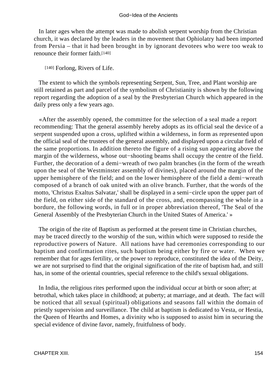In later ages when the attempt was made to abolish serpent worship from the Christian church, it was declared by the leaders in the movement that Ophiolatry had been imported from Persia – that it had been brought in by ignorant devotees who were too weak to renounce their former faith.[140]

[140] Forlong, Rivers of Life.

 The extent to which the symbols representing Serpent, Sun, Tree, and Plant worship are still retained as part and parcel of the symbolism of Christianity is shown by the following report regarding the adoption of a seal by the Presbyterian Church which appeared in the daily press only a few years ago.

 «After the assembly opened, the committee for the selection of a seal made a report recommending: That the general assembly hereby adopts as its official seal the device of a serpent suspended upon a cross, uplifted within a wilderness, in form as represented upon the official seal of the trustees of the general assembly, and displayed upon a circular field of the same proportions. In addition thereto the figure of a rising sun appearing above the margin of the wilderness, whose out−shooting beams shall occupy the centre of the field. Further, the decoration of a demi−wreath of two palm branches (in the form of the wreath upon the seal of the Westminster assembly of divines), placed around the margin of the upper hemisphere of the field; and on the lower hemisphere of the field a demi−wreath composed of a branch of oak united with an olive branch. Further, that the words of the motto, 'Christus Exaltus Salvatar,' shall be displayed in a semi−circle upon the upper part of the field, on either side of the standard of the cross, and, encompassing the whole in a bordure, the following words, in full or in proper abbreviation thereof, 'The Seal of the General Assembly of the Presbyterian Church in the United States of America.' »

 The origin of the rite of Baptism as performed at the present time in Christian churches, may be traced directly to the worship of the sun, within which were supposed to reside the reproductive powers of Nature. All nations have had ceremonies corresponding to our baptism and confirmation rites, such baptism being either by fire or water. When we remember that for ages fertility, or the power to reproduce, constituted the idea of the Deity, we are not surprised to find that the original signification of the rite of baptism had, and still has, in some of the oriental countries, special reference to the child's sexual obligations.

 In India, the religious rites performed upon the individual occur at birth or soon after; at betrothal, which takes place in childhood; at puberty; at marriage, and at death. The fact will be noticed that all sexual (spiritual) obligations and seasons fall within the domain of priestly supervision and surveillance. The child at baptism is dedicated to Vesta, or Hestia, the Queen of Hearths and Homes, a divinity who is supposed to assist him in securing the special evidence of divine favor, namely, fruitfulness of body.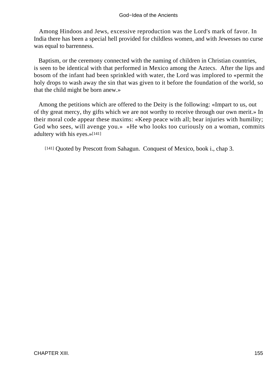Among Hindoos and Jews, excessive reproduction was the Lord's mark of favor. In India there has been a special hell provided for childless women, and with Jewesses no curse was equal to barrenness.

 Baptism, or the ceremony connected with the naming of children in Christian countries, is seen to be identical with that performed in Mexico among the Aztecs. After the lips and bosom of the infant had been sprinkled with water, the Lord was implored to «permit the holy drops to wash away the sin that was given to it before the foundation of the world, so that the child might be born anew.»

 Among the petitions which are offered to the Deity is the following: «Impart to us, out of thy great mercy, thy gifts which we are not worthy to receive through our own merit.» In their moral code appear these maxims: «Keep peace with all; bear injuries with humility; God who sees, will avenge you.» «He who looks too curiously on a woman, commits adultery with his eyes.»[141]

[141] Quoted by Prescott from Sahagun. Conquest of Mexico, book i., chap 3.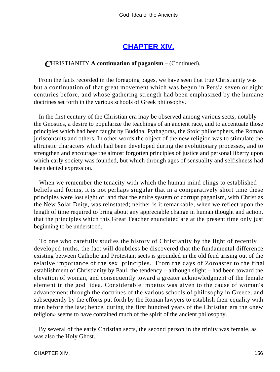# **[CHAPTER XIV.](#page-197-0)**

# *C*HRISTIANITY **A continuation of paganism** – (Continued).

 From the facts recorded in the foregoing pages, we have seen that true Christianity was but a continuation of that great movement which was begun in Persia seven or eight centuries before, and whose gathering strength had been emphasized by the humane doctrines set forth in the various schools of Greek philosophy.

 In the first century of the Christian era may be observed among various sects, notably the Gnostics, a desire to popularize the teachings of an ancient race, and to accentuate those principles which had been taught by Buddha, Pythagoras, the Stoic philosophers, the Roman jurisconsults and others. In other words the object of the new religion was to stimulate the altruistic characters which had been developed during the evolutionary processes, and to strengthen and encourage the almost forgotten principles of justice and personal liberty upon which early society was founded, but which through ages of sensuality and selfishness had been denied expression.

 When we remember the tenacity with which the human mind clings to established beliefs and forms, it is not perhaps singular that in a comparatively short time these principles were lost sight of, and that the entire system of corrupt paganism, with Christ as the New Solar Deity, was reinstated; neither is it remarkable, when we reflect upon the length of time required to bring about any appreciable change in human thought and action, that the principles which this Great Teacher enunciated are at the present time only just beginning to be understood.

 To one who carefully studies the history of Christianity by the light of recently developed truths, the fact will doubtless be discovered that the fundamental difference existing between Catholic and Protestant sects is grounded in the old feud arising out of the relative importance of the sex−principles. From the days of Zoroaster to the final establishment of Christianity by Paul, the tendency – although slight – had been toward the elevation of woman, and consequently toward a greater acknowledgment of the female element in the god−idea. Considerable impetus was given to the cause of woman's advancement through the doctrines of the various schools of philosophy in Greece, and subsequently by the efforts put forth by the Roman lawyers to establish their equality with men before the law; hence, during the first hundred years of the Christian era the «new religion» seems to have contained much of the spirit of the ancient philosophy.

 By several of the early Christian sects, the second person in the trinity was female, as was also the Holy Ghost.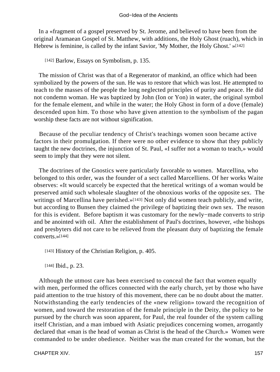In a «fragment of a gospel preserved by St. Jerome, and believed to have been from the original Aramaean Gospel of St. Matthew, with additions, the Holy Ghost (ruach), which in Hebrew is feminine, is called by the infant Savior, 'My Mother, the Holy Ghost.' »[142]

[142] Barlow, Essays on Symbolism, p. 135.

 The mission of Christ was that of a Regenerator of mankind, an office which had been symbolized by the powers of the sun. He was to restore that which was lost. He attempted to teach to the masses of the people the long neglected principles of purity and peace. He did not condemn woman. He was baptized by John (Ion or Yon) in water, the original symbol for the female element, and while in the water; the Holy Ghost in form of a dove (female) descended upon him. To those who have given attention to the symbolism of the pagan worship these facts are not without signification.

 Because of the peculiar tendency of Christ's teachings women soon became active factors in their promulgation. If there were no other evidence to show that they publicly taught the new doctrines, the injunction of St. Paul, «I suffer not a woman to teach,» would seem to imply that they were not silent.

 The doctrines of the Gnostics were particularly favorable to women. Marcellina, who belonged to this order, was the founder of a sect called Marcelliens. Of her works Waite observes: «It would scarcely be expected that the heretical writings of a woman would be preserved amid such wholesale slaughter of the obnoxious works of the opposite sex. The writings of Marcellina have perished.»<sup>[143]</sup> Not only did women teach publicly, and write, but according to Bunsen they claimed the privilege of baptizing their own sex. The reason for this is evident. Before baptism it was customary for the newly−made converts to strip and be anointed with oil. After the establishment of Paul's doctrines, however, «the bishops and presbyters did not care to be relieved from the pleasant duty of baptizing the female converts.»[144]

[143] History of the Christian Religion, p. 405.

[144] **Ibid.**, p. 23.

 Although the utmost care has been exercised to conceal the fact that women equally with men, performed the offices connected with the early church, yet by those who have paid attention to the true history of this movement, there can be no doubt about the matter. Notwithstanding the early tendencies of the «new religion» toward the recognition of women, and toward the restoration of the female principle in the Deity, the policy to be pursued by the church was soon apparent, for Paul, the real founder of the system calling itself Christian, and a man imbued with Asiatic prejudices concerning women, arrogantly declared that «man is the head of woman as Christ is the head of the Church.» Women were commanded to be under obedience. Neither was the man created for the woman, but the

CHAPTER XIV. 157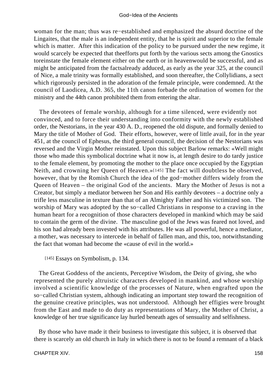woman for the man; thus was re−established and emphasized the absurd doctrine of the Lingaites, that the male is an independent entity, that he is spirit and superior to the female which is matter. After this indication of the policy to be pursued under the new regime, it would scarcely be expected that theefforts put forth by the various sects among the Gnostics toreinstate the female element either on the earth or in heavenwould be successful, and as might be anticipated from the factsalready adduced, as early as the year 325, at the council of Nice, a male trinity was formally established, and soon thereafter, the Collylidians, a sect which rigorously persisted in the adoration of the female principle, were condemned. At the council of Laodicea, A.D. 365, the 11th canon forbade the ordination of women for the ministry and the 44th canon prohibited them from entering the altar.

 The devotees of female worship, although for a time silenced, were evidently not convinced, and to force their understanding into conformity with the newly established order, the Nestorians, in the year 430 A. D., reopened the old dispute, and formally denied to Mary the title of Mother of God. Their efforts, however, were of little avail, for in the year 451, at the council of Ephesus, the third general council, the decision of the Nestorians was reversed and the Virgin Mother reinstated. Upon this subject Barlow remarks: «Well might those who made this symbolical doctrine what it now is, at length desire to do tardy justice to the female element, by promoting the mother to the place once occupied by the Egyptian Neith, and crowning her Queen of Heaven.»[145] The fact will doubtless be observed, however, that by the Romish Church the idea of the god−mother differs widely from the Queen of Heaven – the original God of the ancients. Mary the Mother of Jesus is not a Creator, but simply a mediator between her Son and His earthly devotees – a doctrine only a trifle less masculine in texture than that of an Almighty Father and his victimized son. The worship of Mary was adopted by the so−called Christians in response to a craving in the human heart for a recognition of those characters developed in mankind which may be said to contain the germ of the divine. The masculine god of the Jews was feared not loved, and his son had already been invested with his attributes. He was all powerful, hence a mediator, a mother, was necessary to intercede in behalf of fallen man, and this, too, notwithstanding the fact that woman had become the «cause of evil in the world.»

[145] Essays on Symbolism, p. 134.

 The Great Goddess of the ancients, Perceptive Wisdom, the Deity of giving, she who represented the purely altruistic characters developed in mankind, and whose worship involved a scientific knowledge of the processes of Nature, when engrafted upon the so−called Christian system, although indicating an important step toward the recognition of the genuine creative principles, was not understood. Although her effigies were brought from the East and made to do duty as representations of Mary, the Mother of Christ, a knowledge of her true significance lay hurled beneath ages of sensuality and selfishness.

 By those who have made it their business to investigate this subject, it is observed that there is scarcely an old church in Italy in which there is not to be found a remnant of a black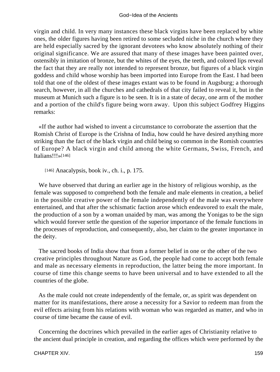virgin and child. In very many instances these black virgins have been replaced by white ones, the older figures having been retired to some secluded niche in the church where they are held especially sacred by the ignorant devotees who know absolutely nothing of their original significance. We are assured that many of these images have been painted over, ostensibly in imitation of bronze, but the whites of the eyes, the teeth, and colored lips reveal the fact that they are really not intended to represent bronze, but figures of a black virgin goddess and child whose worship has been imported into Europe from the East. I had been told that one of the oldest of these images extant was to be found in Augsburg; a thorough search, however, in all the churches and cathedrals of that city failed to reveal it, but in the museum at Munich such a figure is to be seen. It is in a state of decay, one arm of the mother and a portion of the child's figure being worn away. Upon this subject Godfrey Higgins remarks:

 «If the author had wished to invent a circumstance to corroborate the assertion that the Romish Christ of Europe is the Crishna of India, how could he have desired anything more striking than the fact of the black virgin and child being so common in the Romish countries of Europe? A black virgin and child among the white Germans, Swiss, French, and Italians!!!»[146]

[146] Anacalypsis, book iv., ch. i., p. 175.

 We have observed that during an earlier age in the history of religious worship, as the female was supposed to comprehend both the female and male elements in creation, a belief in the possible creative power of the female independently of the male was everywhere entertained, and that after the schismatic faction arose which endeavored to exalt the male, the production of a son by a woman unaided by man, was among the Yonigas to be the sign which would forever settle the question of the superior importance of the female functions in the processes of reproduction, and consequently, also, her claim to the greater importance in the deity.

 The sacred books of India show that from a former belief in one or the other of the two creative principles throughout Nature as God, the people had come to accept both female and male as necessary elements in reproduction, the latter being the more important. In course of time this change seems to have been universal and to have extended to all the countries of the globe.

 As the male could not create independently of the female, or, as spirit was dependent on matter for its manifestations, there arose a necessity for a Savior to redeem man from the evil effects arising from his relations with woman who was regarded as matter, and who in course of time became the cause of evil.

 Concerning the doctrines which prevailed in the earlier ages of Christianity relative to the ancient dual principle in creation, and regarding the offices which were performed by the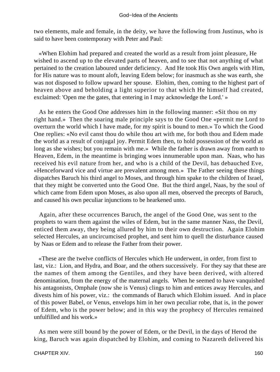two elements, male and female, in the deity, we have the following from Justinus, who is said to have been contemporary with Peter and Paul:

 «When Elohim had prepared and created the world as a result from joint pleasure, He wished to ascend up to the elevated parts of heaven, and to see that not anything of what pertained to the creation laboured under deficiency. And He took His Own angels with Him, for His nature was to mount aloft, leaving Edem below; for inasmuch as she was earth, she was not disposed to follow upward her spouse. Elohim, then, coming to the highest part of heaven above and beholding a light superior to that which He himself had created, exclaimed: 'Open me the gates, that entering in I may acknowledge the Lord.' »

 As he enters the Good One addresses him in the following manner: «Sit thou on my right hand.» Then the soaring male principle says to the Good One «permit me Lord to overturn the world which I have made, for my spirit is bound to men.» To which the Good One replies: «No evil canst thou do while thou art with me, for both thou and Edem made the world as a result of conjugal joy. Permit Edem then, to hold possession of the world as long as she wishes; but you remain with me.» While the father is drawn away from earth to Heaven, Edem, in the meantime is bringing woes innumerable upon man. Naas, who has received his evil nature from her, and who is a child of the Devil, has debauched Eve, «Henceforward vice and virtue are prevalent among men.» The Father seeing these things dispatches Baruch his third angel to Moses, and through him spake to the children of Israel, that they might be converted unto the Good One. But the third angel, Naas, by the soul of which came from Edem upon Moses, as also upon all men, observed the precepts of Baruch, and caused his own peculiar injunctions to be hearkened unto.

 Again, after these occurrences Baruch, the angel of the Good One, was sent to the prophets to warn them against the wiles of Edem, but in the same manner Nass, the Devil, enticed them away, they being allured by him to their own destruction. Again Elohim selected Hercules, an uncircumcised prophet, and sent him to quell the disturbance caused by Naas or Edem and to release the Father from their power.

 «These are the twelve conflicts of Hercules which He underwent, in order, from first to last, viz.: Lion, and Hydra, and Boar, and the others successively. For they say that these are the names of them among the Gentiles, and they have been derived, with altered denomination, from the energy of the maternal angels. When he seemed to have vanquished his antagonists, Omphale (now she is Venus) clings to him and entices away Hercules, and divests him of his power, viz.: the commands of Baruch which Elohim issued. And in place of this power Babel, or Venus, envelops him in her own peculiar robe, that is, in the power of Edem, who is the power below; and in this way the prophecy of Hercules remained unfulfilled and his work.»

 As men were still bound by the power of Edem, or the Devil, in the days of Herod the king, Baruch was again dispatched by Elohim, and coming to Nazareth delivered his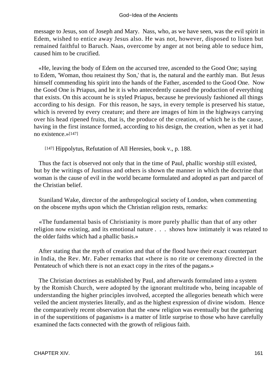message to Jesus, son of Joseph and Mary. Nass, who, as we have seen, was the evil spirit in Edem, wished to entice away Jesus also. He was not, however, disposed to listen but remained faithful to Baruch. Naas, overcome by anger at not being able to seduce him, caused him to be crucified.

 «He, leaving the body of Edem on the accursed tree, ascended to the Good One; saying to Edem, 'Woman, thou retainest thy Son,' that is, the natural and the earthly man. But Jesus himself commending his spirit into the hands of the Father, ascended to the Good One. Now the Good One is Priapus, and he it is who antecedently caused the production of everything that exists. On this account he is styled Priapus, because he previously fashioned all things according to his design. For this reason, he says, in every temple is preserved his statue, which is revered by every creature; and there are images of him in the highways carrying over his head ripened fruits, that is, the produce of the creation, of which he is the cause, having in the first instance formed, according to his design, the creation, when as yet it had no existence.»[147]

[147] Hippolytus, Refutation of All Heresies, book v., p. 188.

 Thus the fact is observed not only that in the time of Paul, phallic worship still existed, but by the writings of Justinus and others is shown the manner in which the doctrine that woman is the cause of evil in the world became formulated and adopted as part and parcel of the Christian belief.

 Staniland Wake, director of the anthropological society of London, when commenting on the obscene myths upon which the Christian religion rests, remarks:

 «The fundamental basis of Christianity is more purely phallic than that of any other religion now existing, and its emotional nature . . . shows how intimately it was related to the older faiths which had a phallic basis.»

 After stating that the myth of creation and that of the flood have their exact counterpart in India, the Rev. Mr. Faber remarks that «there is no rite or ceremony directed in the Pentateuch of which there is not an exact copy in the rites of the pagans.»

 The Christian doctrines as established by Paul, and afterwards formulated into a system by the Romish Church, were adopted by the ignorant multitude who, being incapable of understanding the higher principles involved, accepted the allegories beneath which were veiled the ancient mysteries literally, and as the highest expression of divine wisdom. Hence the comparatively recent observation that the «new religion was eventually but the gathering in of the superstitions of paganism» is a matter of little surprise to those who have carefully examined the facts connected with the growth of religious faith.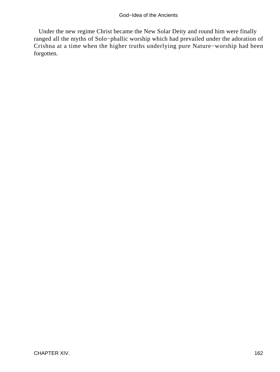Under the new regime Christ became the New Solar Deity and round him were finally ranged all the myths of Solo−phallic worship which had prevailed under the adoration of Crishna at a time when the higher truths underlying pure Nature−worship had been forgotten.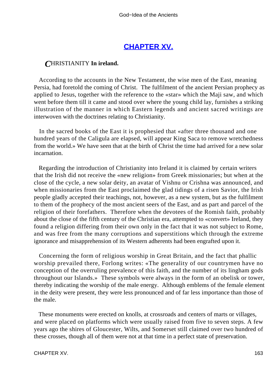# **[CHAPTER XV.](#page-197-0)**

## *C*HRISTIANITY **In ireland.**

 According to the accounts in the New Testament, the wise men of the East, meaning Persia, had foretold the coming of Christ. The fulfilment of the ancient Persian prophecy as applied to Jesus, together with the reference to the «star» which the Maji saw, and which went before them till it came and stood over where the young child lay, furnishes a striking illustration of the manner in which Eastern legends and ancient sacred writings are interwoven with the doctrines relating to Christianity.

 In the sacred books of the East it is prophesied that «after three thousand and one hundred years of the Caligula are elapsed, will appear King Saca to remove wretchedness from the world.» We have seen that at the birth of Christ the time had arrived for a new solar incarnation.

 Regarding the introduction of Christianity into Ireland it is claimed by certain writers that the Irish did not receive the «new religion» from Greek missionaries; but when at the close of the cycle, a new solar deity, an avatar of Vishnu or Crishna was announced, and when missionaries from the East proclaimed the glad tidings of a risen Savior, the Irish people gladly accepted their teachings, not, however, as a new system, but as the fulfilment to them of the prophecy of the most ancient seers of the East, and as part and parcel of the religion of their forefathers. Therefore when the devotees of the Romish faith, probably about the close of the fifth century of the Christian era, attempted to «convert» Ireland, they found a religion differing from their own only in the fact that it was not subject to Rome, and was free from the many corruptions and superstitions which through the extreme ignorance and misapprehension of its Western adherents had been engrafted upon it.

 Concerning the form of religious worship in Great Britain, and the fact that phallic worship prevailed there, Forlong writes: «The generality of our countrymen have no conception of the overruling prevalence of this faith, and the number of its lingham gods throughout our Islands.» These symbols were always in the form of an obelisk or tower, thereby indicating the worship of the male energy. Although emblems of the female element in the deity were present, they were less pronounced and of far less importance than those of the male.

 These monuments were erected on knolls, at crossroads and centers of marts or villages, and were placed on platforms which were usually raised from five to seven steps. A few years ago the shires of Gloucester, Wilts, and Somerset still claimed over two hundred of these crosses, though all of them were not at that time in a perfect state of preservation.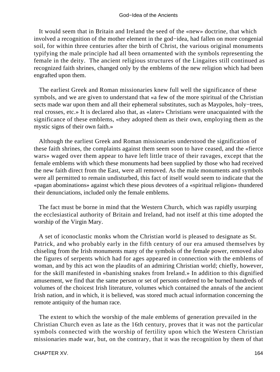It would seem that in Britain and Ireland the seed of the «new» doctrine, that which involved a recognition of the mother element in the god−idea, had fallen on more congenial soil, for within three centuries after the birth of Christ, the various original monuments typifying the male principle had all been ornamented with the symbols representing the female in the deity. The ancient religious structures of the Lingaites still continued as recognized faith shrines, changed only by the emblems of the new religion which had been engrafted upon them.

 The earliest Greek and Roman missionaries knew full well the significance of these symbols, and we are given to understand that «a few of the more spiritual of the Christian sects made war upon them and all their ephemeral substitutes, such as Maypoles, holy−trees, real crosses, etc.» It is declared also that, as «later» Christians were unacquainted with the significance of these emblems, «they adopted them as their own, employing them as the mystic signs of their own faith.»

 Although the earliest Greek and Roman missionaries understood the signification of these faith shrines, the complaints against them seem soon to have ceased, and the «fierce wars» waged over them appear to have left little trace of their ravages, except that the female emblems with which these monuments had been supplied by those who had received the new faith direct from the East, were all removed. As the male monuments and symbols were all permitted to remain undisturbed, this fact of itself would seem to indicate that the «pagan abominations» against which these pious devotees of a «spiritual religion» thundered their denunciations, included only the female emblems.

 The fact must be borne in mind that the Western Church, which was rapidly usurping the ecclesiastical authority of Britain and Ireland, had not itself at this time adopted the worship of the Virgin Mary.

 A set of iconoclastic monks whom the Christian world is pleased to designate as St. Patrick, and who probably early in the fifth century of our era amused themselves by chiseling from the Irish monuments many of the symbols of the female power, removed also the figures of serpents which had for ages appeared in connection with the emblems of woman, and by this act won the plaudits of an admiring Christian world; chiefly, however, for the skill manifested in «banishing snakes from Ireland.» In addition to this dignified amusement, we find that the same person or set of persons ordered to be burned hundreds of volumes of the choicest Irish literature, volumes which contained the annals of the ancient Irish nation, and in which, it is believed, was stored much actual information concerning the remote antiquity of the human race.

 The extent to which the worship of the male emblems of generation prevailed in the Christian Church even as late as the 16th century, proves that it was not the particular symbols connected with the worship of fertility upon which the Western Christian missionaries made war, but, on the contrary, that it was the recognition by them of that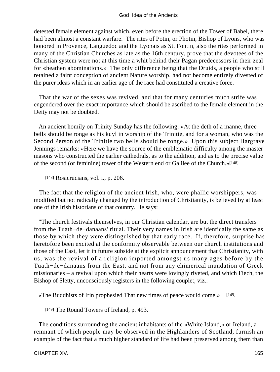detested female element against which, even before the erection of the Tower of Babel, there had been almost a constant warfare. The rites of Potin, or Photin, Bishop of Lyons, who was honored in Provence, Languedoc and the Lyonais as St. Fontin, also the rites performed in many of the Christian Churches as late as the 16th century, prove that the devotees of the Christian system were not at this time a whit behind their Pagan predecessors in their zeal for «heathen abominations.» The only difference being that the Druids, a people who still retained a faint conception of ancient Nature worship, had not become entirely divested of the purer ideas which in an earlier age of the race had constituted a creative force.

 That the war of the sexes was revived, and that for many centuries much strife was engendered over the exact importance which should be ascribed to the female element in the Deity may not be doubted.

 An ancient homily on Trinity Sunday has the following: «At the deth of a manne, three bells should be ronge as his kuyl in worship of the Trinitie, and for a woman, who was the Second Person of the Trinitie two bells should be ronge.» Upon this subject Hargrave Jennings remarks: «Here we have the source of the emblematic difficulty among the master masons who constructed the earlier cathedrals, as to the addition, and as to the precise value of the second (or feminine) tower of the Western end or Galilee of the Church.»[148]

[148] Rosicrucians, vol. i., p. 206.

 The fact that the religion of the ancient Irish, who, were phallic worshippers, was modified but not radically changed by the introduction of Christianity, is believed by at least one of the Irish historians of that country. He says:

 "The church festivals themselves, in our Christian calendar, are but the direct transfers from the Tuath−de−danaans' ritual. Their very names in Irish are identically the same as those by which they were distinguished by that early race. If, therefore, surprise has heretofore been excited at the conformity observable between our church institutions and those of the East, let it in future subside at the explicit announcement that Christianity, with us, was the revival of a religion imported amongst us many ages before by the Tuath−de−danaans from the East, and not from any chimerical inundation of Greek missionaries – a revival upon which their hearts were lovingly riveted, and which Fiech, the Bishop of Sletty, unconsciously registers in the following couplet, viz.:

«The Buddhists of Irin prophesied That new times of peace would come.» [149]

[149] The Round Towers of Ireland, p. 493.

 The conditions surrounding the ancient inhabitants of the «White Island,» or Ireland, a remnant of which people may be observed in the Highlanders of Scotland, furnish an example of the fact that a much higher standard of life had been preserved among them than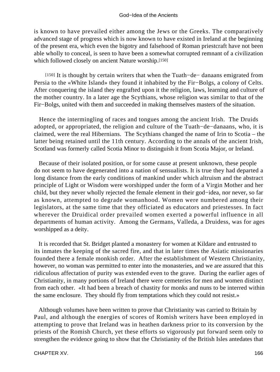is known to have prevailed either among the Jews or the Greeks. The comparatively advanced stage of progress which is now known to have existed in Ireland at the beginning of the present era, which even the bigotry and falsehood of Roman priestcraft have not been able wholly to conceal, is seen to have been a somewhat corrupted remnant of a civilization which followed closely on ancient Nature worship.[150]

[150] It is thought by certain writers that when the Tuath−de− danaans emigrated from Persia to the «White Island» they found it inhabited by the Fir−Bolgs, a colony of Celts. After conquering the island they engrafted upon it the religion, laws, learning and culture of the mother country. In a later age the Scythians, whose religion was similar to that of the Fir−Bolgs, united with them and succeeded in making themselves masters of the situation.

 Hence the intermingling of races and tongues among the ancient Irish. The Druids adopted, or appropriated, the religion and culture of the Tuath−de−danaans, who, it is claimed, were the real Hibernians. The Scythians changed the name of Irin to Scotia – the latter being retained until the 11th century. According to the annals of the ancient Irish, Scotland was formerly called Scotia Minor to distinguish it from Scotia Major, or Ireland.

 Because of their isolated position, or for some cause at present unknown, these people do not seem to have degenerated into a nation of sensualists. It is true they had departed a long distance from the early conditions of mankind under which altruism and the abstract principle of Light or Wisdom were worshipped under the form of a Virgin Mother and her child, but they never wholly rejected the female element in their god−idea, nor never, so far as known, attempted to degrade womanhood. Women were numbered among their legislators, at the same time that they officiated as educators and priestesses. In fact wherever the Druidical order prevailed women exerted a powerful influence in all departments of human activity. Among the Germans, Valleda, a Druidess, was for ages worshipped as a deity.

 It is recorded that St. Bridget planted a monastery for women at Kildare and entrusted to its inmates the keeping of the sacred fire, and that in later times the Asiatic missionaries founded there a female monkish order. After the establishment of Western Christianity, however, no woman was permitted to enter into the monasteries, and we are assured that this ridiculous affectation of purity was extended even to the grave. During the earlier ages of Christianity, in many portions of Ireland there were cemeteries for men and women distinct from each other. «It had been a breach of chastity for monks and nuns to be interred within the same enclosure. They should fly from temptations which they could not resist.»

 Although volumes have been written to prove that Christianity was carried to Britain by Paul, and although the energies of scores of Romish writers have been employed in attempting to prove that Ireland was in heathen darkness prior to its conversion by the priests of the Romish Church, yet these efforts so vigorously put forward seem only to strengthen the evidence going to show that the Christianity of the British Isles antedates that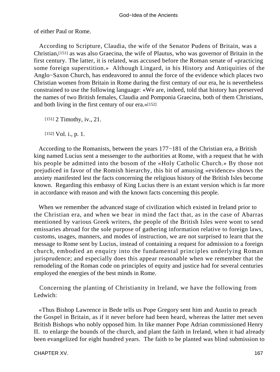of either Paul or Rome.

 According to Scripture, Claudia, the wife of the Senator Pudens of Britain, was a Christian,[151] as was also Graecina, the wife of Plautus, who was governor of Britain in the first century. The latter, it is related, was accused before the Roman senate of «practicing some foreign superstition.» Although Lingard, in his History and Antiquities of the Anglo−Saxon Church, has endeavored to annul the force of the evidence which places two Christian women from Britain in Rome during the first century of our era, he is nevertheless constrained to use the following language: «We are, indeed, told that history has preserved the names of two British females, Claudia and Pomponia Graecina, both of them Christians, and both living in the first century of our era.»[152]

[151] 2 Timothy, iv., 21.

[152] Vol. *i.*, p. 1.

 According to the Romanists, between the years 177−181 of the Christian era, a British king named Lucius sent a messenger to the authorities at Rome, with a request that he with his people be admitted into the bosom of the «Holy Catholic Church.» By those not prejudiced in favor of the Romish hierarchy, this bit of amusing «evidence» shows the anxiety manifested lest the facts concerning the religious history of the British Isles become known. Regarding this embassy of King Lucius there is an extant version which is far more in accordance with reason and with the known facts concerning this people.

 When we remember the advanced stage of civilization which existed in Ireland prior to the Christian era, and when we bear in mind the fact that, as in the case of Abarras mentioned by various Greek writers, the people of the British Isles were wont to send emissaries abroad for the sole purpose of gathering information relative to foreign laws, customs, usages, manners, and modes of instruction, we are not surprised to learn that the message to Rome sent by Lucius, instead of containing a request for admission to a foreign church, embodied an enquiry into the fundamental principles underlying Roman jurisprudence; and especially does this appear reasonable when we remember that the remodeling of the Roman code on principles of equity and justice had for several centuries employed the energies of the best minds in Rome.

 Concerning the planting of Christianity in Ireland, we have the following from Ledwich:

 «Thus Bishop Lawrence in Bede tells us Pope Gregory sent him and Austin to preach the Gospel in Britain, as if it never before had been heard, whereas the latter met seven British Bishops who nobly opposed him. In like manner Pope Adrian commissioned Henry II. to enlarge the bounds of the church, and plant the faith in Ireland, when it had already been evangelized for eight hundred years. The faith to be planted was blind submission to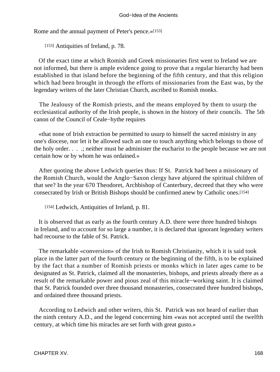Rome and the annual payment of Peter's pence.»[153]

[153] Antiquities of Ireland, p. 78.

 Of the exact time at which Romish and Greek missionaries first went to Ireland we are not informed, but there is ample evidence going to prove that a regular hierarchy had been established in that island before the beginning of the fifth century, and that this religion which had been brought in through the efforts of missionaries from the East was, by the legendary writers of the later Christian Church, ascribed to Romish monks.

 The Jealousy of the Romish priests, and the means employed by them to usurp the ecclesiastical authority of the Irish people, is shown in the history of their councils. The 5th canon of the Council of Ceale−hythe requires

 «that none of Irish extraction be permitted to usurp to himself the sacred ministry in any one's diocese, nor let it be allowed such an one to touch anything which belongs to those of the holy order. . . .; neither must he administer the eucharist to the people because we are not certain how or by whom he was ordained.»

 After quoting the above Ledwich queries thus: If St. Patrick had been a missionary of the Romish Church, would the Anglo−Saxon clergy have abjured the spiritual children of that see? In the year 670 Theodoret, Archbishop of Canterbury, decreed that they who were consecrated by Irish or British Bishops should be confirmed anew by Catholic ones.[154]

[154] Ledwich, Antiquities of Ireland, p. 81.

 It is observed that as early as the fourth century A.D. there were three hundred bishops in Ireland, and to account for so large a number, it is declared that ignorant legendary writers had recourse to the fable of St. Patrick.

 The remarkable «conversion» of the Irish to Romish Christianity, which it is said took place in the latter part of the fourth century or the beginning of the fifth, is to be explained by the fact that a number of Romish priests or monks which in later ages came to be designated as St. Patrick, claimed all the monasteries, bishops, and priests already there as a result of the remarkable power and pious zeal of this miracle−working saint. It is claimed that St. Patrick founded over three thousand monasteries, consecrated three hundred bishops, and ordained three thousand priests.

 According to Ledwich and other writers, this St. Patrick was not heard of earlier than the ninth century A.D., and the legend concerning him «was not accepted until the twelfth century, at which time his miracles are set forth with great gusto.»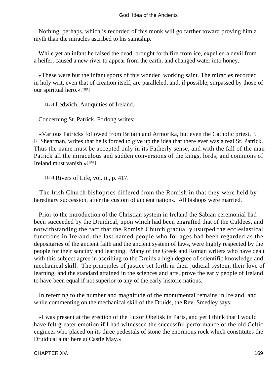Nothing, perhaps, which is recorded of this monk will go farther toward proving him a myth than the miracles ascribed to his saintship.

 While yet an infant he raised the dead, brought forth fire from ice, expelled a devil from a heifer, caused a new river to appear from the earth, and changed water into honey.

 «These were but the infant sports of this wonder−working saint. The miracles recorded in holy writ, even that of creation itself, are paralleled, and, if possible, surpassed by those of our spiritual hero.»[155]

[155] Ledwich, Antiquities of Ireland.

Concerning St. Patrick, Forlong writes:

 «Various Patricks followed from Britain and Armorika, but even the Catholic priest, J. F. Shearman, writes that he is forced to give up the idea that there ever was a real St. Patrick. Thus the name must be accepted only in its Fatherly sense, and with the fall of the man Patrick all the miraculous and sudden conversions of the kings, lords, and commons of Ireland must vanish.»[156]

[156] Rivers of Life, vol. ii., p. 417.

 The Irish Church bishoprics differed from the Romish in that they were held by hereditary succession, after the custom of ancient nations. All bishops were married.

 Prior to the introduction of the Christian system in Ireland the Sabian ceremonial had been succeeded by the Druidical, upon which had been engrafted that of the Culdees, and notwithstanding the fact that the Romish Church gradually usurped the ecclesiastical functions in Ireland, the last named people who for ages had been regarded as the depositaries of the ancient faith and the ancient system of laws, were highly respected by the people for their sanctity and learning. Many of the Greek and Roman writers who have dealt with this subject agree in ascribing to the Druids a high degree of scientific knowledge and mechanical skill. The principles of justice set forth in their judicial system, their love of learning, and the standard attained in the sciences and arts, prove the early people of Ireland to have been equal if not superior to any of the early historic nations.

 In referring to the number and magnitude of the monumental remains in Ireland, and while commenting on the mechanical skill of the Druids, the Rev. Smedley says:

 «I was present at the erection of the Luxor Obelisk in Paris, and yet I think that I would have felt greater emotion if I had witnessed the successful performance of the old Celtic engineer who placed on its three pedestals of stone the enormous rock which constitutes the Druidical altar here at Castle May.»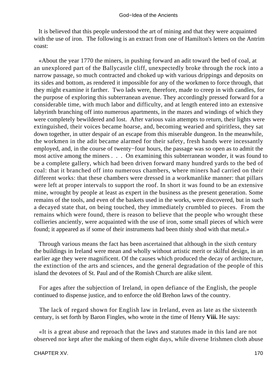It is believed that this people understood the art of mining and that they were acquainted with the use of iron. The following is an extract from one of Hamilton's letters on the Antrim coast:

 «About the year 1770 the miners, in pushing forward an adit toward the bed of coal, at an unexplored part of the Ballycastle cliff, unexpectedly broke through the rock into a narrow passage, so much contracted and choked up with various drippings and deposits on its sides and bottom, as rendered it impossible for any of the workmen to force through, that they might examine it farther. Two lads were, therefore, made to creep in with candles, for the purpose of exploring this subterranean avenue. They accordingly pressed forward for a considerable time, with much labor and difficulty, and at length entered into an extensive labyrinth branching off into numerous apartments, in the mazes and windings of which they were completely bewildered and lost. After various vain attempts to return, their lights were extinguished, their voices became hoarse, and, becoming wearied and spiritless, they sat down together, in utter despair of an escape from this miserable dungeon. In the meanwhile, the workmen in the adit became alarmed for their safety, fresh hands were incessantly employed, and, in the course of twenty−four hours, the passage was so open as to admit the most active among the miners . . . On examining this subterranean wonder, it was found to be a complete gallery, which had been driven forward many hundred yards to the bed of coal: that it branched off into numerous chambers, where miners had carried on their different works: that these chambers were dressed in a workmanlike manner: that pillars were left at proper intervals to support the roof. In short it was found to be an extensive mine, wrought by people at least as expert in the business as the present generation. Some remains of the tools, and even of the baskets used in the works, were discovered, but in such a decayed state that, on being touched, they immediately crumbled to pieces. From the remains which were found, there is reason to believe that the people who wrought these collieries anciently, were acquainted with the use of iron, some small pieces of which were found; it appeared as if some of their instruments had been thinly shod with that metal.»

 Through various means the fact has been ascertained that although in the sixth century the buildings in Ireland were mean and wholly without artistic merit or skilful design, in an earlier age they were magnificent. Of the causes which produced the decay of architecture, the extinction of the arts and sciences, and the general degradation of the people of this island the devotees of St. Paul and of the Romish Church are alike silent.

 For ages after the subjection of Ireland, in open defiance of the English, the people continued to dispense justice, and to enforce the old Brehon laws of the country.

 The lack of regard shown for English law in Ireland, even as late as the sixteenth century, is set forth by Baron Fingles, who wrote in the time of Henry **Viii.** He says:

 «It is a great abuse and reproach that the laws and statutes made in this land are not observed nor kept after the making of them eight days, while diverse Irishmen cloth abuse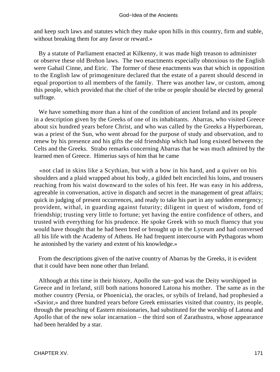and keep such laws and statutes which they make upon hills in this country, firm and stable, without breaking them for any favor or reward.»

 By a statute of Parliament enacted at Kilkenny, it was made high treason to administer or observe these old Brehon laws. The two enactments especially obnoxious to the English were Gahail Cinne, and Eiric. The former of these enactments was that which in opposition to the English law of primogeniture declared that the estate of a parent should descend in equal proportion to all members of the family. There was another law, or custom, among this people, which provided that the chief of the tribe or people should be elected by general suffrage.

 We have something more than a hint of the condition of ancient Ireland and its people in a description given by the Greeks of one of its inhabitants. Abarras, who visited Greece about six hundred years before Christ, and who was called by the Greeks a Hyperborean, was a priest of the Sun, who went abroad for the purpose of study and observation, and to renew by his presence and his gifts the old friendship which had long existed between the Celts and the Greeks. Strabo remarks concerning Abarras that he was much admired by the learned men of Greece. Himerius says of him that he came

 «not clad in skins like a Scythian, but with a bow in his hand, and a quiver on his shoulders and a plaid wrapped about his body, a gilded belt encircled his loins, and trousers reaching from his waist downward to the soles of his feet. He was easy in his address, agreeable in conversation, active in dispatch and secret in the management of great affairs; quick in judging of present occurrences, and ready to take his part in any sudden emergency; provident, withal, in guarding against futurity; diligent in quest of wisdom, fond of friendship; trusting very little to fortune; yet having the entire confidence of others, and trusted with everything for his prudence. He spoke Greek with so much fluency that you would have thought that he had been bred or brought up in the Lyceum and had conversed all his life with the Academy of Athens. He had frequent intercourse with Pythagoras whom he astonished by the variety and extent of his knowledge.»

 From the descriptions given of the native country of Abarras by the Greeks, it is evident that it could have been none other than Ireland.

 Although at this time in their history, Apollo the sun−god was the Deity worshipped in Greece and in Ireland, still both nations honored Latona his mother. The same as in the mother country (Persia, or Phoenicia), the oracles, or sybils of Ireland, had prophesied a «Savior,» and three hundred years before Greek emissaries visited that country, its people, through the preaching of Eastern missionaries, had substituted for the worship of Latona and Apollo that of the new solar incarnation – the third son of Zarathustra, whose appearance had been heralded by a star.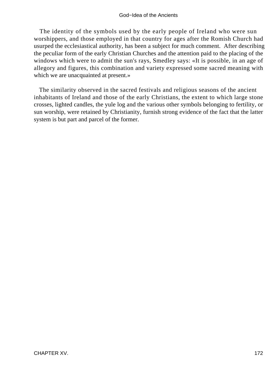The identity of the symbols used by the early people of Ireland who were sun worshippers, and those employed in that country for ages after the Romish Church had usurped the ecclesiastical authority, has been a subject for much comment. After describing the peculiar form of the early Christian Churches and the attention paid to the placing of the windows which were to admit the sun's rays, Smedley says: «It is possible, in an age of allegory and figures, this combination and variety expressed some sacred meaning with which we are unacquainted at present.»

 The similarity observed in the sacred festivals and religious seasons of the ancient inhabitants of Ireland and those of the early Christians, the extent to which large stone crosses, lighted candles, the yule log and the various other symbols belonging to fertility, or sun worship, were retained by Christianity, furnish strong evidence of the fact that the latter system is but part and parcel of the former.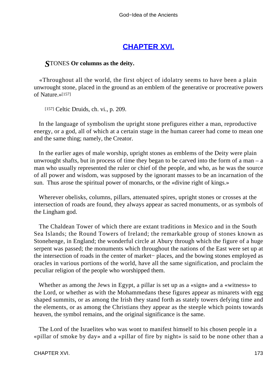# **[CHAPTER XVI.](#page-197-0)**

## *S*TONES **Or columns as the deity.**

 «Throughout all the world, the first object of idolatry seems to have been a plain unwrought stone, placed in the ground as an emblem of the generative or procreative powers of Nature.»[157]

[157] Celtic Druids, ch. vi., p. 209.

 In the language of symbolism the upright stone prefigures either a man, reproductive energy, or a god, all of which at a certain stage in the human career had come to mean one and the same thing; namely, the Creator.

 In the earlier ages of male worship, upright stones as emblems of the Deity were plain unwrought shafts, but in process of time they began to be carved into the form of a man  $-$  a man who usually represented the ruler or chief of the people, and who, as he was the source of all power and wisdom, was supposed by the ignorant masses to be an incarnation of the sun. Thus arose the spiritual power of monarchs, or the «divine right of kings.»

 Wherever obelisks, columns, pillars, attenuated spires, upright stones or crosses at the intersection of roads are found, they always appear as sacred monuments, or as symbols of the Lingham god.

 The Chaldean Tower of which there are extant traditions in Mexico and in the South Sea Islands; the Round Towers of Ireland; the remarkable group of stones known as Stonehenge, in England; the wonderful circle at Abury through which the figure of a huge serpent was passed; the monuments which throughout the nations of the East were set up at the intersection of roads in the center of market− places, and the bowing stones employed as oracles in various portions of the world, have all the same signification, and proclaim the peculiar religion of the people who worshipped them.

 Whether as among the Jews in Egypt, a pillar is set up as a «sign» and a «witness» to the Lord, or whether as with the Mohammedans these figures appear as minarets with egg shaped summits, or as among the Irish they stand forth as stately towers defying time and the elements, or as among the Christians they appear as the steeple which points towards heaven, the symbol remains, and the original significance is the same.

 The Lord of the Israelites who was wont to manifest himself to his chosen people in a «pillar of smoke by day» and a «pillar of fire by night» is said to be none other than a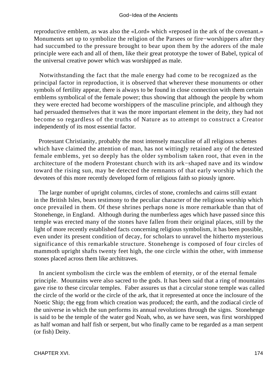reproductive emblem, as was also the «Lord» which «reposed in the ark of the covenant.» Monuments set up to symbolize the religion of the Parsees or fire−worshippers after they had succumbed to the pressure brought to bear upon them by the adorers of the male principle were each and all of them, like their great prototype the tower of Babel, typical of the universal creative power which was worshipped as male.

 Notwithstanding the fact that the male energy had come to be recognized as the principal factor in reproduction, it is observed that wherever these monuments or other symbols of fertility appear, there is always to be found in close connection with them certain emblems symbolical of the female power; thus showing that although the people by whom they were erected had become worshippers of the masculine principle, and although they had persuaded themselves that it was the more important element in the deity, they had not become so regardless of the truths of Nature as to attempt to construct a Creator independently of its most essential factor.

 Protestant Christianity, probably the most intensely masculine of all religious schemes which have claimed the attention of man, has not wittingly retained any of the detested female emblems, yet so deeply has the older symbolism taken root, that even in the architecture of the modern Protestant church with its ark−shaped nave and its window toward the rising sun, may be detected the remnants of that early worship which the devotees of this more recently developed form of religious faith so piously ignore.

 The large number of upright columns, circles of stone, cromlechs and cairns still extant in the British Isles, bears testimony to the peculiar character of the religious worship which once prevailed in them. Of these shrines perhaps none is more remarkable than that of Stonehenge, in England. Although during the numberless ages which have passed since this temple was erected many of the stones have fallen from their original places, still by the light of more recently established facts concerning religious symbolism, it has been possible, even under its present condition of decay, for scholars to unravel the hitherto mysterious significance of this remarkable structure. Stonehenge is composed of four circles of mammoth upright shafts twenty feet high, the one circle within the other, with immense stones placed across them like architraves.

 In ancient symbolism the circle was the emblem of eternity, or of the eternal female principle. Mountains were also sacred to the gods. It has been said that a ring of mountains gave rise to these circular temples. Faber assures us that a circular stone temple was called the circle of the world or the circle of the ark, that it represented at once the inclosure of the Noetic Ship; the egg from which creation was produced; the earth, and the zodiacal circle of the universe in which the sun performs its annual revolutions through the signs. Stonehenge is said to be the temple of the water god Noah, who, as we have seen, was first worshipped as half woman and half fish or serpent, but who finally came to be regarded as a man serpent (or fish) Deity.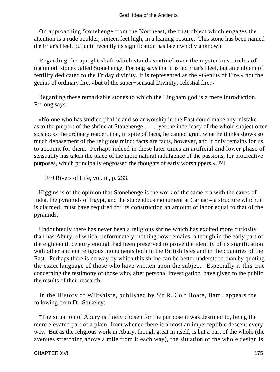On approaching Stonehenge from the Northeast, the first object which engages the attention is a rude boulder, sixteen feet high, in a leaning posture. This stone has been named the Friar's Heel, but until recently its signification has been wholly unknown.

 Regarding the upright shaft which stands sentinel over the mysterious circles of mammoth stones called Stonehenge, Forlong says that it is no Friar's Heel, but an emblem of fertility dedicated to the Friday divinity. It is represented as the «Genius of Fire,» not the genius of ordinary fire, «but of the super−sensual Divinity, celestial fire.»

 Regarding these remarkable stones to which the Lingham god is a mere introduction, Forlong says:

 «No one who has studied phallic and solar worship in the East could make any mistake as to the purport of the shrine at Stonehenge . . . yet the indelicacy of the whole subject often so shocks the ordinary reader, that, in spite of facts, he cannot grant what he thinks shows so much debasement of the religious mind; facts are facts, however, and it only remains for us to account for them. Perhaps indeed in these later times an artificial and lower phase of sensuality has taken the place of the more natural indulgence of the passions, for procreative purposes, which principally engrossed the thoughts of early worshippers.»[158]

[158] Rivers of Life, vol. ii., p. 233.

 Higgins is of the opinion that Stonehenge is the work of the same era with the caves of India, the pyramids of Egypt, and the stupendous monument at Carnac – a structure which, it is claimed, must have required for its construction an amount of labor equal to that of the pyramids.

 Undoubtedly there has never been a religious shrine which has excited more curiosity than has Abury, of which, unfortunately, nothing now remains, although in the early part of the eighteenth century enough had been preserved to prove the identity of its signification with other ancient religious monuments both in the British Isles and in the countries of the East. Perhaps there is no way by which this shrine can be better understood than by quoting the exact language of those who have written upon the subject. Especially is this true concerning the testimony of those who, after personal investigation, have given to the public the results of their research.

 In the History of Wiltshisre, published by Sir R. Colt Hoare, Bart., appears the following from Dr. Stukeley:

 "The situation of Abury is finely chosen for the purpose it was destined to, being the more elevated part of a plain, from whence there is almost an imperceptible descent every way. But as the religious work in Abury, though great in itself, is but a part of the whole (the avenues stretching above a mile from it each way), the situation of the whole design is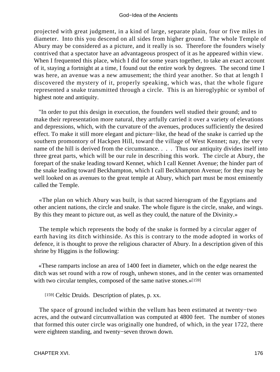projected with great judgment, in a kind of large, separate plain, four or five miles in diameter. Into this you descend on all sides from higher ground. The whole Temple of Abury may be considered as a picture, and it really is so. Therefore the founders wisely contrived that a spectator have an advantageous prospect of it as he appeared within view. When I frequented this place, which I did for some years together, to take an exact account of it, staying a fortnight at a time, I found out the entire work by degrees. The second time I was here, an avenue was a new amusement; the third year another. So that at length I discovered the mystery of it, properly speaking, which was, that the whole figure represented a snake transmitted through a circle. This is an hieroglyphic or symbol of highest note and antiquity.

 "In order to put this design in execution, the founders well studied their ground; and to make their representation more natural, they artfully carried it over a variety of elevations and depressions, which, with the curvature of the avenues, produces sufficiently the desired effect. To make it still more elegant and picture−like, the head of the snake is carried up the southern promontory of Hackpen Hill, toward the village of West Kennet; nay, the very name of the hill is derived from the circumstance. . . . Thus our antiquity divides itself into three great parts, which will be our rule in describing this work. The circle at Abury, the forepart of the snake leading toward Kennet, which I call Kennet Avenue; the hinder part of the snake leading toward Beckhampton, which I call Beckhampton Avenue; for they may be well looked on as avenues to the great temple at Abury, which part must be most eminently called the Temple.

 «The plan on which Abury was built, is that sacred hierogram of the Egyptians and other ancient nations, the circle and snake. The whole figure is the circle, snake, and wings. By this they meant to picture out, as well as they could, the nature of the Divinity.»

 The temple which represents the body of the snake is formed by a circular agger of earth having its ditch withinside. As this is contrary to the mode adopted in works of defence, it is thought to prove the religious character of Abury. In a description given of this shrine by Higgins is the following:

 «These ramparts inclose an area of 1400 feet in diameter, which on the edge nearest the ditch was set round with a row of rough, unhewn stones, and in the center was ornamented with two circular temples, composed of the same native stones.»[159]

[159] Celtic Druids. Description of plates, p. xx.

 The space of ground included within the vellum has been estimated at twenty−two acres, and the outward circumvallation was computed at 4800 feet. The number of stones that formed this outer circle was originally one hundred, of which, in the year 1722, there were eighteen standing, and twenty−seven thrown down.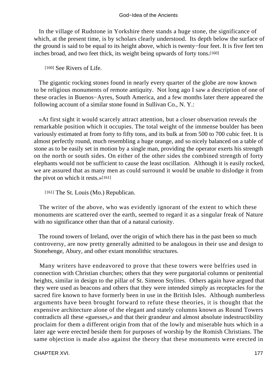In the village of Rudstone in Yorkshire there stands a huge stone, the significance of which, at the present time, is by scholars clearly understood. Its depth below the surface of the ground is said to be equal to its height above, which is twenty−four feet. It is five feet ten inches broad, and two feet thick, its weight being upwards of forty tons.[160]

[160] See Rivers of Life.

 The gigantic rocking stones found in nearly every quarter of the globe are now known to be religious monuments of remote antiquity. Not long ago I saw a description of one of these oracles in Buenos−Ayres, South America, and a few months later there appeared the following account of a similar stone found in Sullivan Co., N. Y.:

 «At first sight it would scarcely attract attention, but a closer observation reveals the remarkable position which it occupies. The total weight of the immense boulder has been variously estimated at from forty to fifty tons, and its bulk at from 500 to 700 cubic feet. It is almost perfectly round, much resembling a huge orange, and so nicely balanced on a table of stone as to be easily set in motion by a single man, providing the operator exerts his strength on the north or south sides. On either of the other sides the combined strength of forty elephants would not be sufficient to cause the least oscillation. Although it is easily rocked, we are assured that as many men as could surround it would be unable to dislodge it from the pivot on which it rests.»[161]

[161] The St. Louis (Mo.) Republican.

 The writer of the above, who was evidently ignorant of the extent to which these monuments are scattered over the earth, seemed to regard it as a singular freak of Nature with no significance other than that of a natural curiosity.

 The round towers of Ireland, over the origin of which there has in the past been so much controversy, are now pretty generally admitted to be analogous in their use and design to Stonehenge, Abury, and other extant monolithic structures.

 Many writers have endeavored to prove that these towers were belfries used in connection with Christian churches; others that they were purgatorial columns or penitential heights, similar in design to the pillar of St. Simeon Stylites. Others again have argued that they were used as beacons and others that they were intended simply as receptacles for the sacred fire known to have formerly been in use in the British Isles. Although numberless arguments have been brought forward to refute these theories, it is thought that the expensive architecture alone of the elegant and stately columns known as Round Towers contradicts all these «guesses,» and that their grandeur and almost absolute indestructibility proclaim for them a different origin from that of the lowly and miserable huts which in a later age were erected beside them for purposes of worship by the Romish Christians. The same objection is made also against the theory that these monuments were erected in

CHAPTER XVI. 2002. 2003. THE STATE STATE STATE STATE STATE STATE STATE STATE STATE STATE STATE STATE STATE STATE STATE STATE STATE STATE STATE STATE STATE STATE STATE STATE STATE STATE STATE STATE STATE STATE STATE STATE S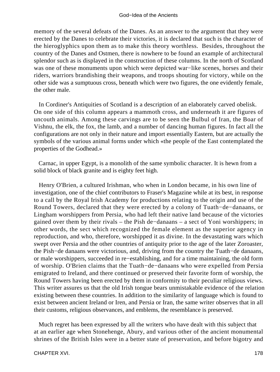memory of the several defeats of the Danes. As an answer to the argument that they were erected by the Danes to celebrate their victories, it is declared that such is the character of the hieroglyphics upon them as to make this theory worthless. Besides, throughout the country of the Danes and Ostmen, there is nowhere to be found an example of architectural splendor such as is displayed in the construction of these columns. In the north of Scotland was one of these monuments upon which were depicted war−like scenes, horses and their riders, warriors brandishing their weapons, and troops shouting for victory, while on the other side was a sumptuous cross, beneath which were two figures, the one evidently female, the other male.

 In Cordiner's Antiquities of Scotland is a description of an elaborately carved obelisk. On one side of this column appears a mammoth cross, and underneath it are figures of uncouth animals. Among these carvings are to be seen the Bulbul of Iran, the Boar of Vishnu, the elk, the fox, the lamb, and a number of dancing human figures. In fact all the configurations are not only in their nature and import essentially Eastern, but are actually the symbols of the various animal forms under which «the people of the East contemplated the properties of the Godhead.»

 Carnac, in upper Egypt, is a monolith of the same symbolic character. It is hewn from a solid block of black granite and is eighty feet high.

 Henry O'Brien, a cultured Irishman, who when in London became, in his own line of investigation, one of the chief contributors to Fraser's Magazine while at its best, in response to a call by the Royal Irish Academy for productions relating to the origin and use of the Round Towers, declared that they were erected by a colony of Tuath−de−danaans, or Lingham worshippers from Persia, who had left their native land because of the victories gained over them by their rivals – the Pish de−danaans – a sect of Yoni worshippers; in other words, the sect which recognized the female element as the superior agency in reproduction, and who, therefore, worshipped it as divine. In the devastating wars which swept over Persia and the other countries of antiquity prior to the age of the later Zoroaster, the Pish−de danaans were victorious, and, driving from the country the Tuath−de danaans, or male worshippers, succeeded in re−establishing, and for a time maintaining, the old form of worship. O'Brien claims that the Tuath−de−danaans who were expelled from Persia emigrated to Ireland, and there continued or preserved their favorite form of worship, the Round Towers having been erected by them in conformity to their peculiar religious views. This writer assures us that the old Irish tongue bears unmistakable evidence of the relation existing between these countries. In addition to the similarity of language which is found to exist between ancient Ireland or Iren, and Persia or Iran, the same writer observes that in all their customs, religious observances, and emblems, the resemblance is preserved.

 Much regret has been expressed by all the writers who have dealt with this subject that at an earlier age when Stonehenge, Abury, and various other of the ancient monumental shrines of the British Isles were in a better state of preservation, and before bigotry and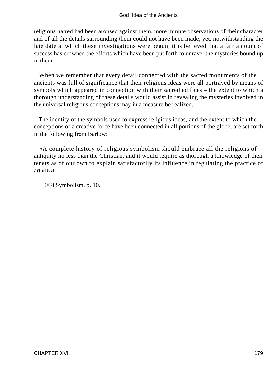religious hatred had been aroused against them, more minute observations of their character and of all the details surrounding them could not have been made; yet, notwithstanding the late date at which these investigations were begun, it is believed that a fair amount of success has crowned the efforts which have been put forth to unravel the mysteries bound up in them.

 When we remember that every detail connected with the sacred monuments of the ancients was full of significance that their religious ideas were all portrayed by means of symbols which appeared in connection with their sacred edifices – the extent to which a thorough understanding of these details would assist in revealing the mysteries involved in the universal religious conceptions may in a measure be realized.

 The identity of the symbols used to express religious ideas, and the extent to which the conceptions of a creative force have been connected in all portions of the globe, are set forth in the following from Barlow:

 «A complete history of religious symbolism should embrace all the religions of antiquity no less than the Christian, and it would require as thorough a knowledge of their tenets as of our own to explain satisfactorily its influence in regulating the practice of art.»[162]

[162] Symbolism, p. 10.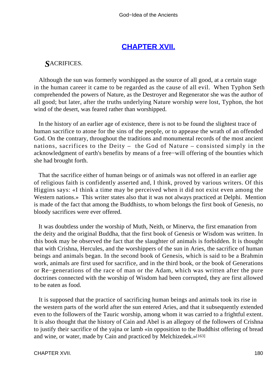## **[CHAPTER XVII.](#page-197-0)**

## <span id="page-180-0"></span>*S*ACRIFICES.

 Although the sun was formerly worshipped as the source of all good, at a certain stage in the human career it came to be regarded as the cause of all evil. When Typhon Seth comprehended the powers of Nature, as the Destroyer and Regenerator she was the author of all good; but later, after the truths underlying Nature worship were lost, Typhon, the hot wind of the desert, was feared rather than worshipped.

 In the history of an earlier age of existence, there is not to be found the slightest trace of human sacrifice to atone for the sins of the people, or to appease the wrath of an offended God. On the contrary, throughout the traditions and monumental records of the most ancient nations, sacrifices to the Deity – the God of Nature – consisted simply in the acknowledgment of earth's benefits by means of a free−will offering of the bounties which she had brought forth.

 That the sacrifice either of human beings or of animals was not offered in an earlier age of religious faith is confidently asserted and, I think, proved by various writers. Of this Higgins says: «I think a time may be perceived when it did not exist even among the Western nations.» This writer states also that it was not always practiced at Delphi. Mention is made of the fact that among the Buddhists, to whom belongs the first book of Genesis, no bloody sacrifices were ever offered.

 It was doubtless under the worship of Muth, Neith, or Minerva, the first emanation from the deity and the original Buddha, that the first book of Genesis or Wisdom was written. In this book may be observed the fact that the slaughter of animals is forbidden. It is thought that with Crishna, Hercules, and the worshippers of the sun in Aries, the sacrifice of human beings and animals began. In the second book of Genesis, which is said to be a Brahmin work, animals are first used for sacrifice, and in the third book, or the book of Generations or Re−generations of the race of man or the Adam, which was written after the pure doctrines connected with the worship of Wisdom had been corrupted, they are first allowed to be eaten as food.

 It is supposed that the practice of sacrificing human beings and animals took its rise in the western parts of the world after the sun entered Aries, and that it subsequently extended even to the followers of the Tauric worship, among whom it was carried to a frightful extent. It is also thought that the history of Cain and Abel is an allegory of the followers of Crishna to justify their sacrifice of the yajna or lamb «in opposition to the Buddhist offering of bread and wine, or water, made by Cain and practiced by Melchizedek.»[163]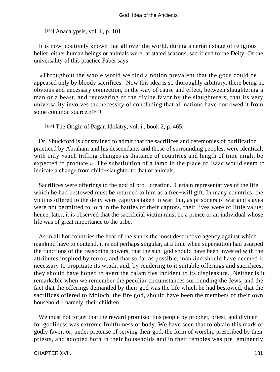[163] Anacalypsis, vol. *i.*, p. 101.

 It is now positively known that all over the world, during a certain stage of religious belief, either human beings or animals were, at stated seasons, sacrificed to the Deity. Of the universality of this practice Faber says:

 «Throughout the whole world we find a notion prevalent that the gods could be appeased only by bloody sacrifices. Now this idea is so thoroughly arbitrary, there being no obvious and necessary connection, in the way of cause and effect, between slaughtering a man or a beast, and recovering of the divine favor by the slaughterers, that its very universality involves the necessity of concluding that all nations have borrowed it from some common source.»[164]

[164] The Origin of Pagan Idolatry, vol. i., book 2, p. 465.

 Dr. Shuckford is constrained to admit that the sacrifices and ceremonies of purification practiced by Abraham and his descendants and those of surrounding peoples, were identical, with only «such trifling changes as distance of countries and length of time might be expected to produce.» The substitution of a lamb in the place of Isaac would seem to indicate a change from child−slaughter to that of animals.

 Sacrifices were offerings to the god of pro− creation. Certain representatives of the life which he had bestowed must be returned to him as a free−will gift. In many countries, the victims offered to the deity were captives taken in war; but, as prisoners of war and slaves were not permitted to join in the battles of their captors, their lives were of little value; hence, later, it is observed that the sacrificial victim must be a prince or an individual whose life was of great importance to the tribe.

 As in all hot countries the heat of the sun is the most destructive agency against which mankind have to contend, it is not perhaps singular, at a time when superstition had usurped the functions of the reasoning powers, that the sun−god should have been invested with the attributes inspired by terror, and that so far as possible, mankind should have deemed it necessary to propitiate its wrath, and, by rendering to it suitable offerings and sacrifices, they should have hoped to avert the calamities incident to its displeasure. Neither is it remarkable when we remember the peculiar circumstances surrounding the Jews, and the fact that the offerings demanded by their god was the life which he had bestowed, that the sacrifices offered to Moloch, the fire god, should have been the members of their own household – namely, their children.

 We must not forget that the reward promised this people by prophet, priest, and diviner for godliness was extreme fruitfulness of body. We have seen that to obtain this mark of godly favor, or, under pretense of serving their god, the form of worship prescribed by their priests, and adopted both in their households and in their temples was pre−eminently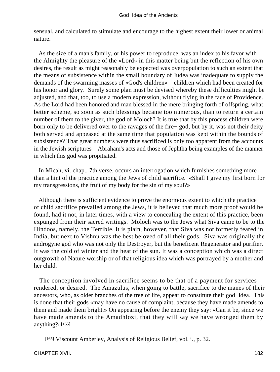sensual, and calculated to stimulate and encourage to the highest extent their lower or animal nature.

 As the size of a man's family, or his power to reproduce, was an index to his favor with the Almighty the pleasure of the «Lord» in this matter being but the reflection of his own desires, the result as might reasonably be expected was overpopulation to such an extent that the means of subsistence within the small boundary of Judea was inadequate to supply the demands of the swarming masses of «God's children» – children which had been created for his honor and glory. Surely some plan must be devised whereby these difficulties might be adjusted, and that, too, to use a modern expression, without flying in the face of Providence. As the Lord had been honored and man blessed in the mere bringing forth of offspring, what better scheme, so soon as such blessings became too numerous, than to return a certain number of them to the giver, the god of Moloch? It is true that by this process children were born only to be delivered over to the ravages of the fire− god, but by it, was not their deity both served and appeased at the same time that population was kept within the bounds of subsistence? That great numbers were thus sacrificed is only too apparent from the accounts in the Jewish scriptures – Abraham's acts and those of Jephtha being examples of the manner in which this god was propitiated.

 In Micah, vi. chap., 7th verse, occurs an interrogation which furnishes something more than a hint of the practice among the Jews of child sacrifice. «Shall I give my first born for my transgressions, the fruit of my body for the sin of my soul?»

 Although there is sufficient evidence to prove the enormous extent to which the practice of child sacrifice prevailed among the Jews, it is believed that much more proof would be found, had it not, in later times, with a view to concealing the extent of this practice, been expunged from their sacred writings. Moloch was to the Jews what Siva came to be to the Hindoos, namely, the Terrible. It is plain, however, that Siva was not formerly feared in India, but next to Vishnu was the best beloved of all their gods. Siva was originally the androgyne god who was not only the Destroyer, but the beneficent Regenerator and purifier. It was the cold of winter and the heat of the sun. It was a conception which was a direct outgrowth of Nature worship or of that religious idea which was portrayed by a mother and her child.

 The conception involved in sacrifice seems to be that of a payment for services rendered, or desired. The Amazulus, when going to battle, sacrifice to the manes of their ancestors, who, as older branches of the tree of life, appear to constitute their god−idea. This is done that their gods «may have no cause of complaint, because they have made amends to them and made them bright.» On appearing before the enemy they say: «Can it be, since we have made amends to the Amadhlozi, that they will say we have wronged them by anything?»[165]

[165] Viscount Amberley, Analysis of Religious Belief, vol. i., p. 32.

CHAPTER XVII. 182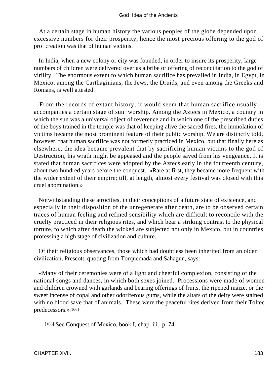At a certain stage in human history the various peoples of the globe depended upon excessive numbers for their prosperity, hence the most precious offering to the god of pro−creation was that of human victims.

 In India, when a new colony or city was founded, in order to insure its prosperity, large numbers of children were delivered over as a bribe or offering of reconciliation to the god of virility. The enormous extent to which human sacrifice has prevailed in India, in Egypt, in Mexico, among the Carthaginians, the Jews, the Druids, and even among the Greeks and Romans, is well attested.

 From the records of extant history, it would seem that human sacrifice usually accompanies a certain stage of sun−worship. Among the Aztecs in Mexico, a country in which the sun was a universal object of reverence and in which one of the prescribed duties of the boys trained in the temple was that of keeping alive the sacred fires, the immolation of victims became the most prominent feature of their public worship. We are distinctly told, however, that human sacrifice was not formerly practiced in Mexico, but that finally here as elsewhere, the idea became prevalent that by sacrificing human victims to the god of Destruction, his wrath might be appeased and the people saved from his vengeance. It is stated that human sacrifices were adopted by the Aztecs early in the fourteenth century, about two hundred years before the conquest. «Rare at first, they became more frequent with the wider extent of their empire; till, at length, almost every festival was closed with this cruel abomination.»

 Notwithstanding these atrocities, in their conceptions of a future state of existence, and especially in their disposition of the unregenerate after death, are to be observed certain traces of human feeling and refined sensibility which are difficult to reconcile with the cruelty practiced in their religious rites, and which bear a striking contrast to the physical torture, to which after death the wicked are subjected not only in Mexico, but in countries professing a high stage of civilization and culture.

 Of their religious observances, those which had doubtless been inherited from an older civilization, Prescott, quoting from Torquemada and Sahagun, says:

 «Many of their ceremonies were of a light and cheerful complexion, consisting of the national songs and dances, in which both sexes joined. Processions were made of women and children crowned with garlands and bearing offerings of fruits, the ripened maize, or the sweet incense of copal and other odoriferous gums, while the altars of the deity were stained with no blood save that of animals. These were the peaceful rites derived from their Toltec predecessors.»[166]

[166] See Conquest of Mexico, book I, chap. iii., p. 74.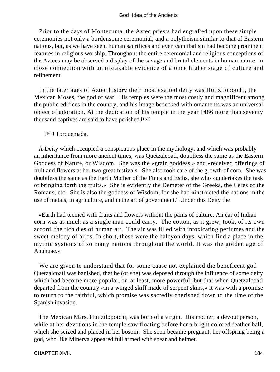Prior to the days of Montezuma, the Aztec priests had engrafted upon these simple ceremonies not only a burdensome ceremonial, and a polytheism similar to that of Eastern nations, but, as we have seen, human sacrifices and even cannibalism had become prominent features in religious worship. Throughout the entire ceremonial and religious conceptions of the Aztecs may be observed a display of the savage and brutal elements in human nature, in close connection with unmistakable evidence of a once higher stage of culture and refinement.

 In the later ages of Aztec history their most exalted deity was Huitzilopotchi, the Mexican Moses, the god of war. His temples were the most costly and magnificent among the public edifices in the country, and his image bedecked with ornaments was an universal object of adoration. At the dedication of his temple in the year 1486 more than seventy thousand captives are said to have perished.[167]

#### [167] Torquemada.

 A Deity which occupied a conspicuous place in the mythology, and which was probably an inheritance from more ancient times, was Quetzalcoatl, doubtless the same as the Eastern Goddess of Nature, or Wisdom. She was the «grain goddess,» and «received offerings of fruit and flowers at her two great festivals. She also took care of the growth of corn. She was doubtless the same as the Earth Mother of the Finns and Esths, she who »undertakes the task of bringing forth the fruits.« She is evidently the Demeter of the Greeks, the Ceres of the Romans, etc. She is also the goddess of Wisdom, for she had »instructed the nations in the use of metals, in agriculture, and in the art of government." Under this Deity the

 «Earth had teemed with fruits and flowers without the pains of culture. An ear of Indian corn was as much as a single man could carry. The cotton, as it grew, took, of its own accord, the rich dies of human art. The air was filled with intoxicating perfumes and the sweet melody of birds. In short, these were the halcyon days, which find a place in the mythic systems of so many nations throughout the world. It was the golden age of Anuhuac.»

 We are given to understand that for some cause not explained the beneficent god Quetzalcoatl was banished, that he (or she) was deposed through the influence of some deity which had become more popular, or, at least, more powerful; but that when Quetzalcoatl departed from the country «in a winged skiff made of serpent skins,» it was with a promise to return to the faithful, which promise was sacredly cherished down to the time of the Spanish invasion.

 The Mexican Mars, Huitzilopotchi, was born of a virgin. His mother, a devout person, while at her devotions in the temple saw floating before her a bright colored feather ball, which she seized and placed in her bosom. She soon became pregnant, her offspring being a god, who like Minerva appeared full armed with spear and helmet.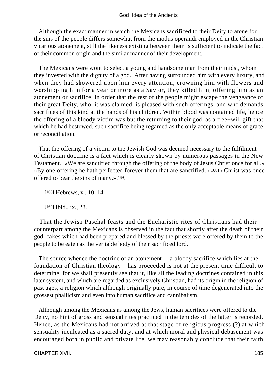Although the exact manner in which the Mexicans sacrificed to their Deity to atone for the sins of the people differs somewhat from the modus operandi employed in the Christian vicarious atonement, still the likeness existing between them is sufficient to indicate the fact of their common origin and the similar manner of their development.

 The Mexicans were wont to select a young and handsome man from their midst, whom they invested with the dignity of a god. After having surrounded him with every luxury, and when they had showered upon him every attention, crowning him with flowers and worshipping him for a year or more as a Savior, they killed him, offering him as an atonement or sacrifice, in order that the rest of the people might escape the vengeance of their great Deity, who, it was claimed, is pleased with such offerings, and who demands sacrifices of this kind at the hands of his children. Within blood was contained life, hence the offering of a bloody victim was but the returning to their god, as a free−will gift that which he had bestowed, such sacrifice being regarded as the only acceptable means of grace or reconciliation.

 That the offering of a victim to the Jewish God was deemed necessary to the fulfilment of Christian doctrine is a fact which is clearly shown by numerous passages in the New Testament. «We are sanctified through the offering of the body of Jesus Christ once for all.» «By one offering he hath perfected forever them that are sanctified.»[168] «Christ was once offered to bear the sins of many.»[169]

[168] Hebrews, x., 10, 14.

[169] **Ibid.**, ix., 28.

 That the Jewish Paschal feasts and the Eucharistic rites of Christians had their counterpart among the Mexicans is observed in the fact that shortly after the death of their god, cakes which had been prepared and blessed by the priests were offered by them to the people to be eaten as the veritable body of their sacrificed lord.

The source whence the doctrine of an atonement  $-$  a bloody sacrifice which lies at the foundation of Christian theology – has proceeded is not at the present time difficult to determine, for we shall presently see that it, like all the leading doctrines contained in this later system, and which are regarded as exclusively Christian, had its origin in the religion of past ages, a religion which although originally pure, in course of time degenerated into the grossest phallicism and even into human sacrifice and cannibalism.

 Although among the Mexicans as among the Jews, human sacrifices were offered to the Deity, no hint of gross and sensual rites practiced in the temples of the latter is recorded. Hence, as the Mexicans had not arrived at that stage of religious progress (?) at which sensuality inculcated as a sacred duty, and at which moral and physical debasement was encouraged both in public and private life, we may reasonably conclude that their faith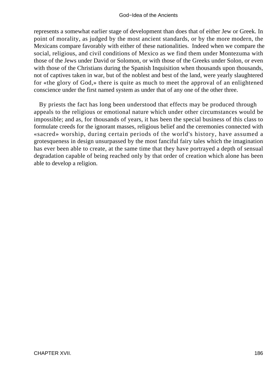#### God−Idea of the Ancients

represents a somewhat earlier stage of development than does that of either Jew or Greek. In point of morality, as judged by the most ancient standards, or by the more modern, the Mexicans compare favorably with either of these nationalities. Indeed when we compare the social, religious, and civil conditions of Mexico as we find them under Montezuma with those of the Jews under David or Solomon, or with those of the Greeks under Solon, or even with those of the Christians during the Spanish Inquisition when thousands upon thousands, not of captives taken in war, but of the noblest and best of the land, were yearly slaughtered for «the glory of God,» there is quite as much to meet the approval of an enlightened conscience under the first named system as under that of any one of the other three.

 By priests the fact has long been understood that effects may be produced through appeals to the religious or emotional nature which under other circumstances would be impossible; and as, for thousands of years, it has been the special business of this class to formulate creeds for the ignorant masses, religious belief and the ceremonies connected with «sacred» worship, during certain periods of the world's history, have assumed a grotesqueness in design unsurpassed by the most fanciful fairy tales which the imagination has ever been able to create, at the same time that they have portrayed a depth of sensual degradation capable of being reached only by that order of creation which alone has been able to develop a religion.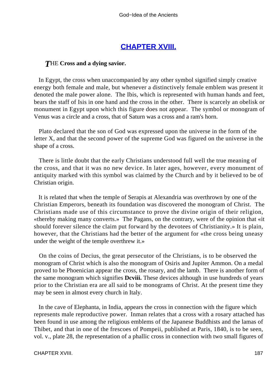# **[CHAPTER XVIII.](#page-197-0)**

#### <span id="page-187-0"></span>*T*HE **Cross and a dying savior.**

 In Egypt, the cross when unaccompanied by any other symbol signified simply creative energy both female and male, but whenever a distinctively female emblem was present it denoted the male power alone. The Ibis, which is represented with human hands and feet, bears the staff of Isis in one hand and the cross in the other. There is scarcely an obelisk or monument in Egypt upon which this figure does not appear. The symbol or monogram of Venus was a circle and a cross, that of Saturn was a cross and a ram's horn.

 Plato declared that the son of God was expressed upon the universe in the form of the letter X, and that the second power of the supreme God was figured on the universe in the shape of a cross.

 There is little doubt that the early Christians understood full well the true meaning of the cross, and that it was no new device. In later ages, however, every monument of antiquity marked with this symbol was claimed by the Church and by it believed to be of Christian origin.

 It is related that when the temple of Serapis at Alexandria was overthrown by one of the Christian Emperors, beneath its foundation was discovered the monogram of Christ. The Christians made use of this circumstance to prove the divine origin of their religion, «thereby making many converts.» The Pagans, on the contrary, were of the opinion that «it should forever silence the claim put forward by the devotees of Christianity.» It is plain, however, that the Christians had the better of the argument for «the cross being uneasy under the weight of the temple overthrew it.»

 On the coins of Decius, the great persecutor of the Christians, is to be observed the monogram of Christ which is also the monogram of Osiris and Jupiter Ammon. On a medal proved to be Phoenician appear the cross, the rosary, and the lamb. There is another form of the same monogram which signifies **Dcviii.** These devices although in use hundreds of years prior to the Christian era are all said to be monograms of Christ. At the present time they may be seen in almost every church in Italy.

 In the cave of Elephanta, in India, appears the cross in connection with the figure which represents male reproductive power. Inman relates that a cross with a rosary attached has been found in use among the religious emblems of the Japanese Buddhists and the lamas of Thibet, and that in one of the frescoes of Pompeii, published at Paris, 1840, is to be seen, vol. v., plate 28, the representation of a phallic cross in connection with two small figures of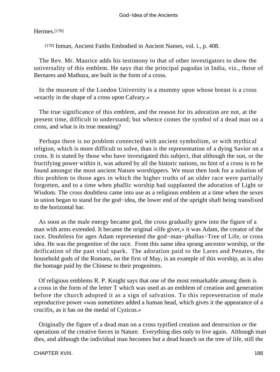#### Hermes.[170]

[170] Inman, Ancient Faiths Embodied in Ancient Names, vol. i., p. 408.

 The Rev. Mr. Maurice adds his testimony to that of other investigators to show the universality of this emblem. He says that the principal pagodas in India, viz., those of Bernares and Mathura, are built in the form of a cross.

 In the museum of the London University is a mummy upon whose breast is a cross «exactly in the shape of a cross upon Calvary.»

 The true significance of this emblem, and the reason for its adoration are not, at the present time, difficult to understand; but whence comes the symbol of a dead man on a cross, and what is its true meaning?

 Perhaps there is no problem connected with ancient symbolism, or with mythical religion, which is more difficult to solve, than is the representation of a dying Savior on a cross. It is stated by those who have investigated this subject, that although the sun, or the fructifying power within it, was adored by all the historic nations, no hint of a cross is to be found amongst the most ancient Nature worshippers. We must then look for a solution of this problem to those ages in which the higher truths of an older race were partially forgotten, and to a time when phallic worship had supplanted the adoration of Light or Wisdom. The cross doubtless came into use as a religious emblem at a time when the sexes in union began to stand for the god−idea, the lower end of the upright shaft being transfixed to the horizontal bar.

 As soon as the male energy became god, the cross gradually grew into the figure of a man with arms extended. It became the original «life giver,» it was Adam, the creator of the race. Doubtless for ages Adam represented the god−man−phallus−Tree of Life, or cross idea. He was the progenitor of the race. From this same idea sprang ancestor worship, or the deification of the past vital spark. The adoration paid to the Lares and Penates, the household gods of the Romans, on the first of May, is an example of this worship, as is also the homage paid by the Chinese to their progenitors.

 Of religious emblems R. P. Knight says that one of the most remarkable among them is a cross in the form of the letter T which was used as an emblem of creation and generation before the church adopted it as a sign of salvation. To this representation of male reproductive power «was sometimes added a human head, which gives it the appearance of a crucifix, as it has on the medal of Cyzicus.»

 Originally the figure of a dead man on a cross typified creation and destruction or the operations of the creative forces in Nature. Everything dies only to live again. Although man dies, and although the individual man becomes but a dead branch on the tree of life, still the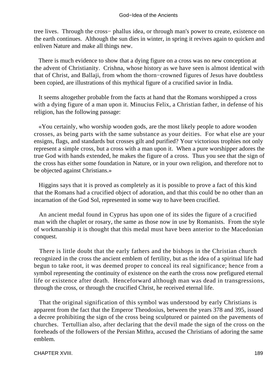tree lives. Through the cross− phallus idea, or through man's power to create, existence on the earth continues. Although the sun dies in winter, in spring it revives again to quicken and enliven Nature and make all things new.

 There is much evidence to show that a dying figure on a cross was no new conception at the advent of Christianity. Crishna, whose history as we have seen is almost identical with that of Christ, and Ballaji, from whom the thorn−crowned figures of Jesus have doubtless been copied, are illustrations of this mythical figure of a crucified savior in India.

 It seems altogether probable from the facts at hand that the Romans worshipped a cross with a dying figure of a man upon it. Minucius Felix, a Christian father, in defense of his religion, has the following passage:

 «You certainly, who worship wooden gods, are the most likely people to adore wooden crosses, as being parts with the same substance as your deities. For what else are your ensigns, flags, and standards but crosses gilt and purified? Your victorious trophies not only represent a simple cross, but a cross with a man upon it. When a pure worshipper adores the true God with hands extended, he makes the figure of a cross. Thus you see that the sign of the cross has either some foundation in Nature, or in your own religion, and therefore not to be objected against Christians.»

 Higgins says that it is proved as completely as it is possible to prove a fact of this kind that the Romans had a crucified object of adoration, and that this could be no other than an incarnation of the God Sol, represented in some way to have been crucified.

 An ancient medal found in Cyprus has upon one of its sides the figure of a crucified man with the chaplet or rosary, the same as those now in use by Romanists. From the style of workmanship it is thought that this medal must have been anterior to the Macedonian conquest.

 There is little doubt that the early fathers and the bishops in the Christian church recognized in the cross the ancient emblem of fertility, but as the idea of a spiritual life had begun to take root, it was deemed proper to conceal its real significance; hence from a symbol representing the continuity of existence on the earth the cross now prefigured eternal life or existence after death. Henceforward although man was dead in transgressions, through the cross, or through the crucified Christ, he received eternal life.

 That the original signification of this symbol was understood by early Christians is apparent from the fact that the Emperor Theodosius, between the years 378 and 395, issued a decree prohibiting the sign of the cross being sculptured or painted on the pavements of churches. Tertullian also, after declaring that the devil made the sign of the cross on the foreheads of the followers of the Persian Mithra, accused the Christians of adoring the same emblem.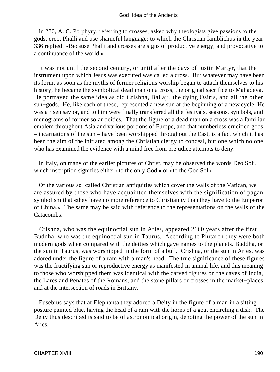In 280, A. C. Porphyry, referring to crosses, asked why theologists give passions to the gods, erect Phalli and use shameful language; to which the Christian Iamblichus in the year 336 replied: «Because Phalli and crosses are signs of productive energy, and provocative to a continuance of the world.»

 It was not until the second century, or until after the days of Justin Martyr, that the instrument upon which Jesus was executed was called a cross. But whatever may have been its form, as soon as the myths of former religious worship began to attach themselves to his history, he became the symbolical dead man on a cross, the original sacrifice to Mahadeva. He portrayed the same idea as did Crishna, Ballaji, the dying Osiris, and all the other sun−gods. He, like each of these, represented a new sun at the beginning of a new cycle. He was a risen savior, and to him were finally transferred all the festivals, seasons, symbols, and monograms of former solar deities. That the figure of a dead man on a cross was a familiar emblem throughout Asia and various portions of Europe, and that numberless crucified gods – incarnations of the sun – have been worshipped throughout the East, is a fact which it has been the aim of the initiated among the Christian clergy to conceal, but one which no one who has examined the evidence with a mind free from prejudice attempts to deny.

 In Italy, on many of the earlier pictures of Christ, may be observed the words Deo Soli, which inscription signifies either «to the only God,» or «to the God Sol.»

 Of the various so−called Christian antiquities which cover the walls of the Vatican, we are assured by those who have acquainted themselves with the signification of pagan symbolism that «they have no more reference to Christianity than they have to the Emperor of China.» The same may be said with reference to the representations on the walls of the Catacombs.

 Crishna, who was the equinoctial sun in Aries, appeared 2160 years after the first Buddha, who was the equinoctial sun in Taurus. According to Plutarch they were both modern gods when compared with the deities which gave names to the planets. Buddha, or the sun in Taurus, was worshipped in the form of a bull. Crishna, or the sun in Aries, was adored under the figure of a ram with a man's head. The true significance of these figures was the fructifying sun or reproductive energy as manifested in animal life, and this meaning to those who worshipped them was identical with the carved figures on the caves of India, the Lares and Penates of the Romans, and the stone pillars or crosses in the market−places and at the intersection of roads in Brittany.

 Eusebius says that at Elephanta they adored a Deity in the figure of a man in a sitting posture painted blue, having the head of a ram with the horns of a goat encircling a disk. The Deity thus described is said to be of astronomical origin, denoting the power of the sun in Aries.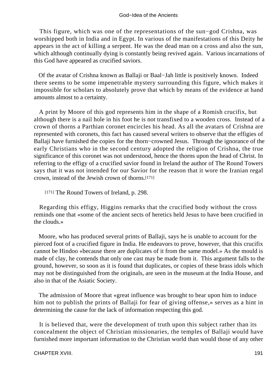#### God−Idea of the Ancients

 This figure, which was one of the representations of the sun−god Crishna, was worshipped both in India and in Egypt. In various of the manifestations of this Deity he appears in the act of killing a serpent. He was the dead man on a cross and also the sun, which although continually dying is constantly being revived again. Various incarnations of this God have appeared as crucified saviors.

 Of the avatar of Crishna known as Ballaji or Baal−Jah little is positively known. Indeed there seems to be some impenetrable mystery surrounding this figure, which makes it impossible for scholars to absolutely prove that which by means of the evidence at hand amounts almost to a certainty.

 A print by Moore of this god represents him in the shape of a Romish crucifix, but although there is a nail hole in his foot he is not transfixed to a wooden cross. Instead of a crown of thorns a Parthian coronet encircles his head. As all the avatars of Crishna are represented with coronets, this fact has caused several writers to observe that the effigies of Ballaji have furnished the copies for the thorn−crowned Jesus. Through the ignorance of the early Christians who in the second century adopted the religion of Crishna, the true significance of this coronet was not understood, hence the thorns upon the head of Christ. In referring to the effigy of a crucified savior found in Ireland the author of The Round Towers says that it was not intended for our Savior for the reason that it wore the Iranian regal crown, instead of the Jewish crown of thorns.[171]

[171] The Round Towers of Ireland, p. 298.

 Regarding this effigy, Higgins remarks that the crucified body without the cross reminds one that «some of the ancient sects of heretics held Jesus to have been crucified in the clouds.»

 Moore, who has produced several prints of Ballaji, says he is unable to account for the pierced foot of a crucified figure in India. He endeavors to prove, however, that this crucifix cannot be Hindoo «because there are duplicates of it from the same model.» As the mould is made of clay, he contends that only one cast may be made from it. This argument falls to the ground, however, so soon as it is found that duplicates, or copies of these brass idols which may not be distinguished from the originals, are seen in the museum at the India House, and also in that of the Asiatic Society.

 The admission of Moore that «great influence was brought to bear upon him to induce him not to publish the prints of Ballaji for fear of giving offense,» serves as a hint in determining the cause for the lack of information respecting this god.

 It is believed that, were the development of truth upon this subject rather than its concealment the object of Christian missionaries, the temples of Ballaji would have furnished more important information to the Christian world than would those of any other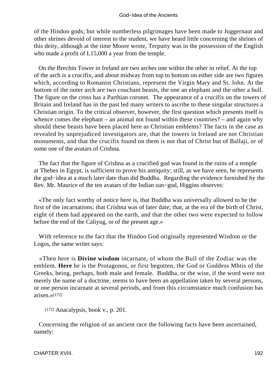of the Hindoo gods; but while numberless pilgrimages have been made to Juggernaut and other shrines devoid of interest to the student, we have heard little concerning the shrines of this deity, although at the time Moore wrote, Terputty was in the possession of the English who made a profit of L15,000 a year from the temple.

 On the Brechin Tower in Ireland are two arches one within the other in relief. At the top of the arch is a crucifix, and about midway from top to bottom on either side are two figures which, according to Romanist Christians, represent the Virgin Mary and St. John. At the bottom of the outer arch are two couchant beasts, the one an elephant and the other a bull. The figure on the cross has a Parthian coronet. The appearance of a crucifix on the towers of Britain and Ireland has in the past led many writers to ascribe to these singular structures a Christian origin. To the critical observer, however, the first question which presents itself is whence comes the elephant – an animal not found within these countries? – and again why should these beasts have been placed here as Christian emblems? The facts in the case as revealed by unprejudiced investigators are, that the towers in Ireland are not Christian monuments, and that the crucifix found on them is not that of Christ but of Ballaji, or of some one of the avatars of Crishna.

 The fact that the figure of Crishna as a crucified god was found in the ruins of a temple at Thebes in Egypt, is sufficient to prove his antiquity; still, as we have seen, he represents the god−idea at a much later date than did Buddha. Regarding the evidence furnished by the Rev. Mr. Maurice of the ten avatars of the Indian sun−god, Higgins observes:

 «The only fact worthy of notice here is, that Buddha was universally allowed to be the first of the incarnations; that Crishna was of later date; that, at the era of the birth of Christ, eight of them had appeared on the earth, and that the other two were expected to follow before the end of the Caliyug, or of the present age.»

 With reference to the fact that the Hindoo God originally represented Wisdom or the Logos, the same writer says:

 «Then here is **Divine wisdom** incarnate, of whom the Bull of the Zodiac was the emblem. **Here** he is the Protagonos, or first begotten, the God or Goddess Mhtis of the Greeks, being, perhaps, both male and female. Buddha, or the wise, if the word were not merely the name of a doctrine, seems to have been an appellation taken by several persons, or one person incarnate at several periods, and from this circumstance much confusion has arisen.»[172]

[172] Anacalypsis, book v., p. 201.

 Concerning the religion of an ancient race the following facts have been ascertained, namely: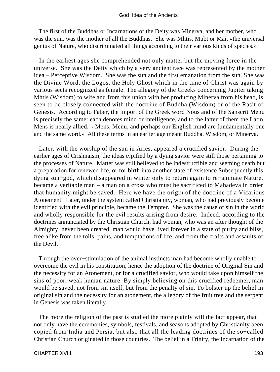The first of the Buddhas or Incarnations of the Deity was Minerva, and her mother, who was the sun, was the mother of all the Buddhas. She was Mhtis, Mubt or Mai, «the universal genius of Nature, who discriminated all things according to their various kinds of species.»

 In the earliest ages she comprehended not only matter but the moving force in the universe. She was the Deity which by a very ancient race was represented by the mother idea – Perceptive Wisdom. She was the sun and the first emanation from the sun. She was the Divine Word, the Logos, the Holy Ghost which in the time of Christ was again by various sects recognized as female. The allegory of the Greeks concerning Jupiter taking Mhtis (Wisdom) to wife and from this union with her producing Minerva from his head, is seen to be closely connected with the doctrine of Buddha (Wisdom) or of the Rasit of Genesis. According to Faber, the import of the Greek word Nous and of the Sanscrit Menu is precisely the same: each denotes mind or intelligence, and to the latter of them the Latin Mens is nearly allied. «Mens, Menu, and perhaps our English mind are fundamentally one and the same word.» All these terms in an earlier age meant Buddha, Wisdom, or Minerva.

 Later, with the worship of the sun in Aries, appeared a crucified savior. During the earlier ages of Crishnaism, the ideas typified by a dying savior were still those pertaining to the processes of Nature. Matter was still believed to be indestructible and seeming death but a preparation for renewed life, or for birth into another state of existence Subsequently this dying sun−god, which disappeared in winter only to return again to re−animate Nature, became a veritable man – a man on a cross who must be sacrificed to Mahadeva in order that humanity might be saved. Here we have the origin of the doctrine of a Vicarious Atonement. Later, under the system called Christianity, woman, who had previously become identified with the evil principle, became the Tempter. She was the cause of sin in the world and wholly responsible for the evil results arising from desire. Indeed, according to the doctrines annunciated by the Christian Church, had woman, who was an after thought of the Almighty, never been created, man would have lived forever in a state of purity and bliss, free alike from the toils, pains, and temptations of life, and from the crafts and assaults of the Devil.

 Through the over−stimulation of the animal instincts man had become wholly unable to overcome the evil in his constitution, hence the adoption of the doctrine of Original Sin and the necessity for an Atonement, or for a crucified savior, who would take upon himself the sins of poor, weak human nature. By simply believing on this crucified redeemer, man would be saved, not from sin itself, but from the penalty of sin. To bolster up the belief in original sin and the necessity for an atonement, the allegory of the fruit tree and the serpent in Genesis was taken literally.

 The more the religion of the past is studied the more plainly will the fact appear, that not only have the ceremonies, symbols, festivals, and seasons adopted by Christianity been copied from India and Persia, but also that all the leading doctrines of the so−called Christian Church originated in those countries. The belief in a Trinity, the Incarnation of the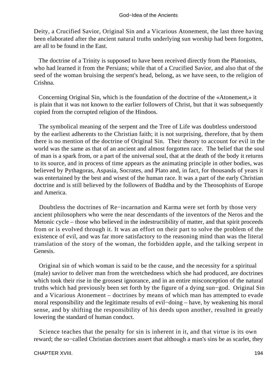Deity, a Crucified Savior, Original Sin and a Vicarious Atonement, the last three having been elaborated after the ancient natural truths underlying sun worship had been forgotten, are all to be found in the East.

 The doctrine of a Trinity is supposed to have been received directly from the Platonists, who had learned it from the Persians; while that of a Crucified Savior, and also that of the seed of the woman bruising the serpent's head, belong, as we have seen, to the religion of Crishna.

 Concerning Original Sin, which is the foundation of the doctrine of the «Atonement,» it is plain that it was not known to the earlier followers of Christ, but that it was subsequently copied from the corrupted religion of the Hindoos.

 The symbolical meaning of the serpent and the Tree of Life was doubtless understood by the earliest adherents to the Christian faith; it is not surprising, therefore, that by them there is no mention of the doctrine of Original Sin. Their theory to account for evil in the world was the same as that of an ancient and almost forgotten race. The belief that the soul of man is a spark from, or a part of the universal soul, that at the death of the body it returns to its source, and in process of time appears as the animating principle in other bodies, was believed by Pythagoras, Aspasia, Socrates, and Plato and, in fact, for thousands of years it was entertained by the best and wisest of the human race. It was a part of the early Christian doctrine and is still believed by the followers of Buddha and by the Theosophists of Europe and America.

 Doubtless the doctrines of Re−incarnation and Karma were set forth by those very ancient philosophers who were the near descendants of the inventors of the Neros and the Metonic cycle – those who believed in the indestructibility of matter, and that spirit proceeds from or is evolved through it. It was an effort on their part to solve the problem of the existence of evil, and was far more satisfactory to the reasoning mind than was the literal translation of the story of the woman, the forbidden apple, and the talking serpent in Genesis.

 Original sin of which woman is said to be the cause, and the necessity for a spiritual (male) savior to deliver man from the wretchedness which she had produced, are doctrines which took their rise in the grossest ignorance, and in an entire misconception of the natural truths which had previously been set forth by the figure of a dying sun−god. Original Sin and a Vicarious Atonement – doctrines by means of which man has attempted to evade moral responsibility and the legitimate results of evil−doing – have, by weakening his moral sense, and by shifting the responsibility of his deeds upon another, resulted in greatly lowering the standard of human conduct.

 Science teaches that the penalty for sin is inherent in it, and that virtue is its own reward; the so−called Christian doctrines assert that although a man's sins be as scarlet, they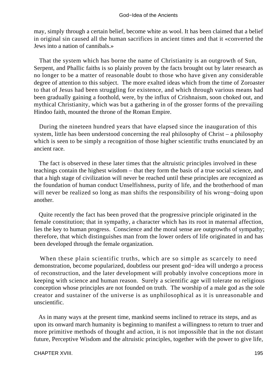may, simply through a certain belief, become white as wool. It has been claimed that a belief in original sin caused all the human sacrifices in ancient times and that it «converted the Jews into a nation of cannibals.»

 That the system which has borne the name of Christianity is an outgrowth of Sun, Serpent, and Phallic faiths is so plainly proven by the facts brought out by later research as no longer to be a matter of reasonable doubt to those who have given any considerable degree of attention to this subject. The more exalted ideas which from the time of Zoroaster to that of Jesus had been struggling for existence, and which through various means had been gradually gaining a foothold, were, by the influx of Crishnaism, soon choked out, and mythical Christianity, which was but a gathering in of the grosser forms of the prevailing Hindoo faith, mounted the throne of the Roman Empire.

 During the nineteen hundred years that have elapsed since the inauguration of this system, little has been understood concerning the real philosophy of Christ – a philosophy which is seen to be simply a recognition of those higher scientific truths enunciated by an ancient race.

 The fact is observed in these later times that the altruistic principles involved in these teachings contain the highest wisdom – that they form the basis of a true social science, and that a high stage of civilization will never be reached until these principles are recognized as the foundation of human conduct Unselfishness, purity of life, and the brotherhood of man will never be realized so long as man shifts the responsibility of his wrong−doing upon another.

 Quite recently the fact has been proved that the progressive principle originated in the female constitution; that in sympathy, a character which has its root in maternal affection, lies the key to human progress. Conscience and the moral sense are outgrowths of sympathy; therefore, that which distinguishes man from the lower orders of life originated in and has been developed through the female organization.

 When these plain scientific truths, which are so simple as scarcely to need demonstration, become popularized, doubtless our present god−idea will undergo a process of reconstruction, and the later development will probably involve conceptions more in keeping with science and human reason. Surely a scientific age will tolerate no religious conception whose principles are not founded on truth. The worship of a male god as the sole creator and sustainer of the universe is as unphilosophical as it is unreasonable and unscientific.

 As in many ways at the present time, mankind seems inclined to retrace its steps, and as upon its onward march humanity is beginning to manifest a willingness to return to truer and more primitive methods of thought and action, it is not impossible that in the not distant future, Perceptive Wisdom and the altruistic principles, together with the power to give life,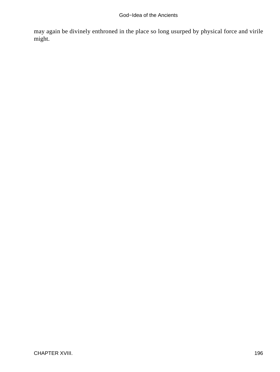may again be divinely enthroned in the place so long usurped by physical force and virile might.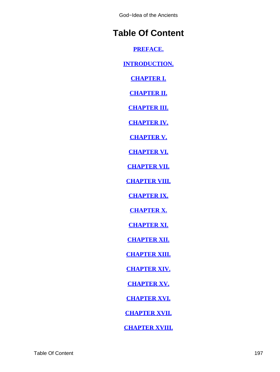God−Idea of the Ancients

# <span id="page-197-0"></span>**Table Of Content**

**[PREFACE.](#page-3-0)**

**[INTRODUCTION.](#page-5-0)**

**[CHAPTER I.](#page-9-0)**

**[CHAPTER II.](#page-14-0)**

**[CHAPTER III.](#page-25-0)**

**[CHAPTER IV.](#page-40-0)**

**[CHAPTER V.](#page-53-0)**

**[CHAPTER VI.](#page-64-0)**

**[CHAPTER VII.](#page-82-0)**

**[CHAPTER VIII.](#page-92-0)**

**[CHAPTER IX.](#page-100-0)**

**[CHAPTER X.](#page-108-0)**

**[CHAPTER XI.](#page-115-0)**

**[CHAPTER XII.](#page-128-0)**

**[CHAPTER XIII.](#page-140-0)**

**[CHAPTER XIV.](#page-156-0)**

**[CHAPTER XV.](#page-163-0)**

**[CHAPTER XVI.](#page-173-0)**

**[CHAPTER XVII.](#page-180-0)**

**[CHAPTER XVIII.](#page-187-0)**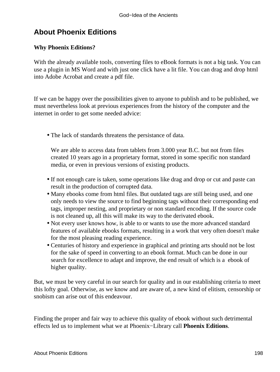# **About Phoenix Editions**

## **Why Phoenix Editions?**

With the already available tools, converting files to eBook formats is not a big task. You can use a plugin in MS Word and with just one click have a lit file. You can drag and drop html into Adobe Acrobat and create a pdf file.

If we can be happy over the possibilities given to anyone to publish and to be published, we must nevertheless look at previous experiences from the history of the computer and the internet in order to get some needed advice:

• The lack of standards threatens the persistance of data.

We are able to access data from tablets from 3.000 year B.C. but not from files created 10 years ago in a proprietary format, stored in some specific non standard media, or even in previous versions of existing products.

- If not enough care is taken, some operations like drag and drop or cut and paste can result in the production of corrupted data.
- Many ebooks come from html files. But outdated tags are still being used, and one only needs to view the source to find beginning tags without their corresponding end tags, improper nesting, and proprietary or non standard encoding. If the source code is not cleaned up, all this will make its way to the derivated ebook.
- Not every user knows how, is able to or wants to use the more advanced standard features of available ebooks formats, resulting in a work that very often doesn't make for the most pleasing reading experience.
- Centuries of history and experience in graphical and printing arts should not be lost for the sake of speed in converting to an ebook format. Much can be done in our search for excellence to adapt and improve, the end result of which is a ebook of higher quality.

But, we must be very careful in our search for quality and in our establishing criteria to meet this lofty goal. Otherwise, as we know and are aware of, a new kind of elitism, censorship or snobism can arise out of this endeavour.

Finding the proper and fair way to achieve this quality of ebook without such detrimental effects led us to implement what we at Phoenix−Library call **Phoenix Editions**.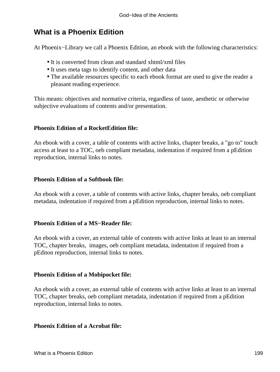# **What is a Phoenix Edition**

At Phoenix−Library we call a Phoenix Edition, an ebook with the following characteristics:

- It is converted from clean and standard xhtml/xml files
- It uses meta tags to identify content, and other data
- The available resources specific to each ebook format are used to give the reader a pleasant reading experience.

This means: objectives and normative criteria, regardless of taste, aesthetic or otherwise subjective evaluations of contents and/or presentation.

### **Phoenix Edition of a RocketEdition file:**

An ebook with a cover, a table of contents with active links, chapter breaks, a "go to" touch access at least to a TOC, oeb compliant metadata, indentation if required from a pEdition reproduction, internal links to notes.

### **Phoenix Edition of a Softbook file:**

An ebook with a cover, a table of contents with active links, chapter breaks, oeb compliant metadata, indentation if required from a pEdition reproduction, internal links to notes.

#### **Phoenix Edition of a MS−Reader file:**

An ebook with a cover, an external table of contents with active links at least to an internal TOC, chapter breaks, images, oeb compliant metadata, indentation if required from a pEditon reproduction, internal links to notes.

### **Phoenix Edition of a Mobipocket file:**

An ebook with a cover, an external table of contents with active links at least to an internal TOC, chapter breaks, oeb compliant metadata, indentation if required from a pEdition reproduction, internal links to notes.

#### **Phoenix Edition of a Acrobat file:**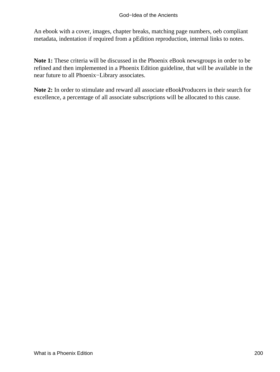An ebook with a cover, images, chapter breaks, matching page numbers, oeb compliant metadata, indentation if required from a pEdition reproduction, internal links to notes.

**Note 1:** These criteria will be discussed in the Phoenix eBook newsgroups in order to be refined and then implemented in a Phoenix Edition guideline, that will be available in the near future to all Phoenix−Library associates.

**Note 2:** In order to stimulate and reward all associate eBookProducers in their search for excellence, a percentage of all associate subscriptions will be allocated to this cause.